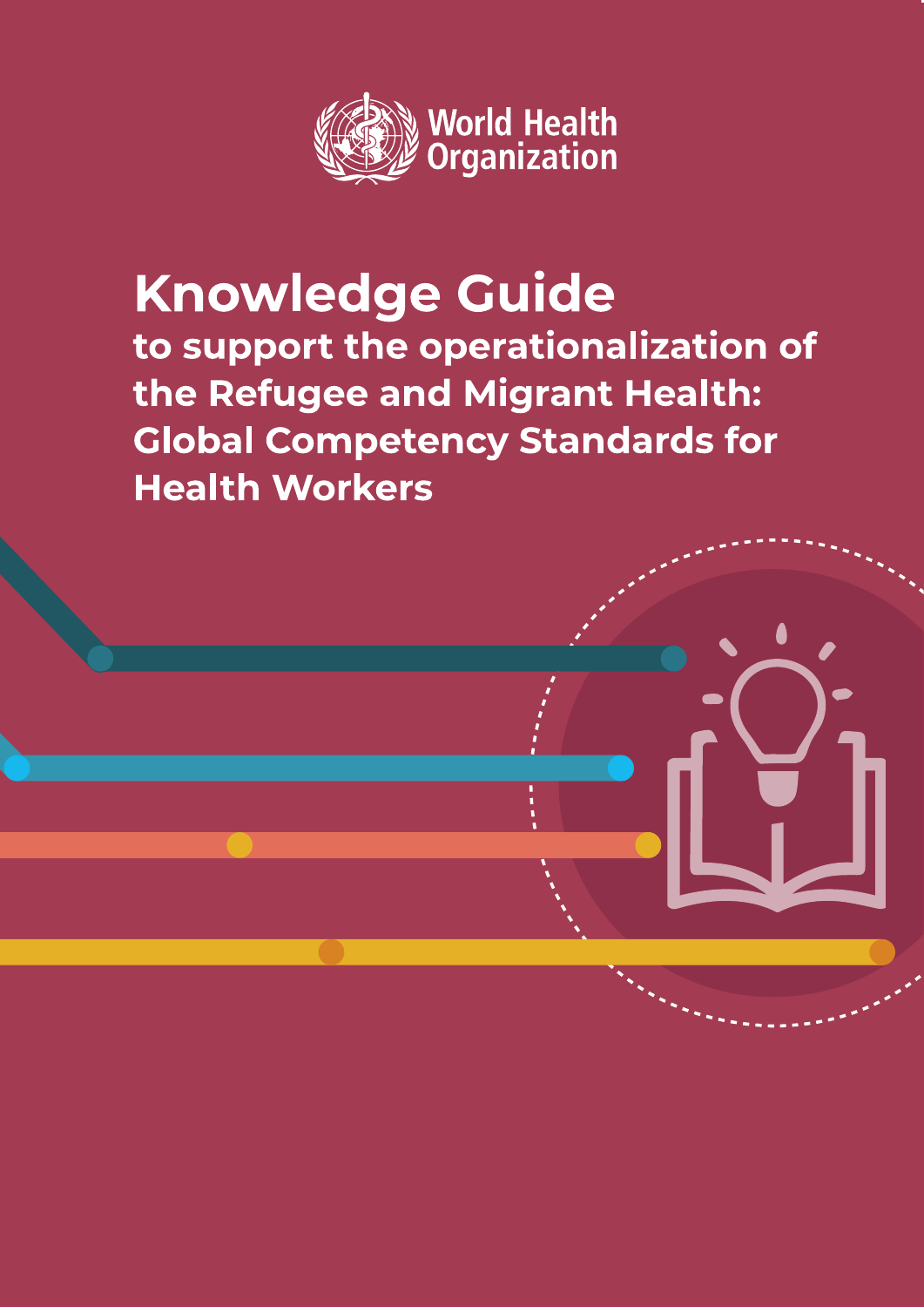

### **Knowledge Guide** to support the operationalization of the Refugee and Migrant Health: **Global Competency Standards for Health Workers**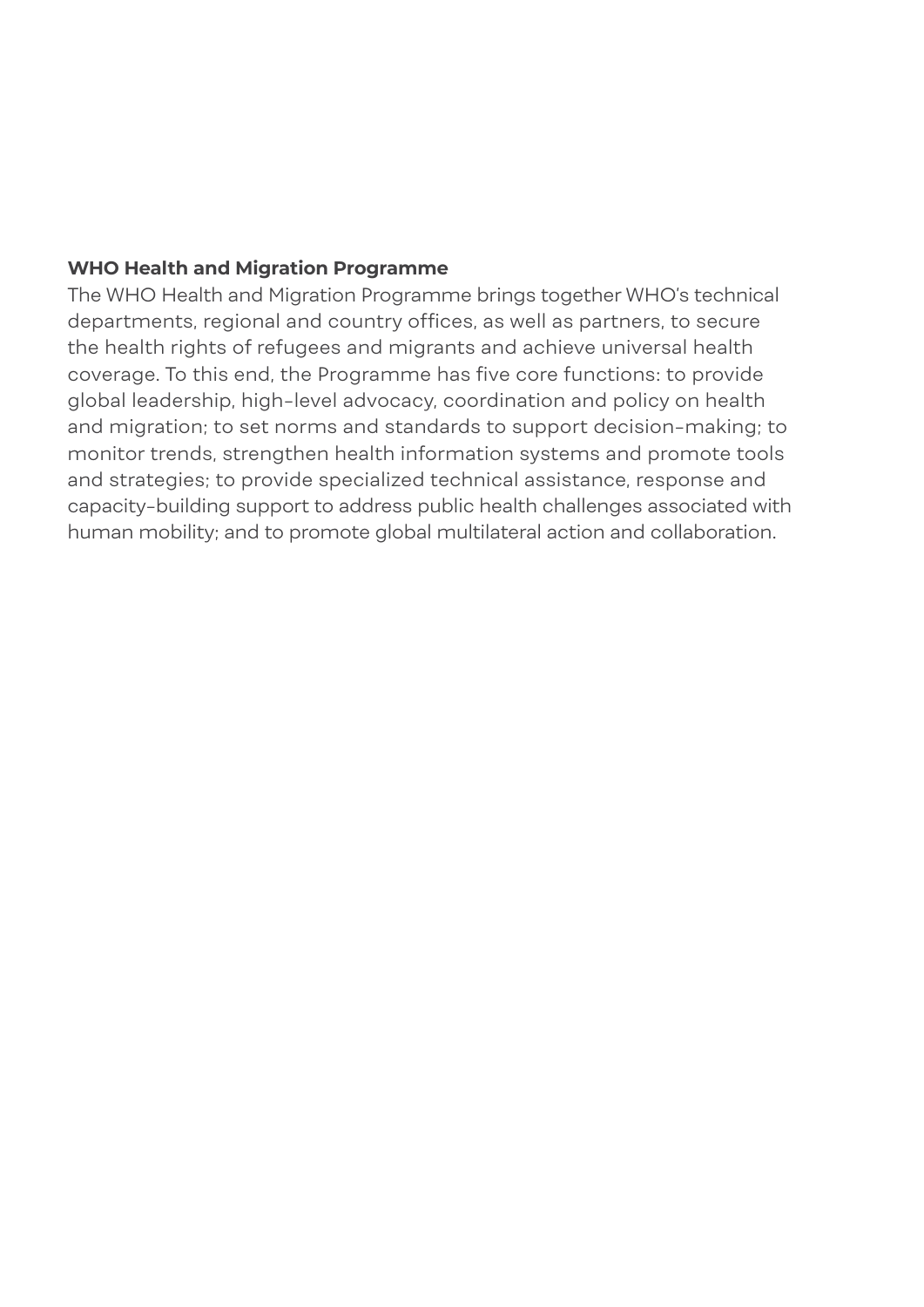#### **WHO Health and Migration Programme**

The WHO Health and Migration Programme brings together WHO's technical departments, regional and country offices, as well as partners, to secure the health rights of refugees and migrants and achieve universal health coverage. To this end, the Programme has five core functions: to provide global leadership, high-level advocacy, coordination and policy on health and migration; to set norms and standards to support decision-making; to monitor trends, strengthen health information systems and promote tools and strategies; to provide specialized technical assistance, response and capacity-building support to address public health challenges associated with human mobility; and to promote global multilateral action and collaboration.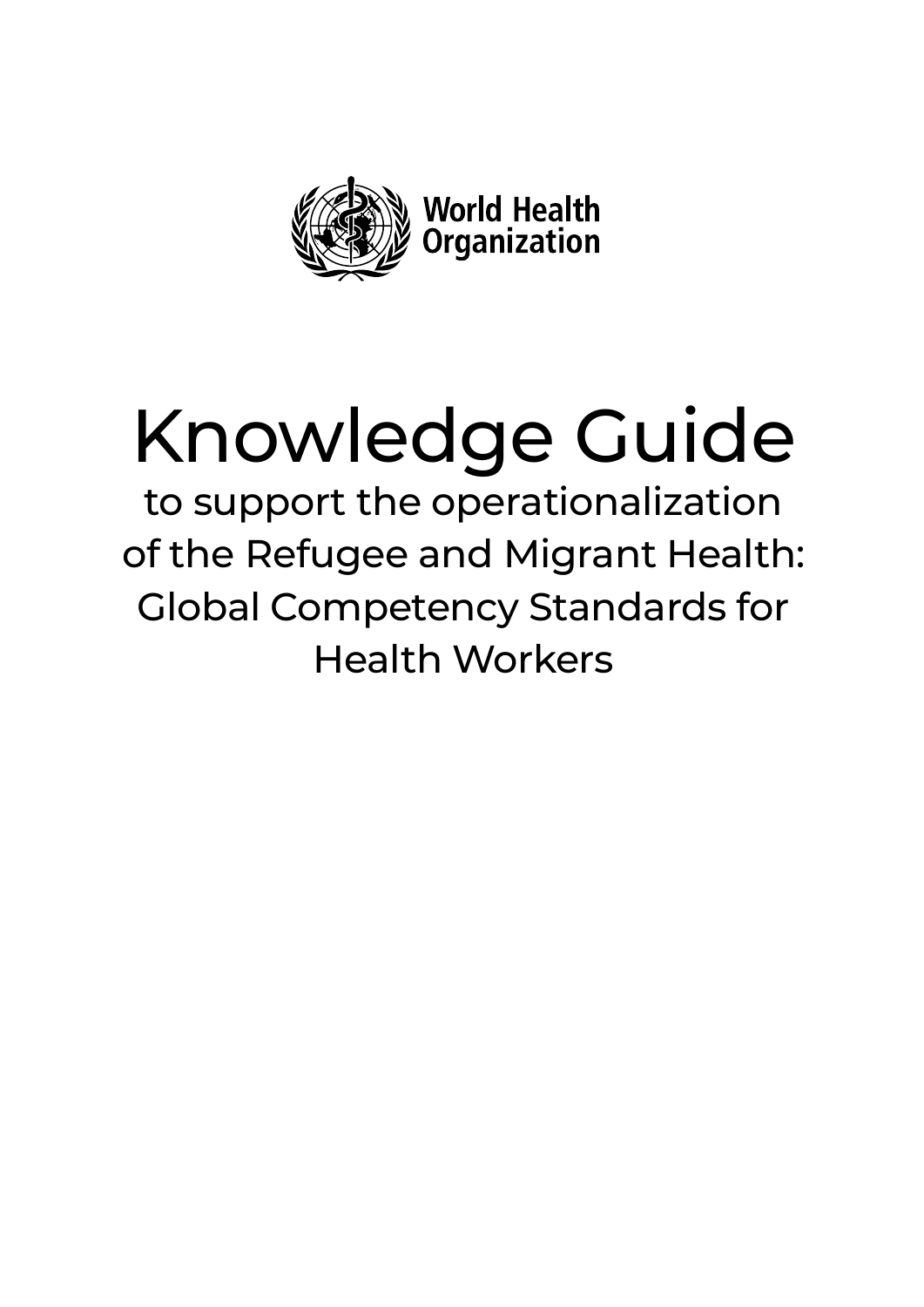

# Knowledge Guide

to support the operationalization of the Refugee and Migrant Health: Global Competency Standards for Health Workers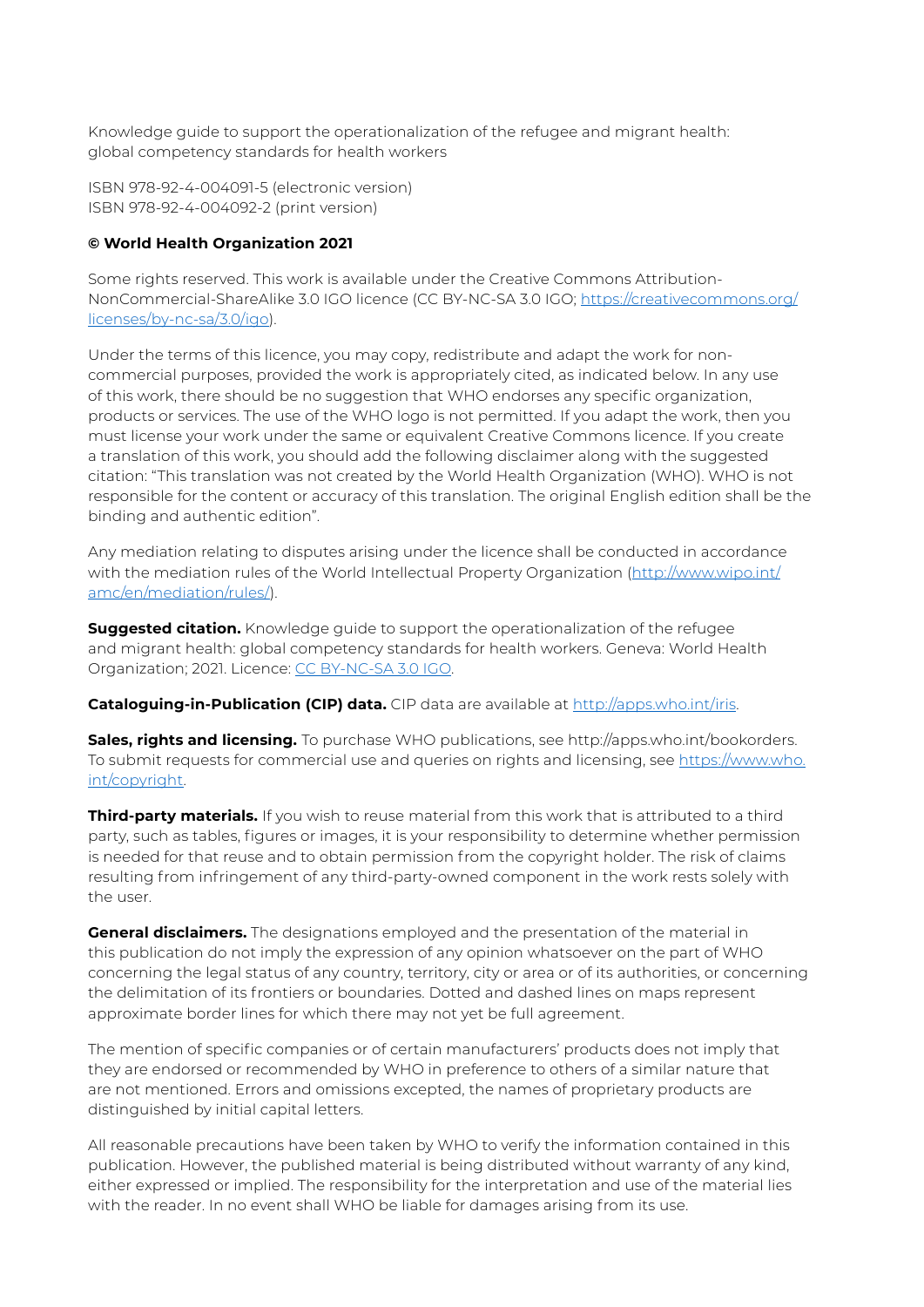Knowledge guide to support the operationalization of the refugee and migrant health: global competency standards for health workers

ISBN 978-92-4-004091-5 (electronic version) ISBN 978-92-4-004092-2 (print version)

#### **© World Health Organization 2021**

Some rights reserved. This work is available under the Creative Commons Attribution-NonCommercial-ShareAlike 3.0 IGO licence (CC BY-NC-SA 3.0 IGO; [https://creativecommons.org/](https://creativecommons.org/licenses/by-nc-sa/3.0/igo) [licenses/by-nc-sa/3.0/igo](https://creativecommons.org/licenses/by-nc-sa/3.0/igo)).

Under the terms of this licence, you may copy, redistribute and adapt the work for noncommercial purposes, provided the work is appropriately cited, as indicated below. In any use of this work, there should be no suggestion that WHO endorses any specific organization, products or services. The use of the WHO logo is not permitted. If you adapt the work, then you must license your work under the same or equivalent Creative Commons licence. If you create a translation of this work, you should add the following disclaimer along with the suggested citation: "This translation was not created by the World Health Organization (WHO). WHO is not responsible for the content or accuracy of this translation. The original English edition shall be the binding and authentic edition".

Any mediation relating to disputes arising under the licence shall be conducted in accordance with the mediation rules of the World Intellectual Property Organization [\(http://www.wipo.int/](http://www.wipo.int/amc/en/mediation/rules/) [amc/en/mediation/rules/\)](http://www.wipo.int/amc/en/mediation/rules/).

**Suggested citation.** Knowledge quide to support the operationalization of the refugee and migrant health: global competency standards for health workers. Geneva: World Health Organization; 2021. Licence: [CC BY-NC-SA 3.0 IGO.](http://CC BY-NC-SA 3.0 IGO)

#### **Cataloguing-in-Publication (CIP) data.** CIP data are available at<http://apps.who.int/iris>.

**Sales, rights and licensing.** To purchase WHO publications, see http://apps.who.int/bookorders. To submit requests for commercial use and queries on rights and licensing, see [https://www.who.](https://www.who.int/copyright) [int/copyright](https://www.who.int/copyright).

**Third-party materials.** If you wish to reuse material from this work that is attributed to a third party, such as tables, figures or images, it is your responsibility to determine whether permission is needed for that reuse and to obtain permission from the copyright holder. The risk of claims resulting from infringement of any third-party-owned component in the work rests solely with the user.

**General disclaimers.** The designations employed and the presentation of the material in this publication do not imply the expression of any opinion whatsoever on the part of WHO concerning the legal status of any country, territory, city or area or of its authorities, or concerning the delimitation of its frontiers or boundaries. Dotted and dashed lines on maps represent approximate border lines for which there may not yet be full agreement.

The mention of specific companies or of certain manufacturers' products does not imply that they are endorsed or recommended by WHO in preference to others of a similar nature that are not mentioned. Errors and omissions excepted, the names of proprietary products are distinguished by initial capital letters.

All reasonable precautions have been taken by WHO to verify the information contained in this publication. However, the published material is being distributed without warranty of any kind, either expressed or implied. The responsibility for the interpretation and use of the material lies with the reader. In no event shall WHO be liable for damages arising from its use.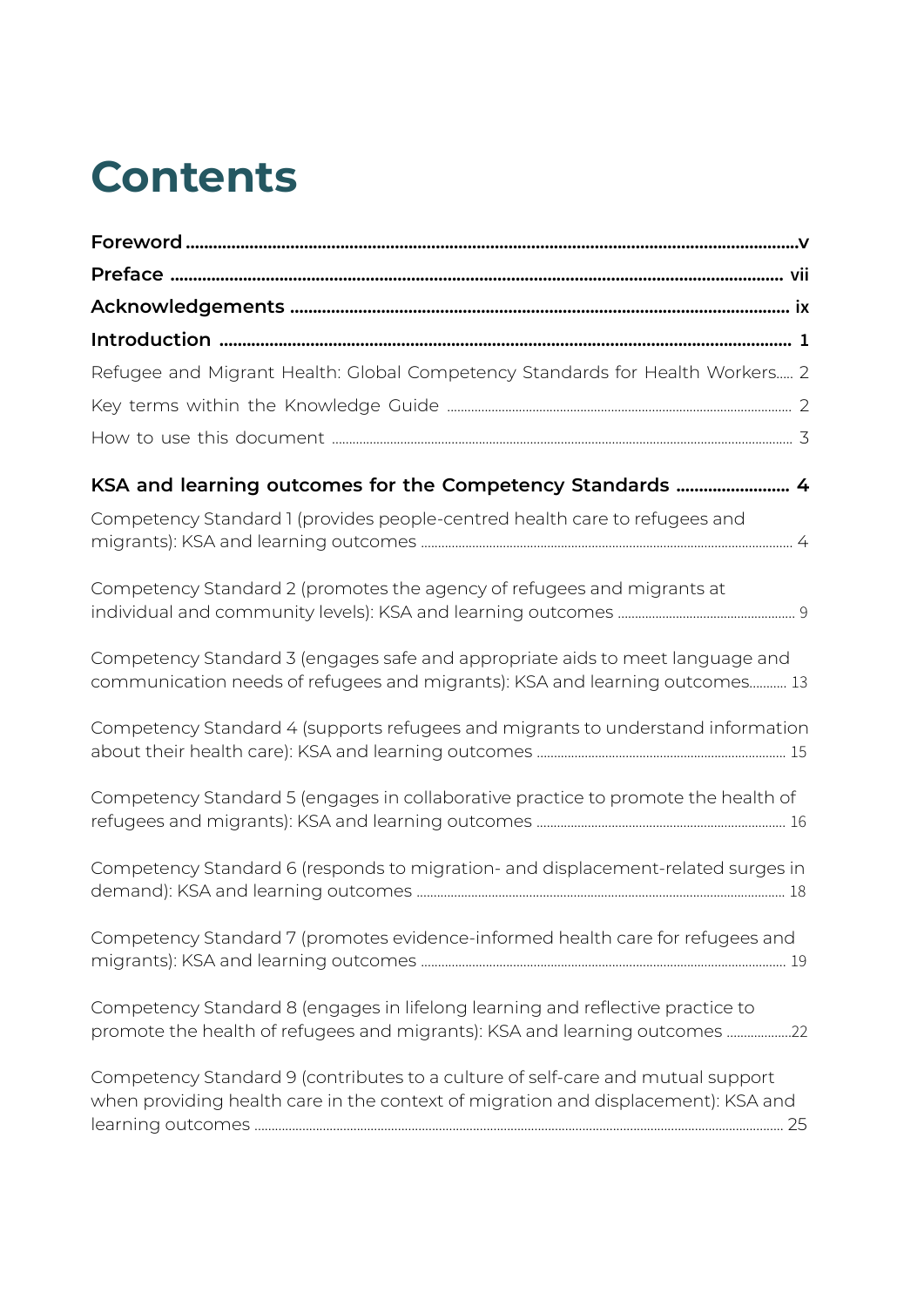## **Contents**

| Refugee and Migrant Health: Global Competency Standards for Health Workers 2                                                                                         |
|----------------------------------------------------------------------------------------------------------------------------------------------------------------------|
|                                                                                                                                                                      |
|                                                                                                                                                                      |
| KSA and learning outcomes for the Competency Standards  4                                                                                                            |
| Competency Standard 1 (provides people-centred health care to refugees and                                                                                           |
| Competency Standard 2 (promotes the agency of refugees and migrants at                                                                                               |
| Competency Standard 3 (engages safe and appropriate aids to meet language and<br>communication needs of refugees and migrants): KSA and learning outcomes 13         |
| Competency Standard 4 (supports refugees and migrants to understand information                                                                                      |
| Competency Standard 5 (engages in collaborative practice to promote the health of                                                                                    |
| Competency Standard 6 (responds to migration- and displacement-related surges in                                                                                     |
| Competency Standard 7 (promotes evidence-informed health care for refugees and                                                                                       |
| Competency Standard 8 (engages in lifelong learning and reflective practice to<br>promote the health of refugees and migrants): KSA and learning outcomes 22         |
| Competency Standard 9 (contributes to a culture of self-care and mutual support<br>when providing health care in the context of migration and displacement): KSA and |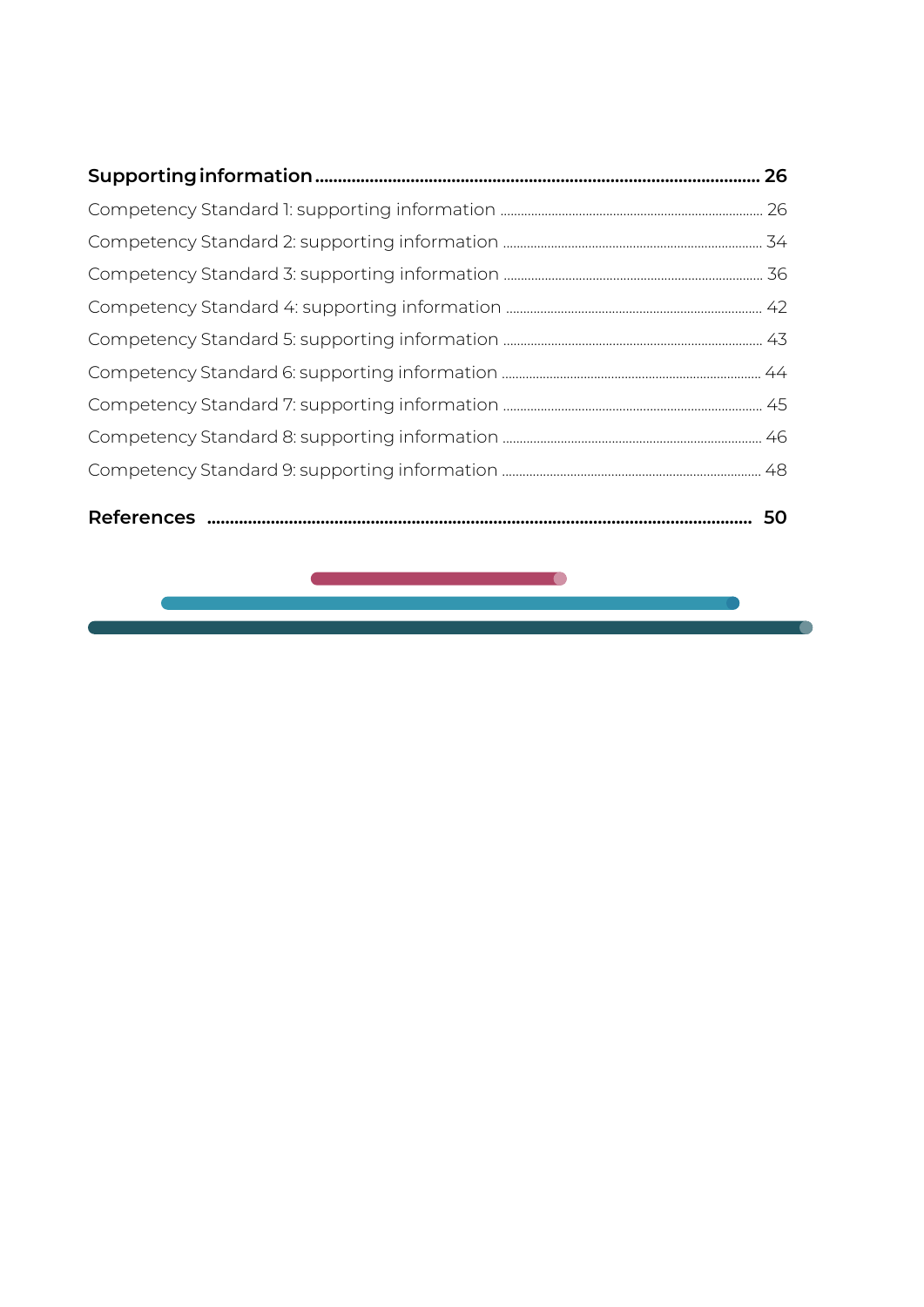|--|--|--|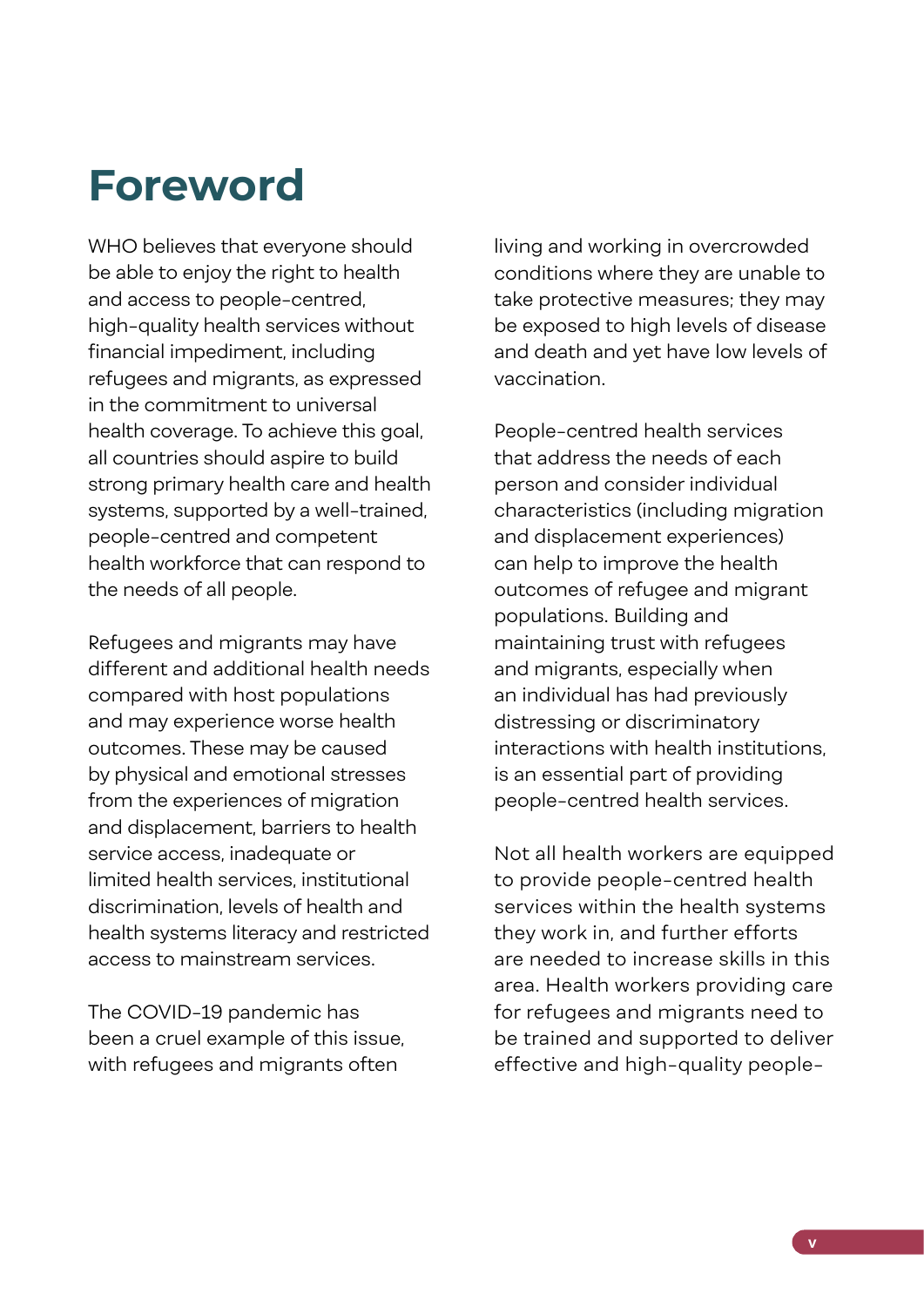### <span id="page-6-0"></span>**Foreword**

WHO believes that everyone should be able to enjoy the right to health and access to people-centred, high-quality health services without financial impediment, including refugees and migrants, as expressed in the commitment to universal health coverage. To achieve this goal, all countries should aspire to build strong primary health care and health systems, supported by a well-trained, people-centred and competent health workforce that can respond to the needs of all people.

Refugees and migrants may have different and additional health needs compared with host populations and may experience worse health outcomes. These may be caused by physical and emotional stresses from the experiences of migration and displacement, barriers to health service access, inadequate or limited health services, institutional discrimination, levels of health and health systems literacy and restricted access to mainstream services.

The COVID-19 pandemic has been a cruel example of this issue, with refugees and migrants often

living and working in overcrowded conditions where they are unable to take protective measures; they may be exposed to high levels of disease and death and yet have low levels of vaccination.

People-centred health services that address the needs of each person and consider individual characteristics (including migration and displacement experiences) can help to improve the health outcomes of refugee and migrant populations. Building and maintaining trust with refugees and migrants, especially when an individual has had previously distressing or discriminatory interactions with health institutions, is an essential part of providing people-centred health services.

Not all health workers are equipped to provide people-centred health services within the health systems they work in, and further efforts are needed to increase skills in this area. Health workers providing care for refugees and migrants need to be trained and supported to deliver effective and high-quality people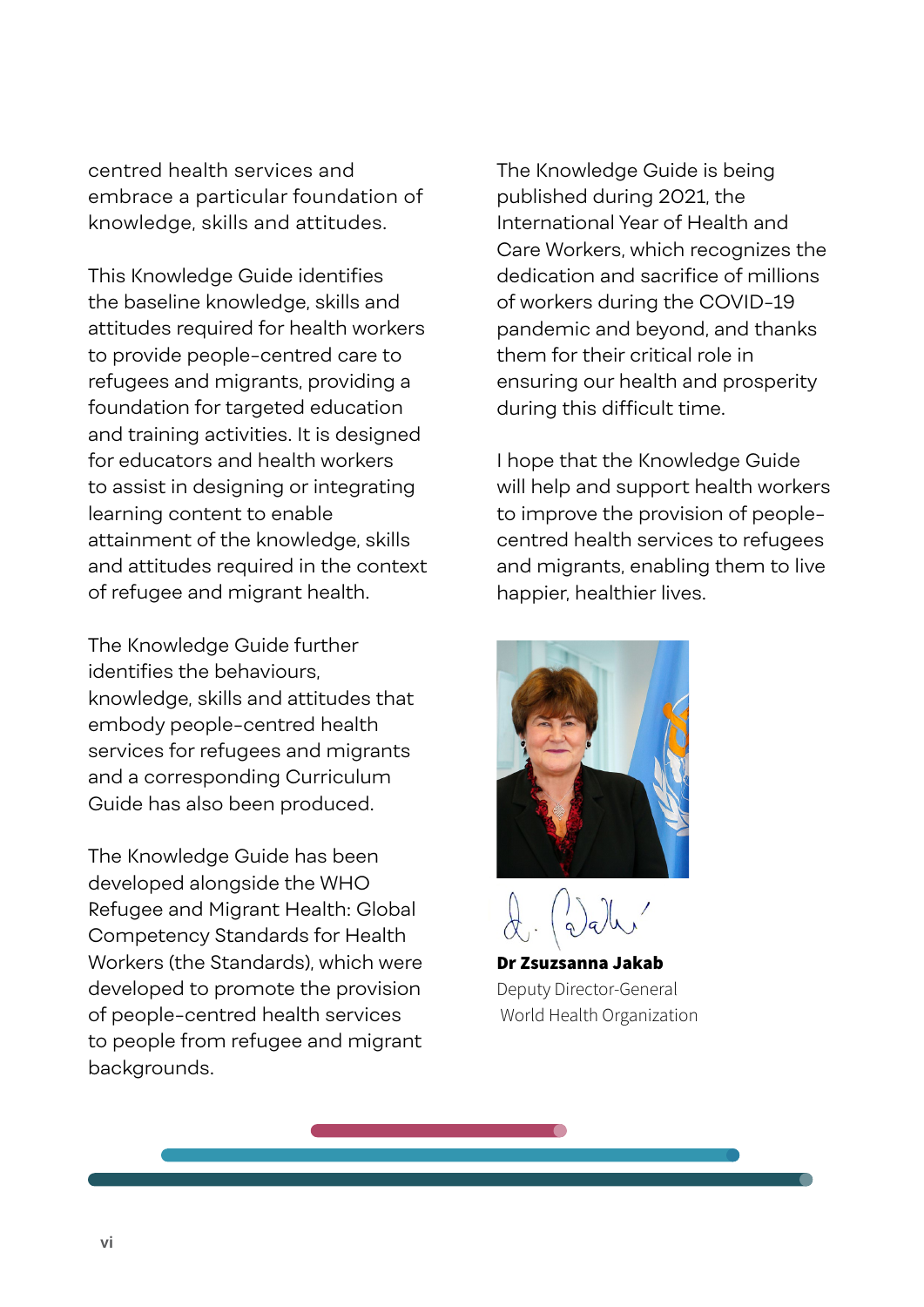centred health services and embrace a particular foundation of knowledge, skills and attitudes.

This Knowledge Guide identifies the baseline knowledge, skills and attitudes required for health workers to provide people-centred care to refugees and migrants, providing a foundation for targeted education and training activities. It is designed for educators and health workers to assist in designing or integrating learning content to enable attainment of the knowledge, skills and attitudes required in the context of refugee and migrant health.

The Knowledge Guide further identifies the behaviours, knowledge, skills and attitudes that embody people-centred health services for refugees and migrants and a corresponding Curriculum Guide has also been produced.

The Knowledge Guide has been developed alongside the WHO Refugee and Migrant Health: Global Competency Standards for Health Workers (the Standards), which were developed to promote the provision of people-centred health services to people from refugee and migrant backgrounds.

The Knowledge Guide is being published during 2021, the International Year of Health and Care Workers, which recognizes the dedication and sacrifice of millions of workers during the COVID-19 pandemic and beyond, and thanks them for their critical role in ensuring our health and prosperity during this difficult time.

I hope that the Knowledge Guide will help and support health workers to improve the provision of peoplecentred health services to refugees and migrants, enabling them to live happier, healthier lives.



Dr Zsuzsanna Jakab Deputy Director-General World Health Organization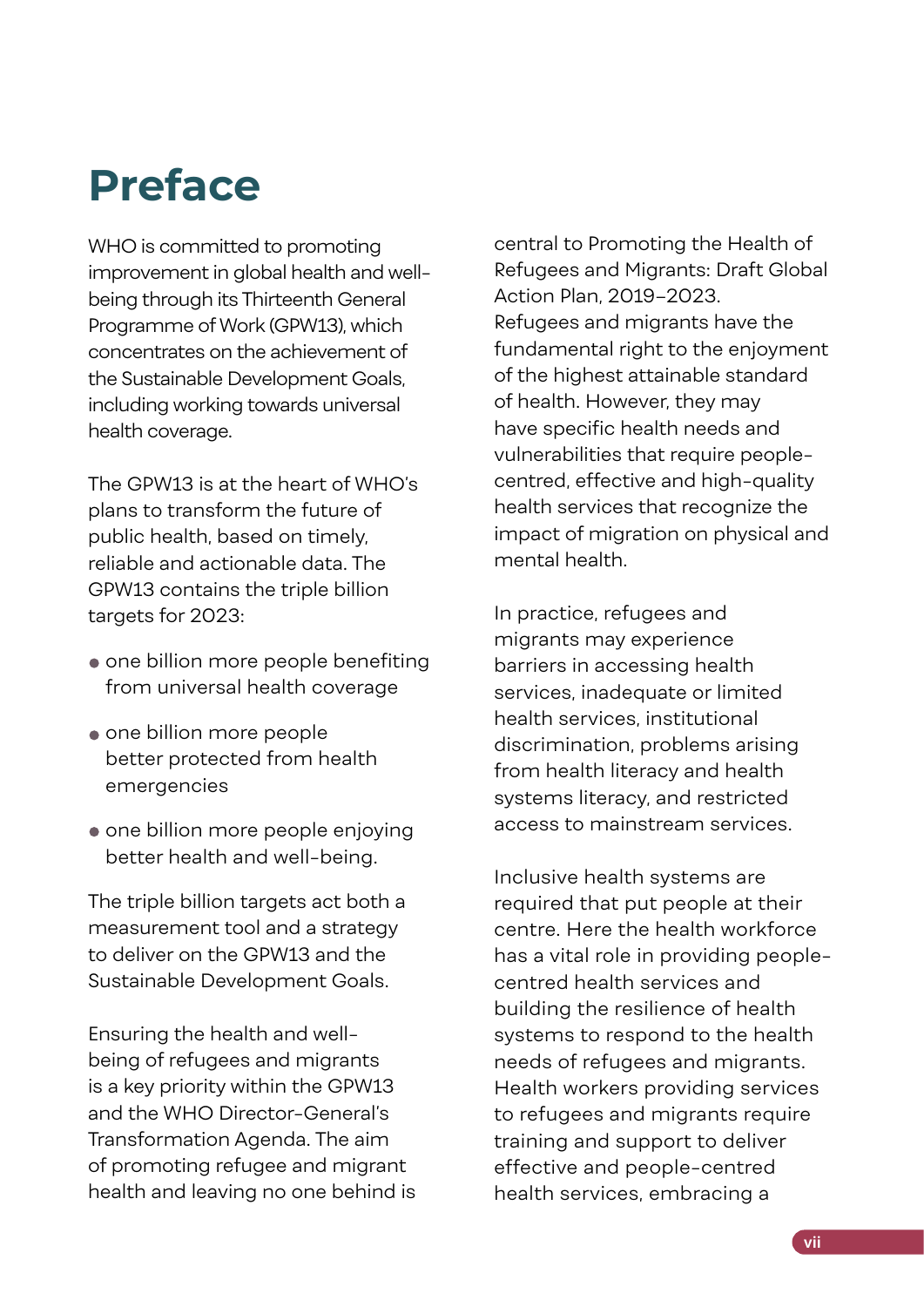## <span id="page-8-0"></span>**Preface**

WHO is committed to promoting improvement in global health and wellbeing through its Thirteenth General Programme of Work (GPW13), which concentrates on the achievement of the Sustainable Development Goals, including working towards universal health coverage.

The GPW13 is at the heart of WHO's plans to transform the future of public health, based on timely, reliable and actionable data. The GPW13 contains the triple billion targets for 2023:

- one billion more people benefiting from universal health coverage
- one billion more people better protected from health emergencies
- $\bullet$  one billion more people enjoving better health and well-being.

The triple billion targets act both a measurement tool and a strategy to deliver on the GPW13 and the Sustainable Development Goals.

Ensuring the health and wellbeing of refugees and migrants is a key priority within the GPW13 and the WHO Director-General's Transformation Agenda. The aim of promoting refugee and migrant health and leaving no one behind is

central to Promoting the Health of Refugees and Migrants: Draft Global Action Plan, 2019–2023. Refugees and migrants have the fundamental right to the enjoyment of the highest attainable standard of health. However, they may have specific health needs and vulnerabilities that require peoplecentred, effective and high-quality health services that recognize the impact of migration on physical and mental health.

In practice, refugees and migrants may experience barriers in accessing health services, inadequate or limited health services, institutional discrimination, problems arising from health literacy and health systems literacy, and restricted access to mainstream services.

Inclusive health systems are required that put people at their centre. Here the health workforce has a vital role in providing peoplecentred health services and building the resilience of health systems to respond to the health needs of refugees and migrants. Health workers providing services to refugees and migrants require training and support to deliver effective and people-centred health services, embracing a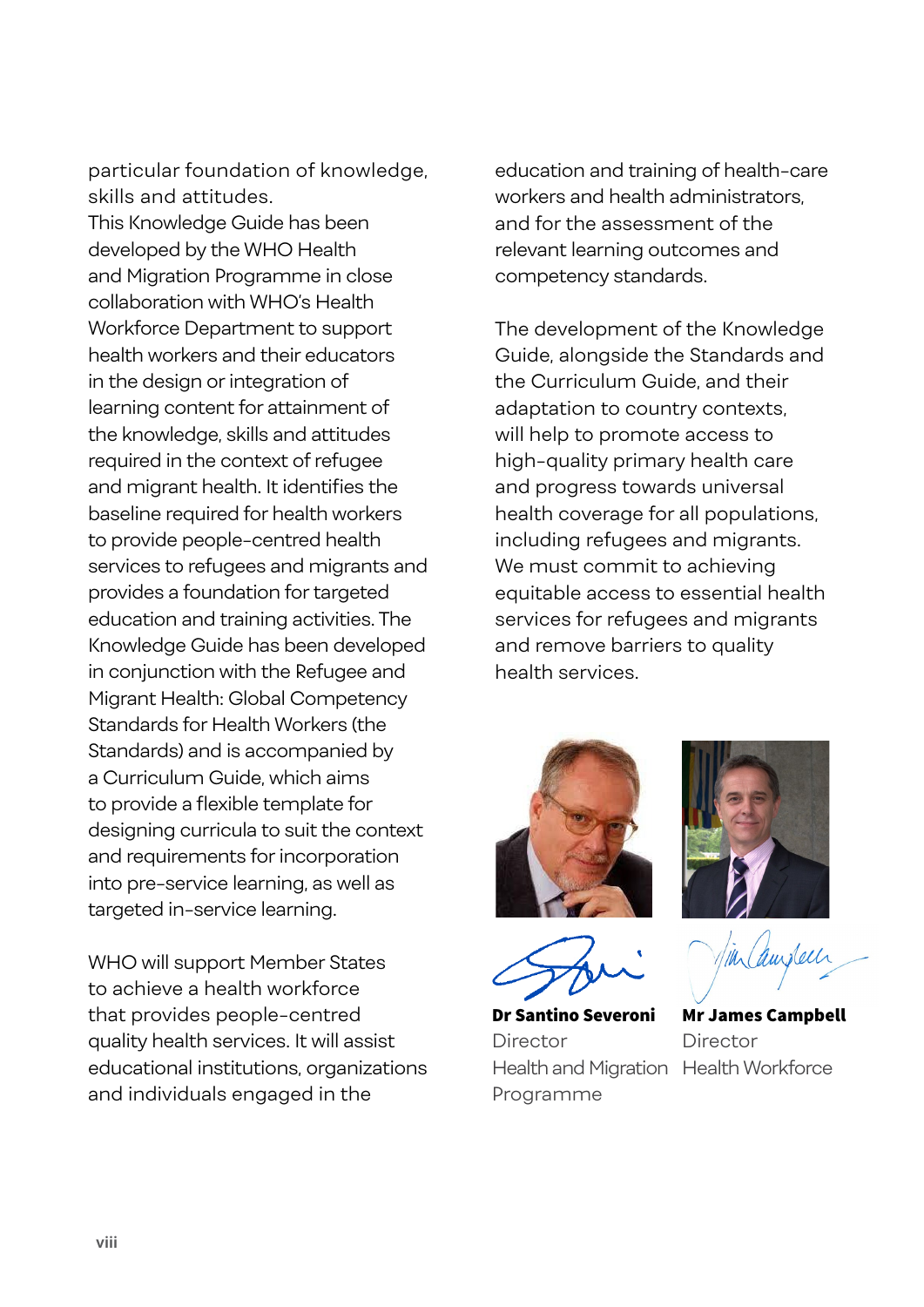particular foundation of knowledge, skills and attitudes. This Knowledge Guide has been developed by the WHO Health and Migration Programme in close collaboration with WHO's Health Workforce Department to support health workers and their educators in the design or integration of learning content for attainment of the knowledge, skills and attitudes required in the context of refugee and migrant health. It identifies the baseline required for health workers to provide people-centred health services to refugees and migrants and provides a foundation for targeted education and training activities. The Knowledge Guide has been developed in conjunction with the Refugee and Migrant Health: Global Competency Standards for Health Workers (the Standards) and is accompanied by a Curriculum Guide, which aims to provide a flexible template for designing curricula to suit the context and requirements for incorporation into pre-service learning, as well as targeted in-service learning.

WHO will support Member States to achieve a health workforce that provides people-centred quality health services. It will assist educational institutions, organizations and individuals engaged in the

education and training of health-care workers and health administrators, and for the assessment of the relevant learning outcomes and competency standards.

The development of the Knowledge Guide, alongside the Standards and the Curriculum Guide, and their adaptation to country contexts, will help to promote access to high-quality primary health care and progress towards universal health coverage for all populations, including refugees and migrants. We must commit to achieving equitable access to essential health services for refugees and migrants and remove barriers to quality health services.





Dr Santino Severoni Director Health and Migration Health WorkforceProgramme

in austech

Mr James Campbell Director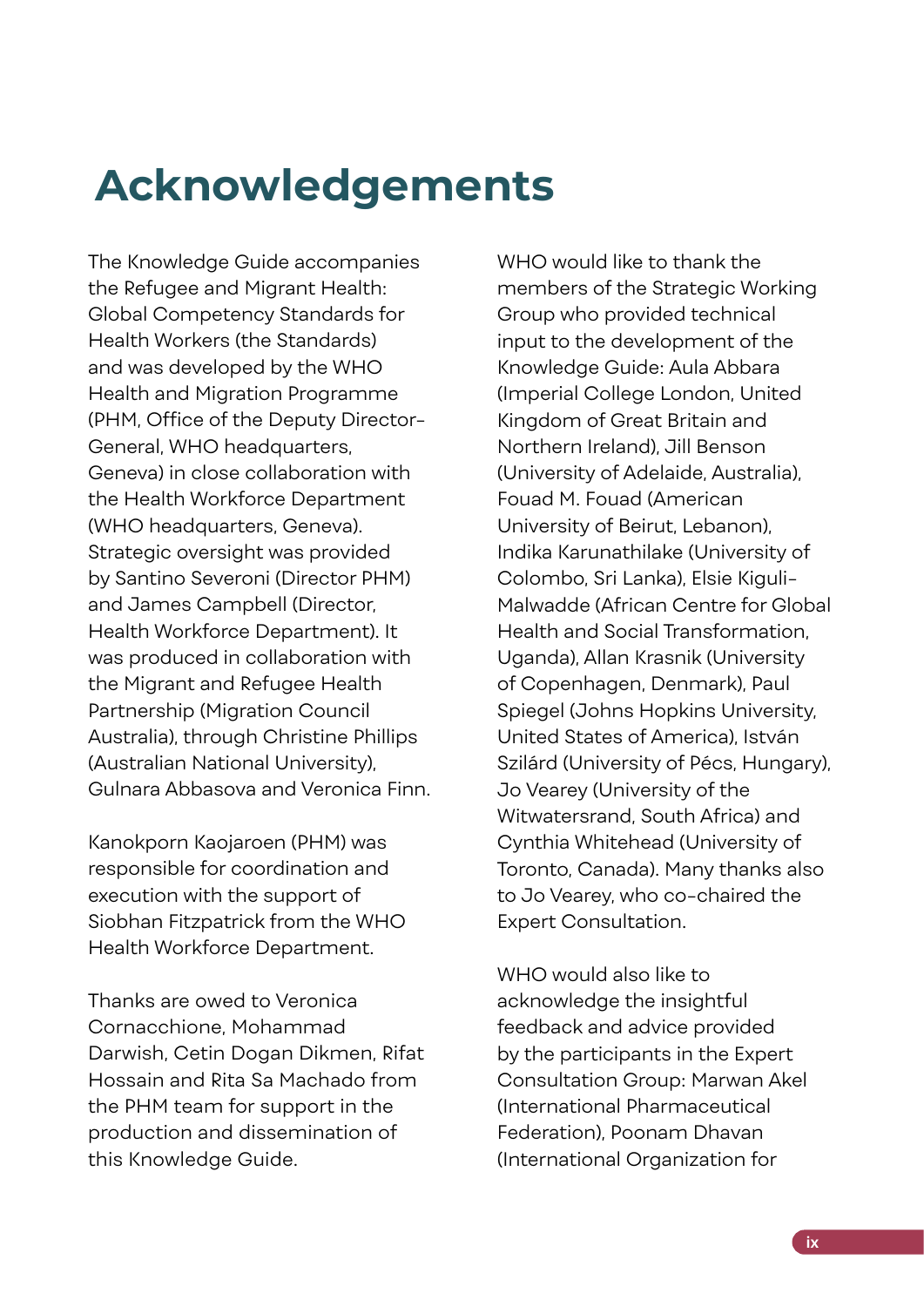## <span id="page-10-0"></span>**Acknowledgements**

The Knowledge Guide accompanies the Refugee and Migrant Health: Global Competency Standards for Health Workers (the Standards) and was developed by the WHO Health and Migration Programme (PHM, Office of the Deputy Director-General, WHO headquarters, Geneva) in close collaboration with the Health Workforce Department (WHO headquarters, Geneva). Strategic oversight was provided by Santino Severoni (Director PHM) and James Campbell (Director, Health Workforce Department). It was produced in collaboration with the Migrant and Refugee Health Partnership (Migration Council Australia), through Christine Phillips (Australian National University), Gulnara Abbasova and Veronica Finn.

Kanokporn Kaojaroen (PHM) was responsible for coordination and execution with the support of Siobhan Fitzpatrick from the WHO Health Workforce Department.

Thanks are owed to Veronica Cornacchione, Mohammad Darwish, Cetin Dogan Dikmen, Rifat Hossain and Rita Sa Machado from the PHM team for support in the production and dissemination of this Knowledge Guide.

WHO would like to thank the members of the Strategic Working Group who provided technical input to the development of the Knowledge Guide: Aula Abbara (Imperial College London, United Kingdom of Great Britain and Northern Ireland), Jill Benson (University of Adelaide, Australia), Fouad M. Fouad (American University of Beirut, Lebanon), Indika Karunathilake (University of Colombo, Sri Lanka), Elsie Kiguli-Malwadde (African Centre for Global Health and Social Transformation, Uganda), Allan Krasnik (University of Copenhagen, Denmark), Paul Spiegel (Johns Hopkins University, United States of America), István Szilárd (University of Pécs, Hungary), Jo Vearey (University of the Witwatersrand, South Africa) and Cynthia Whitehead (University of Toronto, Canada). Many thanks also to Jo Vearey, who co-chaired the Expert Consultation.

WHO would also like to acknowledge the insightful feedback and advice provided by the participants in the Expert Consultation Group: Marwan Akel (International Pharmaceutical Federation), Poonam Dhavan (International Organization for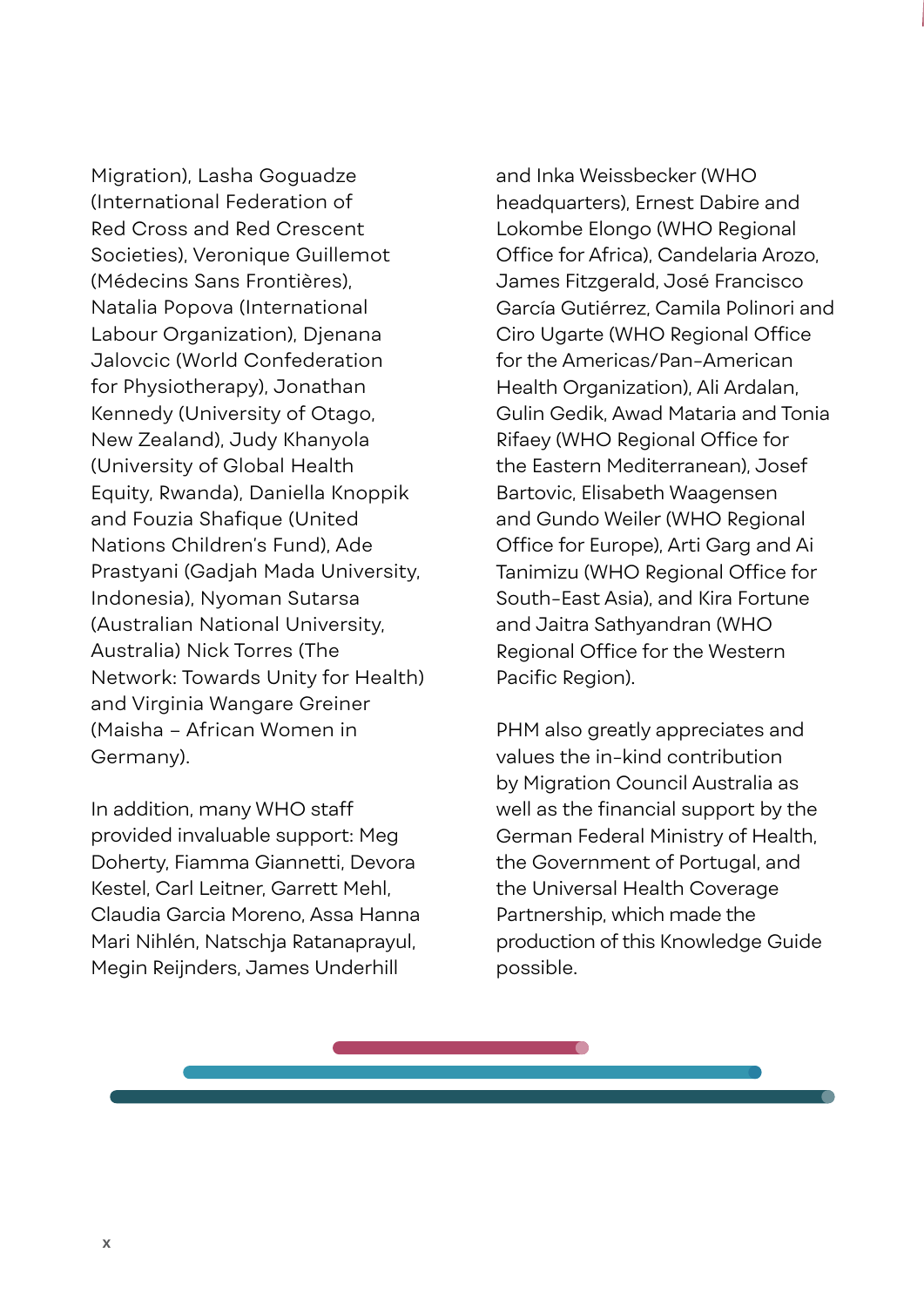Migration), Lasha Goguadze (International Federation of Red Cross and Red Crescent Societies), Veronique Guillemot (Médecins Sans Frontières), Natalia Popova (International Labour Organization), Djenana Jalovcic (World Confederation for Physiotherapy), Jonathan Kennedy (University of Otago, New Zealand), Judy Khanyola (University of Global Health Equity, Rwanda), Daniella Knoppik and Fouzia Shafique (United Nations Children's Fund), Ade Prastyani (Gadjah Mada University, Indonesia), Nyoman Sutarsa (Australian National University, Australia) Nick Torres (The Network: Towards Unity for Health) and Virginia Wangare Greiner (Maisha – African Women in Germany).

In addition, many WHO staff provided invaluable support: Meg Doherty, Fiamma Giannetti, Devora Kestel, Carl Leitner, Garrett Mehl, Claudia Garcia Moreno, Assa Hanna Mari Nihlén, Natschja Ratanaprayul, Megin Reijnders, James Underhill

and Inka Weissbecker (WHO headquarters), Ernest Dabire and Lokombe Elongo (WHO Regional Office for Africa), Candelaria Arozo, James Fitzgerald, José Francisco García Gutiérrez, Camila Polinori and Ciro Ugarte (WHO Regional Office for the Americas/Pan-American Health Organization), Ali Ardalan, Gulin Gedik, Awad Mataria and Tonia Rifaey (WHO Regional Office for the Eastern Mediterranean), Josef Bartovic, Elisabeth Waagensen and Gundo Weiler (WHO Regional Office for Europe), Arti Garg and Ai Tanimizu (WHO Regional Office for South-East Asia), and Kira Fortune and Jaitra Sathyandran (WHO Regional Office for the Western Pacific Region).

PHM also greatly appreciates and values the in-kind contribution by Migration Council Australia as well as the financial support by the German Federal Ministry of Health, the Government of Portugal, and the Universal Health Coverage Partnership, which made the production of this Knowledge Guide possible.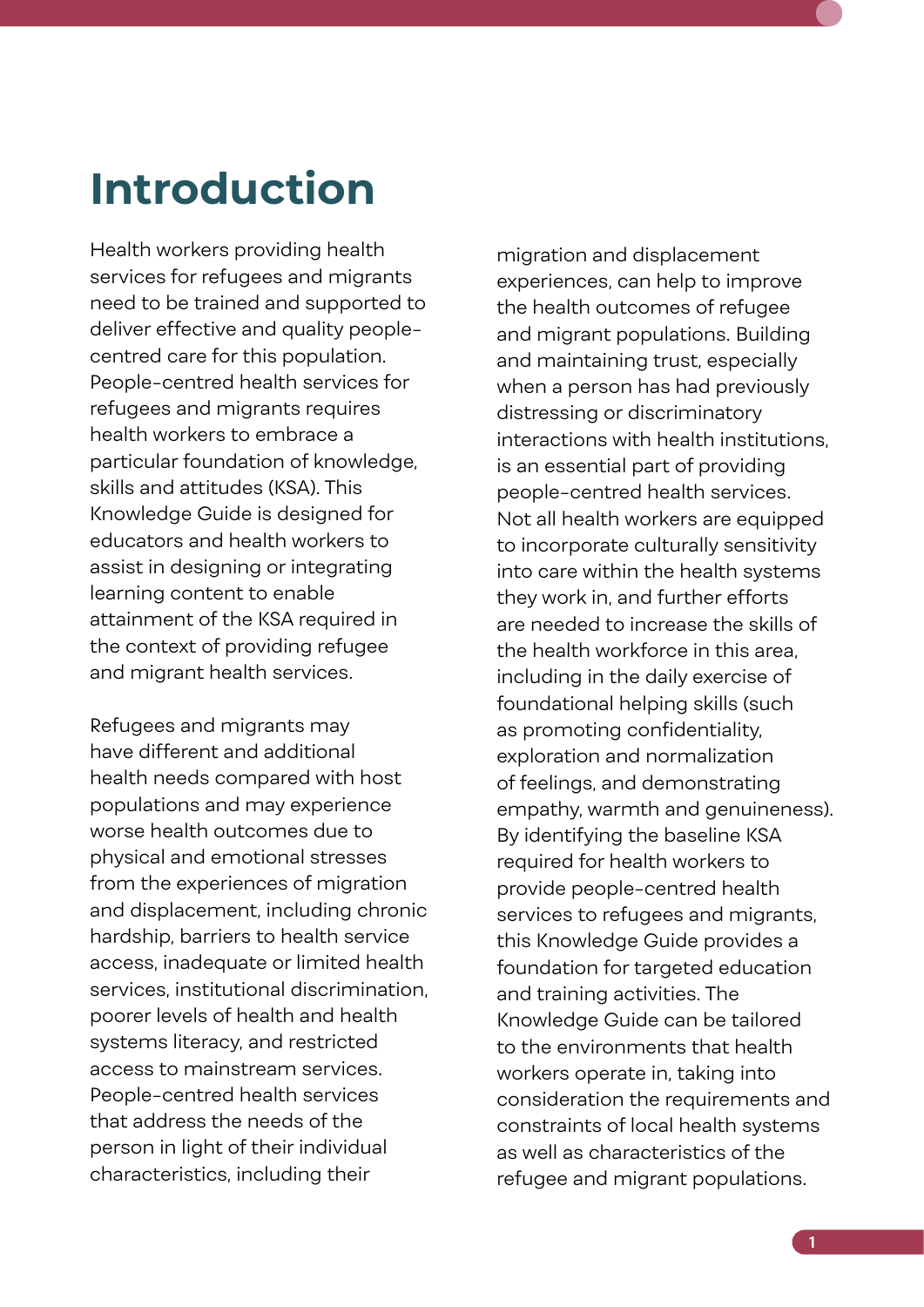### <span id="page-12-0"></span>**Introduction**

Health workers providing health services for refugees and migrants need to be trained and supported to deliver effective and quality peoplecentred care for this population. People-centred health services for refugees and migrants requires health workers to embrace a particular foundation of knowledge, skills and attitudes (KSA). This Knowledge Guide is designed for educators and health workers to assist in designing or integrating learning content to enable attainment of the KSA required in the context of providing refugee and migrant health services.

Refugees and migrants may have different and additional health needs compared with host populations and may experience worse health outcomes due to physical and emotional stresses from the experiences of migration and displacement, including chronic hardship, barriers to health service access, inadequate or limited health services, institutional discrimination, poorer levels of health and health systems literacy, and restricted access to mainstream services. People-centred health services that address the needs of the person in light of their individual characteristics, including their

migration and displacement experiences, can help to improve the health outcomes of refugee and migrant populations. Building and maintaining trust, especially when a person has had previously distressing or discriminatory interactions with health institutions, is an essential part of providing people-centred health services. Not all health workers are equipped to incorporate culturally sensitivity into care within the health systems they work in, and further efforts are needed to increase the skills of the health workforce in this area, including in the daily exercise of foundational helping skills (such as promoting confidentiality, exploration and normalization of feelings, and demonstrating empathy, warmth and genuineness). By identifying the baseline KSA required for health workers to provide people-centred health services to refugees and migrants, this Knowledge Guide provides a foundation for targeted education and training activities. The Knowledge Guide can be tailored to the environments that health workers operate in, taking into consideration the requirements and constraints of local health systems as well as characteristics of the refugee and migrant populations.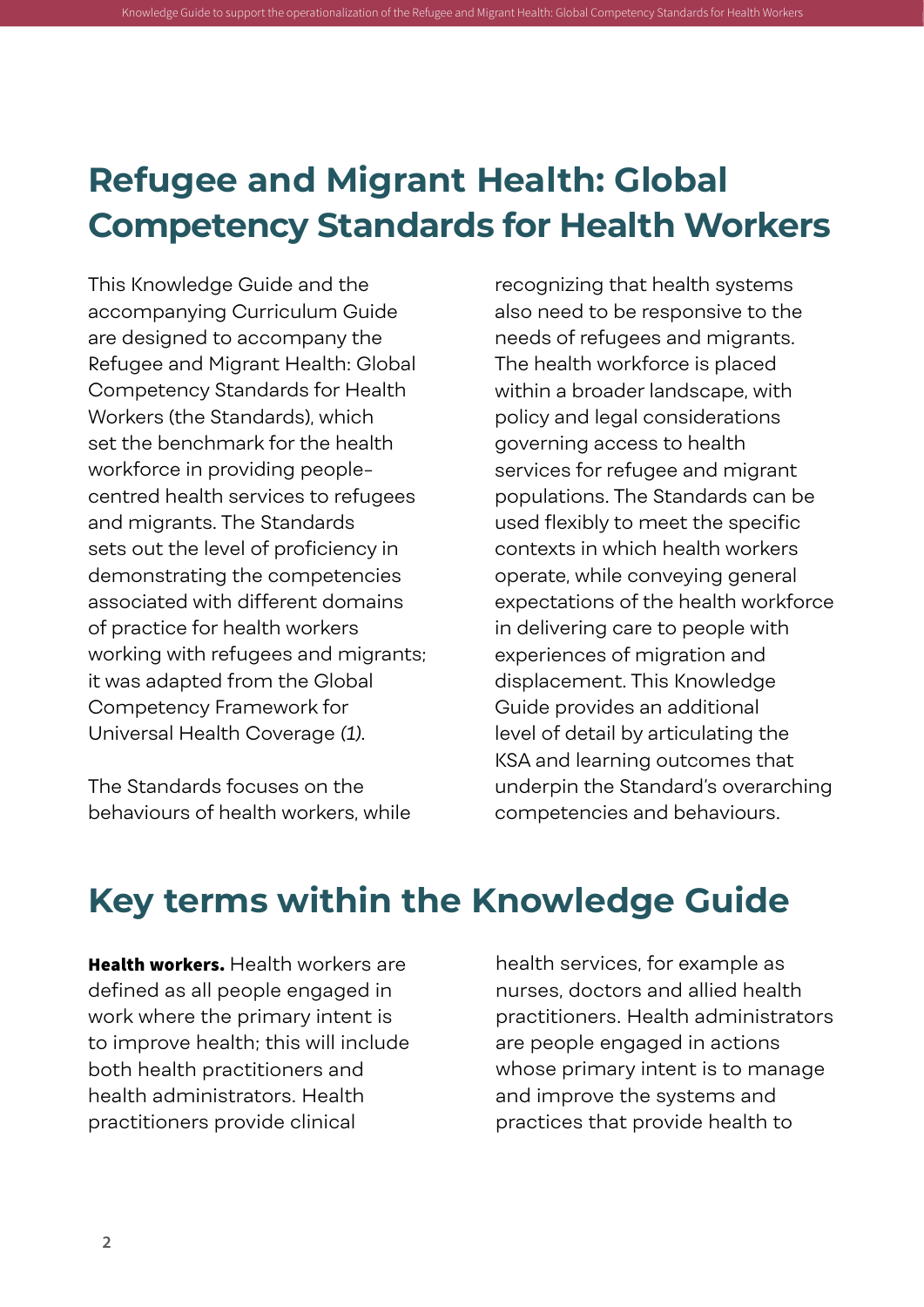### **Refugee and Migrant Health: Global Competency Standards for Health Workers**

<span id="page-13-0"></span>Knowledge Guide to support the operationalization of the Refugee and Migrant Health: Global Competenc

This Knowledge Guide and the accompanying Curriculum Guide are designed to accompany the Refugee and Migrant Health: Global Competency Standards for Health Workers (the Standards), which set the benchmark for the health workforce in providing peoplecentred health services to refugees and migrants. The Standards sets out the level of proficiency in demonstrating the competencies associated with different domains of practice for health workers working with refugees and migrants; it was adapted from the Global Competency Framework for Universal Health Coverage *(1)*.

The Standards focuses on the behaviours of health workers, while

recognizing that health systems also need to be responsive to the needs of refugees and migrants. The health workforce is placed within a broader landscape, with policy and legal considerations governing access to health services for refugee and migrant populations. The Standards can be used flexibly to meet the specific contexts in which health workers operate, while conveying general expectations of the health workforce in delivering care to people with experiences of migration and displacement. This Knowledge Guide provides an additional level of detail by articulating the KSA and learning outcomes that underpin the Standard's overarching competencies and behaviours.

### **Key terms within the Knowledge Guide**

Health workers. Health workers are defined as all people engaged in work where the primary intent is to improve health; this will include both health practitioners and health administrators. Health practitioners provide clinical

health services, for example as nurses, doctors and allied health practitioners. Health administrators are people engaged in actions whose primary intent is to manage and improve the systems and practices that provide health to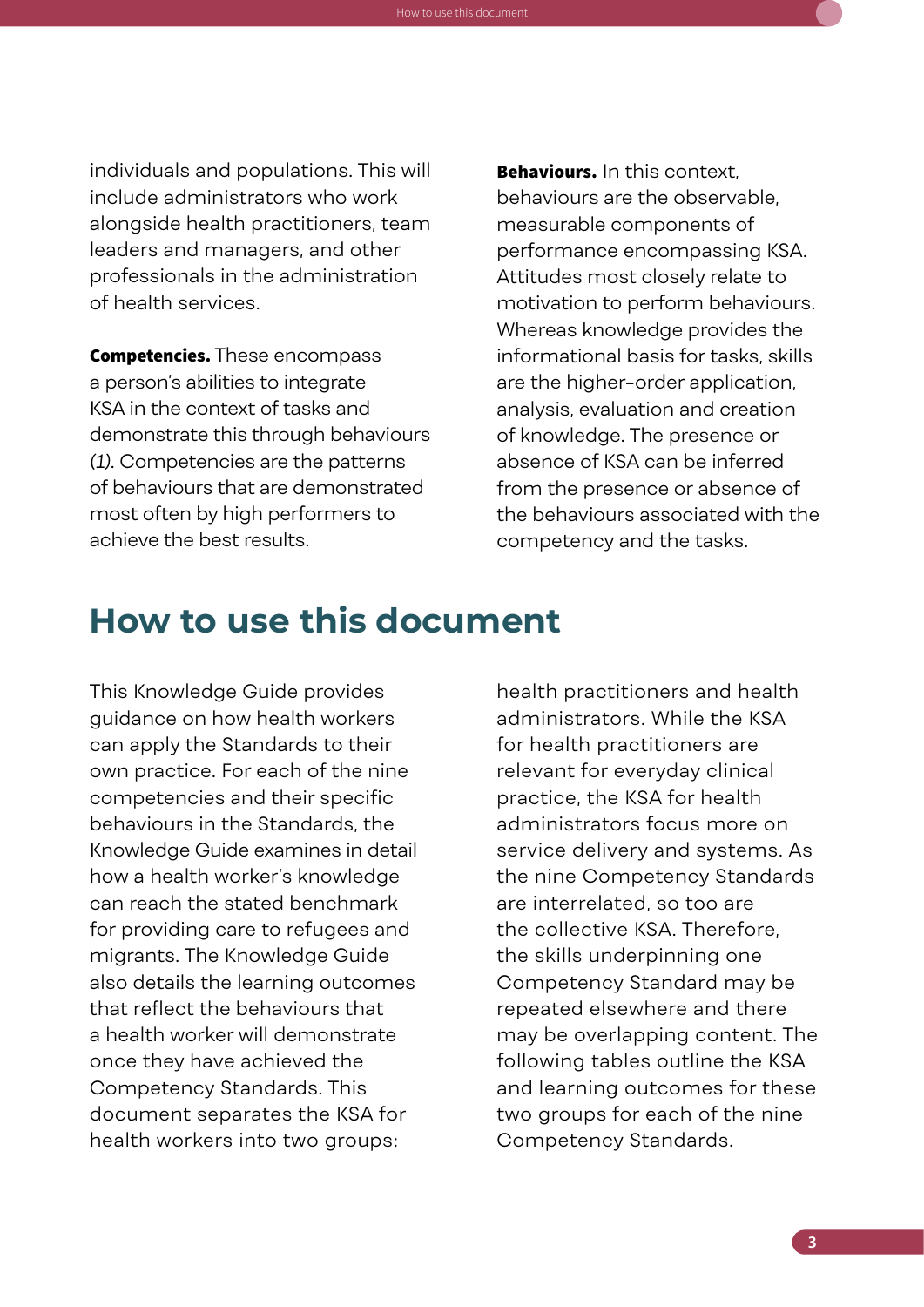<span id="page-14-0"></span>individuals and populations. This will include administrators who work alongside health practitioners, team leaders and managers, and other professionals in the administration of health services.

How to use this document

**Competencies.** These encompass a person's abilities to integrate KSA in the context of tasks and demonstrate this through behaviours *(1)*. Competencies are the patterns of behaviours that are demonstrated most often by high performers to achieve the best results.

Behaviours. In this context. behaviours are the observable, measurable components of performance encompassing KSA. Attitudes most closely relate to motivation to perform behaviours. Whereas knowledge provides the informational basis for tasks, skills are the higher-order application, analysis, evaluation and creation of knowledge. The presence or absence of KSA can be inferred from the presence or absence of the behaviours associated with the competency and the tasks.

### **How to use this document**

This Knowledge Guide provides guidance on how health workers can apply the Standards to their own practice. For each of the nine competencies and their specific behaviours in the Standards, the Knowledge Guide examines in detail how a health worker's knowledge can reach the stated benchmark for providing care to refugees and migrants. The Knowledge Guide also details the learning outcomes that reflect the behaviours that a health worker will demonstrate once they have achieved the Competency Standards. This document separates the KSA for health workers into two groups:

health practitioners and health administrators. While the KSA for health practitioners are relevant for everyday clinical practice, the KSA for health administrators focus more on service delivery and systems. As the nine Competency Standards are interrelated, so too are the collective KSA. Therefore, the skills underpinning one Competency Standard may be repeated elsewhere and there may be overlapping content. The following tables outline the KSA and learning outcomes for these two groups for each of the nine Competency Standards.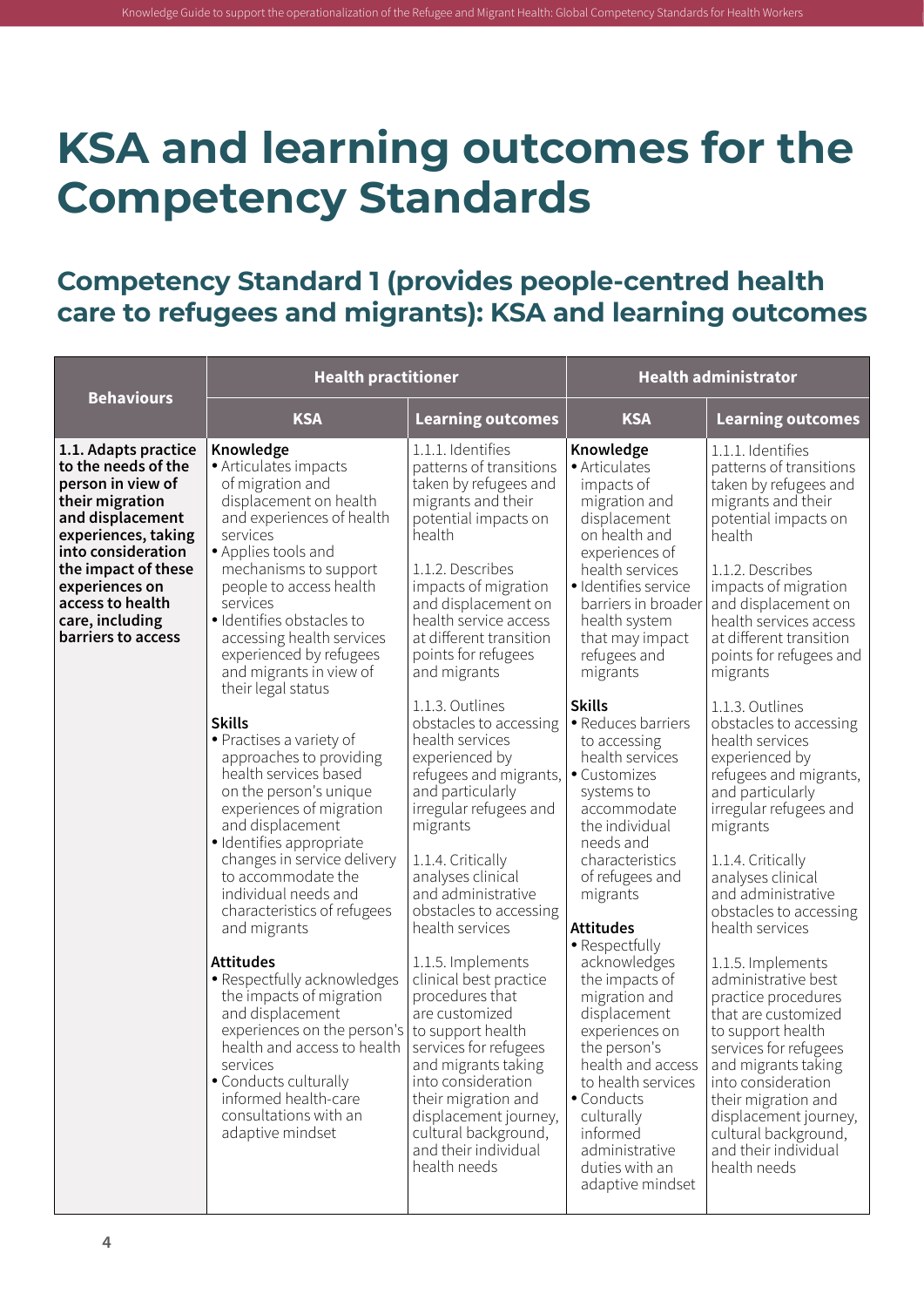## <span id="page-15-0"></span>**KSA and learning outcomes for the Competency Standards**

#### **Competency Standard 1 (provides people-centred health care to refugees and migrants): KSA and learning outcomes**

|                                                                                                                                                                                                                                                            | <b>Health practitioner</b>                                                                                                                                                                                                                                                                                                                                                                                                                                                                                                                                                                                                                                                                                                                                                                                                                                                                                                                                           |                                                                                                                                                                                                                                                                                                                                                                                                                                                                                                                                                                                                                                                                                                                                                                                                                                                                               | <b>Health administrator</b>                                                                                                                                                                                                                                                                                                                                                                                                                                                                                                                                                                                                                                                                                              |                                                                                                                                                                                                                                                                                                                                                                                                                                                                                                                                                                                                                                                                                                                                                                                                                                                                                      |
|------------------------------------------------------------------------------------------------------------------------------------------------------------------------------------------------------------------------------------------------------------|----------------------------------------------------------------------------------------------------------------------------------------------------------------------------------------------------------------------------------------------------------------------------------------------------------------------------------------------------------------------------------------------------------------------------------------------------------------------------------------------------------------------------------------------------------------------------------------------------------------------------------------------------------------------------------------------------------------------------------------------------------------------------------------------------------------------------------------------------------------------------------------------------------------------------------------------------------------------|-------------------------------------------------------------------------------------------------------------------------------------------------------------------------------------------------------------------------------------------------------------------------------------------------------------------------------------------------------------------------------------------------------------------------------------------------------------------------------------------------------------------------------------------------------------------------------------------------------------------------------------------------------------------------------------------------------------------------------------------------------------------------------------------------------------------------------------------------------------------------------|--------------------------------------------------------------------------------------------------------------------------------------------------------------------------------------------------------------------------------------------------------------------------------------------------------------------------------------------------------------------------------------------------------------------------------------------------------------------------------------------------------------------------------------------------------------------------------------------------------------------------------------------------------------------------------------------------------------------------|--------------------------------------------------------------------------------------------------------------------------------------------------------------------------------------------------------------------------------------------------------------------------------------------------------------------------------------------------------------------------------------------------------------------------------------------------------------------------------------------------------------------------------------------------------------------------------------------------------------------------------------------------------------------------------------------------------------------------------------------------------------------------------------------------------------------------------------------------------------------------------------|
| <b>Behaviours</b>                                                                                                                                                                                                                                          | <b>KSA</b>                                                                                                                                                                                                                                                                                                                                                                                                                                                                                                                                                                                                                                                                                                                                                                                                                                                                                                                                                           | <b>Learning outcomes</b>                                                                                                                                                                                                                                                                                                                                                                                                                                                                                                                                                                                                                                                                                                                                                                                                                                                      | <b>KSA</b>                                                                                                                                                                                                                                                                                                                                                                                                                                                                                                                                                                                                                                                                                                               | <b>Learning outcomes</b>                                                                                                                                                                                                                                                                                                                                                                                                                                                                                                                                                                                                                                                                                                                                                                                                                                                             |
| 1.1. Adapts practice<br>to the needs of the<br>person in view of<br>their migration<br>and displacement<br>experiences, taking<br>into consideration<br>the impact of these<br>experiences on<br>access to health<br>care, including<br>barriers to access | Knowledge<br>• Articulates impacts<br>of migration and<br>displacement on health<br>and experiences of health<br>services<br>• Applies tools and<br>mechanisms to support<br>people to access health<br>services<br>· Identifies obstacles to<br>accessing health services<br>experienced by refugees<br>and migrants in view of<br>their legal status<br><b>Skills</b><br>• Practises a variety of<br>approaches to providing<br>health services based<br>on the person's unique<br>experiences of migration<br>and displacement<br>· Identifies appropriate<br>changes in service delivery<br>to accommodate the<br>individual needs and<br>characteristics of refugees<br>and migrants<br><b>Attitudes</b><br>• Respectfully acknowledges<br>the impacts of migration<br>and displacement<br>experiences on the person's<br>health and access to health<br>services<br>• Conducts culturally<br>informed health-care<br>consultations with an<br>adaptive mindset | 1.1.1. Identifies<br>patterns of transitions<br>taken by refugees and<br>migrants and their<br>potential impacts on<br>health<br>1.1.2. Describes<br>impacts of migration<br>and displacement on<br>health service access<br>at different transition<br>points for refugees<br>and migrants<br>1.1.3. Outlines<br>obstacles to accessing<br>health services<br>experienced by<br>refugees and migrants,<br>and particularly<br>irregular refugees and<br>migrants<br>1.1.4. Critically<br>analyses clinical<br>and administrative<br>obstacles to accessing<br>health services<br>1.1.5. Implements<br>clinical best practice<br>procedures that<br>are customized<br>to support health<br>services for refugees<br>and migrants taking<br>into consideration<br>their migration and<br>displacement journey,<br>cultural background,<br>and their individual<br>health needs | Knowledge<br>• Articulates<br>impacts of<br>migration and<br>displacement<br>on health and<br>experiences of<br>health services<br>· Identifies service<br>barriers in broader<br>health system<br>that may impact<br>refugees and<br>migrants<br><b>Skills</b><br>• Reduces barriers<br>to accessing<br>health services<br>• Customizes<br>systems to<br>accommodate<br>the individual<br>needs and<br>characteristics<br>of refugees and<br>migrants<br><b>Attitudes</b><br>• Respectfully<br>acknowledges<br>the impacts of<br>migration and<br>displacement<br>experiences on<br>the person's<br>health and access<br>to health services<br>• Conducts<br>culturally<br>informed<br>administrative<br>duties with an | 1.1.1. Identifies<br>patterns of transitions<br>taken by refugees and<br>migrants and their<br>potential impacts on<br>health<br>1.1.2. Describes<br>impacts of migration<br>and displacement on<br>health services access<br>at different transition<br>points for refugees and<br>migrants<br>1.1.3. Outlines<br>obstacles to accessing<br>health services<br>experienced by<br>refugees and migrants,<br>and particularly<br>irregular refugees and<br>migrants<br>1.1.4. Critically<br>analyses clinical<br>and administrative<br>obstacles to accessing<br>health services<br>1.1.5. Implements<br>administrative best<br>practice procedures<br>that are customized<br>to support health<br>services for refugees<br>and migrants taking<br>into consideration<br>their migration and<br>displacement journey,<br>cultural background,<br>and their individual<br>health needs |
|                                                                                                                                                                                                                                                            |                                                                                                                                                                                                                                                                                                                                                                                                                                                                                                                                                                                                                                                                                                                                                                                                                                                                                                                                                                      |                                                                                                                                                                                                                                                                                                                                                                                                                                                                                                                                                                                                                                                                                                                                                                                                                                                                               | adaptive mindset                                                                                                                                                                                                                                                                                                                                                                                                                                                                                                                                                                                                                                                                                                         |                                                                                                                                                                                                                                                                                                                                                                                                                                                                                                                                                                                                                                                                                                                                                                                                                                                                                      |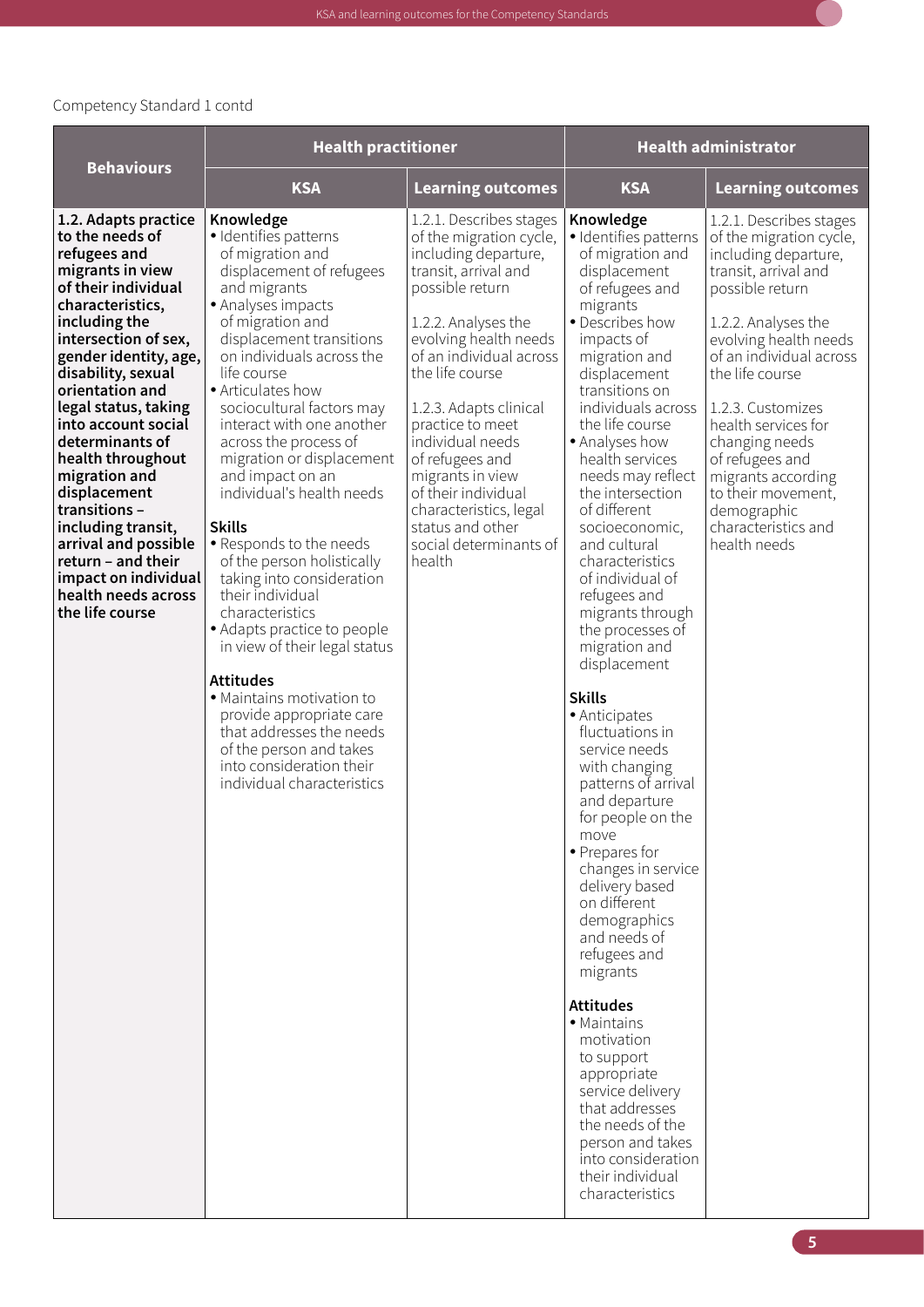| <b>Behaviours</b>                                                                                                                                                                                                                                                                                                                                                                                                                                                                                               | <b>Health practitioner</b>                                                                                                                                                                                                                                                                                                                                                                                                                                                                                                                                                                                                                                                                                                                                                                                             |                                                                                                                                                                                                                                                                                                                                                                                                                                       | <b>Health administrator</b>                                                                                                                                                                                                                                                                                                                                                                                                                                                                                                                                                                                                                                                                                                                                                                                                                                                                                                                                                                                                   |                                                                                                                                                                                                                                                                                                                                                                                                        |
|-----------------------------------------------------------------------------------------------------------------------------------------------------------------------------------------------------------------------------------------------------------------------------------------------------------------------------------------------------------------------------------------------------------------------------------------------------------------------------------------------------------------|------------------------------------------------------------------------------------------------------------------------------------------------------------------------------------------------------------------------------------------------------------------------------------------------------------------------------------------------------------------------------------------------------------------------------------------------------------------------------------------------------------------------------------------------------------------------------------------------------------------------------------------------------------------------------------------------------------------------------------------------------------------------------------------------------------------------|---------------------------------------------------------------------------------------------------------------------------------------------------------------------------------------------------------------------------------------------------------------------------------------------------------------------------------------------------------------------------------------------------------------------------------------|-------------------------------------------------------------------------------------------------------------------------------------------------------------------------------------------------------------------------------------------------------------------------------------------------------------------------------------------------------------------------------------------------------------------------------------------------------------------------------------------------------------------------------------------------------------------------------------------------------------------------------------------------------------------------------------------------------------------------------------------------------------------------------------------------------------------------------------------------------------------------------------------------------------------------------------------------------------------------------------------------------------------------------|--------------------------------------------------------------------------------------------------------------------------------------------------------------------------------------------------------------------------------------------------------------------------------------------------------------------------------------------------------------------------------------------------------|
|                                                                                                                                                                                                                                                                                                                                                                                                                                                                                                                 | <b>KSA</b>                                                                                                                                                                                                                                                                                                                                                                                                                                                                                                                                                                                                                                                                                                                                                                                                             | <b>Learning outcomes</b>                                                                                                                                                                                                                                                                                                                                                                                                              | <b>KSA</b>                                                                                                                                                                                                                                                                                                                                                                                                                                                                                                                                                                                                                                                                                                                                                                                                                                                                                                                                                                                                                    | <b>Learning outcomes</b>                                                                                                                                                                                                                                                                                                                                                                               |
| 1.2. Adapts practice<br>to the needs of<br>refugees and<br>migrants in view<br>of their individual<br>characteristics,<br>including the<br>intersection of sex,<br>gender identity, age,<br>disability, sexual<br>orientation and<br>legal status, taking<br>into account social<br>determinants of<br>health throughout<br>migration and<br>displacement<br>transitions-<br>including transit,<br>arrival and possible<br>return - and their<br>impact on individual<br>health needs across<br>the life course | Knowledge<br>· Identifies patterns<br>of migration and<br>displacement of refugees<br>and migrants<br>· Analyses impacts<br>of migration and<br>displacement transitions<br>on individuals across the<br>life course<br>• Articulates how<br>sociocultural factors may<br>interact with one another<br>across the process of<br>migration or displacement<br>and impact on an<br>individual's health needs<br><b>Skills</b><br>· Responds to the needs<br>of the person holistically<br>taking into consideration<br>their individual<br>characteristics<br>· Adapts practice to people<br>in view of their legal status<br><b>Attitudes</b><br>· Maintains motivation to<br>provide appropriate care<br>that addresses the needs<br>of the person and takes<br>into consideration their<br>individual characteristics | 1.2.1. Describes stages<br>of the migration cycle,<br>including departure,<br>transit, arrival and<br>possible return<br>1.2.2. Analyses the<br>evolving health needs<br>of an individual across<br>the life course<br>1.2.3. Adapts clinical<br>practice to meet<br>individual needs<br>of refugees and<br>migrants in view<br>of their individual<br>characteristics, legal<br>status and other<br>social determinants of<br>health | Knowledge<br>· Identifies patterns<br>of migration and<br>displacement<br>of refugees and<br>migrants<br>· Describes how<br>impacts of<br>migration and<br>displacement<br>transitions on<br>individuals across<br>the life course<br>• Analyses how<br>health services<br>needs may reflect<br>the intersection<br>of different<br>socioeconomic,<br>and cultural<br>characteristics<br>of individual of<br>refugees and<br>migrants through<br>the processes of<br>migration and<br>displacement<br><b>Skills</b><br>• Anticipates<br>fluctuations in<br>service needs<br>with changing<br>patterns of arrival<br>and departure<br>for people on the<br>move<br>• Prepares for<br>changes in service<br>delivery based<br>on different<br>demographics<br>and needs of<br>refugees and<br>migrants<br><b>Attitudes</b><br>• Maintains<br>motivation<br>to support<br>appropriate<br>service delivery<br>that addresses<br>the needs of the<br>person and takes<br>into consideration<br>their individual<br>characteristics | 1.2.1. Describes stages<br>of the migration cycle,<br>including departure,<br>transit, arrival and<br>possible return<br>1.2.2. Analyses the<br>evolving health needs<br>of an individual across<br>the life course<br>1.2.3. Customizes<br>health services for<br>changing needs<br>of refugees and<br>migrants according<br>to their movement,<br>demographic<br>characteristics and<br>health needs |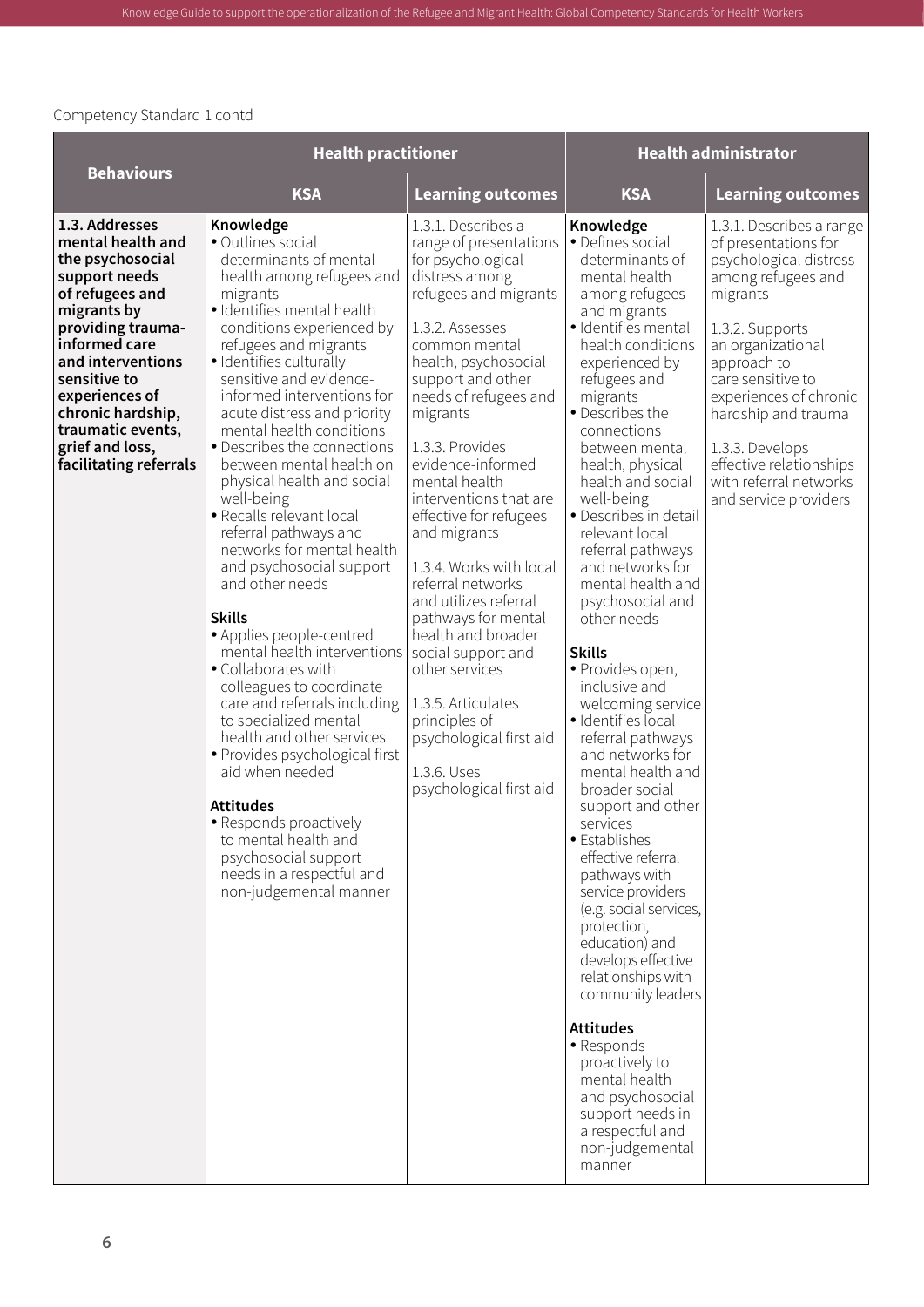|                                                                                                                                                                                                                                                                                                | <b>Health practitioner</b>                                                                                                                                                                                                                                                                                                                                                                                                                                                                                                                                                                                                                                                                                                                                                                                                                                                                                                                                                                                   |                                                                                                                                                                                                                                                                                                                                                                                                                                                                                                                                                                                                                                           | <b>Health administrator</b>                                                                                                                                                                                                                                                                                                                                                                                                                                                                                                                                                                                                                                                                                                                                                                                                                                                                                                                                                                                                                   |                                                                                                                                                                                                                                                                                                                                            |  |
|------------------------------------------------------------------------------------------------------------------------------------------------------------------------------------------------------------------------------------------------------------------------------------------------|--------------------------------------------------------------------------------------------------------------------------------------------------------------------------------------------------------------------------------------------------------------------------------------------------------------------------------------------------------------------------------------------------------------------------------------------------------------------------------------------------------------------------------------------------------------------------------------------------------------------------------------------------------------------------------------------------------------------------------------------------------------------------------------------------------------------------------------------------------------------------------------------------------------------------------------------------------------------------------------------------------------|-------------------------------------------------------------------------------------------------------------------------------------------------------------------------------------------------------------------------------------------------------------------------------------------------------------------------------------------------------------------------------------------------------------------------------------------------------------------------------------------------------------------------------------------------------------------------------------------------------------------------------------------|-----------------------------------------------------------------------------------------------------------------------------------------------------------------------------------------------------------------------------------------------------------------------------------------------------------------------------------------------------------------------------------------------------------------------------------------------------------------------------------------------------------------------------------------------------------------------------------------------------------------------------------------------------------------------------------------------------------------------------------------------------------------------------------------------------------------------------------------------------------------------------------------------------------------------------------------------------------------------------------------------------------------------------------------------|--------------------------------------------------------------------------------------------------------------------------------------------------------------------------------------------------------------------------------------------------------------------------------------------------------------------------------------------|--|
| <b>Behaviours</b>                                                                                                                                                                                                                                                                              | <b>KSA</b>                                                                                                                                                                                                                                                                                                                                                                                                                                                                                                                                                                                                                                                                                                                                                                                                                                                                                                                                                                                                   | <b>Learning outcomes</b>                                                                                                                                                                                                                                                                                                                                                                                                                                                                                                                                                                                                                  | <b>KSA</b>                                                                                                                                                                                                                                                                                                                                                                                                                                                                                                                                                                                                                                                                                                                                                                                                                                                                                                                                                                                                                                    | <b>Learning outcomes</b>                                                                                                                                                                                                                                                                                                                   |  |
| 1.3. Addresses<br>mental health and<br>the psychosocial<br>support needs<br>of refugees and<br>migrants by<br>providing trauma-<br>informed care<br>and interventions<br>sensitive to<br>experiences of<br>chronic hardship,<br>traumatic events,<br>grief and loss,<br>facilitating referrals | Knowledge<br>· Outlines social<br>determinants of mental<br>health among refugees and<br>migrants<br>· Identifies mental health<br>conditions experienced by<br>refugees and migrants<br>· Identifies culturally<br>sensitive and evidence-<br>informed interventions for<br>acute distress and priority<br>mental health conditions<br>• Describes the connections<br>between mental health on<br>physical health and social<br>well-being<br>· Recalls relevant local<br>referral pathways and<br>networks for mental health<br>and psychosocial support<br>and other needs<br><b>Skills</b><br>• Applies people-centred<br>mental health interventions<br>• Collaborates with<br>colleagues to coordinate<br>care and referrals including<br>to specialized mental<br>health and other services<br>• Provides psychological first<br>aid when needed<br><b>Attitudes</b><br>• Responds proactively<br>to mental health and<br>psychosocial support<br>needs in a respectful and<br>non-judgemental manner | 1.3.1. Describes a<br>range of presentations<br>for psychological<br>distress among<br>refugees and migrants<br>1.3.2. Assesses<br>common mental<br>health, psychosocial<br>support and other<br>needs of refugees and<br>migrants<br>1.3.3. Provides<br>evidence-informed<br>mental health<br>interventions that are<br>effective for refugees<br>and migrants<br>1.3.4. Works with local<br>referral networks<br>and utilizes referral<br>pathways for mental<br>health and broader<br>social support and<br>other services<br>1.3.5. Articulates<br>principles of<br>psychological first aid<br>1.3.6. Uses<br>psychological first aid | Knowledge<br>· Defines social<br>determinants of<br>mental health<br>among refugees<br>and migrants<br>· Identifies mental<br>health conditions<br>experienced by<br>refugees and<br>migrants<br>• Describes the<br>connections<br>between mental<br>health, physical<br>health and social<br>well-being<br>• Describes in detail<br>relevant local<br>referral pathways<br>and networks for<br>mental health and<br>psychosocial and<br>other needs<br><b>Skills</b><br>· Provides open,<br>inclusive and<br>welcoming service<br>· Identifies local<br>referral pathways<br>and networks for<br>mental health and<br>broader social<br>support and other<br>services<br>• Establishes<br>effective referral<br>pathways with<br>service providers<br>(e.g. social services,<br>protection,<br>education) and<br>develops effective<br>relationships with<br>community leaders<br><b>Attitudes</b><br>• Responds<br>proactively to<br>mental health<br>and psychosocial<br>support needs in<br>a respectful and<br>non-judgemental<br>manner | 1.3.1. Describes a range<br>of presentations for<br>psychological distress<br>among refugees and<br>migrants<br>1.3.2. Supports<br>an organizational<br>approach to<br>care sensitive to<br>experiences of chronic<br>hardship and trauma<br>1.3.3. Develops<br>effective relationships<br>with referral networks<br>and service providers |  |

Knowledge Guide to support the operationalization of the Refugee and Migrant Health: Global Competency Standards for Health Workers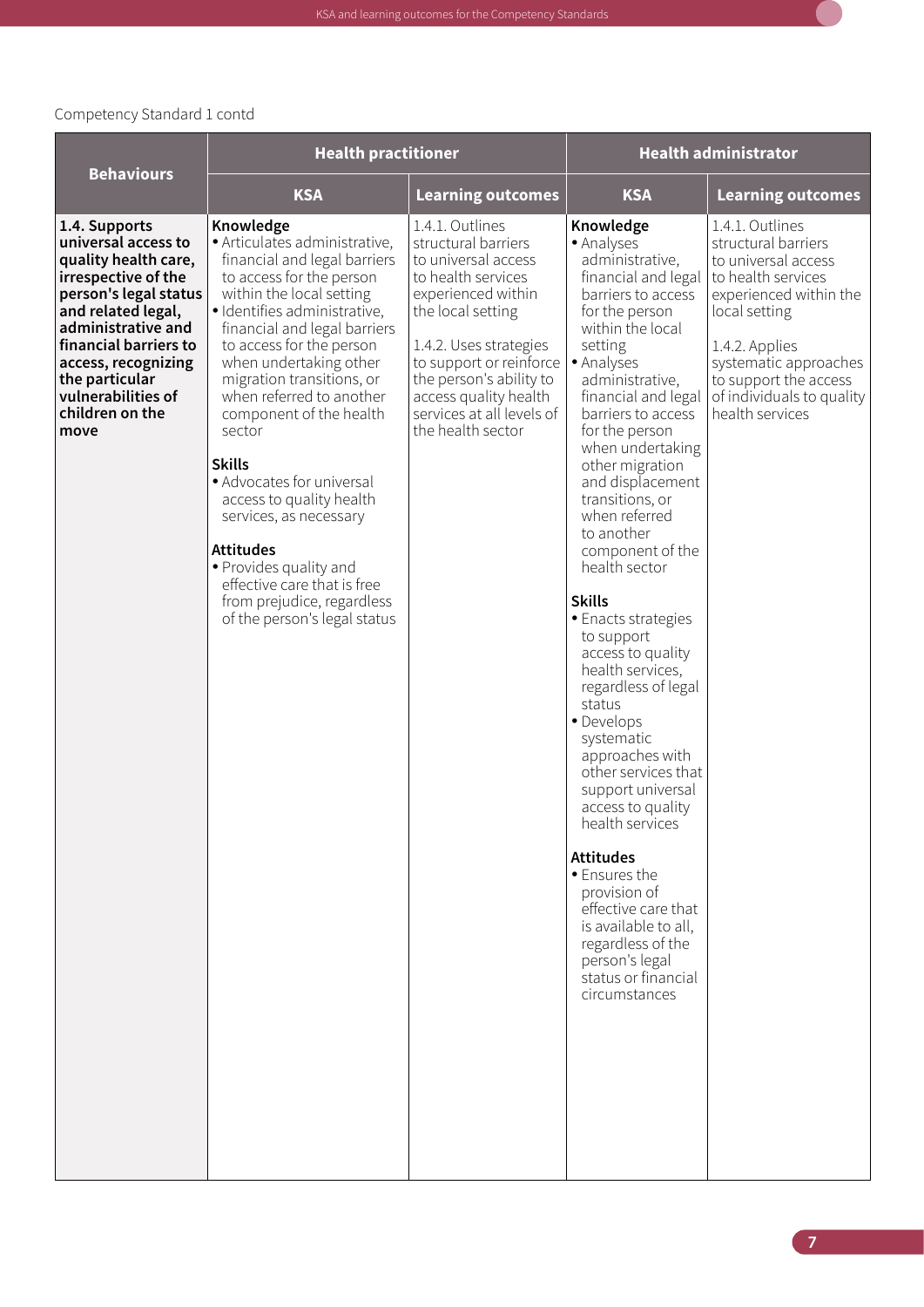|                                                                                                                                                                                                                                                                             | <b>Health practitioner</b>                                                                                                                                                                                                                                                                                                                                                                                                                                                                                                                                                                            |                                                                                                                                                                                                                                                                                           |                                                                                                                                                                                                                                                                                                                                                                                                                                                                                                                                                                                                                                                                                                                                                                                                                                                  | <b>Health administrator</b>                                                                                                                                                                                                                        |  |
|-----------------------------------------------------------------------------------------------------------------------------------------------------------------------------------------------------------------------------------------------------------------------------|-------------------------------------------------------------------------------------------------------------------------------------------------------------------------------------------------------------------------------------------------------------------------------------------------------------------------------------------------------------------------------------------------------------------------------------------------------------------------------------------------------------------------------------------------------------------------------------------------------|-------------------------------------------------------------------------------------------------------------------------------------------------------------------------------------------------------------------------------------------------------------------------------------------|--------------------------------------------------------------------------------------------------------------------------------------------------------------------------------------------------------------------------------------------------------------------------------------------------------------------------------------------------------------------------------------------------------------------------------------------------------------------------------------------------------------------------------------------------------------------------------------------------------------------------------------------------------------------------------------------------------------------------------------------------------------------------------------------------------------------------------------------------|----------------------------------------------------------------------------------------------------------------------------------------------------------------------------------------------------------------------------------------------------|--|
| <b>Behaviours</b>                                                                                                                                                                                                                                                           | <b>KSA</b>                                                                                                                                                                                                                                                                                                                                                                                                                                                                                                                                                                                            | Learning outcomes                                                                                                                                                                                                                                                                         | <b>KSA</b>                                                                                                                                                                                                                                                                                                                                                                                                                                                                                                                                                                                                                                                                                                                                                                                                                                       | <b>Learning outcomes</b>                                                                                                                                                                                                                           |  |
| 1.4. Supports<br>universal access to<br>quality health care,<br>irrespective of the<br>person's legal status<br>and related legal,<br>administrative and<br>financial barriers to<br>access, recognizing<br>the particular<br>vulnerabilities of<br>children on the<br>move | Knowledge<br>· Articulates administrative,<br>financial and legal barriers<br>to access for the person<br>within the local setting<br>· Identifies administrative,<br>financial and legal barriers<br>to access for the person<br>when undertaking other<br>migration transitions, or<br>when referred to another<br>component of the health<br>sector<br><b>Skills</b><br>• Advocates for universal<br>access to quality health<br>services, as necessary<br><b>Attitudes</b><br>• Provides quality and<br>effective care that is free<br>from prejudice, regardless<br>of the person's legal status | 1.4.1. Outlines<br>structural barriers<br>to universal access<br>to health services<br>experienced within<br>the local setting<br>1.4.2. Uses strategies<br>to support or reinforce<br>the person's ability to<br>access quality health<br>services at all levels of<br>the health sector | Knowledge<br>• Analyses<br>administrative,<br>financial and legal<br>barriers to access<br>for the person<br>within the local<br>setting<br>• Analyses<br>administrative,<br>financial and legal<br>barriers to access<br>for the person<br>when undertaking<br>other migration<br>and displacement<br>transitions, or<br>when referred<br>to another<br>component of the<br>health sector<br><b>Skills</b><br>• Enacts strategies<br>to support<br>access to quality<br>health services,<br>regardless of legal<br>status<br>• Develops<br>systematic<br>approaches with<br>other services that<br>support universal<br>access to quality<br>health services<br><b>Attitudes</b><br>• Ensures the<br>provision of<br>effective care that<br>is available to all,<br>regardless of the<br>person's legal<br>status or financial<br>circumstances | 1.4.1. Outlines<br>structural barriers<br>to universal access<br>to health services<br>experienced within the<br>local setting<br>1.4.2. Applies<br>systematic approaches<br>to support the access<br>of individuals to quality<br>health services |  |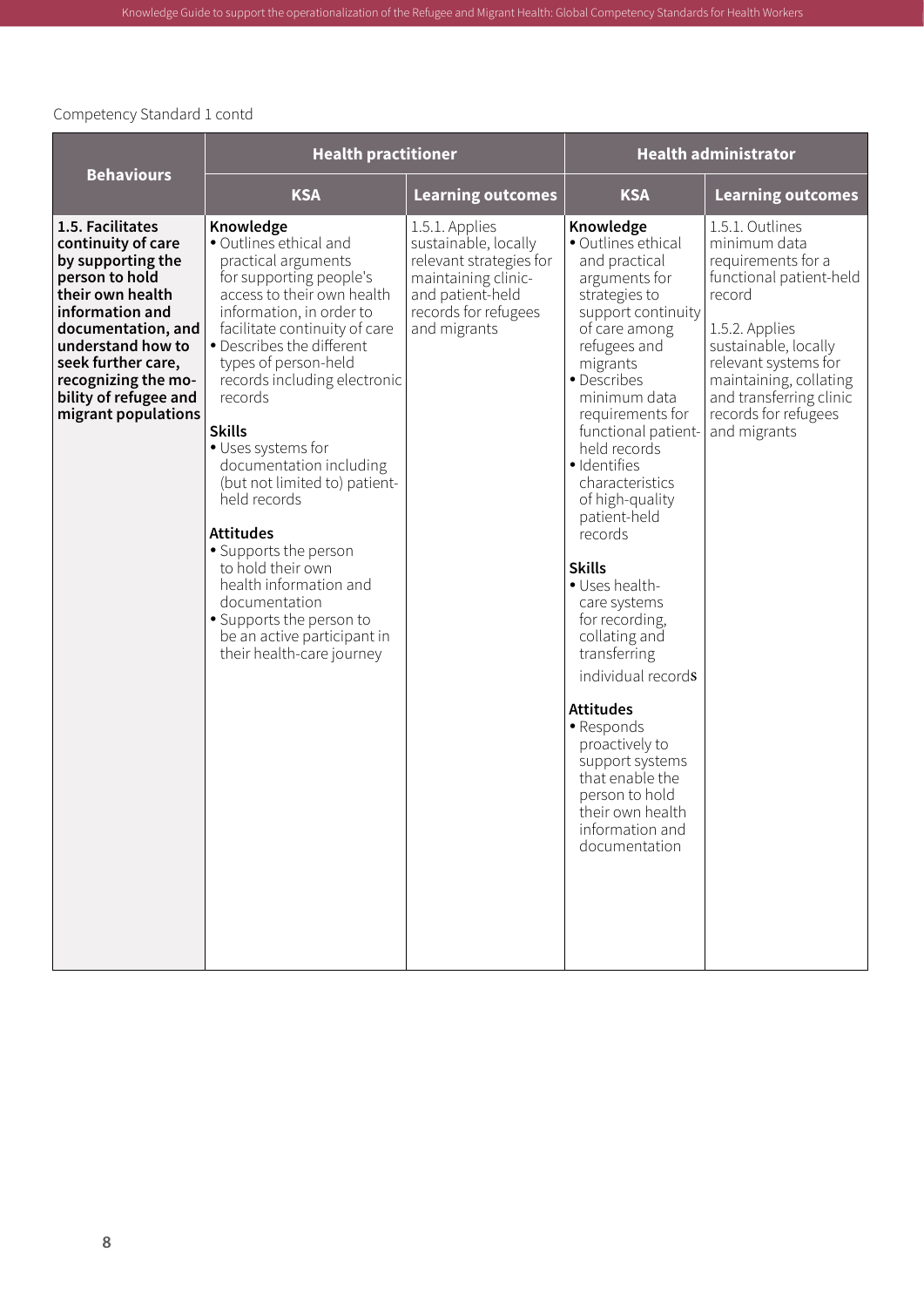|                                                                                                                                                                                                                                                              | <b>Health practitioner</b>                                                                                                                                                                                                                                                                                                                                                                                                                                                                                                                                                                               |                                                                                                                                                      | <b>Health administrator</b>                                                                                                                                                                                                                                                                                                                                                                                                                                                                                                                                                                                                      |                                                                                                                                                                                                                                                           |
|--------------------------------------------------------------------------------------------------------------------------------------------------------------------------------------------------------------------------------------------------------------|----------------------------------------------------------------------------------------------------------------------------------------------------------------------------------------------------------------------------------------------------------------------------------------------------------------------------------------------------------------------------------------------------------------------------------------------------------------------------------------------------------------------------------------------------------------------------------------------------------|------------------------------------------------------------------------------------------------------------------------------------------------------|----------------------------------------------------------------------------------------------------------------------------------------------------------------------------------------------------------------------------------------------------------------------------------------------------------------------------------------------------------------------------------------------------------------------------------------------------------------------------------------------------------------------------------------------------------------------------------------------------------------------------------|-----------------------------------------------------------------------------------------------------------------------------------------------------------------------------------------------------------------------------------------------------------|
| <b>Behaviours</b>                                                                                                                                                                                                                                            | <b>KSA</b>                                                                                                                                                                                                                                                                                                                                                                                                                                                                                                                                                                                               | <b>Learning outcomes</b>                                                                                                                             | <b>KSA</b>                                                                                                                                                                                                                                                                                                                                                                                                                                                                                                                                                                                                                       | <b>Learning outcomes</b>                                                                                                                                                                                                                                  |
| 1.5. Facilitates<br>continuity of care<br>by supporting the<br>person to hold<br>their own health<br>information and<br>documentation, and<br>understand how to<br>seek further care,<br>recognizing the mo-<br>bility of refugee and<br>migrant populations | Knowledge<br>· Outlines ethical and<br>practical arguments<br>for supporting people's<br>access to their own health<br>information, in order to<br>facilitate continuity of care<br>• Describes the different<br>types of person-held<br>records including electronic<br>records<br><b>Skills</b><br>· Uses systems for<br>documentation including<br>(but not limited to) patient-<br>held records<br><b>Attitudes</b><br>• Supports the person<br>to hold their own<br>health information and<br>documentation<br>• Supports the person to<br>be an active participant in<br>their health-care journey | 1.5.1. Applies<br>sustainable, locally<br>relevant strategies for<br>maintaining clinic-<br>and patient-held<br>records for refugees<br>and migrants | Knowledge<br>• Outlines ethical<br>and practical<br>arguments for<br>strategies to<br>support continuity<br>of care among<br>refugees and<br>migrants<br>• Describes<br>minimum data<br>requirements for<br>functional patient-<br>held records<br>· Identifies<br>characteristics<br>of high-quality<br>patient-held<br>records<br><b>Skills</b><br>· Uses health-<br>care systems<br>for recording,<br>collating and<br>transferring<br>individual records<br><b>Attitudes</b><br>· Responds<br>proactively to<br>support systems<br>that enable the<br>person to hold<br>their own health<br>information and<br>documentation | 1.5.1. Outlines<br>minimum data<br>requirements for a<br>functional patient-held<br>record<br>1.5.2. Applies<br>sustainable, locally<br>relevant systems for<br>maintaining, collating<br>and transferring clinic<br>records for refugees<br>and migrants |

Knowledge Guide to support the operationalization of the Refugee and Migrant Health: Global Competency Standards for Health Workers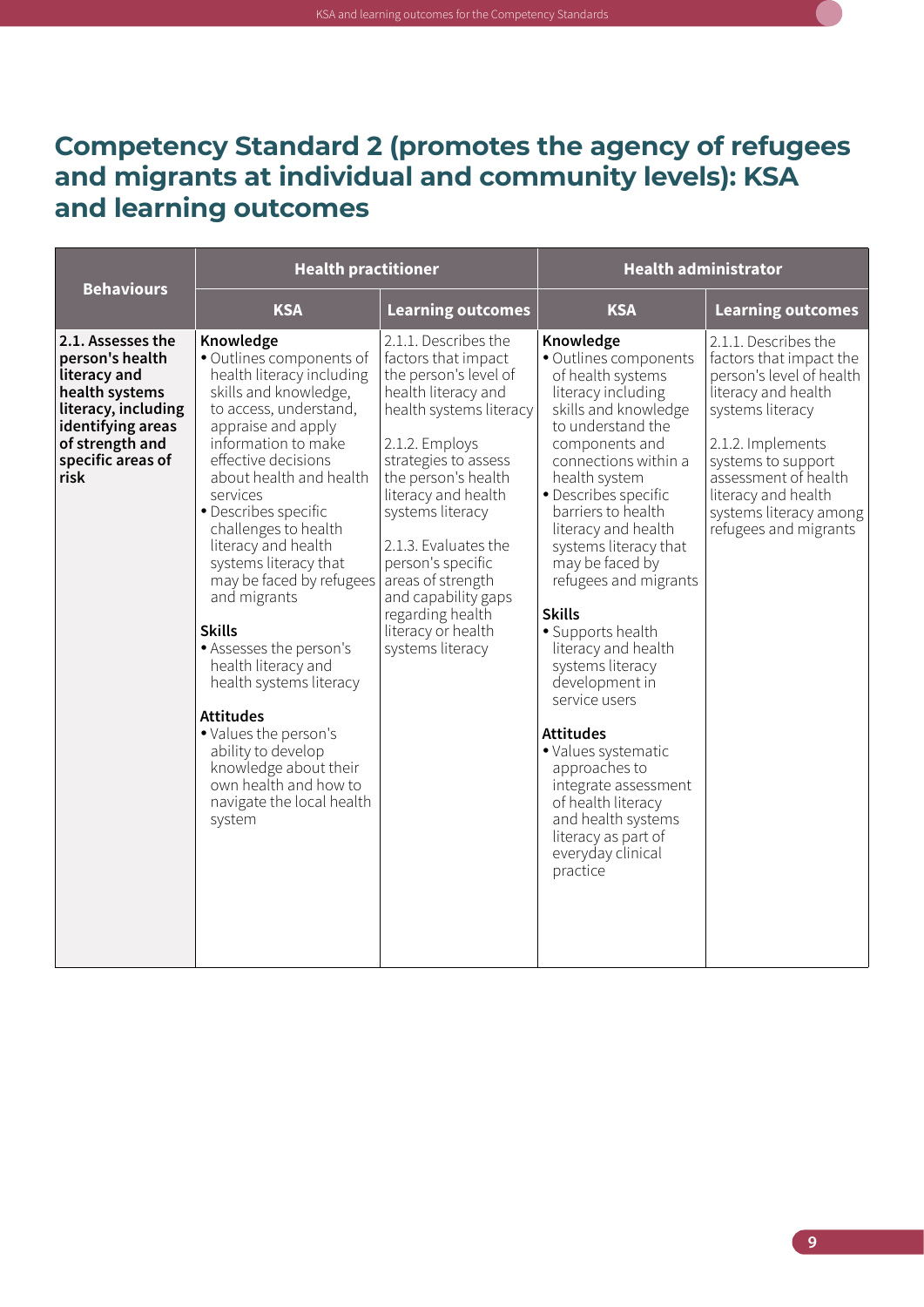### <span id="page-20-0"></span>**Competency Standard 2 (promotes the agency of refugees and migrants at individual and community levels): KSA and learning outcomes**

| <b>Behaviours</b>                                                                                                                                                  | <b>Health practitioner</b>                                                                                                                                                                                                                                                                                                                                                                                                                                                                                                                                                                                                             |                                                                                                                                                                                                                                                                                                                                                                                           | <b>Health administrator</b>                                                                                                                                                                                                                                                                                                                                                                                                                                                                                                                                                                                                                 |                                                                                                                                                                                                                                                                     |
|--------------------------------------------------------------------------------------------------------------------------------------------------------------------|----------------------------------------------------------------------------------------------------------------------------------------------------------------------------------------------------------------------------------------------------------------------------------------------------------------------------------------------------------------------------------------------------------------------------------------------------------------------------------------------------------------------------------------------------------------------------------------------------------------------------------------|-------------------------------------------------------------------------------------------------------------------------------------------------------------------------------------------------------------------------------------------------------------------------------------------------------------------------------------------------------------------------------------------|---------------------------------------------------------------------------------------------------------------------------------------------------------------------------------------------------------------------------------------------------------------------------------------------------------------------------------------------------------------------------------------------------------------------------------------------------------------------------------------------------------------------------------------------------------------------------------------------------------------------------------------------|---------------------------------------------------------------------------------------------------------------------------------------------------------------------------------------------------------------------------------------------------------------------|
|                                                                                                                                                                    | <b>KSA</b>                                                                                                                                                                                                                                                                                                                                                                                                                                                                                                                                                                                                                             | <b>Learning outcomes</b>                                                                                                                                                                                                                                                                                                                                                                  | <b>KSA</b>                                                                                                                                                                                                                                                                                                                                                                                                                                                                                                                                                                                                                                  | <b>Learning outcomes</b>                                                                                                                                                                                                                                            |
| 2.1. Assesses the<br>person's health<br>literacy and<br>health systems<br>literacy, including<br>identifying areas<br>of strength and<br>specific areas of<br>risk | Knowledge<br>· Outlines components of<br>health literacy including<br>skills and knowledge,<br>to access, understand,<br>appraise and apply<br>information to make<br>effective decisions<br>about health and health<br>services<br>• Describes specific<br>challenges to health<br>literacy and health<br>systems literacy that<br>may be faced by refugees<br>and migrants<br><b>Skills</b><br>• Assesses the person's<br>health literacy and<br>health systems literacy<br><b>Attitudes</b><br>· Values the person's<br>ability to develop<br>knowledge about their<br>own health and how to<br>navigate the local health<br>system | 2.1.1. Describes the<br>factors that impact<br>the person's level of<br>health literacy and<br>health systems literacy<br>2.1.2. Employs<br>strategies to assess<br>the person's health<br>literacy and health<br>systems literacy<br>2.1.3. Evaluates the<br>person's specific<br>areas of strength<br>and capability gaps<br>regarding health<br>literacy or health<br>systems literacy | Knowledge<br>· Outlines components<br>of health systems<br>literacy including<br>skills and knowledge<br>to understand the<br>components and<br>connections within a<br>health system<br>• Describes specific<br>barriers to health<br>literacy and health<br>systems literacy that<br>may be faced by<br>refugees and migrants<br><b>Skills</b><br>· Supports health<br>literacy and health<br>systems literacy<br>development in<br>service users<br><b>Attitudes</b><br>· Values systematic<br>approaches to<br>integrate assessment<br>of health literacy<br>and health systems<br>literacy as part of<br>everyday clinical<br>practice | 2.1.1. Describes the<br>factors that impact the<br>person's level of health<br>literacy and health<br>systems literacy<br>2.1.2. Implements<br>systems to support<br>assessment of health<br>literacy and health<br>systems literacy among<br>refugees and migrants |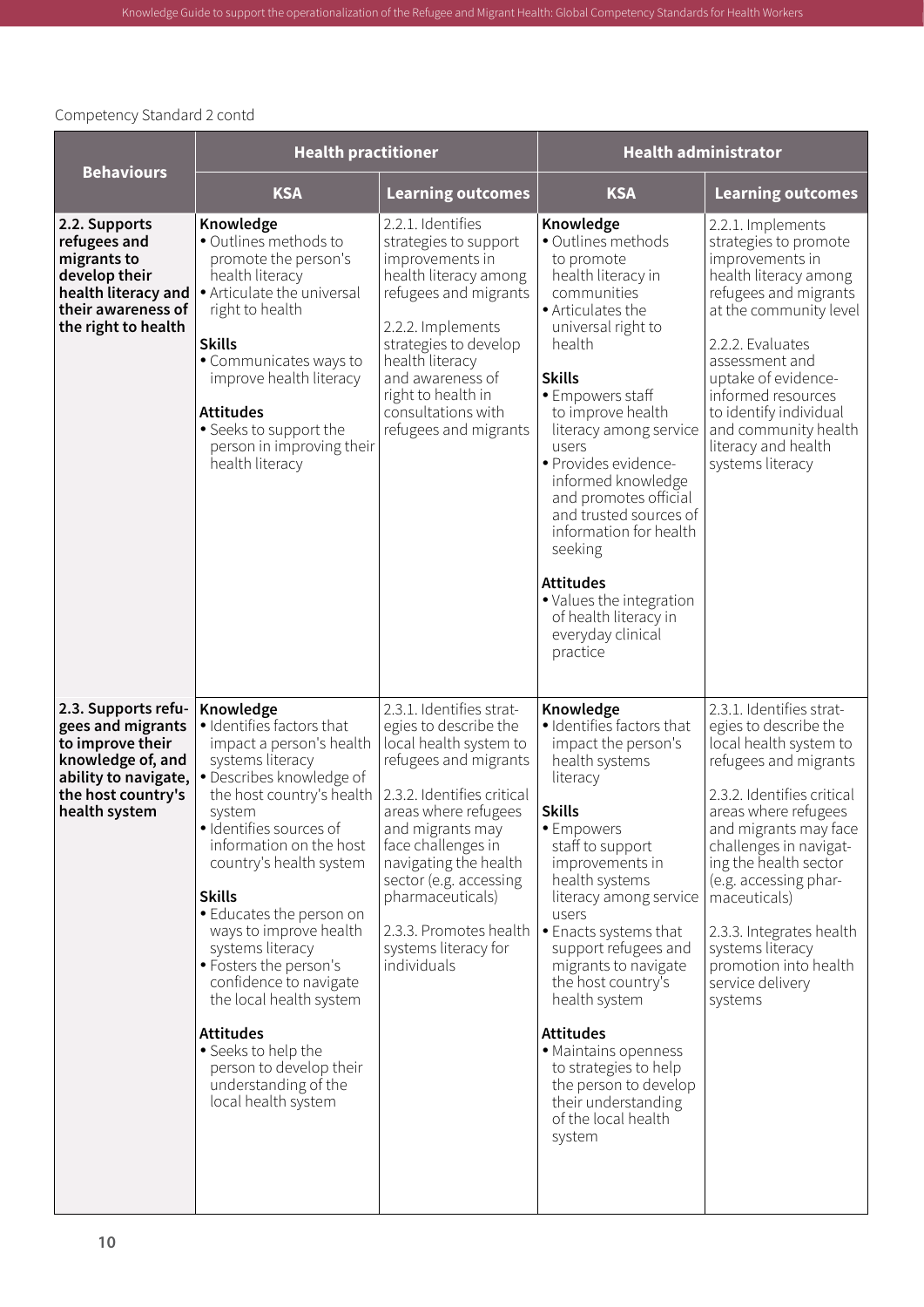|                                                                                                                                                  | <b>Health practitioner</b>                                                                                                                                                                                                                                                                                                                                                                                                                                                                                                                |                                                                                                                                                                                                                                                                                                                                              | <b>Health administrator</b>                                                                                                                                                                                                                                                                                                                                                                                                                                                                  |                                                                                                                                                                                                                                                                                                                                                                                         |
|--------------------------------------------------------------------------------------------------------------------------------------------------|-------------------------------------------------------------------------------------------------------------------------------------------------------------------------------------------------------------------------------------------------------------------------------------------------------------------------------------------------------------------------------------------------------------------------------------------------------------------------------------------------------------------------------------------|----------------------------------------------------------------------------------------------------------------------------------------------------------------------------------------------------------------------------------------------------------------------------------------------------------------------------------------------|----------------------------------------------------------------------------------------------------------------------------------------------------------------------------------------------------------------------------------------------------------------------------------------------------------------------------------------------------------------------------------------------------------------------------------------------------------------------------------------------|-----------------------------------------------------------------------------------------------------------------------------------------------------------------------------------------------------------------------------------------------------------------------------------------------------------------------------------------------------------------------------------------|
| <b>Behaviours</b>                                                                                                                                | <b>KSA</b>                                                                                                                                                                                                                                                                                                                                                                                                                                                                                                                                | <b>Learning outcomes</b>                                                                                                                                                                                                                                                                                                                     | <b>KSA</b>                                                                                                                                                                                                                                                                                                                                                                                                                                                                                   | <b>Learning outcomes</b>                                                                                                                                                                                                                                                                                                                                                                |
| 2.2. Supports<br>refugees and<br>migrants to<br>develop their<br>health literacy and<br>their awareness of<br>the right to health                | Knowledge<br>• Outlines methods to<br>promote the person's<br>health literacy<br>• Articulate the universal<br>right to health<br><b>Skills</b><br>• Communicates ways to<br>improve health literacy<br><b>Attitudes</b><br>• Seeks to support the<br>person in improving their<br>health literacy                                                                                                                                                                                                                                        | 2.2.1. Identifies<br>strategies to support<br>improvements in<br>health literacy among<br>refugees and migrants<br>2.2.2. Implements<br>strategies to develop<br>health literacy<br>and awareness of<br>right to health in<br>consultations with<br>refugees and migrants                                                                    | Knowledge<br>• Outlines methods<br>to promote<br>health literacy in<br>communities<br>· Articulates the<br>universal right to<br>health<br><b>Skills</b><br>• Empowers staff<br>to improve health<br>literacy among service<br>users<br>· Provides evidence-<br>informed knowledge<br>and promotes official<br>and trusted sources of<br>information for health<br>seeking<br><b>Attitudes</b><br>• Values the integration<br>of health literacy in<br>everyday clinical<br>practice         | 2.2.1. Implements<br>strategies to promote<br>improvements in<br>health literacy among<br>refugees and migrants<br>at the community level<br>2.2.2. Evaluates<br>assessment and<br>uptake of evidence-<br>informed resources<br>to identify individual<br>and community health<br>literacy and health<br>systems literacy                                                               |
| 2.3. Supports refu-<br>gees and migrants<br>to improve their<br>knowledge of, and<br>ability to navigate,<br>the host country's<br>health system | Knowledge<br>· Identifies factors that<br>impact a person's health<br>systems literacy<br>• Describes knowledge of<br>the host country's health<br>system<br>· Identifies sources of<br>information on the host<br>country's health system<br><b>Skills</b><br>• Educates the person on<br>ways to improve health<br>systems literacy<br>• Fosters the person's<br>confidence to navigate<br>the local health system<br><b>Attitudes</b><br>• Seeks to help the<br>person to develop their<br>understanding of the<br>local health system | 2.3.1. Identifies strat-<br>egies to describe the<br>local health system to<br>refugees and migrants<br>2.3.2. Identifies critical<br>areas where refugees<br>and migrants may<br>face challenges in<br>navigating the health<br>sector (e.g. accessing<br>pharmaceuticals)<br>2.3.3. Promotes health<br>systems literacy for<br>individuals | Knowledge<br>· Identifies factors that<br>impact the person's<br>health systems<br>literacy<br><b>Skills</b><br>• Empowers<br>staff to support<br>improvements in<br>health systems<br>literacy among service<br>users<br>• Enacts systems that<br>support refugees and<br>migrants to navigate<br>the host country's<br>health system<br><b>Attitudes</b><br>· Maintains openness<br>to strategies to help<br>the person to develop<br>their understanding<br>of the local health<br>system | 2.3.1. Identifies strat-<br>egies to describe the<br>local health system to<br>refugees and migrants<br>2.3.2. Identifies critical<br>areas where refugees<br>and migrants may face<br>challenges in navigat-<br>ing the health sector<br>(e.g. accessing phar-<br>maceuticals)<br>2.3.3. Integrates health<br>systems literacy<br>promotion into health<br>service delivery<br>systems |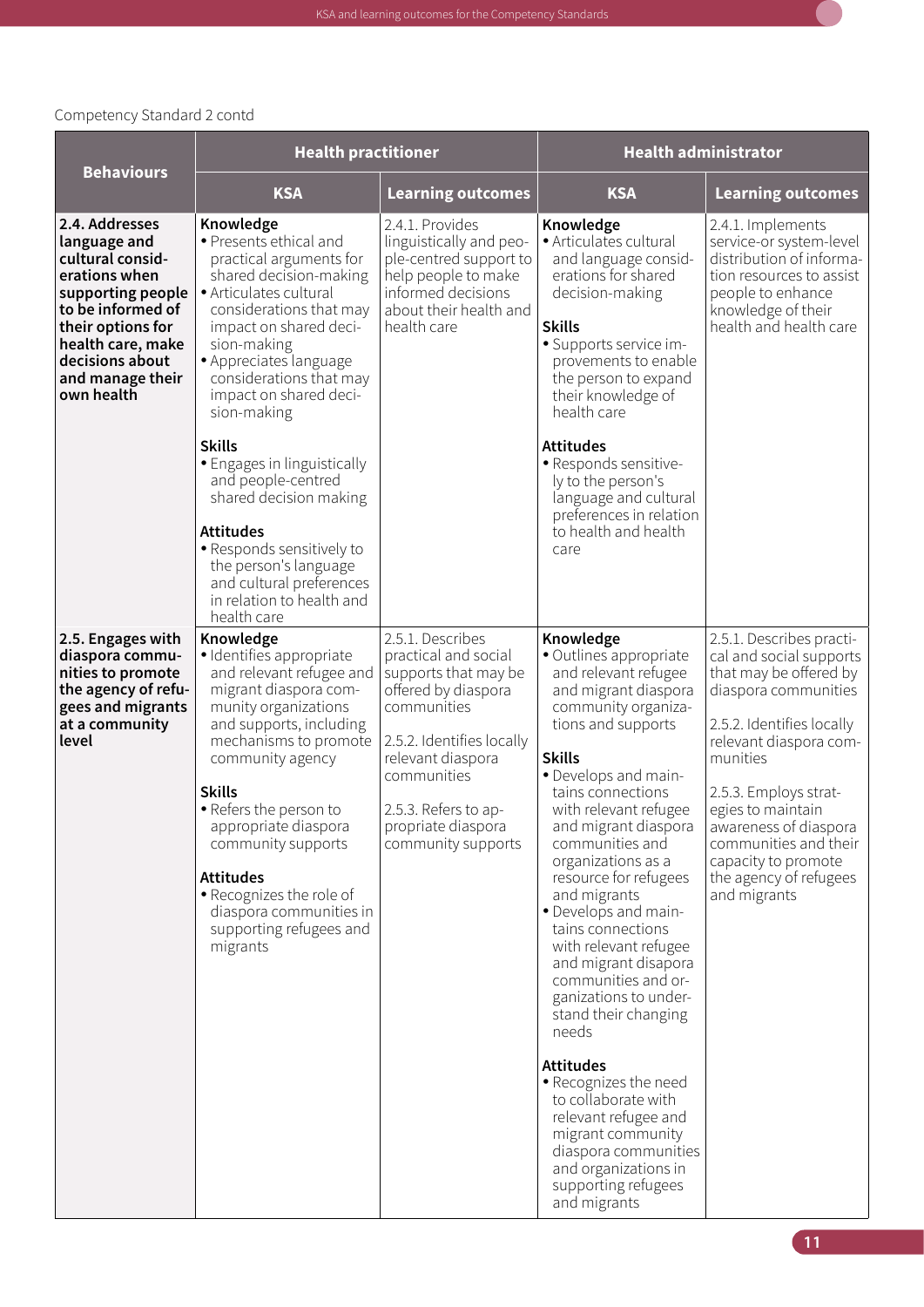

|                                                                                                                                                                                                              | <b>Health practitioner</b>                                                                                                                                                                                                                                                                                                                                                                            |                                                                                                                                                                                                                                             | <b>Health administrator</b>                                                                                                                                                                                                                                                                                                                                                                                                                                                                                                                                                                                                                                                                                              |                                                                                                                                                                                                                                                                                                                                           |  |
|--------------------------------------------------------------------------------------------------------------------------------------------------------------------------------------------------------------|-------------------------------------------------------------------------------------------------------------------------------------------------------------------------------------------------------------------------------------------------------------------------------------------------------------------------------------------------------------------------------------------------------|---------------------------------------------------------------------------------------------------------------------------------------------------------------------------------------------------------------------------------------------|--------------------------------------------------------------------------------------------------------------------------------------------------------------------------------------------------------------------------------------------------------------------------------------------------------------------------------------------------------------------------------------------------------------------------------------------------------------------------------------------------------------------------------------------------------------------------------------------------------------------------------------------------------------------------------------------------------------------------|-------------------------------------------------------------------------------------------------------------------------------------------------------------------------------------------------------------------------------------------------------------------------------------------------------------------------------------------|--|
| <b>Behaviours</b>                                                                                                                                                                                            | <b>KSA</b>                                                                                                                                                                                                                                                                                                                                                                                            | <b>Learning outcomes</b>                                                                                                                                                                                                                    | <b>KSA</b>                                                                                                                                                                                                                                                                                                                                                                                                                                                                                                                                                                                                                                                                                                               | <b>Learning outcomes</b>                                                                                                                                                                                                                                                                                                                  |  |
| 2.4. Addresses<br>language and<br>cultural consid-<br>erations when<br>supporting people<br>to be informed of<br>their options for<br>health care, make<br>decisions about<br>and manage their<br>own health | Knowledge<br>• Presents ethical and<br>practical arguments for<br>shared decision-making<br>· Articulates cultural<br>considerations that may<br>impact on shared deci-<br>sion-making<br>• Appreciates language<br>considerations that may<br>impact on shared deci-<br>sion-making                                                                                                                  | 2.4.1. Provides<br>linguistically and peo-<br>ple-centred support to<br>help people to make<br>informed decisions<br>about their health and<br>health care                                                                                  | Knowledge<br>· Articulates cultural<br>and language consid-<br>erations for shared<br>decision-making<br><b>Skills</b><br>· Supports service im-<br>provements to enable<br>the person to expand<br>their knowledge of<br>health care                                                                                                                                                                                                                                                                                                                                                                                                                                                                                    | 2.4.1. Implements<br>service-or system-level<br>distribution of informa-<br>tion resources to assist<br>people to enhance<br>knowledge of their<br>health and health care                                                                                                                                                                 |  |
|                                                                                                                                                                                                              | <b>Skills</b><br>• Engages in linguistically<br>and people-centred<br>shared decision making<br><b>Attitudes</b><br>• Responds sensitively to<br>the person's language<br>and cultural preferences<br>in relation to health and<br>health care                                                                                                                                                        |                                                                                                                                                                                                                                             | <b>Attitudes</b><br>· Responds sensitive-<br>ly to the person's<br>language and cultural<br>preferences in relation<br>to health and health<br>care                                                                                                                                                                                                                                                                                                                                                                                                                                                                                                                                                                      |                                                                                                                                                                                                                                                                                                                                           |  |
| 2.5. Engages with<br>diaspora commu-<br>nities to promote<br>the agency of refu-<br>gees and migrants<br>at a community<br>level                                                                             | Knowledge<br>· Identifies appropriate<br>and relevant refugee and<br>migrant diaspora com-<br>munity organizations<br>and supports, including<br>mechanisms to promote<br>community agency<br><b>Skills</b><br>• Refers the person to<br>appropriate diaspora<br>community supports<br><b>Attitudes</b><br>• Recognizes the role of<br>diaspora communities in<br>supporting refugees and<br>migrants | 2.5.1. Describes<br>practical and social<br>supports that may be<br>offered by diaspora<br>communities<br>2.5.2. Identifies locally<br>relevant diaspora<br>communities<br>2.5.3. Refers to ap-<br>propriate diaspora<br>community supports | Knowledge<br>· Outlines appropriate<br>and relevant refugee<br>and migrant diaspora<br>community organiza-<br>tions and supports<br><b>Skills</b><br>• Develops and main-<br>tains connections<br>with relevant refugee<br>and migrant diaspora<br>communities and<br>organizations as a<br>resource for refugees<br>and migrants<br>• Develops and main-<br>tains connections<br>with relevant refugee<br>and migrant disapora<br>communities and or-<br>ganizations to under-<br>stand their changing<br>needs<br><b>Attitudes</b><br>• Recognizes the need<br>to collaborate with<br>relevant refugee and<br>migrant community<br>diaspora communities<br>and organizations in<br>supporting refugees<br>and migrants | 2.5.1. Describes practi-<br>cal and social supports<br>that may be offered by<br>diaspora communities<br>2.5.2. Identifies locally<br>relevant diaspora com-<br>munities<br>2.5.3. Employs strat-<br>egies to maintain<br>awareness of diaspora<br>communities and their<br>capacity to promote<br>the agency of refugees<br>and migrants |  |

 $\Box$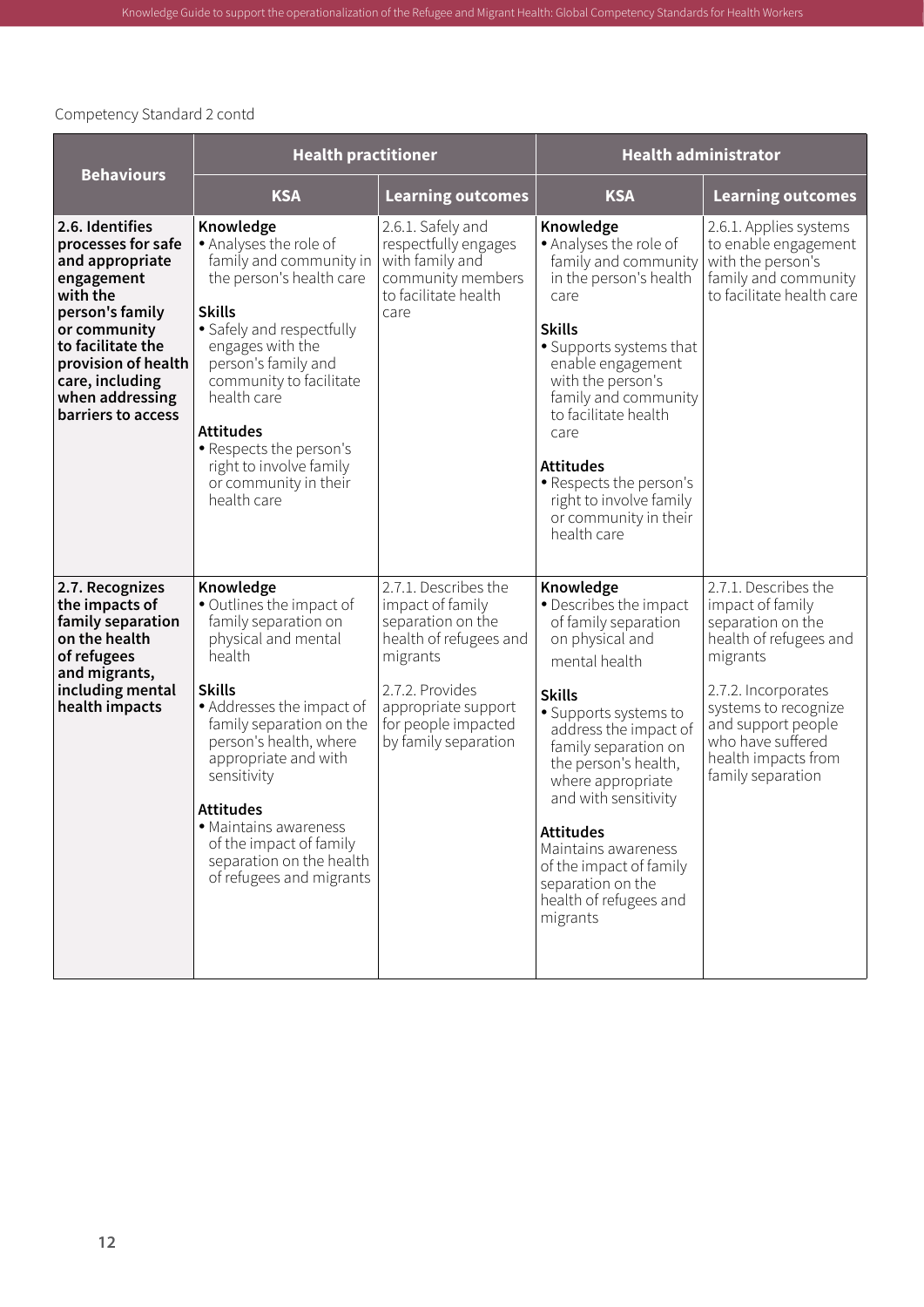| <b>Behaviours</b>                                                                                                                                                                                                             | <b>Health practitioner</b>                                                                                                                                                                                                                                                                                                                                                |                                                                                                                                                                                              | <b>Health administrator</b>                                                                                                                                                                                                                                                                                                                                                                      |                                                                                                                                                                                                                                           |
|-------------------------------------------------------------------------------------------------------------------------------------------------------------------------------------------------------------------------------|---------------------------------------------------------------------------------------------------------------------------------------------------------------------------------------------------------------------------------------------------------------------------------------------------------------------------------------------------------------------------|----------------------------------------------------------------------------------------------------------------------------------------------------------------------------------------------|--------------------------------------------------------------------------------------------------------------------------------------------------------------------------------------------------------------------------------------------------------------------------------------------------------------------------------------------------------------------------------------------------|-------------------------------------------------------------------------------------------------------------------------------------------------------------------------------------------------------------------------------------------|
|                                                                                                                                                                                                                               | <b>KSA</b>                                                                                                                                                                                                                                                                                                                                                                | <b>Learning outcomes</b>                                                                                                                                                                     | <b>KSA</b>                                                                                                                                                                                                                                                                                                                                                                                       | <b>Learning outcomes</b>                                                                                                                                                                                                                  |
| 2.6. Identifies<br>processes for safe<br>and appropriate<br>engagement<br>with the<br>person's family<br>or community<br>to facilitate the<br>provision of health<br>care, including<br>when addressing<br>barriers to access | Knowledge<br>• Analyses the role of<br>family and community in<br>the person's health care<br><b>Skills</b><br>• Safely and respectfully<br>engages with the<br>person's family and<br>community to facilitate<br>health care<br><b>Attitudes</b><br>• Respects the person's<br>right to involve family<br>or community in their<br>health care                           | 2.6.1. Safely and<br>respectfully engages<br>with family and<br>community members<br>to facilitate health<br>care                                                                            | Knowledge<br>• Analyses the role of<br>family and community<br>in the person's health<br>care<br><b>Skills</b><br>• Supports systems that<br>enable engagement<br>with the person's<br>family and community<br>to facilitate health<br>care<br><b>Attitudes</b><br>• Respects the person's<br>right to involve family<br>or community in their<br>health care                                    | 2.6.1. Applies systems<br>to enable engagement<br>with the person's<br>family and community<br>to facilitate health care                                                                                                                  |
| 2.7. Recognizes<br>the impacts of<br>family separation<br>on the health<br>of refugees<br>and migrants,<br>including mental<br>health impacts                                                                                 | Knowledge<br>· Outlines the impact of<br>family separation on<br>physical and mental<br>health<br><b>Skills</b><br>• Addresses the impact of<br>family separation on the<br>person's health, where<br>appropriate and with<br>sensitivity<br><b>Attitudes</b><br>• Maintains awareness<br>of the impact of family<br>separation on the health<br>of refugees and migrants | 2.7.1. Describes the<br>impact of family<br>separation on the<br>health of refugees and<br>migrants<br>2.7.2. Provides<br>appropriate support<br>for people impacted<br>by family separation | Knowledge<br>• Describes the impact<br>of family separation<br>on physical and<br>mental health<br><b>Skills</b><br>• Supports systems to<br>address the impact of<br>family separation on<br>the person's health,<br>where appropriate<br>and with sensitivity<br><b>Attitudes</b><br>Maintains awareness<br>of the impact of family<br>separation on the<br>health of refugees and<br>migrants | 2.7.1. Describes the<br>impact of family<br>separation on the<br>health of refugees and<br>migrants<br>2.7.2. Incorporates<br>systems to recognize<br>and support people<br>who have suffered<br>health impacts from<br>family separation |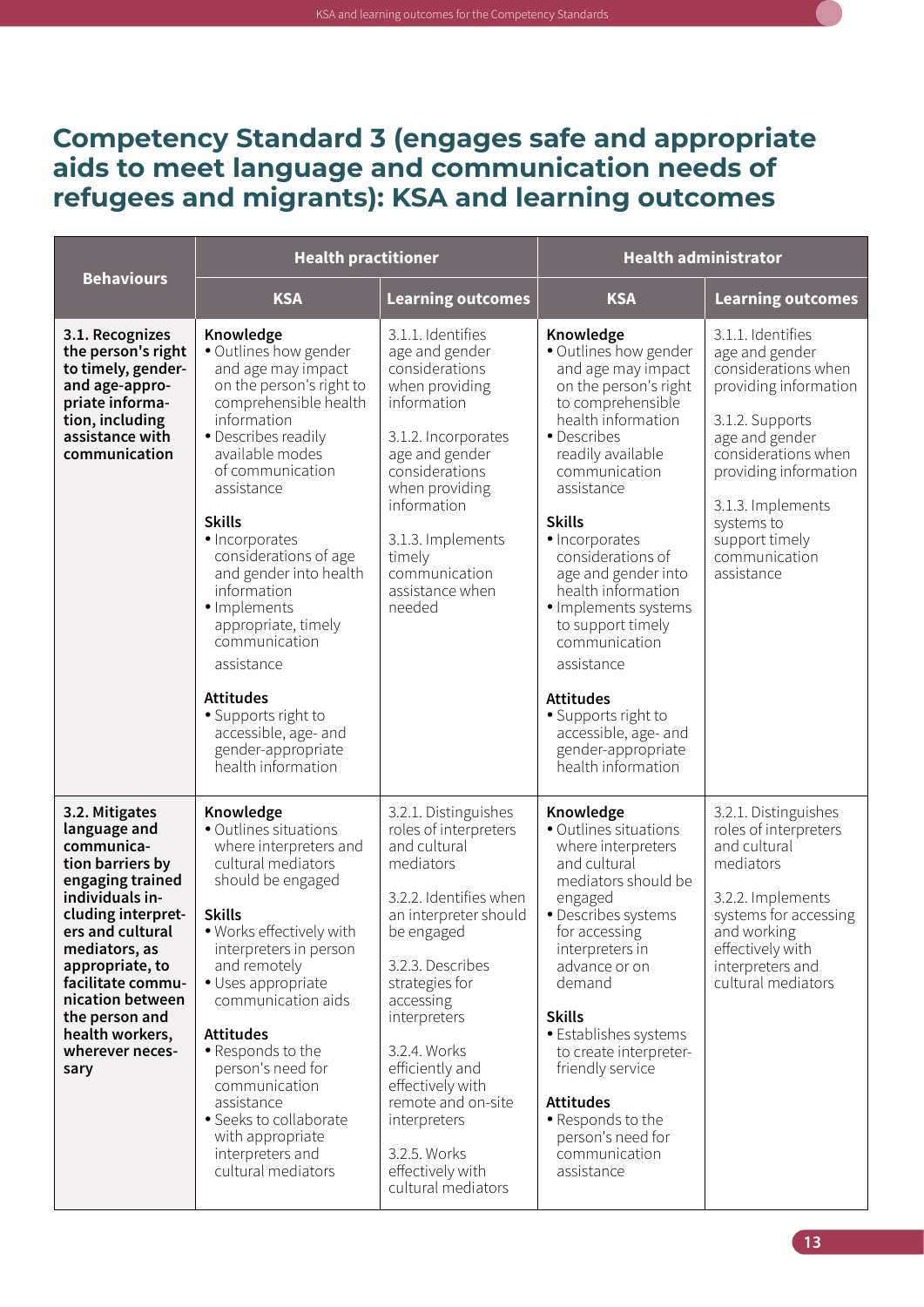#### <span id="page-24-0"></span>**Competency Standard 3 (engages safe and appropriate aids to meet language and communication needs of refugees and migrants): KSA and learning outcomes**

|                                                                                                                                                                                                                                                                                                | <b>Health practitioner</b><br><b>Behaviours</b>                                                                                                                                                                                                                                                                                                                                                                                                                                                    |                                                                                                                                                                                                                                                                                                                                                                       | <b>Health administrator</b>                                                                                                                                                                                                                                                                                                                                                                                                                                                                     |                                                                                                                                                                                                                                                              |
|------------------------------------------------------------------------------------------------------------------------------------------------------------------------------------------------------------------------------------------------------------------------------------------------|----------------------------------------------------------------------------------------------------------------------------------------------------------------------------------------------------------------------------------------------------------------------------------------------------------------------------------------------------------------------------------------------------------------------------------------------------------------------------------------------------|-----------------------------------------------------------------------------------------------------------------------------------------------------------------------------------------------------------------------------------------------------------------------------------------------------------------------------------------------------------------------|-------------------------------------------------------------------------------------------------------------------------------------------------------------------------------------------------------------------------------------------------------------------------------------------------------------------------------------------------------------------------------------------------------------------------------------------------------------------------------------------------|--------------------------------------------------------------------------------------------------------------------------------------------------------------------------------------------------------------------------------------------------------------|
|                                                                                                                                                                                                                                                                                                | <b>KSA</b>                                                                                                                                                                                                                                                                                                                                                                                                                                                                                         | <b>Learning outcomes</b>                                                                                                                                                                                                                                                                                                                                              | <b>KSA</b>                                                                                                                                                                                                                                                                                                                                                                                                                                                                                      | <b>Learning outcomes</b>                                                                                                                                                                                                                                     |
| 3.1. Recognizes<br>the person's right<br>to timely, gender-<br>and age-appro-<br>priate informa-<br>tion, including<br>assistance with<br>communication                                                                                                                                        | Knowledge<br>• Outlines how gender<br>and age may impact<br>on the person's right to<br>comprehensible health<br>information<br>• Describes readily<br>available modes<br>of communication<br>assistance<br><b>Skills</b><br>· Incorporates<br>considerations of age<br>and gender into health<br>information<br>· Implements<br>appropriate, timely<br>communication<br>assistance<br><b>Attitudes</b><br>• Supports right to<br>accessible, age- and<br>gender-appropriate<br>health information | 3.1.1. Identifies<br>age and gender<br>considerations<br>when providing<br>information<br>3.1.2. Incorporates<br>age and gender<br>considerations<br>when providing<br>information<br>3.1.3. Implements<br>timely<br>communication<br>assistance when<br>needed                                                                                                       | Knowledge<br>• Outlines how gender<br>and age may impact<br>on the person's right<br>to comprehensible<br>health information<br>• Describes<br>readily available<br>communication<br>assistance<br><b>Skills</b><br>· Incorporates<br>considerations of<br>age and gender into<br>health information<br>· Implements systems<br>to support timely<br>communication<br>assistance<br><b>Attitudes</b><br>• Supports right to<br>accessible, age- and<br>gender-appropriate<br>health information | 3.1.1. Identifies<br>age and gender<br>considerations when<br>providing information<br>3.1.2. Supports<br>age and gender<br>considerations when<br>providing information<br>3.1.3. Implements<br>systems to<br>support timely<br>communication<br>assistance |
| 3.2. Mitigates<br>language and<br>communica-<br>tion barriers by<br>engaging trained<br>individuals in-<br>cluding interpret-<br>ers and cultural<br>mediators, as<br>appropriate, to<br>facilitate commu-<br>nication between<br>the person and<br>health workers,<br>wherever neces-<br>sary | Knowledge<br>· Outlines situations<br>where interpreters and<br>cultural mediators<br>should be engaged<br><b>Skills</b><br>· Works effectively with<br>interpreters in person<br>and remotely<br>· Uses appropriate<br>communication aids<br><b>Attitudes</b><br>• Responds to the<br>person's need for<br>communication<br>assistance<br>• Seeks to collaborate<br>with appropriate<br>interpreters and<br>cultural mediators                                                                    | 3.2.1. Distinguishes<br>roles of interpreters<br>and cultural<br>mediators<br>3.2.2. Identifies when<br>an interpreter should<br>be engaged<br>3.2.3. Describes<br>strategies for<br>accessing<br>interpreters<br>3.2.4. Works<br>efficiently and<br>effectively with<br>remote and on-site<br>interpreters<br>3.2.5. Works<br>effectively with<br>cultural mediators | Knowledge<br>• Outlines situations<br>where interpreters<br>and cultural<br>mediators should be<br>engaged<br>• Describes systems<br>for accessing<br>interpreters in<br>advance or on<br>demand<br><b>Skills</b><br>• Establishes systems<br>to create interpreter-<br>friendly service<br><b>Attitudes</b><br>• Responds to the<br>person's need for<br>communication<br>assistance                                                                                                           | 3.2.1. Distinguishes<br>roles of interpreters<br>and cultural<br>mediators<br>3.2.2. Implements<br>systems for accessing<br>and working<br>effectively with<br>interpreters and<br>cultural mediators                                                        |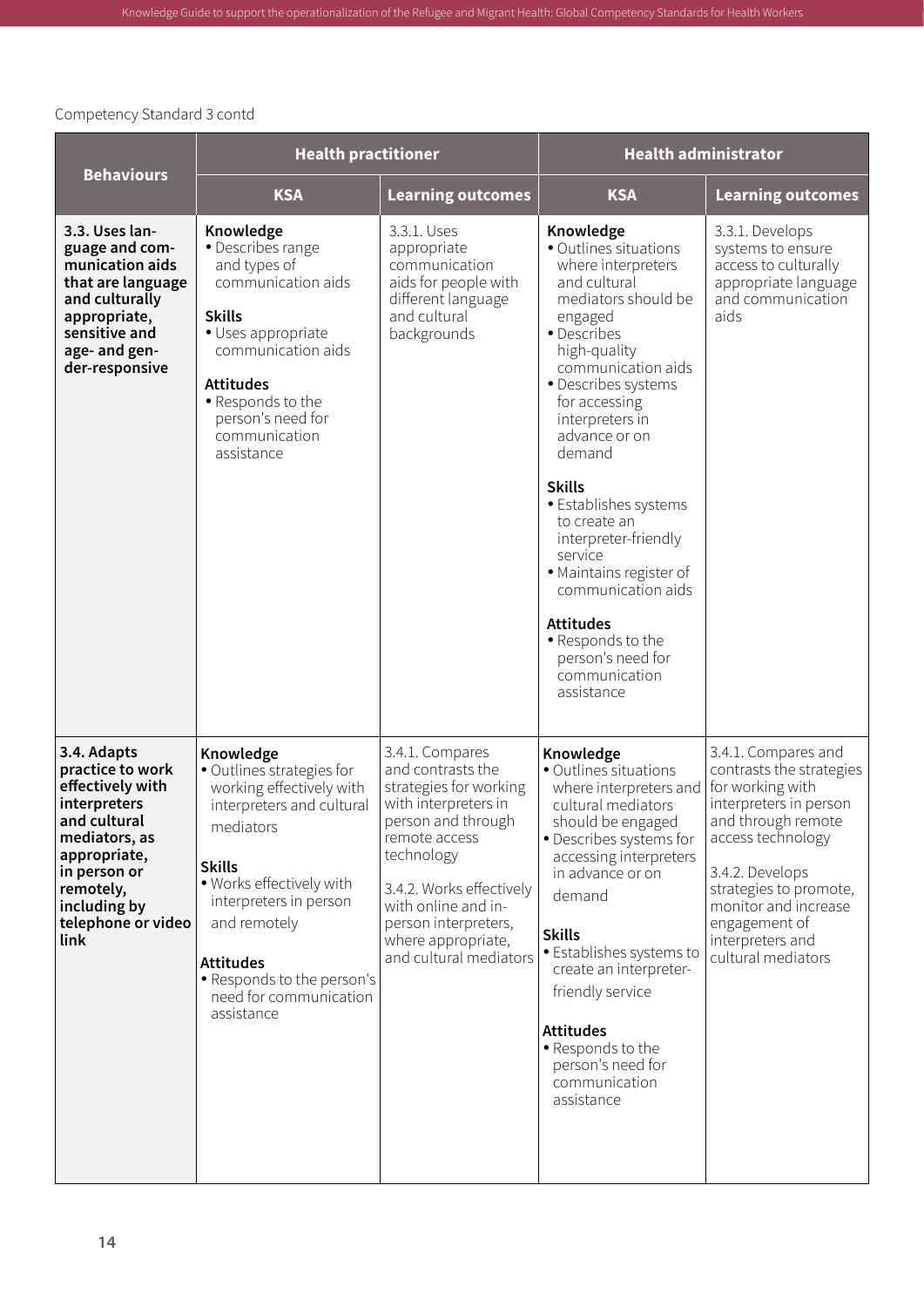|                                                                                                                                                                                                 | <b>Health practitioner</b>                                                                                                                                                                                                                                                                    |                                                                                                                                                                                                                                                                        | <b>Health administrator</b>                                                                                                                                                                                                                                                                                                                                                                                                                                                                      |                                                                                                                                                                                                                                                                          |
|-------------------------------------------------------------------------------------------------------------------------------------------------------------------------------------------------|-----------------------------------------------------------------------------------------------------------------------------------------------------------------------------------------------------------------------------------------------------------------------------------------------|------------------------------------------------------------------------------------------------------------------------------------------------------------------------------------------------------------------------------------------------------------------------|--------------------------------------------------------------------------------------------------------------------------------------------------------------------------------------------------------------------------------------------------------------------------------------------------------------------------------------------------------------------------------------------------------------------------------------------------------------------------------------------------|--------------------------------------------------------------------------------------------------------------------------------------------------------------------------------------------------------------------------------------------------------------------------|
| <b>Behaviours</b>                                                                                                                                                                               | <b>KSA</b>                                                                                                                                                                                                                                                                                    | <b>Learning outcomes</b>                                                                                                                                                                                                                                               | <b>KSA</b>                                                                                                                                                                                                                                                                                                                                                                                                                                                                                       | <b>Learning outcomes</b>                                                                                                                                                                                                                                                 |
| 3.3. Uses lan-<br>guage and com-<br>munication aids<br>that are language<br>and culturally<br>appropriate,<br>sensitive and<br>age- and gen-<br>der-responsive                                  | Knowledge<br>• Describes range<br>and types of<br>communication aids<br><b>Skills</b><br>· Uses appropriate<br>communication aids<br><b>Attitudes</b><br>• Responds to the<br>person's need for<br>communication<br>assistance                                                                | 3.3.1. Uses<br>appropriate<br>communication<br>aids for people with<br>different language<br>and cultural<br>backgrounds                                                                                                                                               | Knowledge<br>• Outlines situations<br>where interpreters<br>and cultural<br>mediators should be<br>engaged<br>• Describes<br>high-quality<br>communication aids<br>· Describes systems<br>for accessing<br>interpreters in<br>advance or on<br>demand<br><b>Skills</b><br>• Establishes systems<br>to create an<br>interpreter-friendly<br>service<br>· Maintains register of<br>communication aids<br><b>Attitudes</b><br>· Responds to the<br>person's need for<br>communication<br>assistance | 3.3.1. Develops<br>systems to ensure<br>access to culturally<br>appropriate language<br>and communication<br>aids                                                                                                                                                        |
| 3.4. Adapts<br>practice to work<br>effectively with<br>interpreters<br>and cultural<br>mediators, as<br>appropriate,<br>in person or<br>remotely,<br>including by<br>telephone or video<br>link | Knowledge<br>· Outlines strategies for<br>working effectively with<br>interpreters and cultural<br>mediators<br><b>Skills</b><br>· Works effectively with<br>interpreters in person<br>and remotely<br><b>Attitudes</b><br>• Responds to the person's<br>need for communication<br>assistance | 3.4.1. Compares<br>and contrasts the<br>strategies for working<br>with interpreters in<br>person and through<br>remote access<br>technology<br>3.4.2. Works effectively<br>with online and in-<br>person interpreters,<br>where appropriate,<br>and cultural mediators | Knowledge<br>· Outlines situations<br>where interpreters and<br>cultural mediators<br>should be engaged<br>· Describes systems for<br>accessing interpreters<br>in advance or on<br>demand<br><b>Skills</b><br>• Establishes systems to<br>create an interpreter-<br>friendly service<br><b>Attitudes</b><br>• Responds to the<br>person's need for<br>communication<br>assistance                                                                                                               | 3.4.1. Compares and<br>contrasts the strategies<br>for working with<br>interpreters in person<br>and through remote<br>access technology<br>3.4.2. Develops<br>strategies to promote,<br>monitor and increase<br>engagement of<br>interpreters and<br>cultural mediators |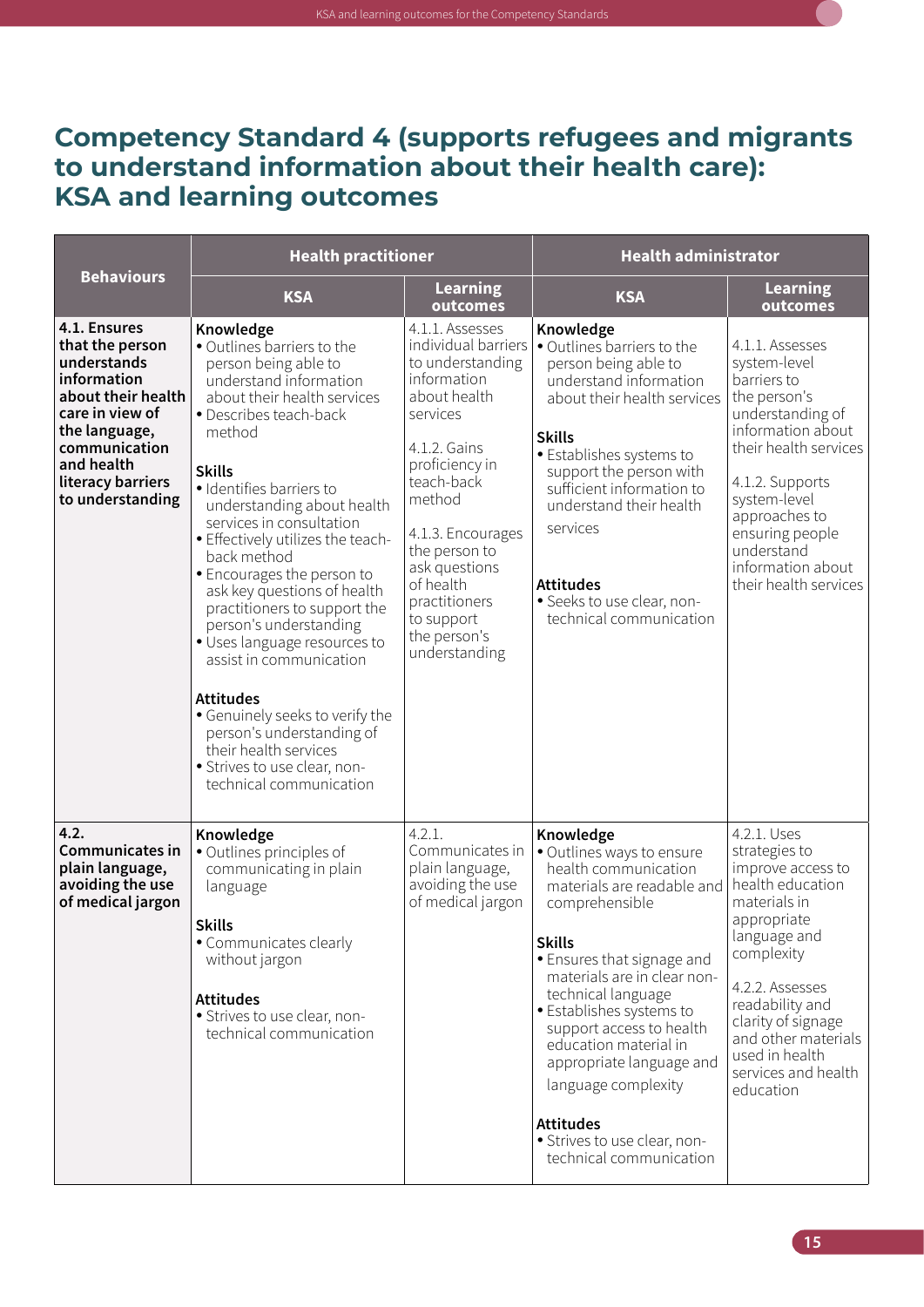

#### <span id="page-26-0"></span>**Competency Standard 4 (supports refugees and migrants to understand information about their health care): KSA and learning outcomes**

|                                                                                                                                                                                                 | <b>Health practitioner</b>                                                                                                                                                                                                                                                                                                                                                                                                                                                                                                                                                                                                                                                        |                                                                                                                                                                                                                                                                                                     | <b>Health administrator</b>                                                                                                                                                                                                                                                                                                                                                                                                           |                                                                                                                                                                                                                                                                             |
|-------------------------------------------------------------------------------------------------------------------------------------------------------------------------------------------------|-----------------------------------------------------------------------------------------------------------------------------------------------------------------------------------------------------------------------------------------------------------------------------------------------------------------------------------------------------------------------------------------------------------------------------------------------------------------------------------------------------------------------------------------------------------------------------------------------------------------------------------------------------------------------------------|-----------------------------------------------------------------------------------------------------------------------------------------------------------------------------------------------------------------------------------------------------------------------------------------------------|---------------------------------------------------------------------------------------------------------------------------------------------------------------------------------------------------------------------------------------------------------------------------------------------------------------------------------------------------------------------------------------------------------------------------------------|-----------------------------------------------------------------------------------------------------------------------------------------------------------------------------------------------------------------------------------------------------------------------------|
| <b>Behaviours</b>                                                                                                                                                                               | <b>KSA</b>                                                                                                                                                                                                                                                                                                                                                                                                                                                                                                                                                                                                                                                                        | <b>Learning</b><br>outcomes                                                                                                                                                                                                                                                                         | <b>KSA</b>                                                                                                                                                                                                                                                                                                                                                                                                                            | <b>Learning</b><br>outcomes                                                                                                                                                                                                                                                 |
| 4.1. Ensures<br>that the person<br>understands<br>information<br>about their health<br>care in view of<br>the language,<br>communication<br>and health<br>literacy barriers<br>to understanding | Knowledge<br>· Outlines barriers to the<br>person being able to<br>understand information<br>about their health services<br>• Describes teach-back<br>method<br><b>Skills</b><br>· Identifies barriers to<br>understanding about health<br>services in consultation<br>• Effectively utilizes the teach-<br>back method<br>· Encourages the person to<br>ask key questions of health<br>practitioners to support the<br>person's understanding<br>· Uses language resources to<br>assist in communication<br><b>Attitudes</b><br>• Genuinely seeks to verify the<br>person's understanding of<br>their health services<br>• Strives to use clear, non-<br>technical communication | 4.1.1. Assesses<br>individual barriers<br>to understanding<br>information<br>about health<br>services<br>4.1.2. Gains<br>proficiency in<br>teach-back<br>method<br>4.1.3. Encourages<br>the person to<br>ask questions<br>of health<br>practitioners<br>to support<br>the person's<br>understanding | Knowledge<br>· Outlines barriers to the<br>person being able to<br>understand information<br>about their health services<br><b>Skills</b><br>· Establishes systems to<br>support the person with<br>sufficient information to<br>understand their health<br>services<br><b>Attitudes</b><br>· Seeks to use clear, non-<br>technical communication                                                                                     | 4.1.1. Assesses<br>system-level<br>barriers to<br>the person's<br>understanding of<br>information about<br>their health services<br>4.1.2. Supports<br>system-level<br>approaches to<br>ensuring people<br>understand<br>information about<br>their health services         |
| 4.2.<br><b>Communicates in</b><br>plain language,<br>avoiding the use<br>of medical jargon                                                                                                      | Knowledge<br>· Outlines principles of<br>communicating in plain<br>language<br><b>Skills</b><br>• Communicates clearly<br>without jargon<br><b>Attitudes</b><br>· Strives to use clear, non-<br>technical communication                                                                                                                                                                                                                                                                                                                                                                                                                                                           | 4.2.1.<br>Communicates in<br>plain language,<br>avoiding the use<br>of medical jargon                                                                                                                                                                                                               | Knowledge<br>· Outlines ways to ensure<br>health communication<br>materials are readable and<br>comprehensible<br><b>Skills</b><br>• Ensures that signage and<br>materials are in clear non-<br>technical language<br>• Establishes systems to<br>support access to health<br>education material in<br>appropriate language and<br>language complexity<br><b>Attitudes</b><br>· Strives to use clear, non-<br>technical communication | 4.2.1. Uses<br>strategies to<br>improve access to<br>health education<br>materials in<br>appropriate<br>language and<br>complexity<br>4.2.2. Assesses<br>readability and<br>clarity of signage<br>and other materials<br>used in health<br>services and health<br>education |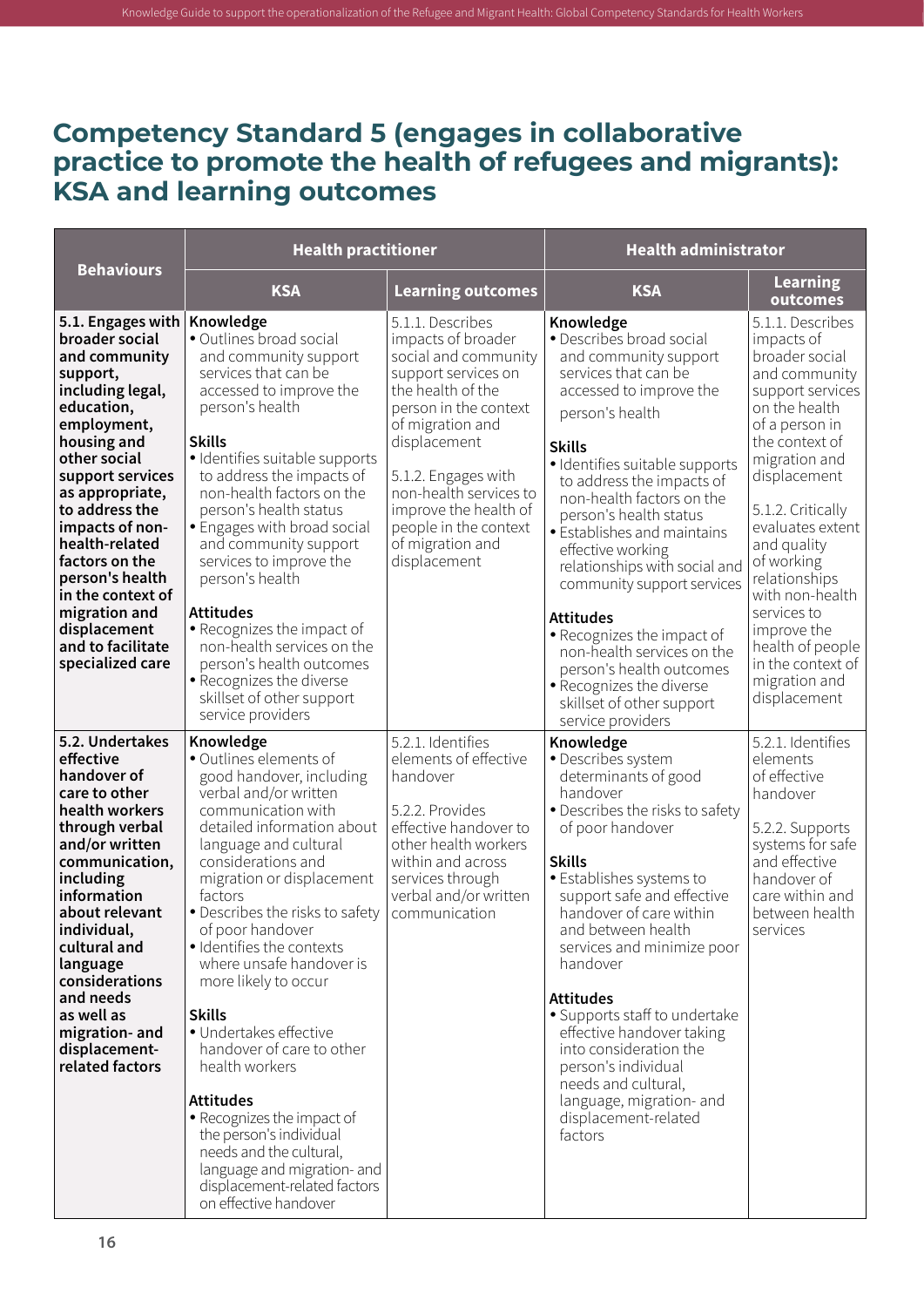#### <span id="page-27-0"></span>**Competency Standard 5 (engages in collaborative practice to promote the health of refugees and migrants): KSA and learning outcomes**

|                                                                                                                                                                                                                                                                                                                                                                                    | <b>Health practitioner</b>                                                                                                                                                                                                                                                                                                                                                                                                                                                                                                                                                                                                                                            |                                                                                                                                                                                                                                                                                                                | <b>Health administrator</b>                                                                                                                                                                                                                                                                                                                                                                                                                                                                                                                                                              |                                                                                                                                                                                                                                                                                                                                                                                               |
|------------------------------------------------------------------------------------------------------------------------------------------------------------------------------------------------------------------------------------------------------------------------------------------------------------------------------------------------------------------------------------|-----------------------------------------------------------------------------------------------------------------------------------------------------------------------------------------------------------------------------------------------------------------------------------------------------------------------------------------------------------------------------------------------------------------------------------------------------------------------------------------------------------------------------------------------------------------------------------------------------------------------------------------------------------------------|----------------------------------------------------------------------------------------------------------------------------------------------------------------------------------------------------------------------------------------------------------------------------------------------------------------|------------------------------------------------------------------------------------------------------------------------------------------------------------------------------------------------------------------------------------------------------------------------------------------------------------------------------------------------------------------------------------------------------------------------------------------------------------------------------------------------------------------------------------------------------------------------------------------|-----------------------------------------------------------------------------------------------------------------------------------------------------------------------------------------------------------------------------------------------------------------------------------------------------------------------------------------------------------------------------------------------|
| <b>Behaviours</b>                                                                                                                                                                                                                                                                                                                                                                  | <b>KSA</b>                                                                                                                                                                                                                                                                                                                                                                                                                                                                                                                                                                                                                                                            | <b>Learning outcomes</b>                                                                                                                                                                                                                                                                                       | <b>KSA</b>                                                                                                                                                                                                                                                                                                                                                                                                                                                                                                                                                                               | <b>Learning</b><br>outcomes                                                                                                                                                                                                                                                                                                                                                                   |
| 5.1. Engages with<br>broader social<br>and community<br>support,<br>including legal,<br>education,<br>employment,<br>housing and<br>other social<br>support services<br>as appropriate,<br>to address the<br>impacts of non-<br>health-related<br>factors on the<br>person's health<br>in the context of<br>migration and<br>displacement<br>and to facilitate<br>specialized care | Knowledge<br>• Outlines broad social<br>and community support<br>services that can be<br>accessed to improve the<br>person's health<br><b>Skills</b><br>· Identifies suitable supports<br>to address the impacts of<br>non-health factors on the<br>person's health status<br>• Engages with broad social<br>and community support<br>services to improve the<br>person's health<br><b>Attitudes</b><br>· Recognizes the impact of<br>non-health services on the<br>person's health outcomes<br>• Recognizes the diverse<br>skillset of other support<br>service providers                                                                                            | 5.1.1. Describes<br>impacts of broader<br>social and community<br>support services on<br>the health of the<br>person in the context<br>of migration and<br>displacement<br>5.1.2. Engages with<br>non-health services to<br>improve the health of<br>people in the context<br>of migration and<br>displacement | Knowledge<br>• Describes broad social<br>and community support<br>services that can be<br>accessed to improve the<br>person's health<br><b>Skills</b><br>· Identifies suitable supports<br>to address the impacts of<br>non-health factors on the<br>person's health status<br>· Establishes and maintains<br>effective working<br>relationships with social and<br>community support services<br><b>Attitudes</b><br>• Recognizes the impact of<br>non-health services on the<br>person's health outcomes<br>· Recognizes the diverse<br>skillset of other support<br>service providers | 5.1.1. Describes<br>impacts of<br>broader social<br>and community<br>support services<br>on the health<br>of a person in<br>the context of<br>migration and<br>displacement<br>5.1.2. Critically<br>evaluates extent<br>and quality<br>of working<br>relationships<br>with non-health<br>services to<br>improve the<br>health of people<br>in the context of<br>migration and<br>displacement |
| 5.2. Undertakes<br>effective<br>handover of<br>care to other<br>health workers<br>through verbal<br>and/or written<br>communication,<br>including<br>information<br>about relevant<br>individual,<br>cultural and<br>language<br>considerations<br>and needs<br>as well as<br>migration- and<br>displacement-<br>related factors                                                   | Knowledge<br>· Outlines elements of<br>good handover, including<br>verbal and/or written<br>communication with<br>detailed information about<br>language and cultural<br>considerations and<br>migration or displacement<br>factors<br>• Describes the risks to safety<br>of poor handover<br>· Identifies the contexts<br>where unsafe handover is<br>more likely to occur<br><b>Skills</b><br>· Undertakes effective<br>handover of care to other<br>health workers<br><b>Attitudes</b><br>• Recognizes the impact of<br>the person's individual<br>needs and the cultural,<br>language and migration- and<br>displacement-related factors<br>on effective handover | 5.2.1. Identifies<br>elements of effective<br>handover<br>5.2.2. Provides<br>effective handover to<br>other health workers<br>within and across<br>services through<br>verbal and/or written<br>communication                                                                                                  | Knowledge<br>· Describes system<br>determinants of good<br>handover<br>• Describes the risks to safety<br>of poor handover<br><b>Skills</b><br>• Establishes systems to<br>support safe and effective<br>handover of care within<br>and between health<br>services and minimize poor<br>handover<br><b>Attitudes</b><br>· Supports staff to undertake<br>effective handover taking<br>into consideration the<br>person's individual<br>needs and cultural,<br>language, migration- and<br>displacement-related<br>factors                                                                | 5.2.1. Identifies<br>elements<br>of effective<br>handover<br>5.2.2. Supports<br>systems for safe<br>and effective<br>handover of<br>care within and<br>between health<br>services                                                                                                                                                                                                             |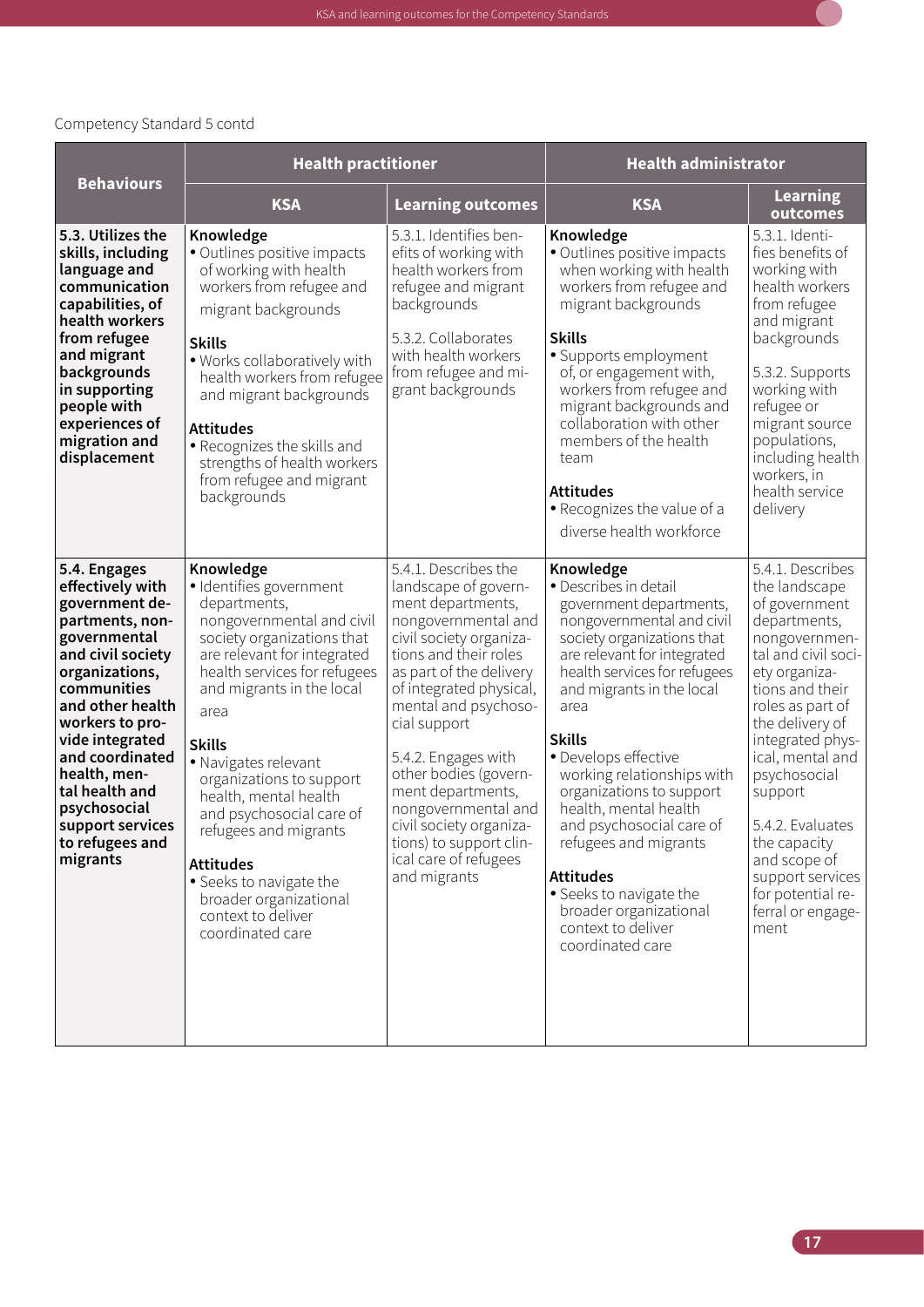

|                                                                                                                                                                                                                                                                                                                               | <b>Health practitioner</b>                                                                                                                                                                                                                                                                                                                                                                                                                                                                |                                                                                                                                                                                                                                                                                                                                                                                                                                       | <b>Health administrator</b>                                                                                                                                                                                                                                                                                                                                                                                                                                                                                                      |                                                                                                                                                                                                                                                                                                                                                                                    |
|-------------------------------------------------------------------------------------------------------------------------------------------------------------------------------------------------------------------------------------------------------------------------------------------------------------------------------|-------------------------------------------------------------------------------------------------------------------------------------------------------------------------------------------------------------------------------------------------------------------------------------------------------------------------------------------------------------------------------------------------------------------------------------------------------------------------------------------|---------------------------------------------------------------------------------------------------------------------------------------------------------------------------------------------------------------------------------------------------------------------------------------------------------------------------------------------------------------------------------------------------------------------------------------|----------------------------------------------------------------------------------------------------------------------------------------------------------------------------------------------------------------------------------------------------------------------------------------------------------------------------------------------------------------------------------------------------------------------------------------------------------------------------------------------------------------------------------|------------------------------------------------------------------------------------------------------------------------------------------------------------------------------------------------------------------------------------------------------------------------------------------------------------------------------------------------------------------------------------|
| <b>Behaviours</b>                                                                                                                                                                                                                                                                                                             | <b>KSA</b>                                                                                                                                                                                                                                                                                                                                                                                                                                                                                | <b>Learning outcomes</b>                                                                                                                                                                                                                                                                                                                                                                                                              | <b>KSA</b>                                                                                                                                                                                                                                                                                                                                                                                                                                                                                                                       | <b>Learning</b><br>outcomes                                                                                                                                                                                                                                                                                                                                                        |
| 5.3. Utilizes the<br>skills, including<br>language and<br>communication<br>capabilities, of<br>health workers<br>from refugee<br>and migrant<br>backgrounds<br>in supporting<br>people with<br>experiences of<br>migration and<br>displacement                                                                                | Knowledge<br>· Outlines positive impacts<br>of working with health<br>workers from refugee and<br>migrant backgrounds<br><b>Skills</b><br>. Works collaboratively with<br>health workers from refugee<br>and migrant backgrounds<br><b>Attitudes</b><br>• Recognizes the skills and<br>strengths of health workers<br>from refugee and migrant<br>backgrounds                                                                                                                             | 5.3.1. Identifies ben-<br>efits of working with<br>health workers from<br>refugee and migrant<br>backgrounds<br>5.3.2. Collaborates<br>with health workers<br>from refugee and mi-<br>grant backgrounds                                                                                                                                                                                                                               | Knowledge<br>· Outlines positive impacts<br>when working with health<br>workers from refugee and<br>migrant backgrounds<br><b>Skills</b><br>· Supports employment<br>of, or engagement with,<br>workers from refugee and<br>migrant backgrounds and<br>collaboration with other<br>members of the health<br>team<br><b>Attitudes</b><br>• Recognizes the value of a<br>diverse health workforce                                                                                                                                  | 5.3.1. Identi-<br>fies benefits of<br>working with<br>health workers<br>from refugee<br>and migrant<br>backgrounds<br>5.3.2. Supports<br>working with<br>refugee or<br>migrant source<br>populations,<br>including health<br>workers, in<br>health service<br>delivery                                                                                                             |
| 5.4. Engages<br>effectively with<br>government de-<br>partments, non-<br>governmental<br>and civil society<br>organizations,<br>communities<br>and other health<br>workers to pro-<br>vide integrated<br>and coordinated<br>health, men-<br>tal health and<br>psychosocial<br>support services<br>to refugees and<br>migrants | Knowledge<br>· Identifies government<br>departments,<br>nongovernmental and civil<br>society organizations that<br>are relevant for integrated<br>health services for refugees<br>and migrants in the local<br>area<br><b>Skills</b><br>• Navigates relevant<br>organizations to support<br>health, mental health<br>and psychosocial care of<br>refugees and migrants<br><b>Attitudes</b><br>• Seeks to navigate the<br>broader organizational<br>context to deliver<br>coordinated care | 5.4.1. Describes the<br>landscape of govern-<br>ment departments,<br>nongovernmental and<br>civil society organiza-<br>tions and their roles<br>as part of the delivery<br>of integrated physical,<br>mental and psychoso-<br>cial support<br>5.4.2. Engages with<br>other bodies (govern-<br>ment departments,<br>nongovernmental and<br>civil society organiza-<br>tions) to support clin-<br>ical care of refugees<br>and migrants | Knowledge<br>· Describes in detail<br>government departments,<br>nongovernmental and civil<br>society organizations that<br>are relevant for integrated<br>health services for refugees<br>and migrants in the local<br>area<br><b>Skills</b><br>· Develops effective<br>working relationships with<br>organizations to support<br>health, mental health<br>and psychosocial care of<br>refugees and migrants<br><b>Attitudes</b><br>• Seeks to navigate the<br>broader organizational<br>context to deliver<br>coordinated care | 5.4.1. Describes<br>the landscape<br>of government<br>departments,<br>nongovernmen-<br>tal and civil soci-<br>ety organiza-<br>tions and their<br>roles as part of<br>the delivery of<br>integrated phys-<br>ical, mental and<br>psychosocial<br>support<br>5.4.2. Evaluates<br>the capacity<br>and scope of<br>support services<br>for potential re-<br>ferral or engage-<br>ment |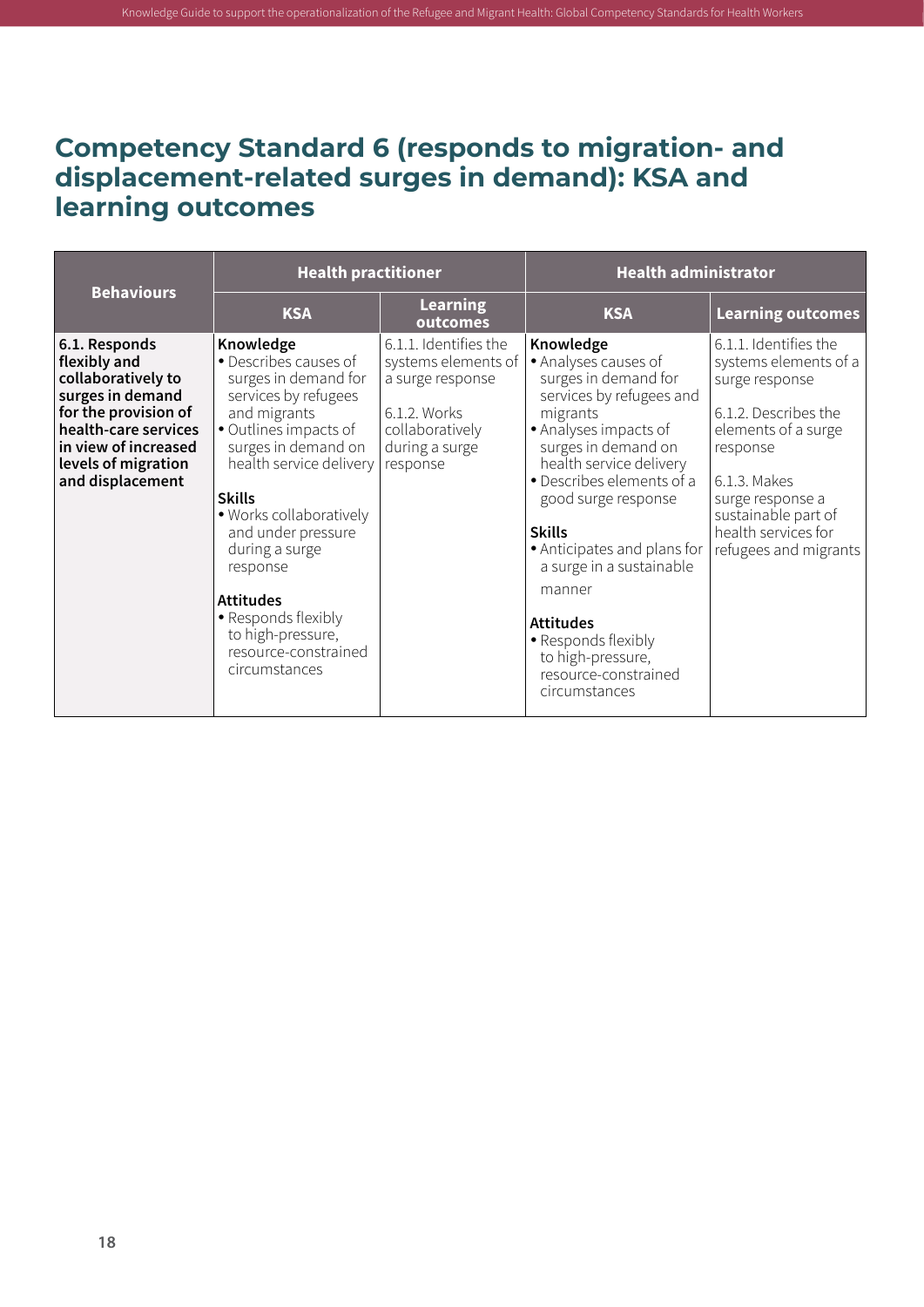#### <span id="page-29-0"></span>**Competency Standard 6 (responds to migration- and displacement-related surges in demand): KSA and learning outcomes**

| <b>Behaviours</b>                                                                                                                                                                          | <b>Health practitioner</b>                                                                                                                                                                                                                                                                                                                                                             |                                                                                                                                   | <b>Health administrator</b>                                                                                                                                                                                                                                                                                                                                                                                                     |                                                                                                                                                                                                                                        |
|--------------------------------------------------------------------------------------------------------------------------------------------------------------------------------------------|----------------------------------------------------------------------------------------------------------------------------------------------------------------------------------------------------------------------------------------------------------------------------------------------------------------------------------------------------------------------------------------|-----------------------------------------------------------------------------------------------------------------------------------|---------------------------------------------------------------------------------------------------------------------------------------------------------------------------------------------------------------------------------------------------------------------------------------------------------------------------------------------------------------------------------------------------------------------------------|----------------------------------------------------------------------------------------------------------------------------------------------------------------------------------------------------------------------------------------|
|                                                                                                                                                                                            | <b>KSA</b>                                                                                                                                                                                                                                                                                                                                                                             | <b>Learning</b><br>outcomes                                                                                                       | <b>KSA</b>                                                                                                                                                                                                                                                                                                                                                                                                                      | <b>Learning outcomes</b>                                                                                                                                                                                                               |
| 6.1. Responds<br>flexibly and<br>collaboratively to<br>surges in demand<br>for the provision of<br>health-care services<br>in view of increased<br>levels of migration<br>and displacement | Knowledge<br>• Describes causes of<br>surges in demand for<br>services by refugees<br>and migrants<br>• Outlines impacts of<br>surges in demand on<br>health service delivery<br><b>Skills</b><br>. Works collaboratively<br>and under pressure<br>during a surge<br>response<br><b>Attitudes</b><br>• Responds flexibly<br>to high-pressure,<br>resource-constrained<br>circumstances | 6.1.1. Identifies the<br>systems elements of<br>a surge response<br>6.1.2. Works<br>collaboratively<br>during a surge<br>response | Knowledge<br>· Analyses causes of<br>surges in demand for<br>services by refugees and<br>migrants<br>• Analyses impacts of<br>surges in demand on<br>health service delivery<br>• Describes elements of a<br>good surge response<br><b>Skills</b><br>• Anticipates and plans for<br>a surge in a sustainable<br>manner<br><b>Attitudes</b><br>• Responds flexibly<br>to high-pressure,<br>resource-constrained<br>circumstances | 6.1.1. Identifies the<br>systems elements of a<br>surge response<br>6.1.2. Describes the<br>elements of a surge<br>response<br>6.1.3. Makes<br>surge response a<br>sustainable part of<br>health services for<br>refugees and migrants |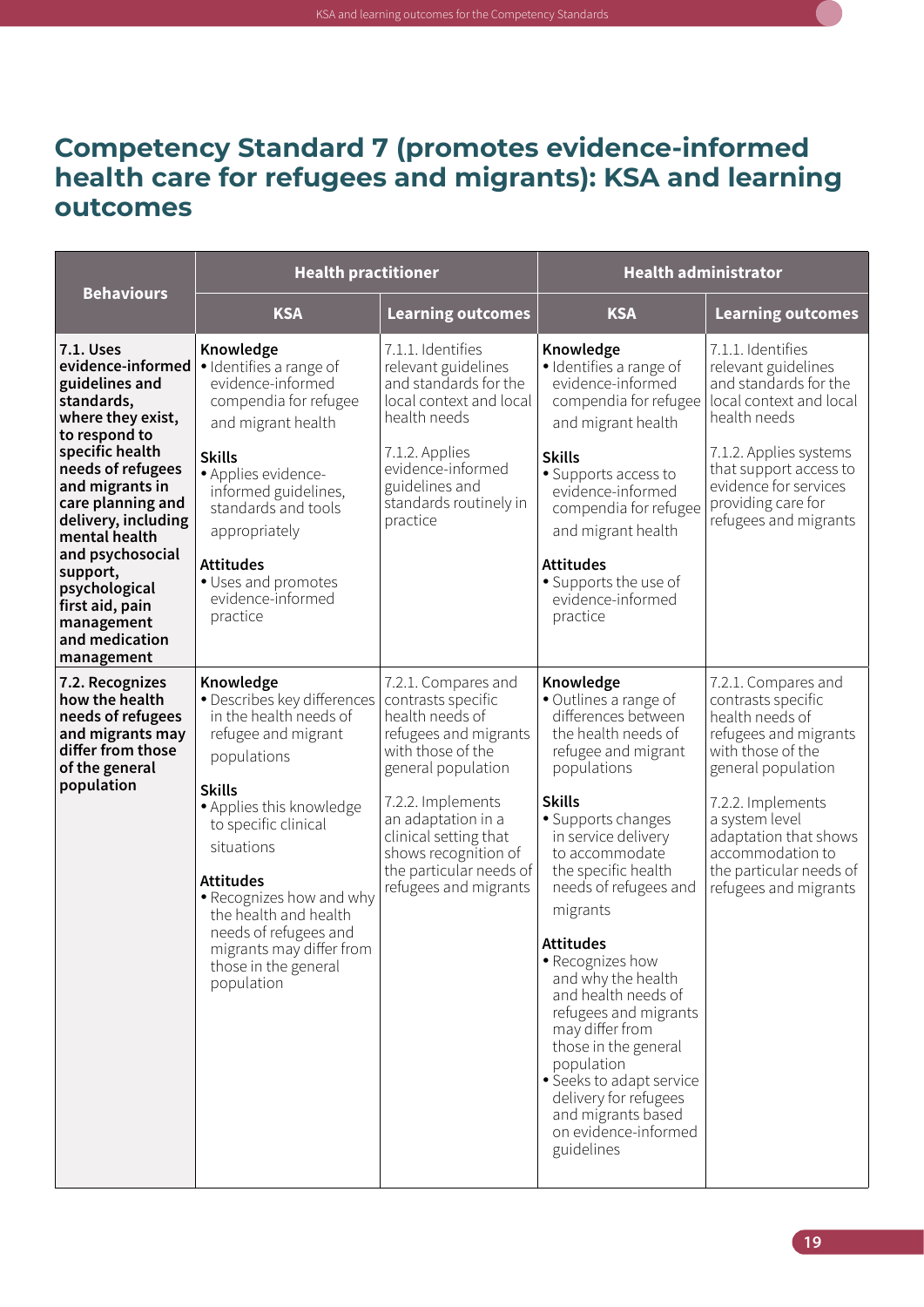

#### <span id="page-30-0"></span>**Competency Standard 7 (promotes evidence-informed health care for refugees and migrants): KSA and learning outcomes**

| <b>Behaviours</b>                                                                                                                                                                                                                                                                                                                              | <b>Health practitioner</b>                                                                                                                                                                                                                                                                                                                                      |                                                                                                                                                                                                                                                                                  | <b>Health administrator</b>                                                                                                                                                                                                                                                                                                                                                                                                                                                                                                                                |                                                                                                                                                                                                                                                                          |
|------------------------------------------------------------------------------------------------------------------------------------------------------------------------------------------------------------------------------------------------------------------------------------------------------------------------------------------------|-----------------------------------------------------------------------------------------------------------------------------------------------------------------------------------------------------------------------------------------------------------------------------------------------------------------------------------------------------------------|----------------------------------------------------------------------------------------------------------------------------------------------------------------------------------------------------------------------------------------------------------------------------------|------------------------------------------------------------------------------------------------------------------------------------------------------------------------------------------------------------------------------------------------------------------------------------------------------------------------------------------------------------------------------------------------------------------------------------------------------------------------------------------------------------------------------------------------------------|--------------------------------------------------------------------------------------------------------------------------------------------------------------------------------------------------------------------------------------------------------------------------|
|                                                                                                                                                                                                                                                                                                                                                | <b>KSA</b>                                                                                                                                                                                                                                                                                                                                                      | <b>Learning outcomes</b>                                                                                                                                                                                                                                                         | <b>KSA</b>                                                                                                                                                                                                                                                                                                                                                                                                                                                                                                                                                 | <b>Learning outcomes</b>                                                                                                                                                                                                                                                 |
| 7.1. Uses<br>evidence-informed<br>guidelines and<br>standards,<br>where they exist,<br>to respond to<br>specific health<br>needs of refugees<br>and migrants in<br>care planning and<br>delivery, including<br>mental health<br>and psychosocial<br>support,<br>psychological<br>first aid, pain<br>management<br>and medication<br>management | Knowledge<br>· Identifies a range of<br>evidence-informed<br>compendia for refugee<br>and migrant health<br><b>Skills</b><br>· Applies evidence-<br>informed guidelines,<br>standards and tools<br>appropriately<br><b>Attitudes</b><br>• Uses and promotes<br>evidence-informed<br>practice                                                                    | 7.1.1. Identifies<br>relevant guidelines<br>and standards for the<br>local context and local<br>health needs<br>7.1.2. Applies<br>evidence-informed<br>guidelines and<br>standards routinely in<br>practice                                                                      | Knowledge<br>· Identifies a range of<br>evidence-informed<br>compendia for refugee<br>and migrant health<br><b>Skills</b><br>• Supports access to<br>evidence-informed<br>compendia for refugee<br>and migrant health<br><b>Attitudes</b><br>• Supports the use of<br>evidence-informed<br>practice                                                                                                                                                                                                                                                        | 7.1.1. Identifies<br>relevant guidelines<br>and standards for the<br>local context and local<br>health needs<br>7.1.2. Applies systems<br>that support access to<br>evidence for services<br>providing care for<br>refugees and migrants                                 |
| 7.2. Recognizes<br>how the health<br>needs of refugees<br>and migrants may<br>differ from those<br>of the general<br>population                                                                                                                                                                                                                | Knowledge<br>• Describes key differences<br>in the health needs of<br>refugee and migrant<br>populations<br><b>Skills</b><br>• Applies this knowledge<br>to specific clinical<br>situations<br><b>Attitudes</b><br>• Recognizes how and why<br>the health and health<br>needs of refugees and<br>migrants may differ from<br>those in the general<br>population | 7.2.1. Compares and<br>contrasts specific<br>health needs of<br>refugees and migrants<br>with those of the<br>general population<br>7.2.2. Implements<br>an adaptation in a<br>clinical setting that<br>shows recognition of<br>the particular needs of<br>refugees and migrants | Knowledge<br>• Outlines a range of<br>differences between<br>the health needs of<br>refugee and migrant<br>populations<br><b>Skills</b><br>· Supports changes<br>in service delivery<br>to accommodate<br>the specific health<br>needs of refugees and<br>migrants<br><b>Attitudes</b><br>• Recognizes how<br>and why the health<br>and health needs of<br>refugees and migrants<br>may differ from<br>those in the general<br>population<br>· Seeks to adapt service<br>delivery for refugees<br>and migrants based<br>on evidence-informed<br>guidelines | 7.2.1. Compares and<br>contrasts specific<br>health needs of<br>refugees and migrants<br>with those of the<br>general population<br>7.2.2. Implements<br>a system level<br>adaptation that shows<br>accommodation to<br>the particular needs of<br>refugees and migrants |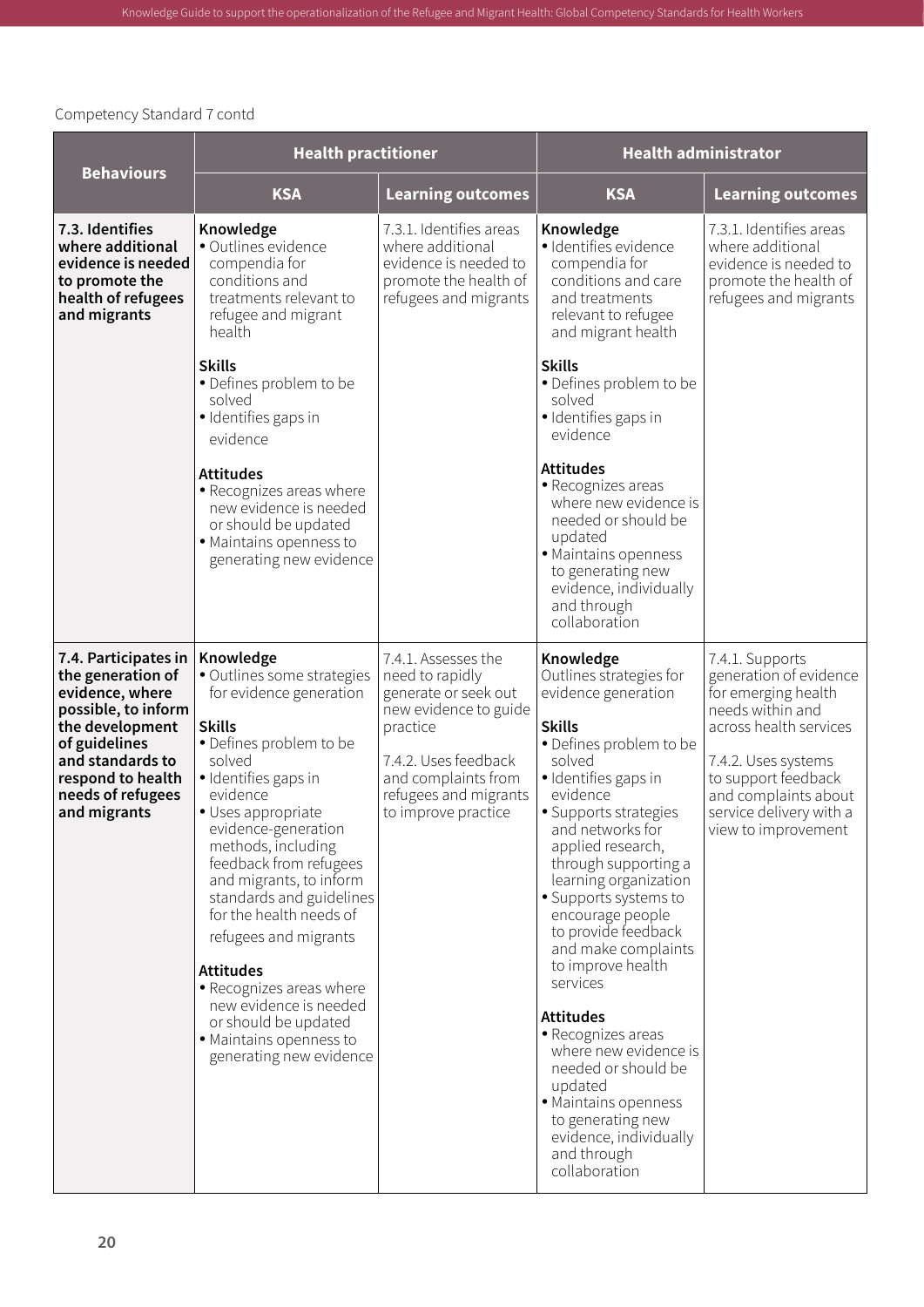|                                                                                                                                                                                                       | <b>Health practitioner</b>                                                                                                                                                                                                                                                                                                                                                                                                                                                                                                   |                                                                                                                                                                                                    | <b>Health administrator</b>                                                                                                                                                                                                                                                                                                                                                                                                                                                                                                                                                                                      |                                                                                                                                                                                                                                        |
|-------------------------------------------------------------------------------------------------------------------------------------------------------------------------------------------------------|------------------------------------------------------------------------------------------------------------------------------------------------------------------------------------------------------------------------------------------------------------------------------------------------------------------------------------------------------------------------------------------------------------------------------------------------------------------------------------------------------------------------------|----------------------------------------------------------------------------------------------------------------------------------------------------------------------------------------------------|------------------------------------------------------------------------------------------------------------------------------------------------------------------------------------------------------------------------------------------------------------------------------------------------------------------------------------------------------------------------------------------------------------------------------------------------------------------------------------------------------------------------------------------------------------------------------------------------------------------|----------------------------------------------------------------------------------------------------------------------------------------------------------------------------------------------------------------------------------------|
| <b>Behaviours</b>                                                                                                                                                                                     | <b>KSA</b>                                                                                                                                                                                                                                                                                                                                                                                                                                                                                                                   | <b>Learning outcomes</b>                                                                                                                                                                           | <b>KSA</b>                                                                                                                                                                                                                                                                                                                                                                                                                                                                                                                                                                                                       | <b>Learning outcomes</b>                                                                                                                                                                                                               |
| 7.3. Identifies<br>where additional<br>evidence is needed<br>to promote the<br>health of refugees<br>and migrants                                                                                     | Knowledge<br>· Outlines evidence<br>compendia for<br>conditions and<br>treatments relevant to<br>refugee and migrant<br>health<br><b>Skills</b>                                                                                                                                                                                                                                                                                                                                                                              | 7.3.1. Identifies areas<br>where additional<br>evidence is needed to<br>promote the health of<br>refugees and migrants                                                                             | Knowledge<br>· Identifies evidence<br>compendia for<br>conditions and care<br>and treatments<br>relevant to refugee<br>and migrant health<br><b>Skills</b>                                                                                                                                                                                                                                                                                                                                                                                                                                                       | 7.3.1. Identifies areas<br>where additional<br>evidence is needed to<br>promote the health of<br>refugees and migrants                                                                                                                 |
|                                                                                                                                                                                                       | • Defines problem to be<br>solved<br>· Identifies gaps in<br>evidence                                                                                                                                                                                                                                                                                                                                                                                                                                                        |                                                                                                                                                                                                    | • Defines problem to be<br>solved<br>· Identifies gaps in<br>evidence                                                                                                                                                                                                                                                                                                                                                                                                                                                                                                                                            |                                                                                                                                                                                                                                        |
|                                                                                                                                                                                                       | <b>Attitudes</b><br>• Recognizes areas where<br>new evidence is needed<br>or should be updated<br>· Maintains openness to<br>generating new evidence                                                                                                                                                                                                                                                                                                                                                                         |                                                                                                                                                                                                    | <b>Attitudes</b><br>• Recognizes areas<br>where new evidence is<br>needed or should be<br>updated<br>· Maintains openness<br>to generating new<br>evidence, individually<br>and through<br>collaboration                                                                                                                                                                                                                                                                                                                                                                                                         |                                                                                                                                                                                                                                        |
| 7.4. Participates in<br>the generation of<br>evidence, where<br>possible, to inform<br>the development<br>of guidelines<br>and standards to<br>respond to health<br>needs of refugees<br>and migrants | Knowledge<br>• Outlines some strategies<br>for evidence generation<br><b>Skills</b><br>• Defines problem to be<br>solved<br>· Identifies gaps in<br>evidence<br>· Uses appropriate<br>evidence-generation<br>methods, including<br>feedback from refugees<br>and migrants, to inform<br>standards and guidelines<br>for the health needs of<br>refugees and migrants<br><b>Attitudes</b><br>• Recognizes areas where<br>new evidence is needed<br>or should be updated<br>· Maintains openness to<br>generating new evidence | 7.4.1. Assesses the<br>need to rapidly<br>generate or seek out<br>new evidence to guide<br>practice<br>7.4.2. Uses feedback<br>and complaints from<br>refugees and migrants<br>to improve practice | Knowledge<br>Outlines strategies for<br>evidence generation<br><b>Skills</b><br>• Defines problem to be<br>solved<br>· Identifies gaps in<br>evidence<br>• Supports strategies<br>and networks for<br>applied research,<br>through supporting a<br>learning organization<br>• Supports systems to<br>encourage people<br>to provide feedback<br>and make complaints<br>to improve health<br>services<br><b>Attitudes</b><br>• Recognizes areas<br>where new evidence is<br>needed or should be<br>updated<br>• Maintains openness<br>to generating new<br>evidence, individually<br>and through<br>collaboration | 7.4.1. Supports<br>generation of evidence<br>for emerging health<br>needs within and<br>across health services<br>7.4.2. Uses systems<br>to support feedback<br>and complaints about<br>service delivery with a<br>view to improvement |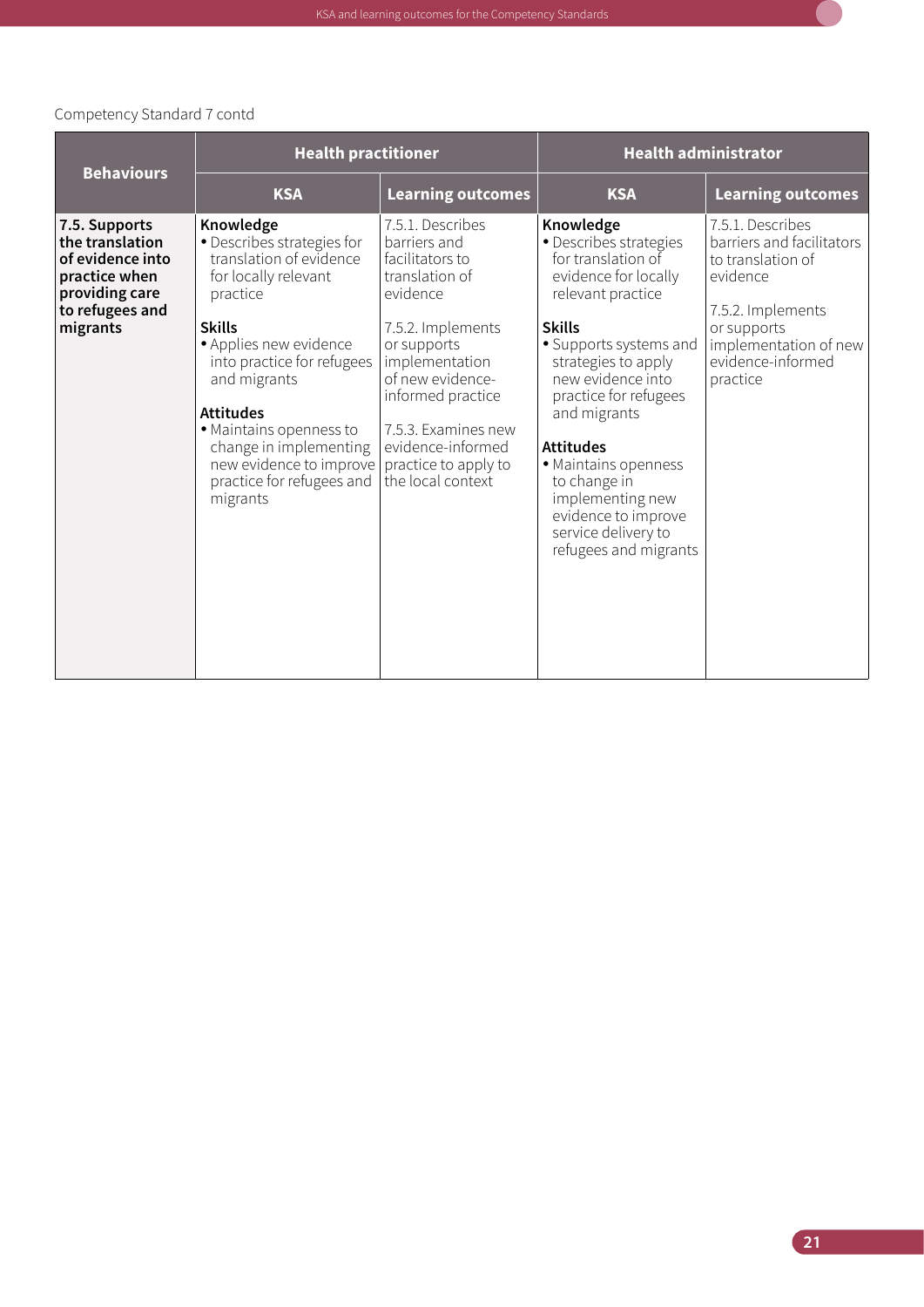<span id="page-32-0"></span>

|                                                                                                                        |                                                                                                                                                                                                                                                                                                                                              | <b>Health practitioner</b>                                                                                                                                                                                                                                                |                                                                                                                                                                                                                                                                                                                                                                                               | <b>Health administrator</b>                                                                                                                                                  |
|------------------------------------------------------------------------------------------------------------------------|----------------------------------------------------------------------------------------------------------------------------------------------------------------------------------------------------------------------------------------------------------------------------------------------------------------------------------------------|---------------------------------------------------------------------------------------------------------------------------------------------------------------------------------------------------------------------------------------------------------------------------|-----------------------------------------------------------------------------------------------------------------------------------------------------------------------------------------------------------------------------------------------------------------------------------------------------------------------------------------------------------------------------------------------|------------------------------------------------------------------------------------------------------------------------------------------------------------------------------|
| <b>Behaviours</b>                                                                                                      | <b>KSA</b>                                                                                                                                                                                                                                                                                                                                   | <b>Learning outcomes</b>                                                                                                                                                                                                                                                  | <b>KSA</b>                                                                                                                                                                                                                                                                                                                                                                                    | <b>Learning outcomes</b>                                                                                                                                                     |
| 7.5. Supports<br>the translation<br>of evidence into<br>practice when<br>providing care<br>to refugees and<br>migrants | Knowledge<br>• Describes strategies for<br>translation of evidence<br>for locally relevant<br>practice<br><b>Skills</b><br>• Applies new evidence<br>into practice for refugees<br>and migrants<br><b>Attitudes</b><br>• Maintains openness to<br>change in implementing<br>new evidence to improve<br>practice for refugees and<br>migrants | 7.5.1. Describes<br>barriers and<br>facilitators to<br>translation of<br>evidence<br>7.5.2. Implements<br>or supports<br>implementation<br>of new evidence-<br>informed practice<br>7.5.3. Examines new<br>evidence-informed<br>practice to apply to<br>the local context | Knowledge<br>· Describes strategies<br>for translation of<br>evidence for locally<br>relevant practice<br><b>Skills</b><br>• Supports systems and<br>strategies to apply<br>new evidence into<br>practice for refugees<br>and migrants<br><b>Attitudes</b><br>· Maintains openness<br>to change in<br>implementing new<br>evidence to improve<br>service delivery to<br>refugees and migrants | 7.5.1. Describes<br>barriers and facilitators<br>to translation of<br>evidence<br>7.5.2. Implements<br>or supports<br>implementation of new<br>evidence-informed<br>practice |

 $\Box$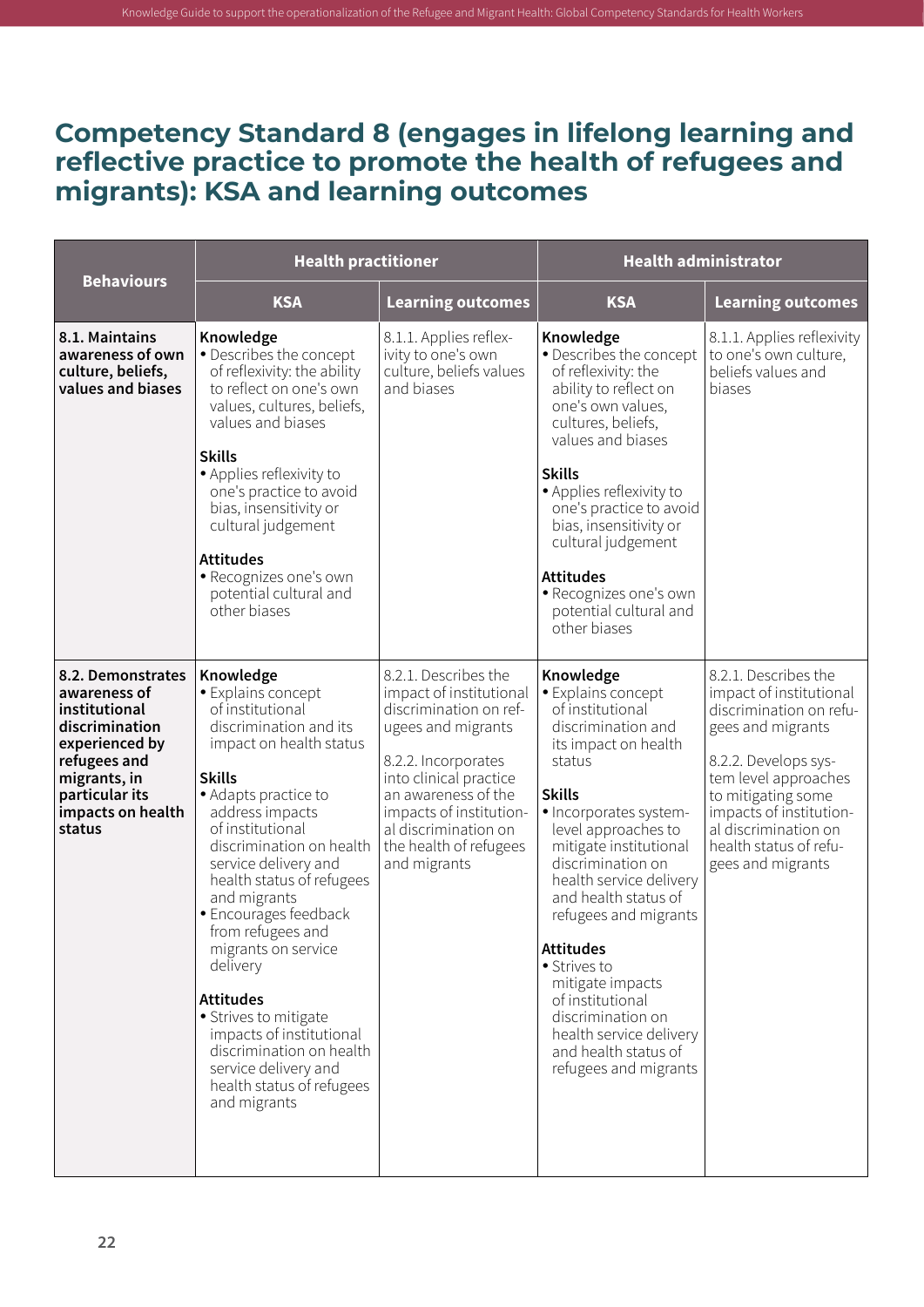#### **Competency Standard 8 (engages in lifelong learning and reflective practice to promote the health of refugees and migrants): KSA and learning outcomes**

|                                                                                                                                                                         | <b>Health practitioner</b>                                                                                                                                                                                                                                                                                                                                                                                                                                                                                                                           |                                                                                                                                                                                                                                                                      | <b>Health administrator</b>                                                                                                                                                                                                                                                                                                                                                                                                                                                           |                                                                                                                                                                                                                                                                         |
|-------------------------------------------------------------------------------------------------------------------------------------------------------------------------|------------------------------------------------------------------------------------------------------------------------------------------------------------------------------------------------------------------------------------------------------------------------------------------------------------------------------------------------------------------------------------------------------------------------------------------------------------------------------------------------------------------------------------------------------|----------------------------------------------------------------------------------------------------------------------------------------------------------------------------------------------------------------------------------------------------------------------|---------------------------------------------------------------------------------------------------------------------------------------------------------------------------------------------------------------------------------------------------------------------------------------------------------------------------------------------------------------------------------------------------------------------------------------------------------------------------------------|-------------------------------------------------------------------------------------------------------------------------------------------------------------------------------------------------------------------------------------------------------------------------|
| <b>Behaviours</b>                                                                                                                                                       | <b>KSA</b>                                                                                                                                                                                                                                                                                                                                                                                                                                                                                                                                           | <b>Learning outcomes</b>                                                                                                                                                                                                                                             | <b>KSA</b>                                                                                                                                                                                                                                                                                                                                                                                                                                                                            | <b>Learning outcomes</b>                                                                                                                                                                                                                                                |
| 8.1. Maintains<br>awareness of own<br>culture, beliefs,<br>values and biases                                                                                            | Knowledge<br>• Describes the concept<br>of reflexivity: the ability<br>to reflect on one's own<br>values, cultures, beliefs,<br>values and biases<br><b>Skills</b><br>• Applies reflexivity to<br>one's practice to avoid<br>bias, insensitivity or<br>cultural judgement<br><b>Attitudes</b><br>· Recognizes one's own<br>potential cultural and<br>other biases                                                                                                                                                                                    | 8.1.1. Applies reflex-<br>ivity to one's own<br>culture, beliefs values<br>and biases                                                                                                                                                                                | Knowledge<br>• Describes the concept<br>of reflexivity: the<br>ability to reflect on<br>one's own values,<br>cultures, beliefs,<br>values and biases<br><b>Skills</b><br>• Applies reflexivity to<br>one's practice to avoid<br>bias, insensitivity or<br>cultural judgement<br><b>Attitudes</b><br>· Recognizes one's own<br>potential cultural and<br>other biases                                                                                                                  | 8.1.1. Applies reflexivity<br>to one's own culture,<br>beliefs values and<br>biases                                                                                                                                                                                     |
| 8.2. Demonstrates<br>awareness of<br>institutional<br>discrimination<br>experienced by<br>refugees and<br>migrants, in<br>particular its<br>impacts on health<br>status | Knowledge<br>· Explains concept<br>of institutional<br>discrimination and its<br>impact on health status<br><b>Skills</b><br>• Adapts practice to<br>address impacts<br>of institutional<br>discrimination on health<br>service delivery and<br>health status of refugees<br>and migrants<br>· Encourages feedback<br>from refugees and<br>migrants on service<br>delivery<br><b>Attitudes</b><br>• Strives to mitigate<br>impacts of institutional<br>discrimination on health<br>service delivery and<br>health status of refugees<br>and migrants | 8.2.1. Describes the<br>impact of institutional<br>discrimination on ref-<br>ugees and migrants<br>8.2.2. Incorporates<br>into clinical practice<br>an awareness of the<br>impacts of institution-<br>al discrimination on<br>the health of refugees<br>and migrants | Knowledge<br>· Explains concept<br>of institutional<br>discrimination and<br>its impact on health<br>status<br><b>Skills</b><br>· Incorporates system-<br>level approaches to<br>mitigate institutional<br>discrimination on<br>health service delivery<br>and health status of<br>refugees and migrants<br><b>Attitudes</b><br>• Strives to<br>mitigate impacts<br>of institutional<br>discrimination on<br>health service delivery<br>and health status of<br>refugees and migrants | 8.2.1. Describes the<br>impact of institutional<br>discrimination on refu-<br>gees and migrants<br>8.2.2. Develops sys-<br>tem level approaches<br>to mitigating some<br>impacts of institution-<br>al discrimination on<br>health status of refu-<br>gees and migrants |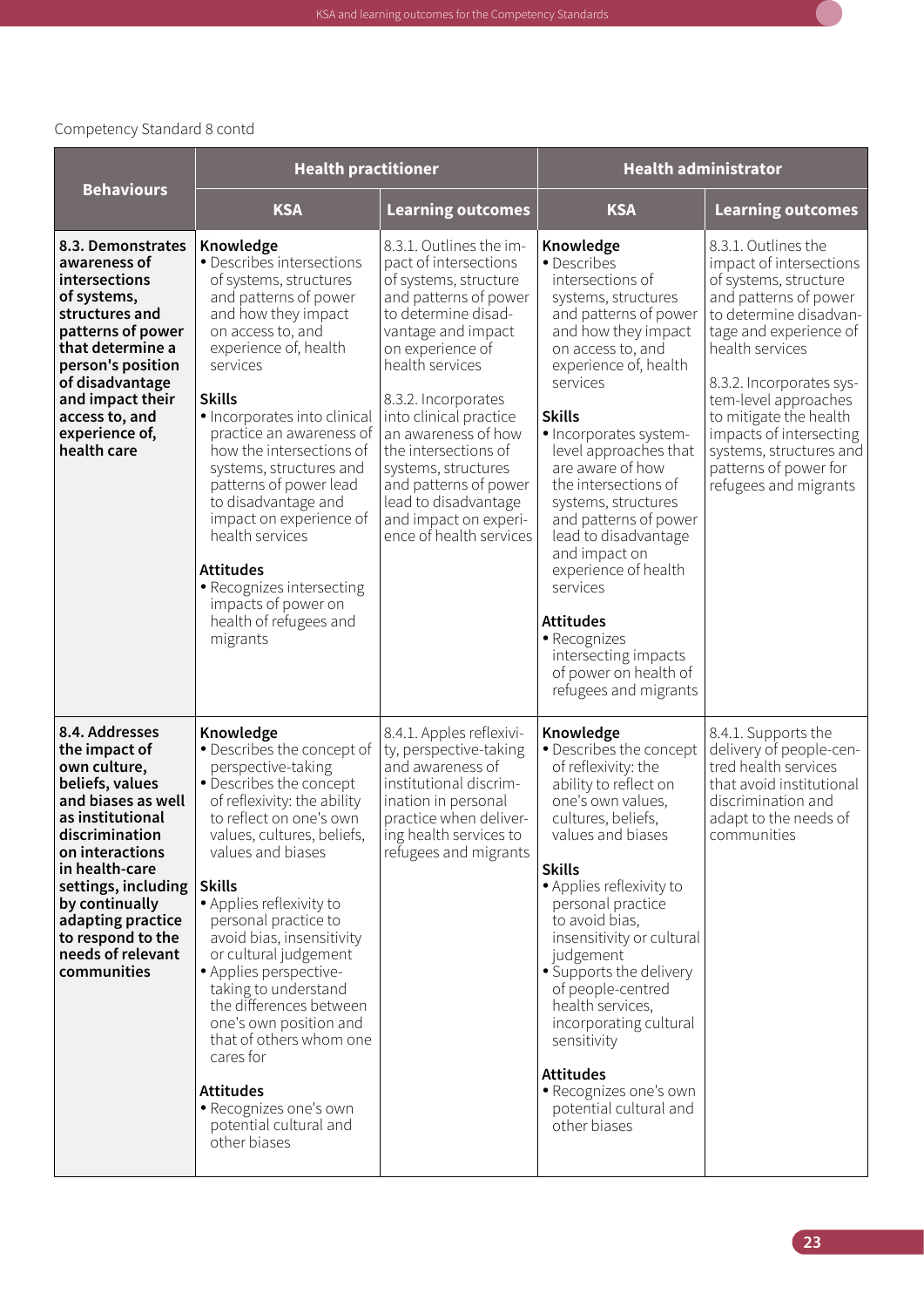<span id="page-34-0"></span>

|                                                                                                                                                                                                                                                                                            | <b>Health practitioner</b>                                                                                                                                                                                                                                                                                                                                                                                                                                                                                                                                              |                                                                                                                                                                                                                                                                                                                                                                                                                    | <b>Health administrator</b>                                                                                                                                                                                                                                                                                                                                                                                                                                                                                                              |                                                                                                                                                                                                                                                                                                                                                               |
|--------------------------------------------------------------------------------------------------------------------------------------------------------------------------------------------------------------------------------------------------------------------------------------------|-------------------------------------------------------------------------------------------------------------------------------------------------------------------------------------------------------------------------------------------------------------------------------------------------------------------------------------------------------------------------------------------------------------------------------------------------------------------------------------------------------------------------------------------------------------------------|--------------------------------------------------------------------------------------------------------------------------------------------------------------------------------------------------------------------------------------------------------------------------------------------------------------------------------------------------------------------------------------------------------------------|------------------------------------------------------------------------------------------------------------------------------------------------------------------------------------------------------------------------------------------------------------------------------------------------------------------------------------------------------------------------------------------------------------------------------------------------------------------------------------------------------------------------------------------|---------------------------------------------------------------------------------------------------------------------------------------------------------------------------------------------------------------------------------------------------------------------------------------------------------------------------------------------------------------|
| <b>Behaviours</b>                                                                                                                                                                                                                                                                          | <b>KSA</b>                                                                                                                                                                                                                                                                                                                                                                                                                                                                                                                                                              | <b>Learning outcomes</b>                                                                                                                                                                                                                                                                                                                                                                                           | <b>KSA</b>                                                                                                                                                                                                                                                                                                                                                                                                                                                                                                                               | <b>Learning outcomes</b>                                                                                                                                                                                                                                                                                                                                      |
| 8.3. Demonstrates<br>awareness of<br>intersections<br>of systems,<br>structures and<br>patterns of power<br>that determine a<br>person's position<br>of disadvantage<br>and impact their<br>access to, and<br>experience of,<br>health care                                                | Knowledge<br>• Describes intersections<br>of systems, structures<br>and patterns of power<br>and how they impact<br>on access to, and<br>experience of, health<br>services<br><b>Skills</b><br>• Incorporates into clinical<br>practice an awareness of<br>how the intersections of<br>systems, structures and<br>patterns of power lead<br>to disadvantage and<br>impact on experience of<br>health services<br><b>Attitudes</b><br>• Recognizes intersecting<br>impacts of power on<br>health of refugees and<br>migrants                                             | 8.3.1. Outlines the im-<br>pact of intersections<br>of systems, structure<br>and patterns of power<br>to determine disad-<br>vantage and impact<br>on experience of<br>health services<br>8.3.2. Incorporates<br>into clinical practice<br>an awareness of how<br>the intersections of<br>systems, structures<br>and patterns of power<br>lead to disadvantage<br>and impact on experi-<br>ence of health services | Knowledge<br>• Describes<br>intersections of<br>systems, structures<br>and patterns of power<br>and how they impact<br>on access to, and<br>experience of, health<br>services<br><b>Skills</b><br>· Incorporates system-<br>level approaches that<br>are aware of how<br>the intersections of<br>systems, structures<br>and patterns of power<br>lead to disadvantage<br>and impact on<br>experience of health<br>services<br><b>Attitudes</b><br>• Recognizes<br>intersecting impacts<br>of power on health of<br>refugees and migrants | 8.3.1. Outlines the<br>impact of intersections<br>of systems, structure<br>and patterns of power<br>to determine disadvan-<br>tage and experience of<br>health services<br>8.3.2. Incorporates sys-<br>tem-level approaches<br>to mitigate the health<br>impacts of intersecting<br>systems, structures and<br>patterns of power for<br>refugees and migrants |
| 8.4. Addresses<br>the impact of<br>own culture,<br>beliefs, values<br>and biases as well<br>as institutional<br>discrimination<br>on interactions<br>in health-care<br>settings, including<br>by continually<br>adapting practice<br>to respond to the<br>needs of relevant<br>communities | Knowledge<br>· Describes the concept of<br>perspective-taking<br>· Describes the concept<br>of reflexivity: the ability<br>to reflect on one's own<br>values, cultures, beliefs,<br>values and biases<br><b>Skills</b><br>• Applies reflexivity to<br>personal practice to<br>avoid bias, insensitivity<br>or cultural judgement<br>• Applies perspective-<br>taking to understand<br>the differences between<br>one's own position and<br>that of others whom one<br>cares for<br><b>Attitudes</b><br>• Recognizes one's own<br>potential cultural and<br>other biases | 8.4.1. Apples reflexivi-<br>ty, perspective-taking<br>and awareness of<br>institutional discrim-<br>ination in personal<br>practice when deliver-<br>ing health services to<br>refugees and migrants                                                                                                                                                                                                               | Knowledge<br>· Describes the concept<br>of reflexivity: the<br>ability to reflect on<br>one's own values,<br>cultures, beliefs,<br>values and biases<br><b>Skills</b><br>• Applies reflexivity to<br>personal practice<br>to avoid bias,<br>insensitivity or cultural<br>judgement<br>• Supports the delivery<br>of people-centred<br>health services,<br>incorporating cultural<br>sensitivity<br><b>Attitudes</b><br>• Recognizes one's own<br>potential cultural and<br>other biases                                                  | 8.4.1. Supports the<br>delivery of people-cen-<br>tred health services<br>that avoid institutional<br>discrimination and<br>adapt to the needs of<br>communities                                                                                                                                                                                              |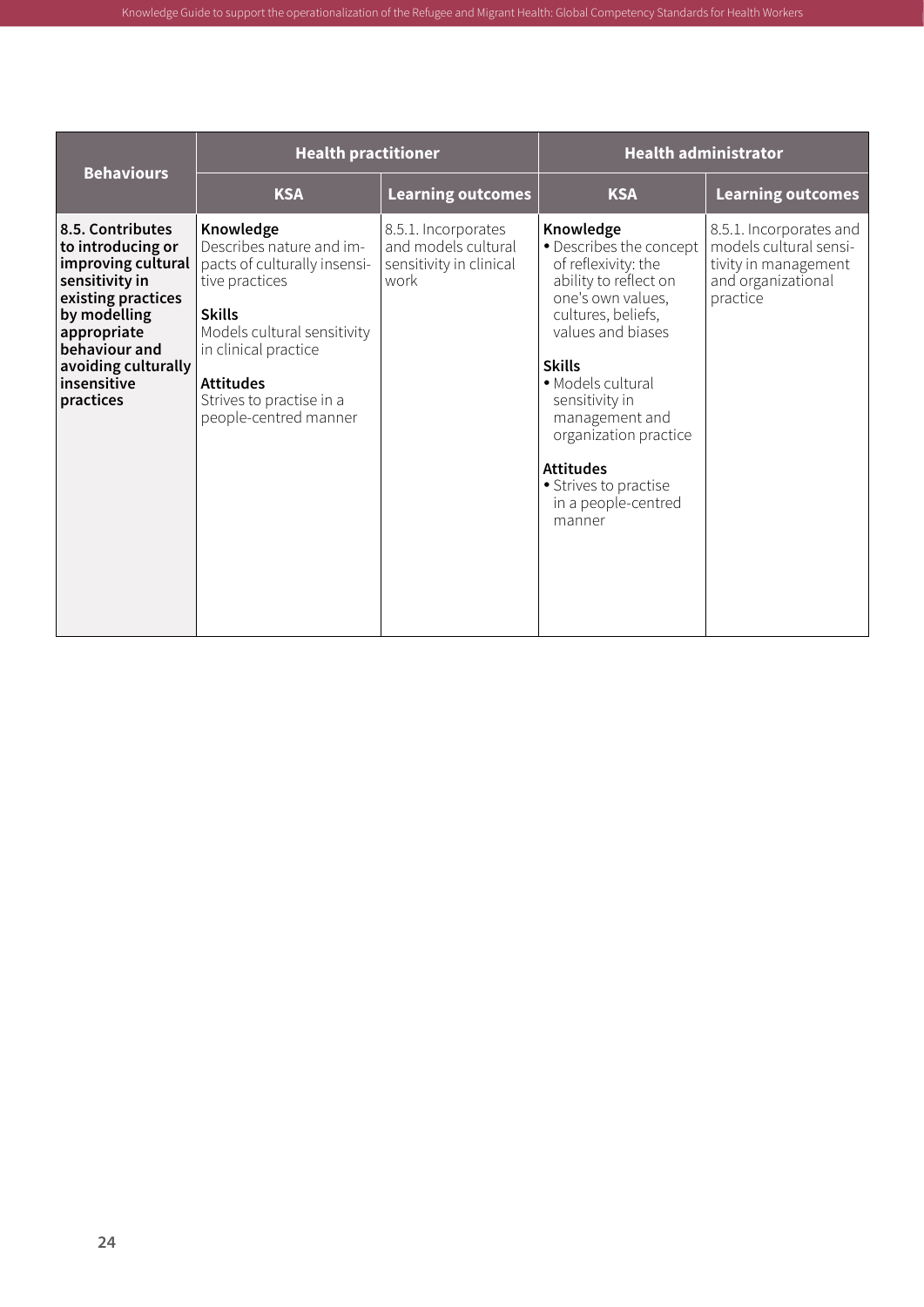| <b>Behaviours</b>                                                                                                                                                                                      |                                                                                                                                                                                                                                          | <b>Health practitioner</b>                                                    |                                                                                                                                                                                                                                                                                                                                       | <b>Health administrator</b>                                                                                 |
|--------------------------------------------------------------------------------------------------------------------------------------------------------------------------------------------------------|------------------------------------------------------------------------------------------------------------------------------------------------------------------------------------------------------------------------------------------|-------------------------------------------------------------------------------|---------------------------------------------------------------------------------------------------------------------------------------------------------------------------------------------------------------------------------------------------------------------------------------------------------------------------------------|-------------------------------------------------------------------------------------------------------------|
|                                                                                                                                                                                                        | <b>KSA</b>                                                                                                                                                                                                                               | <b>Learning outcomes</b>                                                      | <b>KSA</b>                                                                                                                                                                                                                                                                                                                            | <b>Learning outcomes</b>                                                                                    |
| 8.5. Contributes<br>to introducing or<br>improving cultural<br>sensitivity in<br>existing practices<br>by modelling<br>appropriate<br>behaviour and<br>avoiding culturally<br>insensitive<br>practices | Knowledge<br>Describes nature and im-<br>pacts of culturally insensi-<br>tive practices<br><b>Skills</b><br>Models cultural sensitivity<br>in clinical practice<br><b>Attitudes</b><br>Strives to practise in a<br>people-centred manner | 8.5.1. Incorporates<br>and models cultural<br>sensitivity in clinical<br>work | Knowledge<br>• Describes the concept<br>of reflexivity: the<br>ability to reflect on<br>one's own values,<br>cultures, beliefs,<br>values and biases<br><b>Skills</b><br>• Models cultural<br>sensitivity in<br>management and<br>organization practice<br><b>Attitudes</b><br>• Strives to practise<br>in a people-centred<br>manner | 8.5.1. Incorporates and<br>models cultural sensi-<br>tivity in management<br>and organizational<br>practice |

Knowledge Guide to support the operationalization of the Refugee and Migrant Health: Global Competency Standards for Health Workers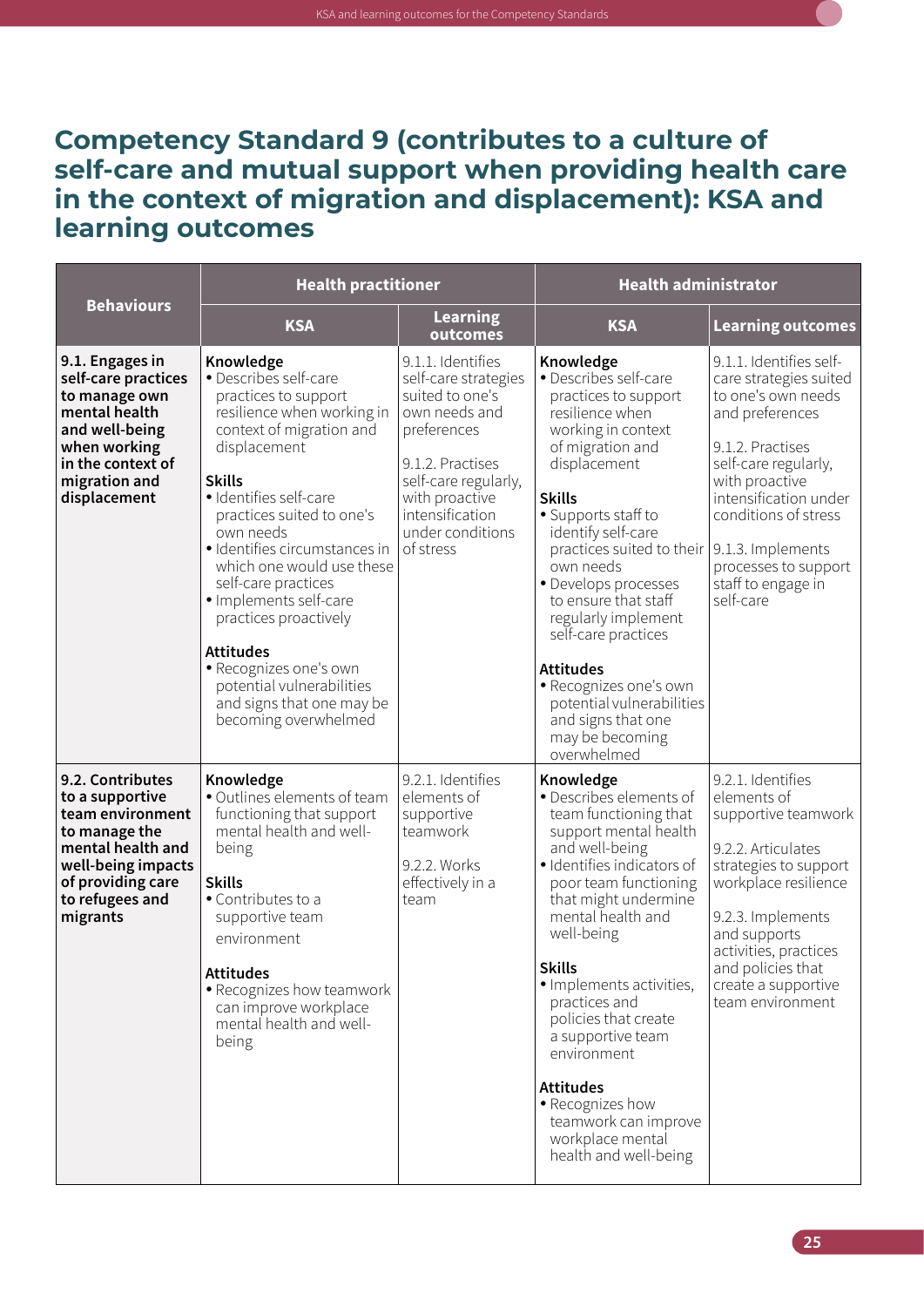

| <b>Behaviours</b>                                                                                                                                                       | <b>Health practitioner</b>                                                                                                                                                                                                                                                                                                                                                                                                                                                                        |                                                                                                                                                                                                                | <b>Health administrator</b>                                                                                                                                                                                                                                                                                                                                                                                                                                                                          |                                                                                                                                                                                                                                                                      |
|-------------------------------------------------------------------------------------------------------------------------------------------------------------------------|---------------------------------------------------------------------------------------------------------------------------------------------------------------------------------------------------------------------------------------------------------------------------------------------------------------------------------------------------------------------------------------------------------------------------------------------------------------------------------------------------|----------------------------------------------------------------------------------------------------------------------------------------------------------------------------------------------------------------|------------------------------------------------------------------------------------------------------------------------------------------------------------------------------------------------------------------------------------------------------------------------------------------------------------------------------------------------------------------------------------------------------------------------------------------------------------------------------------------------------|----------------------------------------------------------------------------------------------------------------------------------------------------------------------------------------------------------------------------------------------------------------------|
|                                                                                                                                                                         | <b>KSA</b>                                                                                                                                                                                                                                                                                                                                                                                                                                                                                        | <b>Learning</b><br>outcomes                                                                                                                                                                                    | <b>KSA</b>                                                                                                                                                                                                                                                                                                                                                                                                                                                                                           | <b>Learning outcomes</b>                                                                                                                                                                                                                                             |
| 9.1. Engages in<br>self-care practices<br>to manage own<br>mental health<br>and well-being<br>when working<br>in the context of<br>migration and<br>displacement        | Knowledge<br>· Describes self-care<br>practices to support<br>resilience when working in<br>context of migration and<br>displacement<br><b>Skills</b><br>· Identifies self-care<br>practices suited to one's<br>own needs<br>· Identifies circumstances in<br>which one would use these<br>self-care practices<br>· Implements self-care<br>practices proactively<br><b>Attitudes</b><br>· Recognizes one's own<br>potential vulnerabilities<br>and signs that one may be<br>becoming overwhelmed | 9.1.1. Identifies<br>self-care strategies<br>suited to one's<br>own needs and<br>preferences<br>9.1.2. Practises<br>self-care regularly,<br>with proactive<br>intensification<br>under conditions<br>of stress | Knowledge<br>• Describes self-care<br>practices to support<br>resilience when<br>working in context<br>of migration and<br>displacement<br><b>Skills</b><br>• Supports staff to<br>identify self-care<br>practices suited to their   9.1.3. Implements<br>own needs<br>· Develops processes<br>to ensure that staff<br>regularly implement<br>self-care practices<br><b>Attitudes</b><br>· Recognizes one's own<br>potential vulnerabilities<br>and signs that one<br>may be becoming<br>overwhelmed | 9.1.1. Identifies self-<br>care strategies suited<br>to one's own needs<br>and preferences<br>9.1.2. Practises<br>self-care regularly,<br>with proactive<br>intensification under<br>conditions of stress<br>processes to support<br>staff to engage in<br>self-care |
| 9.2. Contributes<br>to a supportive<br>team environment<br>to manage the<br>mental health and<br>well-being impacts<br>of providing care<br>to refugees and<br>migrants | Knowledge<br>· Outlines elements of team<br>functioning that support<br>mental health and well-<br>being<br><b>Skills</b><br>• Contributes to a<br>supportive team<br>environment<br><b>Attitudes</b><br>• Recognizes how teamwork<br>can improve workplace<br>mental health and well-<br>being                                                                                                                                                                                                   | 9.2.1. Identifies<br>elements of<br>supportive<br>teamwork<br>9.2.2. Works<br>effectively in a<br>team                                                                                                         | Knowledge<br>· Describes elements of<br>team functioning that<br>support mental health<br>and well-being<br>· Identifies indicators of<br>poor team functioning<br>that might undermine<br>mental health and<br>well-being<br><b>Skills</b><br>· Implements activities,<br>practices and<br>policies that create<br>a supportive team<br>environment<br><b>Attitudes</b><br>• Recognizes how<br>teamwork can improve<br>workplace mental<br>health and well-being                                    | 9.2.1. Identifies<br>elements of<br>supportive teamwork<br>9.2.2. Articulates<br>strategies to support<br>workplace resilience<br>9.2.3. Implements<br>and supports<br>activities, practices<br>and policies that<br>create a supportive<br>team environment         |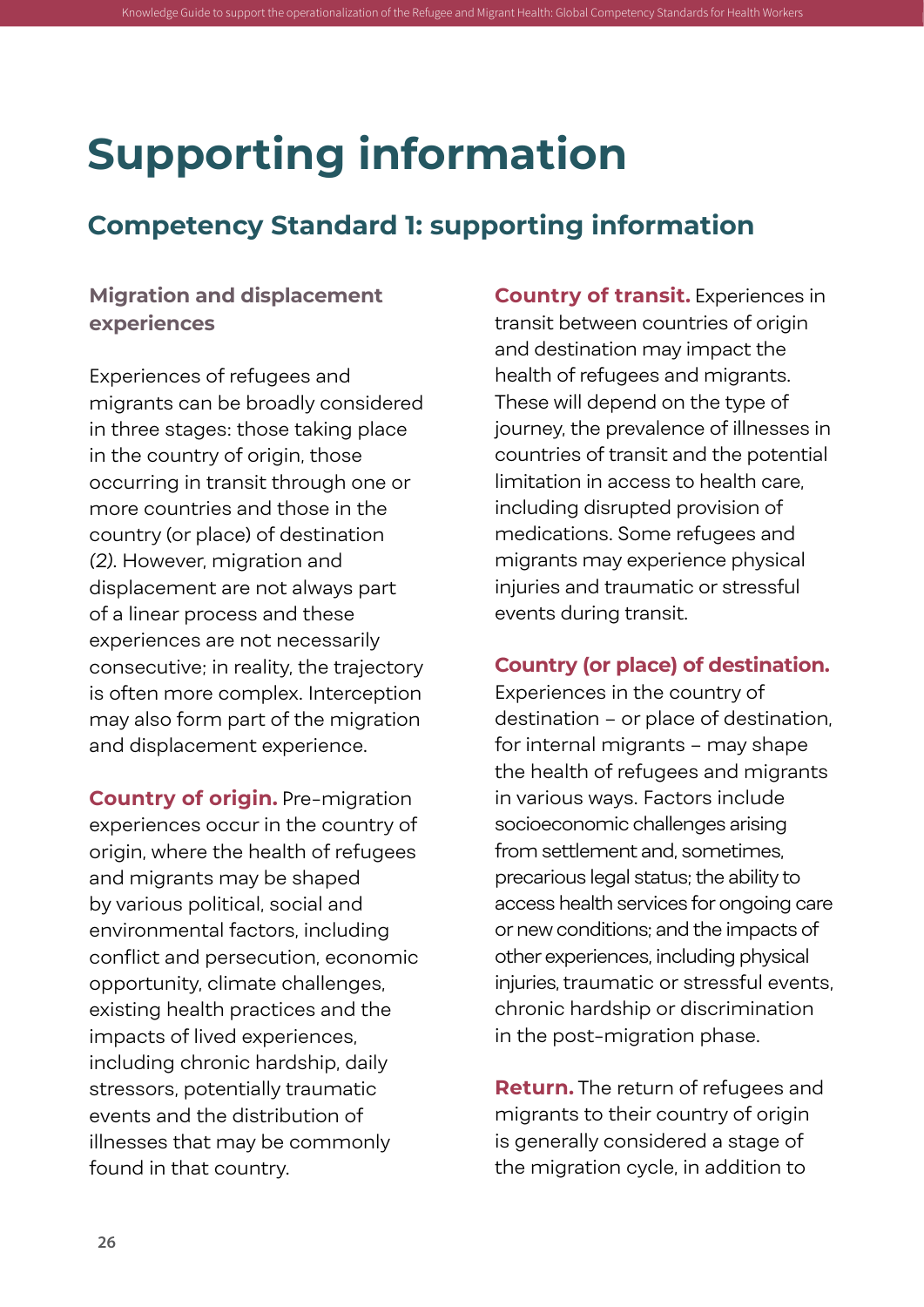## **Supporting information**

### **Competency Standard 1: supporting information**

<span id="page-37-0"></span>Knowledge Guide to support the operationalization of the Refugee and Migrant Health: Global Competency Standards for Health Workers

#### **Migration and displacement experiences**

Experiences of refugees and migrants can be broadly considered in three stages: those taking place in the country of origin, those occurring in transit through one or more countries and those in the country (or place) of destination *(2)*. However, migration and displacement are not always part of a linear process and these experiences are not necessarily consecutive; in reality, the trajectory is often more complex. Interception may also form part of the migration and displacement experience.

**Country of origin.** Pre-migration experiences occur in the country of origin, where the health of refugees and migrants may be shaped by various political, social and environmental factors, including conflict and persecution, economic opportunity, climate challenges, existing health practices and the impacts of lived experiences, including chronic hardship, daily stressors, potentially traumatic events and the distribution of illnesses that may be commonly found in that country.

**Country of transit.** Experiences in transit between countries of origin and destination may impact the health of refugees and migrants. These will depend on the type of journey, the prevalence of illnesses in countries of transit and the potential limitation in access to health care, including disrupted provision of medications. Some refugees and migrants may experience physical injuries and traumatic or stressful events during transit.

#### **Country (or place) of destination.**

Experiences in the country of destination – or place of destination, for internal migrants – may shape the health of refugees and migrants in various ways. Factors include socioeconomic challenges arising from settlement and, sometimes, precarious legal status; the ability to access health services for ongoing care or new conditions; and the impacts of other experiences, including physical injuries, traumatic or stressful events, chronic hardship or discrimination in the post-migration phase.

**Return.** The return of refugees and migrants to their country of origin is generally considered a stage of the migration cycle, in addition to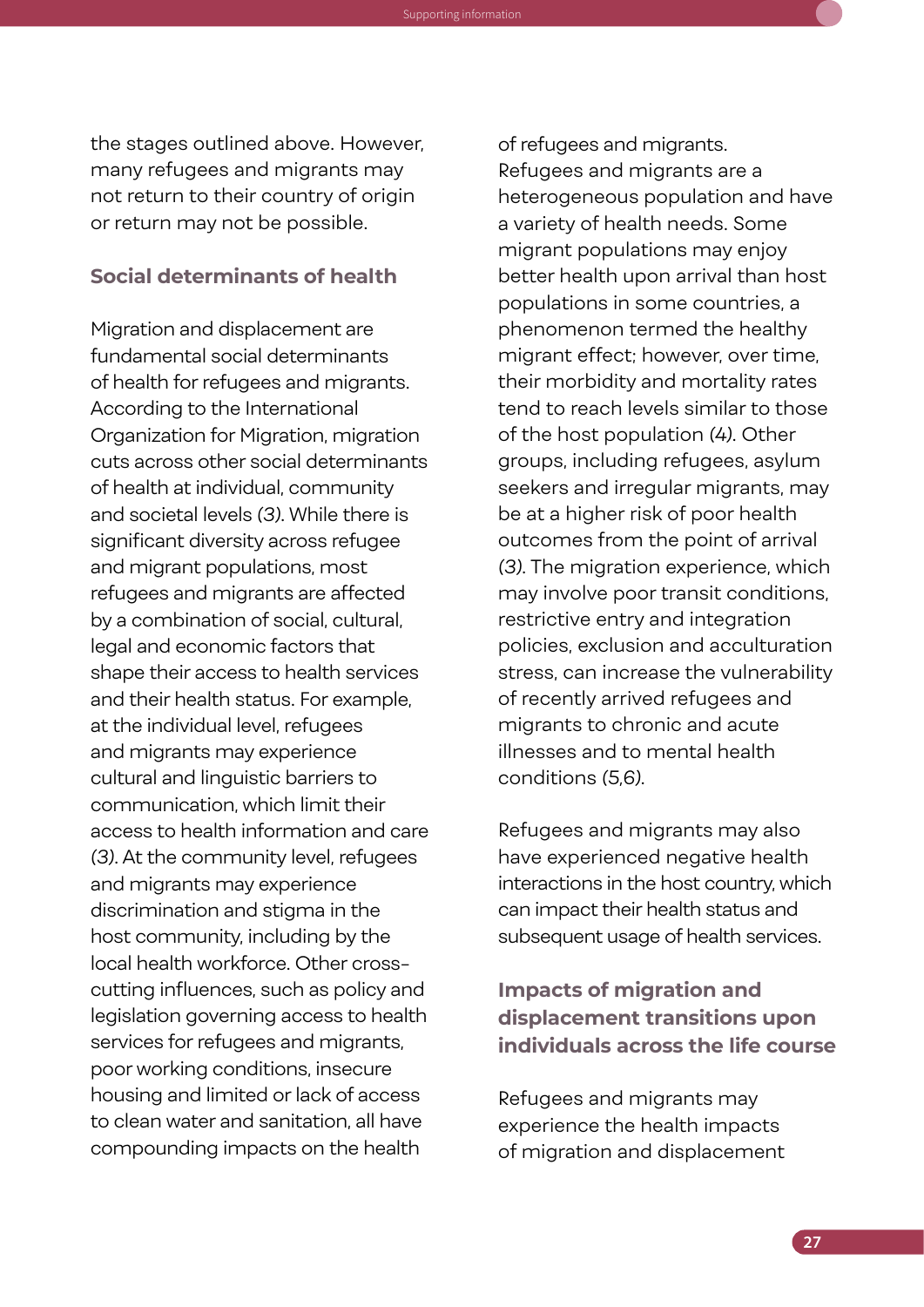the stages outlined above. However, many refugees and migrants may not return to their country of origin or return may not be possible.

Knowledge Guide to support the operationalization of the Refugee and Migrant Health: Global Competency Standards for Health Workers Supporting information

#### **Social determinants of health**

Migration and displacement are fundamental social determinants of health for refugees and migrants. According to the International Organization for Migration, migration cuts across other social determinants of health at individual, community and societal levels *(3)*. While there is significant diversity across refugee and migrant populations, most refugees and migrants are affected by a combination of social, cultural, legal and economic factors that shape their access to health services and their health status. For example, at the individual level, refugees and migrants may experience cultural and linguistic barriers to communication, which limit their access to health information and care *(3)*. At the community level, refugees and migrants may experience discrimination and stigma in the host community, including by the local health workforce. Other crosscutting influences, such as policy and legislation governing access to health services for refugees and migrants, poor working conditions, insecure housing and limited or lack of access to clean water and sanitation, all have compounding impacts on the health

of refugees and migrants. Refugees and migrants are a heterogeneous population and have a variety of health needs. Some migrant populations may enjoy better health upon arrival than host populations in some countries, a phenomenon termed the healthy migrant effect; however, over time, their morbidity and mortality rates tend to reach levels similar to those of the host population *(4)*. Other groups, including refugees, asylum seekers and irregular migrants, may be at a higher risk of poor health outcomes from the point of arrival *(3)*. The migration experience, which may involve poor transit conditions, restrictive entry and integration policies, exclusion and acculturation stress, can increase the vulnerability of recently arrived refugees and migrants to chronic and acute illnesses and to mental health conditions *(5,6)*.

Refugees and migrants may also have experienced negative health interactions in the host country, which can impact their health status and subsequent usage of health services.

#### **Impacts of migration and displacement transitions upon individuals across the life course**

Refugees and migrants may experience the health impacts of migration and displacement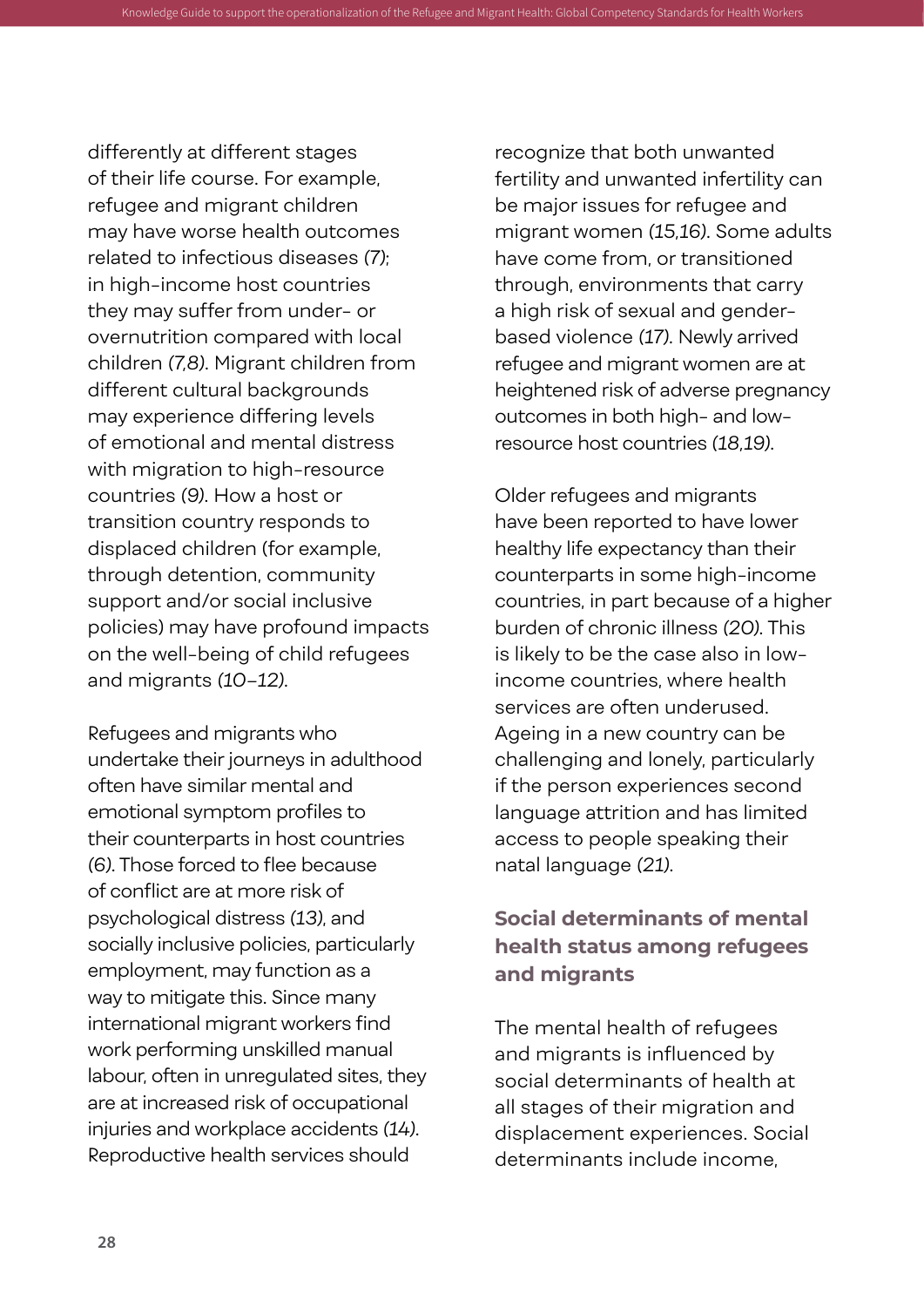differently at different stages of their life course. For example, refugee and migrant children may have worse health outcomes related to infectious diseases *(7)*; in high-income host countries they may suffer from under- or overnutrition compared with local children *(7,8)*. Migrant children from different cultural backgrounds may experience differing levels of emotional and mental distress with migration to high-resource countries *(9)*. How a host or transition country responds to displaced children (for example, through detention, community support and/or social inclusive policies) may have profound impacts on the well-being of child refugees and migrants *(10–12)*.

Refugees and migrants who undertake their journeys in adulthood often have similar mental and emotional symptom profiles to their counterparts in host countries *(6)*. Those forced to flee because of conflict are at more risk of psychological distress *(13)*, and socially inclusive policies, particularly employment, may function as a way to mitigate this. Since many international migrant workers find work performing unskilled manual labour, often in unregulated sites, they are at increased risk of occupational injuries and workplace accidents *(14)*. Reproductive health services should

recognize that both unwanted fertility and unwanted infertility can be major issues for refugee and migrant women *(15,16)*. Some adults have come from, or transitioned through, environments that carry a high risk of sexual and genderbased violence *(17)*. Newly arrived refugee and migrant women are at heightened risk of adverse pregnancy outcomes in both high- and lowresource host countries *(18,19)*.

operationalization of the Refugee and Migrant Health: Global Comp

Older refugees and migrants have been reported to have lower healthy life expectancy than their counterparts in some high-income countries, in part because of a higher burden of chronic illness *(20)*. This is likely to be the case also in lowincome countries, where health services are often underused. Ageing in a new country can be challenging and lonely, particularly if the person experiences second language attrition and has limited access to people speaking their natal language *(21)*.

#### **Social determinants of mental health status among refugees and migrants**

The mental health of refugees and migrants is influenced by social determinants of health at all stages of their migration and displacement experiences. Social determinants include income,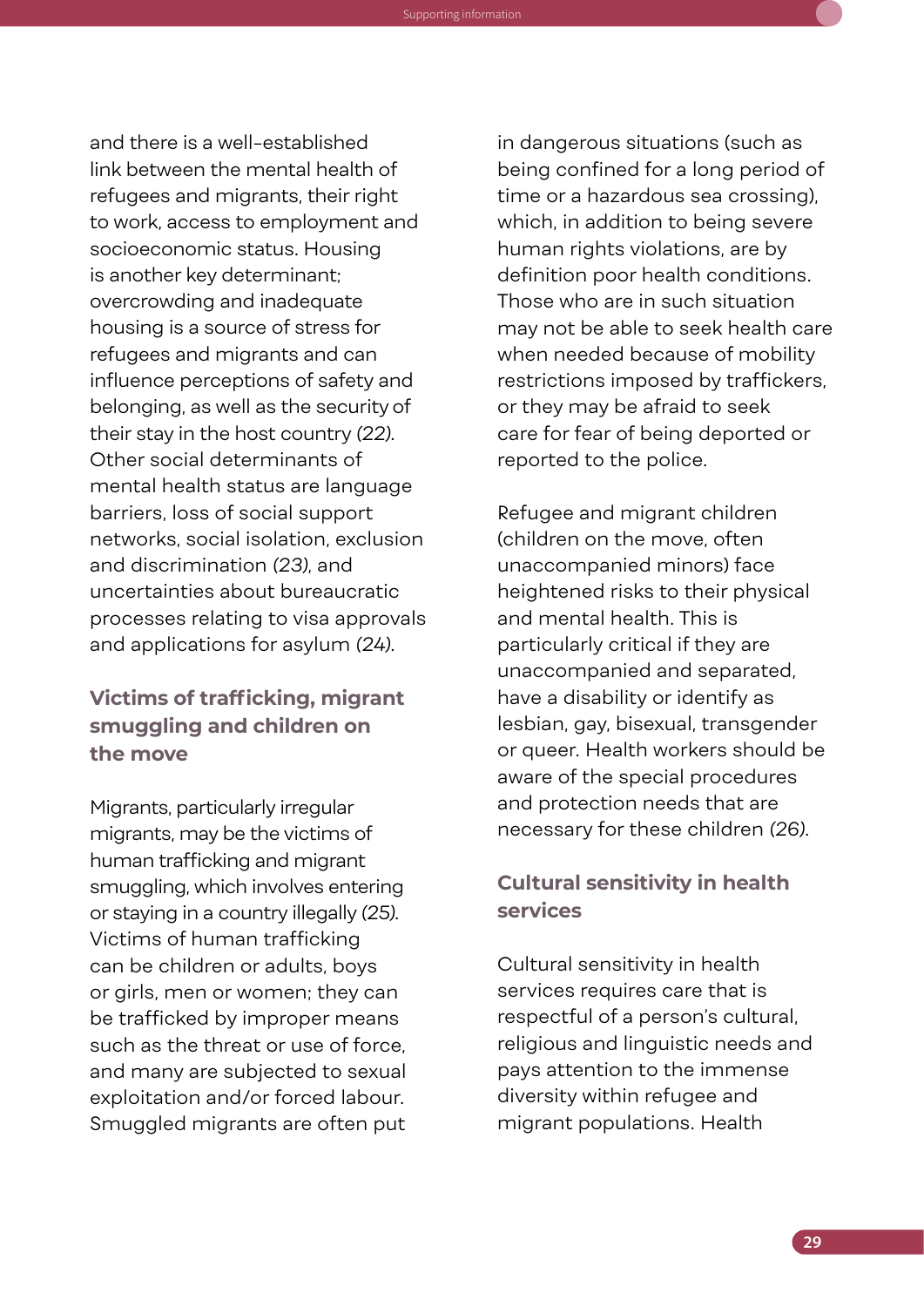and there is a well-established link between the mental health of refugees and migrants, their right to work, access to employment and socioeconomic status. Housing is another key determinant; overcrowding and inadequate housing is a source of stress for refugees and migrants and can influence perceptions of safety and belonging, as well as the security of their stay in the host country *(22)*. Other social determinants of mental health status are language barriers, loss of social support networks, social isolation, exclusion and discrimination *(23)*, and uncertainties about bureaucratic processes relating to visa approvals and applications for asylum *(24)*.

Knowledge Guide to support the operationalization of the Refugee and Migrant Health: Global Competency Standards for Health Workers Supporting information

#### **Victims of trafficking, migrant smuggling and children on the move**

Migrants, particularly irregular migrants, may be the victims of human trafficking and migrant smuggling, which involves entering or staying in a country illegally *(25)*. Victims of human trafficking can be children or adults, boys or girls, men or women; they can be trafficked by improper means such as the threat or use of force, and many are subjected to sexual exploitation and/or forced labour. Smuggled migrants are often put

in dangerous situations (such as being confined for a long period of time or a hazardous sea crossing), which, in addition to being severe human rights violations, are by definition poor health conditions. Those who are in such situation may not be able to seek health care when needed because of mobility restrictions imposed by traffickers, or they may be afraid to seek care for fear of being deported or reported to the police.

Refugee and migrant children (children on the move, often unaccompanied minors) face heightened risks to their physical and mental health. This is particularly critical if they are unaccompanied and separated, have a disability or identify as lesbian, gay, bisexual, transgender or queer. Health workers should be aware of the special procedures and protection needs that are necessary for these children *(26)*.

#### **Cultural sensitivity in health services**

Cultural sensitivity in health services requires care that is respectful of a person's cultural, religious and linguistic needs and pays attention to the immense diversity within refugee and migrant populations. Health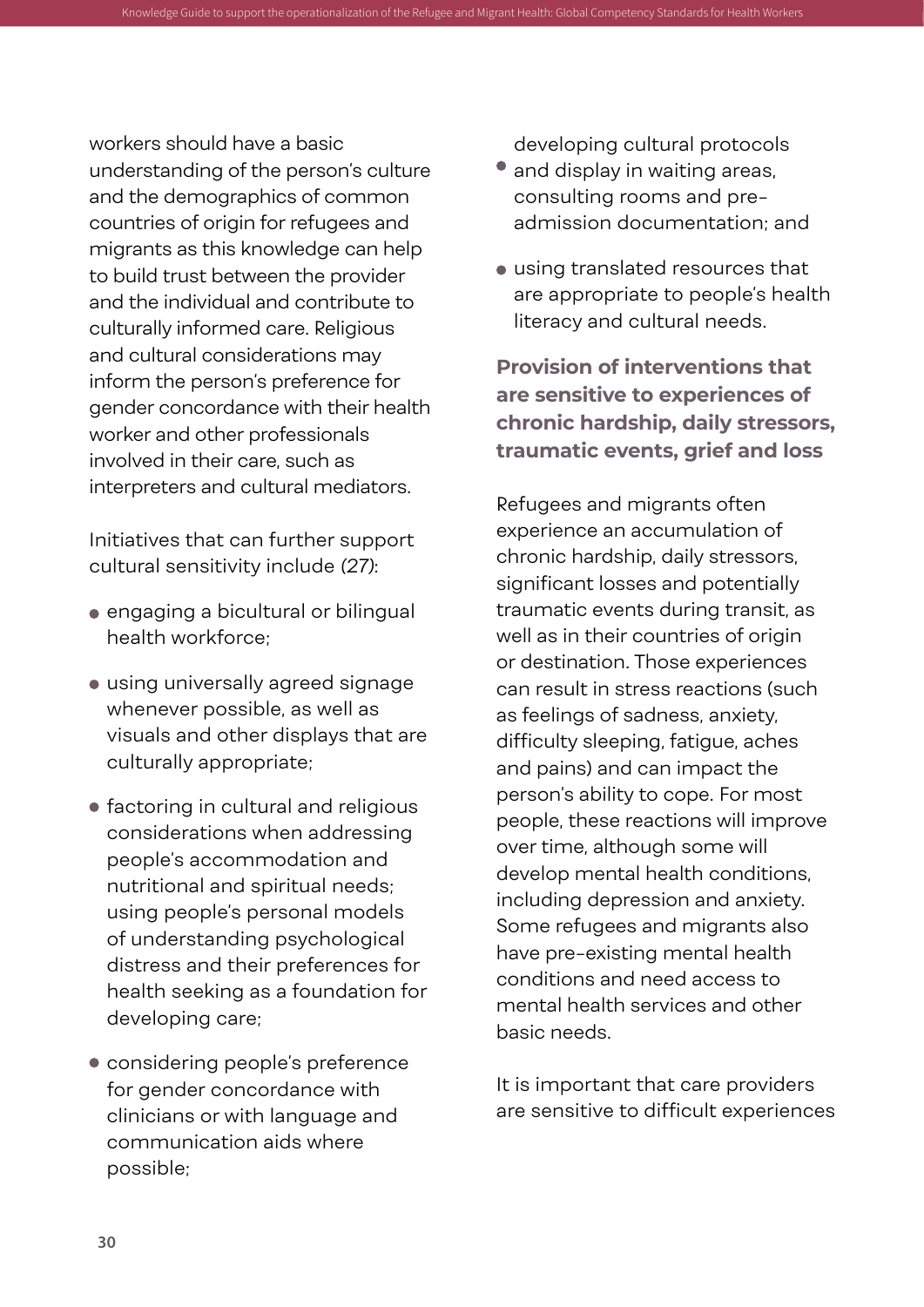workers should have a basic understanding of the person's culture and the demographics of common countries of origin for refugees and migrants as this knowledge can help to build trust between the provider and the individual and contribute to culturally informed care. Religious and cultural considerations may inform the person's preference for gender concordance with their health worker and other professionals involved in their care, such as interpreters and cultural mediators.

Knowledge Guide to support the operationalization of the Refugee and Migrant Health: Global Competen

Initiatives that can further support cultural sensitivity include *(27)*:

- engaging a bicultural or bilingual health workforce;
- using universally agreed signage whenever possible, as well as visuals and other displays that are culturally appropriate;
- **•** factoring in cultural and religious considerations when addressing people's accommodation and nutritional and spiritual needs; using people's personal models of understanding psychological distress and their preferences for health seeking as a foundation for developing care;
- considering people's preference for gender concordance with clinicians or with language and communication aids where possible;

developing cultural protocols

- and display in waiting areas, consulting rooms and preadmission documentation; and
- using translated resources that are appropriate to people's health literacy and cultural needs.

**Provision of interventions that are sensitive to experiences of chronic hardship, daily stressors, traumatic events, grief and loss**

Refugees and migrants often experience an accumulation of chronic hardship, daily stressors, significant losses and potentially traumatic events during transit, as well as in their countries of origin or destination. Those experiences can result in stress reactions (such as feelings of sadness, anxiety, difficulty sleeping, fatigue, aches and pains) and can impact the person's ability to cope. For most people, these reactions will improve over time, although some will develop mental health conditions, including depression and anxiety. Some refugees and migrants also have pre-existing mental health conditions and need access to mental health services and other basic needs.

It is important that care providers are sensitive to difficult experiences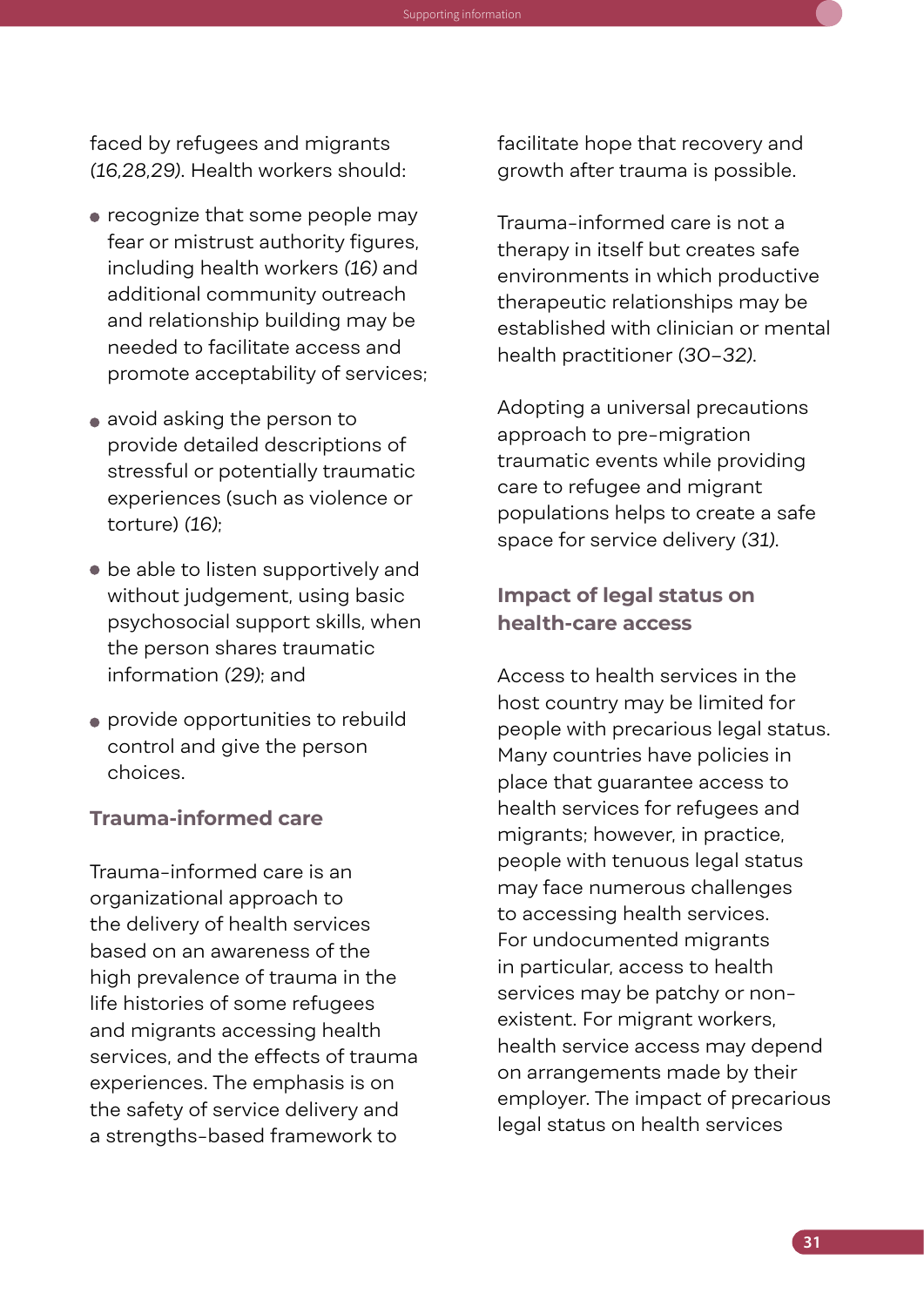faced by refugees and migrants *(16,28,29)*. Health workers should:

Knowledge Guide to support the operationalization of the Refugee and Migrant Health: Global Competency Standards for Health Workers Supporting information

- recognize that some people may fear or mistrust authority figures, including health workers *(16)* and additional community outreach and relationship building may be needed to facilitate access and promote acceptability of services;
- avoid asking the person to provide detailed descriptions of stressful or potentially traumatic experiences (such as violence or torture) *(16)*;
- be able to listen supportively and without judgement, using basic psychosocial support skills, when the person shares traumatic information *(29)*; and
- provide opportunities to rebuild control and give the person choices.

#### **Trauma-informed care**

Trauma-informed care is an organizational approach to the delivery of health services based on an awareness of the high prevalence of trauma in the life histories of some refugees and migrants accessing health services, and the effects of trauma experiences. The emphasis is on the safety of service delivery and a strengths-based framework to

facilitate hope that recovery and growth after trauma is possible.

Trauma-informed care is not a therapy in itself but creates safe environments in which productive therapeutic relationships may be established with clinician or mental health practitioner *(30–32)*.

Adopting a universal precautions approach to pre-migration traumatic events while providing care to refugee and migrant populations helps to create a safe space for service delivery *(31)*.

#### **Impact of legal status on health-care access**

Access to health services in the host country may be limited for people with precarious legal status. Many countries have policies in place that guarantee access to health services for refugees and migrants; however, in practice, people with tenuous legal status may face numerous challenges to accessing health services. For undocumented migrants in particular, access to health services may be patchy or nonexistent. For migrant workers, health service access may depend on arrangements made by their employer. The impact of precarious legal status on health services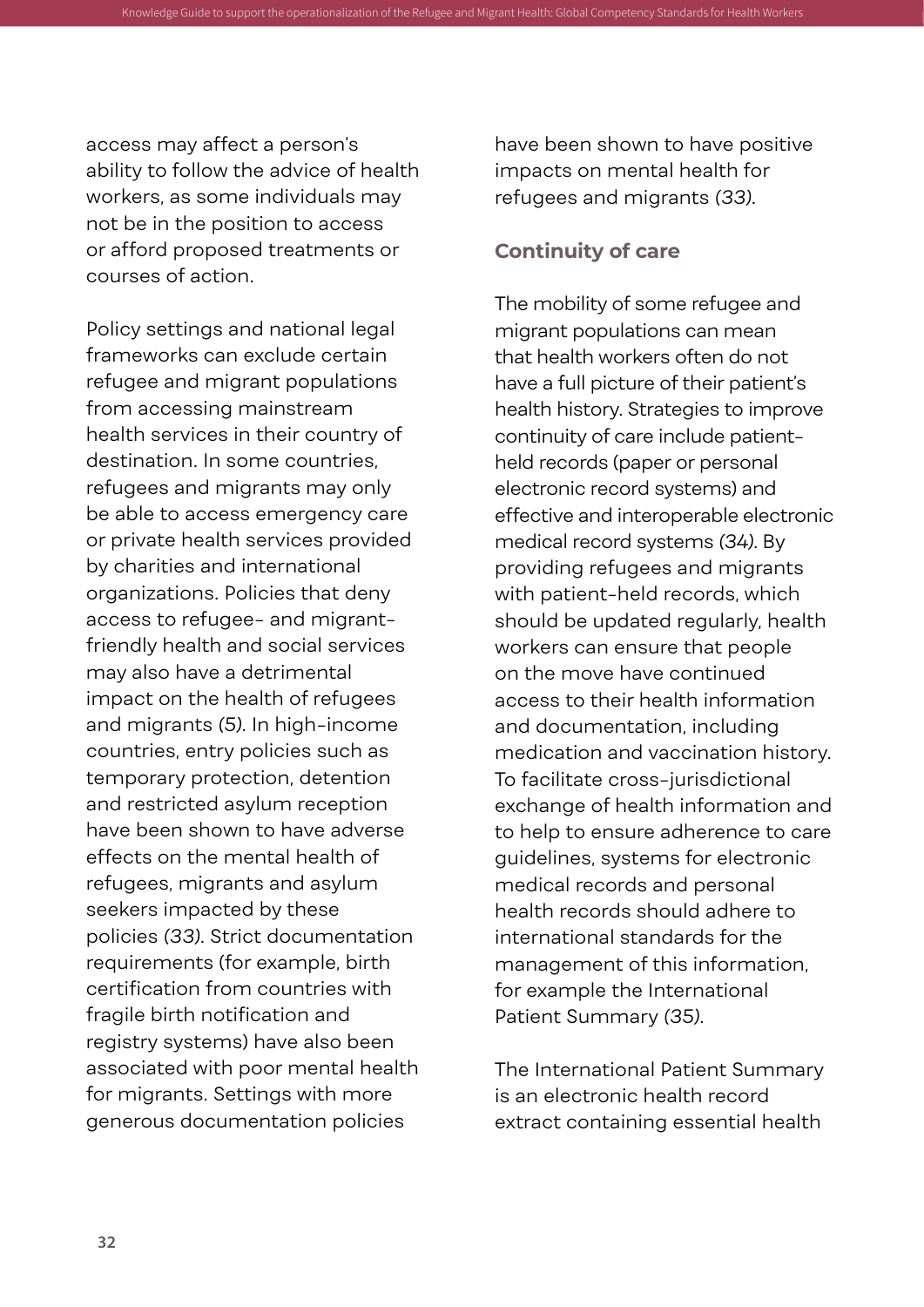access may affect a person's ability to follow the advice of health workers, as some individuals may not be in the position to access or afford proposed treatments or courses of action.

Knowledge Guide to support the operationalization of the Refugee and Migrant Health: Global Competen

Policy settings and national legal frameworks can exclude certain refugee and migrant populations from accessing mainstream health services in their country of destination. In some countries, refugees and migrants may only be able to access emergency care or private health services provided by charities and international organizations. Policies that deny access to refugee- and migrantfriendly health and social services may also have a detrimental impact on the health of refugees and migrants *(5)*. In high-income countries, entry policies such as temporary protection, detention and restricted asylum reception have been shown to have adverse effects on the mental health of refugees, migrants and asylum seekers impacted by these policies *(33)*. Strict documentation requirements (for example, birth certification from countries with fragile birth notification and registry systems) have also been associated with poor mental health for migrants. Settings with more generous documentation policies

have been shown to have positive impacts on mental health for refugees and migrants *(33)*.

#### **Continuity of care**

The mobility of some refugee and migrant populations can mean that health workers often do not have a full picture of their patient's health history. Strategies to improve continuity of care include patientheld records (paper or personal electronic record systems) and effective and interoperable electronic medical record systems *(34)*. By providing refugees and migrants with patient-held records, which should be updated regularly, health workers can ensure that people on the move have continued access to their health information and documentation, including medication and vaccination history. To facilitate cross-jurisdictional exchange of health information and to help to ensure adherence to care guidelines, systems for electronic medical records and personal health records should adhere to international standards for the management of this information, for example the International Patient Summary *(35)*.

The International Patient Summary is an electronic health record extract containing essential health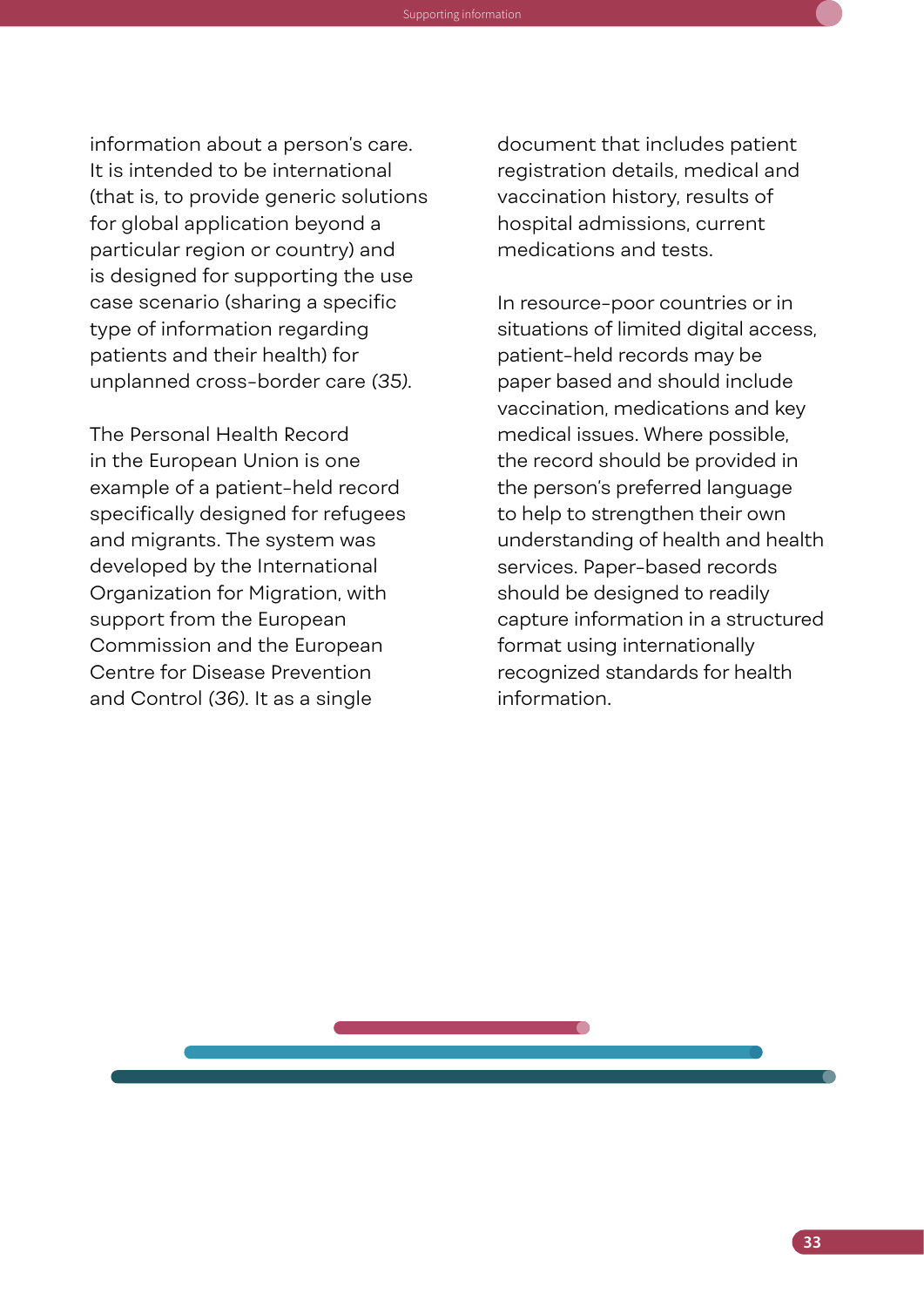information about a person's care. It is intended to be international (that is, to provide generic solutions for global application beyond a particular region or country) and is designed for supporting the use case scenario (sharing a specific type of information regarding patients and their health) for unplanned cross-border care *(35)*.

Knowledge Guide to support the operationalization of the Refugee and Migrant Health: Global Competency Standards for Health Workers Supporting information

The Personal Health Record in the European Union is one example of a patient-held record specifically designed for refugees and migrants. The system was developed by the International Organization for Migration, with support from the European Commission and the European Centre for Disease Prevention and Control *(36)*. It as a single

document that includes patient registration details, medical and vaccination history, results of hospital admissions, current medications and tests.

In resource-poor countries or in situations of limited digital access, patient-held records may be paper based and should include vaccination, medications and key medical issues. Where possible, the record should be provided in the person's preferred language to help to strengthen their own understanding of health and health services. Paper-based records should be designed to readily capture information in a structured format using internationally recognized standards for health information.

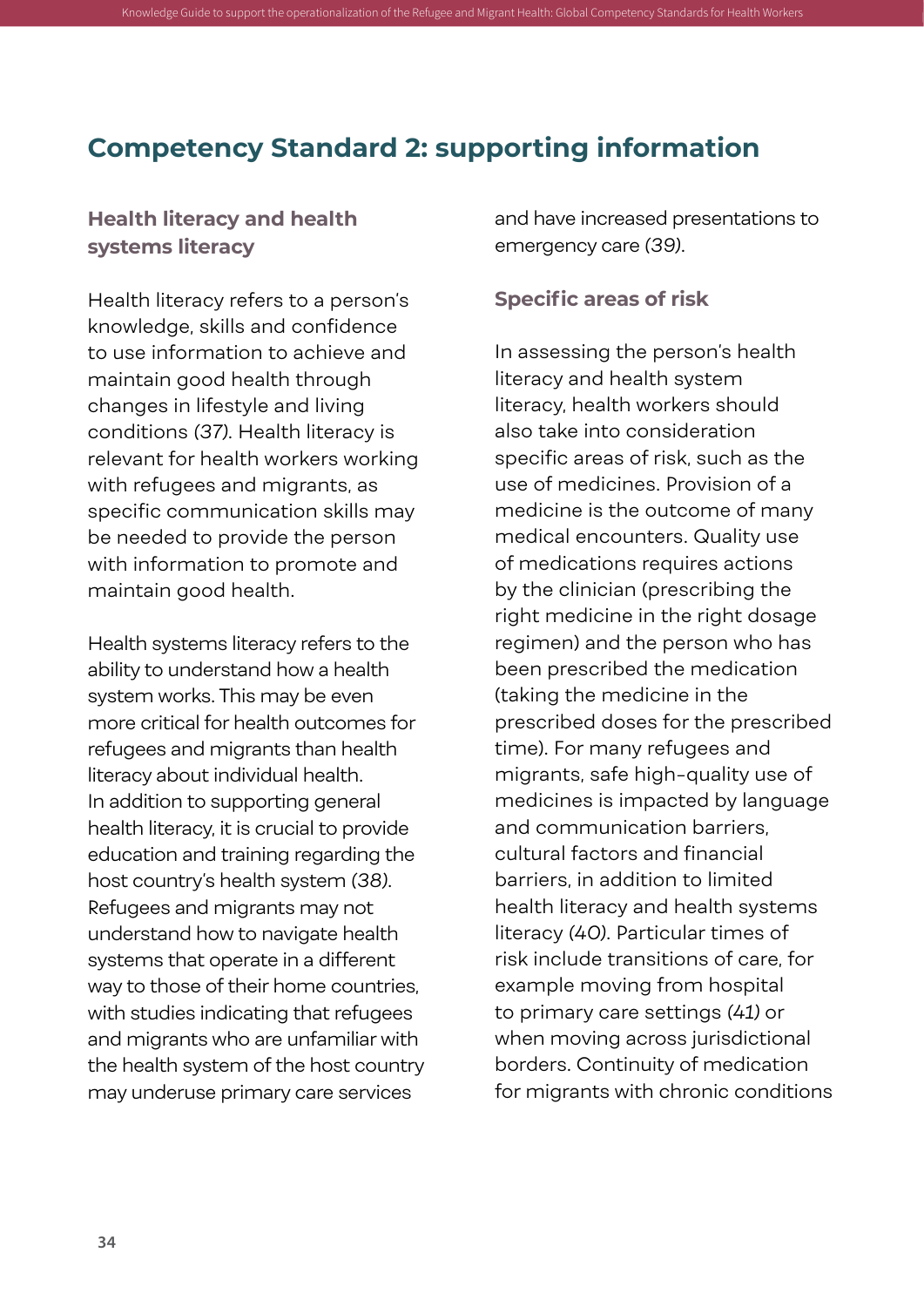#### **Competency Standard 2: supporting information**

<span id="page-45-0"></span>Knowledge Guide to support the operationalization of the Refugee and Migrant Health: Global Competen

#### **Health literacy and health systems literacy**

Health literacy refers to a person's knowledge, skills and confidence to use information to achieve and maintain good health through changes in lifestyle and living conditions *(37)*. Health literacy is relevant for health workers working with refugees and migrants, as specific communication skills may be needed to provide the person with information to promote and maintain good health.

Health systems literacy refers to the ability to understand how a health system works. This may be even more critical for health outcomes for refugees and migrants than health literacy about individual health. In addition to supporting general health literacy, it is crucial to provide education and training regarding the host country's health system *(38)*. Refugees and migrants may not understand how to navigate health systems that operate in a different way to those of their home countries, with studies indicating that refugees and migrants who are unfamiliar with the health system of the host country may underuse primary care services

and have increased presentations to emergency care *(39)*.

#### **Specific areas of risk**

In assessing the person's health literacy and health system literacy, health workers should also take into consideration specific areas of risk, such as the use of medicines. Provision of a medicine is the outcome of many medical encounters. Quality use of medications requires actions by the clinician (prescribing the right medicine in the right dosage regimen) and the person who has been prescribed the medication (taking the medicine in the prescribed doses for the prescribed time). For many refugees and migrants, safe high-quality use of medicines is impacted by language and communication barriers, cultural factors and financial barriers, in addition to limited health literacy and health systems literacy *(40)*. Particular times of risk include transitions of care, for example moving from hospital to primary care settings *(41)* or when moving across jurisdictional borders. Continuity of medication for migrants with chronic conditions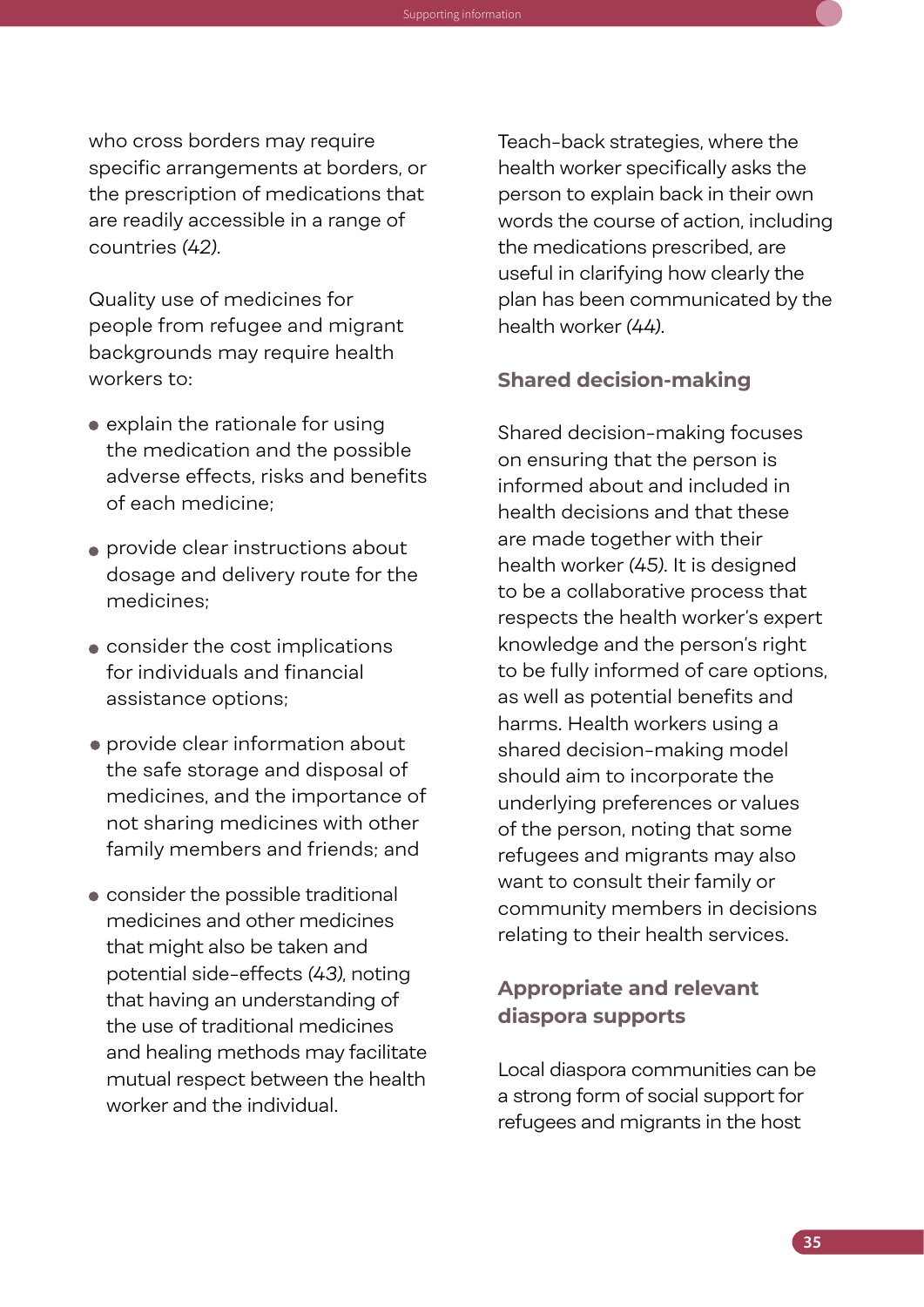who cross borders may require specific arrangements at borders, or the prescription of medications that are readily accessible in a range of countries *(42)*.

Knowledge Guide to support the operationalization of the Refugee and Migrant Health: Global Competency Standards for Health Workers Supporting information

Quality use of medicines for people from refugee and migrant backgrounds may require health workers to:

- explain the rationale for using the medication and the possible adverse effects, risks and benefits of each medicine;
- provide clear instructions about dosage and delivery route for the medicines;
- consider the cost implications for individuals and financial assistance options;
- provide clear information about the safe storage and disposal of medicines, and the importance of not sharing medicines with other family members and friends; and
- consider the possible traditional medicines and other medicines that might also be taken and potential side-effects *(43)*, noting that having an understanding of the use of traditional medicines and healing methods may facilitate mutual respect between the health worker and the individual.

Teach-back strategies, where the health worker specifically asks the person to explain back in their own words the course of action, including the medications prescribed, are useful in clarifying how clearly the plan has been communicated by the health worker *(44)*.

#### **Shared decision-making**

Shared decision-making focuses on ensuring that the person is informed about and included in health decisions and that these are made together with their health worker *(45)*. It is designed to be a collaborative process that respects the health worker's expert knowledge and the person's right to be fully informed of care options, as well as potential benefits and harms. Health workers using a shared decision-making model should aim to incorporate the underlying preferences or values of the person, noting that some refugees and migrants may also want to consult their family or community members in decisions relating to their health services.

#### **Appropriate and relevant diaspora supports**

Local diaspora communities can be a strong form of social support for refugees and migrants in the host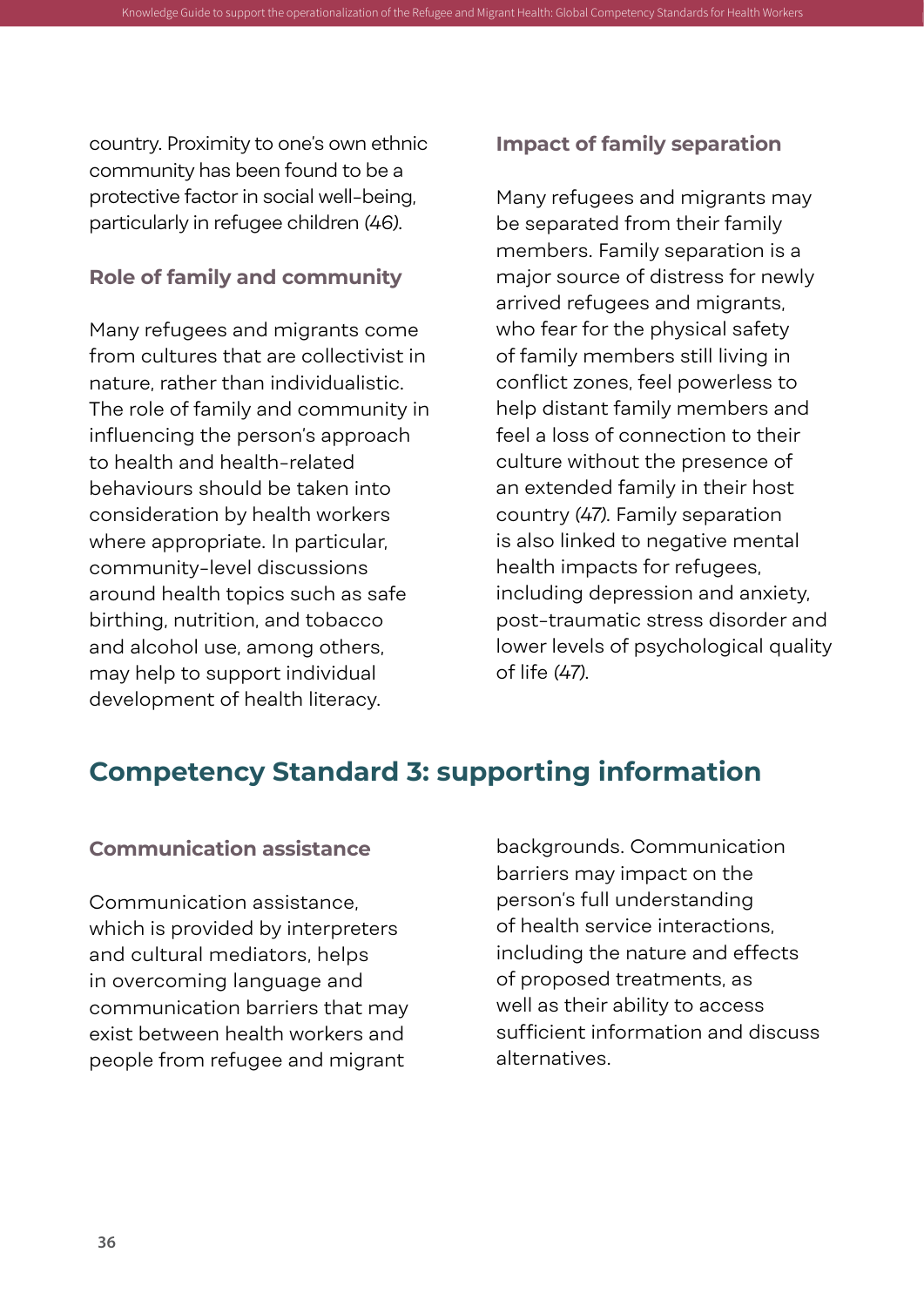country. Proximity to one's own ethnic community has been found to be a protective factor in social well-being, particularly in refugee children *(46)*.

<span id="page-47-0"></span>Knowledge Guide to support the operationalization of the Refugee and Migrant Health: Global Comp

#### **Role of family and community**

Many refugees and migrants come from cultures that are collectivist in nature, rather than individualistic. The role of family and community in influencing the person's approach to health and health-related behaviours should be taken into consideration by health workers where appropriate. In particular, community-level discussions around health topics such as safe birthing, nutrition, and tobacco and alcohol use, among others, may help to support individual development of health literacy.

#### **Impact of family separation**

Many refugees and migrants may be separated from their family members. Family separation is a major source of distress for newly arrived refugees and migrants, who fear for the physical safety of family members still living in conflict zones, feel powerless to help distant family members and feel a loss of connection to their culture without the presence of an extended family in their host country *(47)*. Family separation is also linked to negative mental health impacts for refugees, including depression and anxiety, post-traumatic stress disorder and lower levels of psychological quality of life *(47)*.

#### **Competency Standard 3: supporting information**

#### **Communication assistance**

Communication assistance, which is provided by interpreters and cultural mediators, helps in overcoming language and communication barriers that may exist between health workers and people from refugee and migrant

backgrounds. Communication barriers may impact on the person's full understanding of health service interactions, including the nature and effects of proposed treatments, as well as their ability to access sufficient information and discuss alternatives.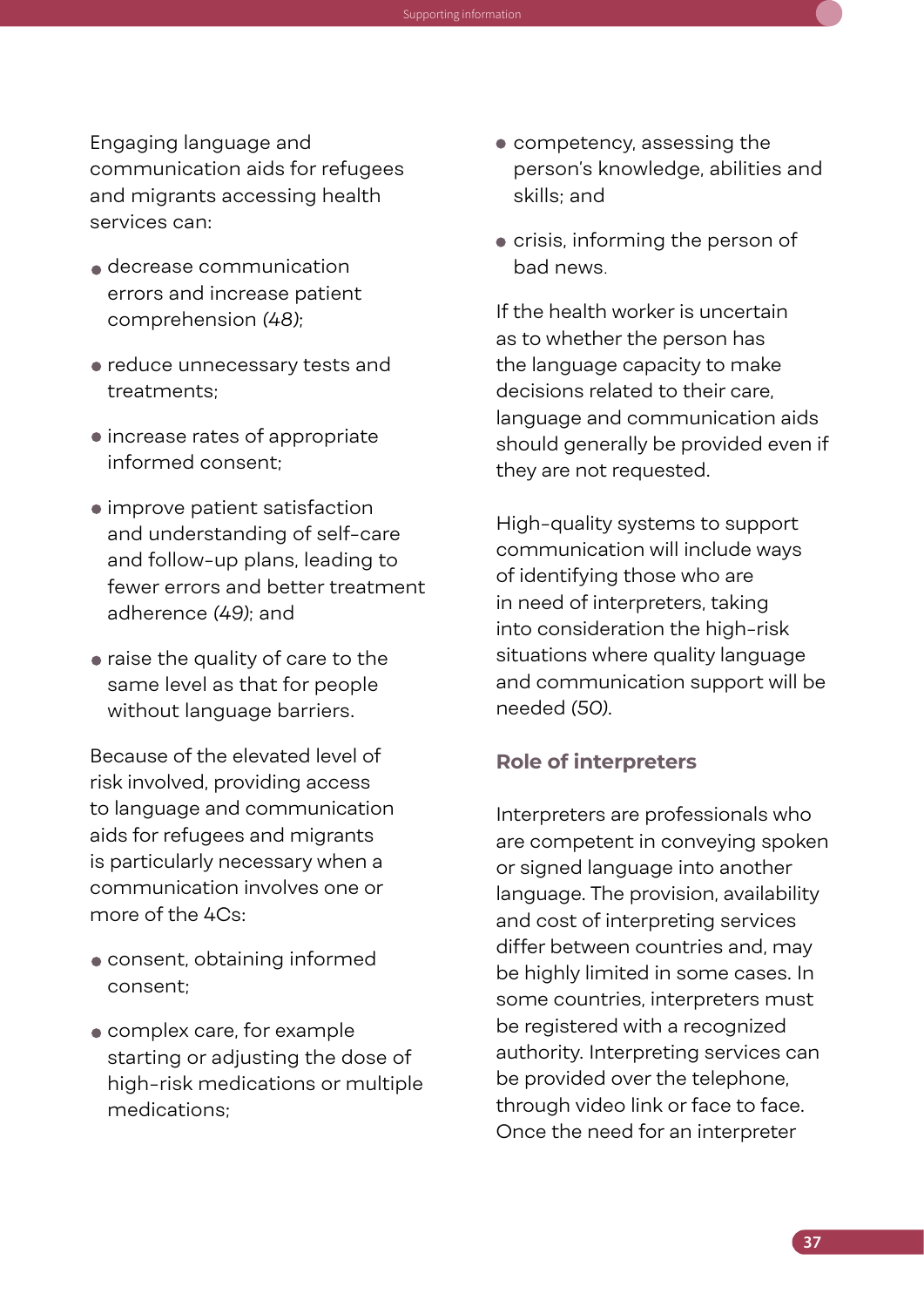Engaging language and communication aids for refugees and migrants accessing health services can:

Knowledge Guide to support the operationalization of the Refugee and Migrant Health: Global Competency Standards for Health Workers Supporting information

- decrease communication errors and increase patient comprehension *(48)*;
- reduce unnecessary tests and treatments;
- increase rates of appropriate informed consent;
- improve patient satisfaction and understanding of self-care and follow-up plans, leading to fewer errors and better treatment adherence *(49)*; and
- raise the quality of care to the same level as that for people without language barriers.

Because of the elevated level of risk involved, providing access to language and communication aids for refugees and migrants is particularly necessary when a communication involves one or more of the 4Cs:

- consent, obtaining informed consent;
- complex care, for example starting or adjusting the dose of high-risk medications or multiple medications;
- competency, assessing the person's knowledge, abilities and skills; and
- crisis, informing the person of bad news.

If the health worker is uncertain as to whether the person has the language capacity to make decisions related to their care, language and communication aids should generally be provided even if they are not requested.

High-quality systems to support communication will include ways of identifying those who are in need of interpreters, taking into consideration the high-risk situations where quality language and communication support will be needed *(50)*.

#### **Role of interpreters**

Interpreters are professionals who are competent in conveying spoken or signed language into another language. The provision, availability and cost of interpreting services differ between countries and, may be highly limited in some cases. In some countries, interpreters must be registered with a recognized authority. Interpreting services can be provided over the telephone, through video link or face to face. Once the need for an interpreter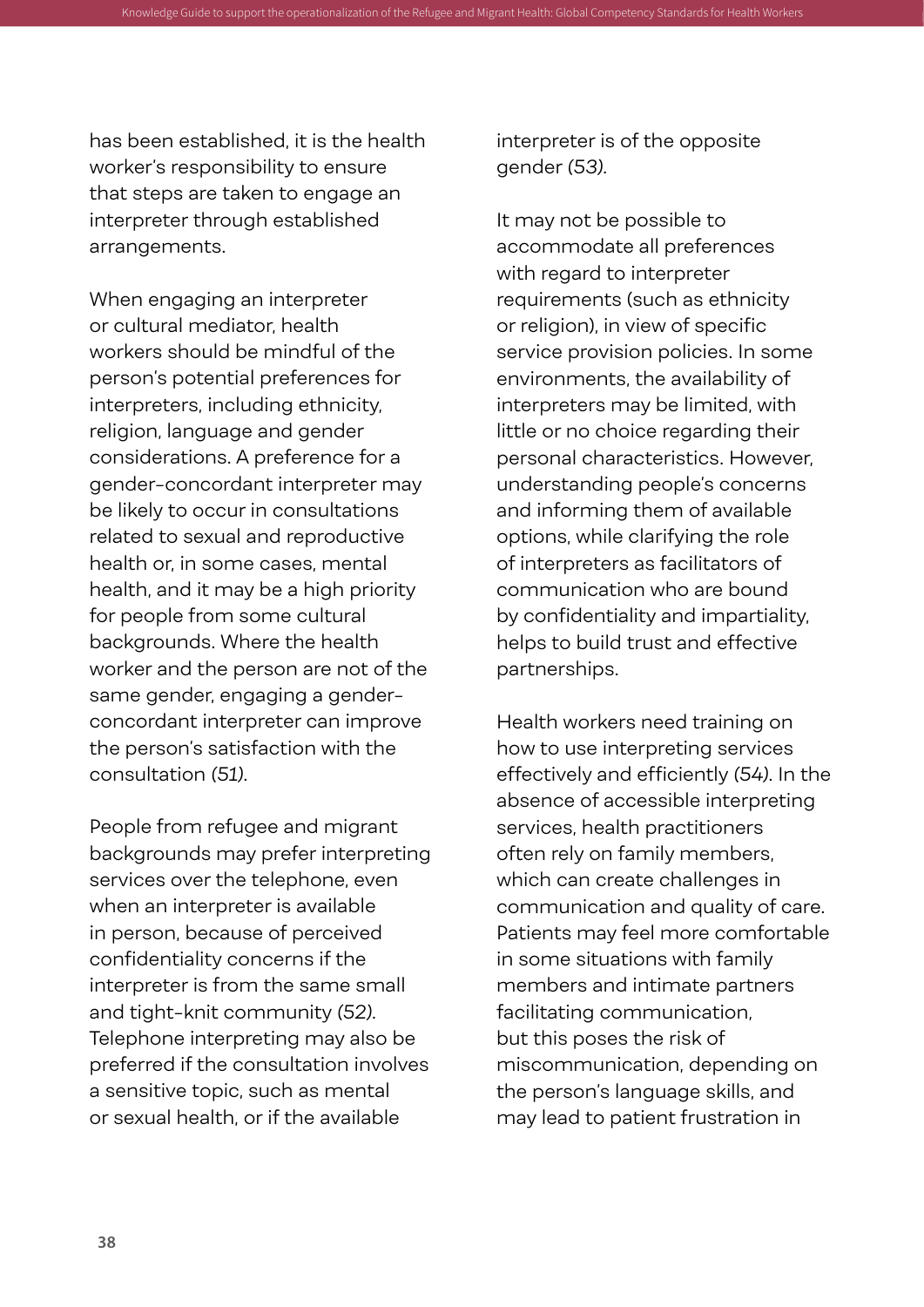has been established, it is the health worker's responsibility to ensure that steps are taken to engage an interpreter through established arrangements.

When engaging an interpreter or cultural mediator, health workers should be mindful of the person's potential preferences for interpreters, including ethnicity, religion, language and gender considerations. A preference for a gender-concordant interpreter may be likely to occur in consultations related to sexual and reproductive health or, in some cases, mental health, and it may be a high priority for people from some cultural backgrounds. Where the health worker and the person are not of the same gender, engaging a genderconcordant interpreter can improve the person's satisfaction with the consultation *(51)*.

People from refugee and migrant backgrounds may prefer interpreting services over the telephone, even when an interpreter is available in person, because of perceived confidentiality concerns if the interpreter is from the same small and tight-knit community *(52)*. Telephone interpreting may also be preferred if the consultation involves a sensitive topic, such as mental or sexual health, or if the available

interpreter is of the opposite gender *(53)*.

Knowledge Guide to support the operationalization of the Refugee and Migrant Health: Global Competency Standards for Health Workers

It may not be possible to accommodate all preferences with regard to interpreter requirements (such as ethnicity or religion), in view of specific service provision policies. In some environments, the availability of interpreters may be limited, with little or no choice regarding their personal characteristics. However, understanding people's concerns and informing them of available options, while clarifying the role of interpreters as facilitators of communication who are bound by confidentiality and impartiality, helps to build trust and effective partnerships.

Health workers need training on how to use interpreting services effectively and efficiently *(54)*. In the absence of accessible interpreting services, health practitioners often rely on family members, which can create challenges in communication and quality of care. Patients may feel more comfortable in some situations with family members and intimate partners facilitating communication, but this poses the risk of miscommunication, depending on the person's language skills, and may lead to patient frustration in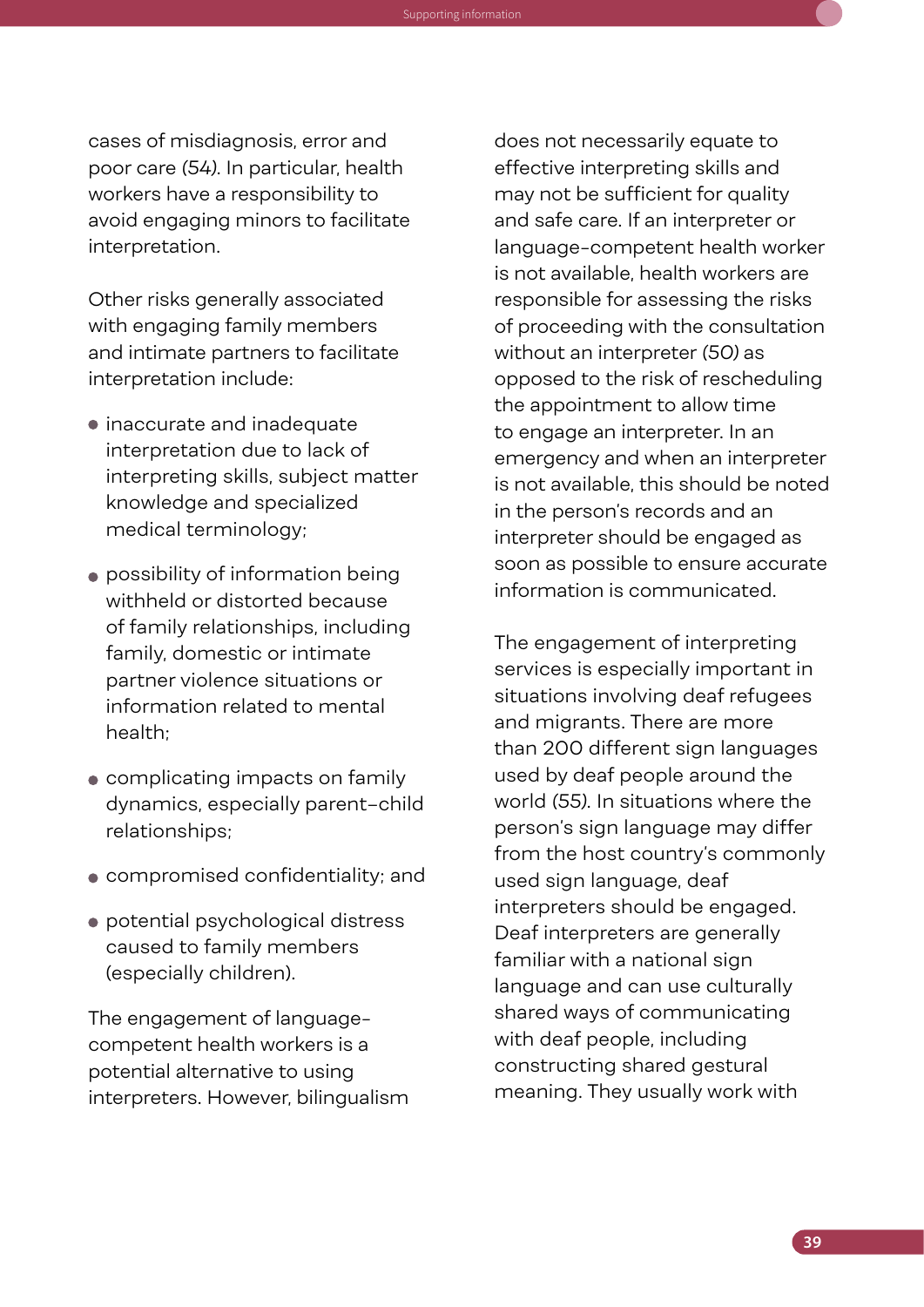cases of misdiagnosis, error and poor care *(54)*. In particular, health workers have a responsibility to avoid engaging minors to facilitate interpretation.

Knowledge Guide to support the operationalization of the Refugee and Migrant Health: Global Competency Standards for Health Workers Supporting information

Other risks generally associated with engaging family members and intimate partners to facilitate interpretation include:

- inaccurate and inadequate interpretation due to lack of interpreting skills, subject matter knowledge and specialized medical terminology;
- possibility of information being withheld or distorted because of family relationships, including family, domestic or intimate partner violence situations or information related to mental health;
- complicating impacts on family dynamics, especially parent–child relationships;
- compromised confidentiality; and
- potential psychological distress caused to family members (especially children).

The engagement of languagecompetent health workers is a potential alternative to using interpreters. However, bilingualism does not necessarily equate to effective interpreting skills and may not be sufficient for quality and safe care. If an interpreter or language-competent health worker is not available, health workers are responsible for assessing the risks of proceeding with the consultation without an interpreter *(50)* as opposed to the risk of rescheduling the appointment to allow time to engage an interpreter. In an emergency and when an interpreter is not available, this should be noted in the person's records and an interpreter should be engaged as soon as possible to ensure accurate information is communicated.

The engagement of interpreting services is especially important in situations involving deaf refugees and migrants. There are more than 200 different sign languages used by deaf people around the world *(55)*. In situations where the person's sign language may differ from the host country's commonly used sign language, deaf interpreters should be engaged. Deaf interpreters are generally familiar with a national sign language and can use culturally shared ways of communicating with deaf people, including constructing shared gestural meaning. They usually work with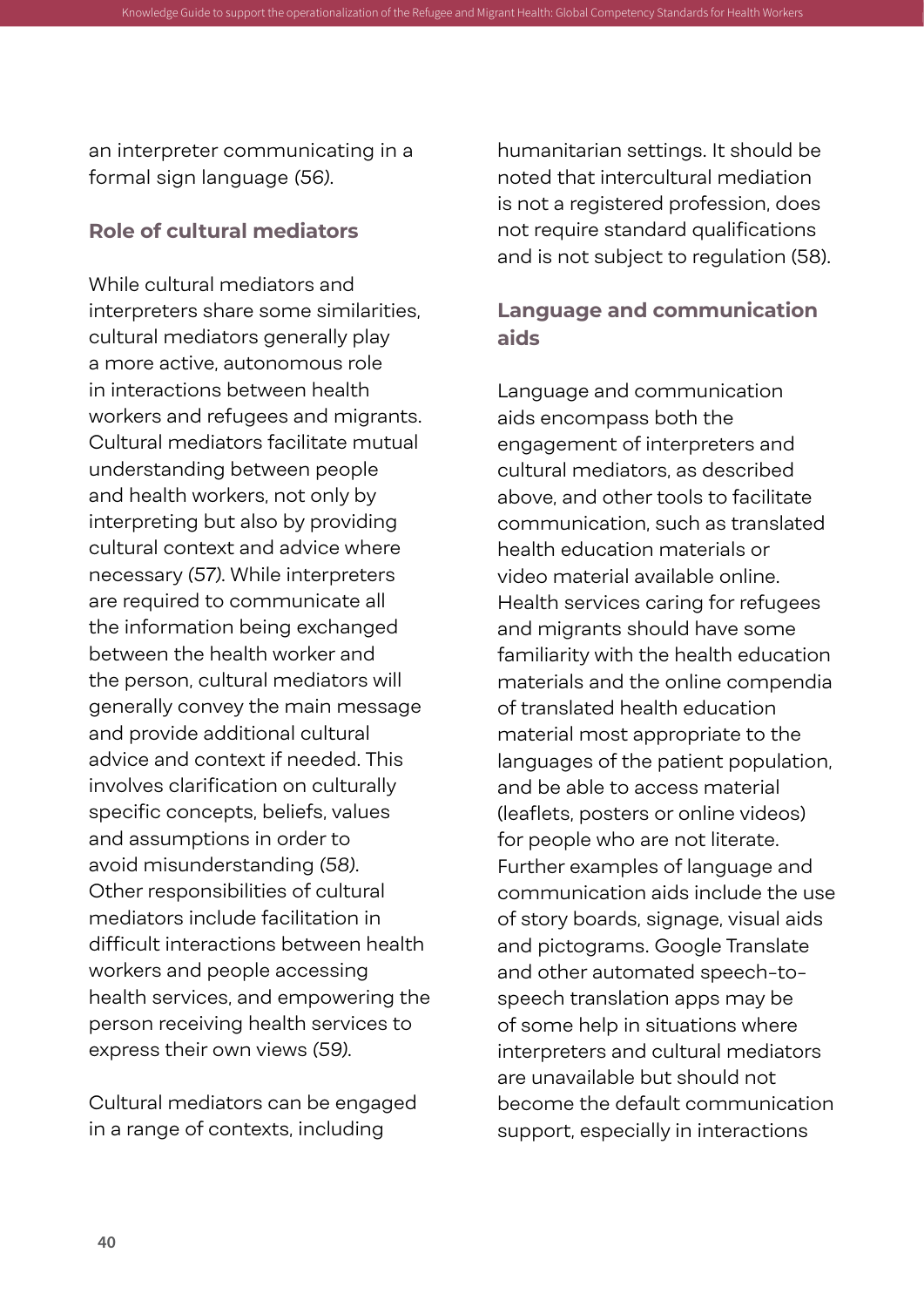an interpreter communicating in a formal sign language *(56)*.

<span id="page-51-0"></span>Knowledge Guide to support the operationalization of the Refugee and Migrant Health: Global Competen

#### **Role of cultural mediators**

While cultural mediators and interpreters share some similarities, cultural mediators generally play a more active, autonomous role in interactions between health workers and refugees and migrants. Cultural mediators facilitate mutual understanding between people and health workers, not only by interpreting but also by providing cultural context and advice where necessary *(57)*. While interpreters are required to communicate all the information being exchanged between the health worker and the person, cultural mediators will generally convey the main message and provide additional cultural advice and context if needed. This involves clarification on culturally specific concepts, beliefs, values and assumptions in order to avoid misunderstanding *(58)*. Other responsibilities of cultural mediators include facilitation in difficult interactions between health workers and people accessing health services, and empowering the person receiving health services to express their own views *(59)*.

Cultural mediators can be engaged in a range of contexts, including

humanitarian settings. It should be noted that intercultural mediation is not a registered profession, does not require standard qualifications and is not subject to regulation (58).

#### **Language and communication aids**

Language and communication aids encompass both the engagement of interpreters and cultural mediators, as described above, and other tools to facilitate communication, such as translated health education materials or video material available online. Health services caring for refugees and migrants should have some familiarity with the health education materials and the online compendia of translated health education material most appropriate to the languages of the patient population, and be able to access material (leaflets, posters or online videos) for people who are not literate. Further examples of language and communication aids include the use of story boards, signage, visual aids and pictograms. Google Translate and other automated speech-tospeech translation apps may be of some help in situations where interpreters and cultural mediators are unavailable but should not become the default communication support, especially in interactions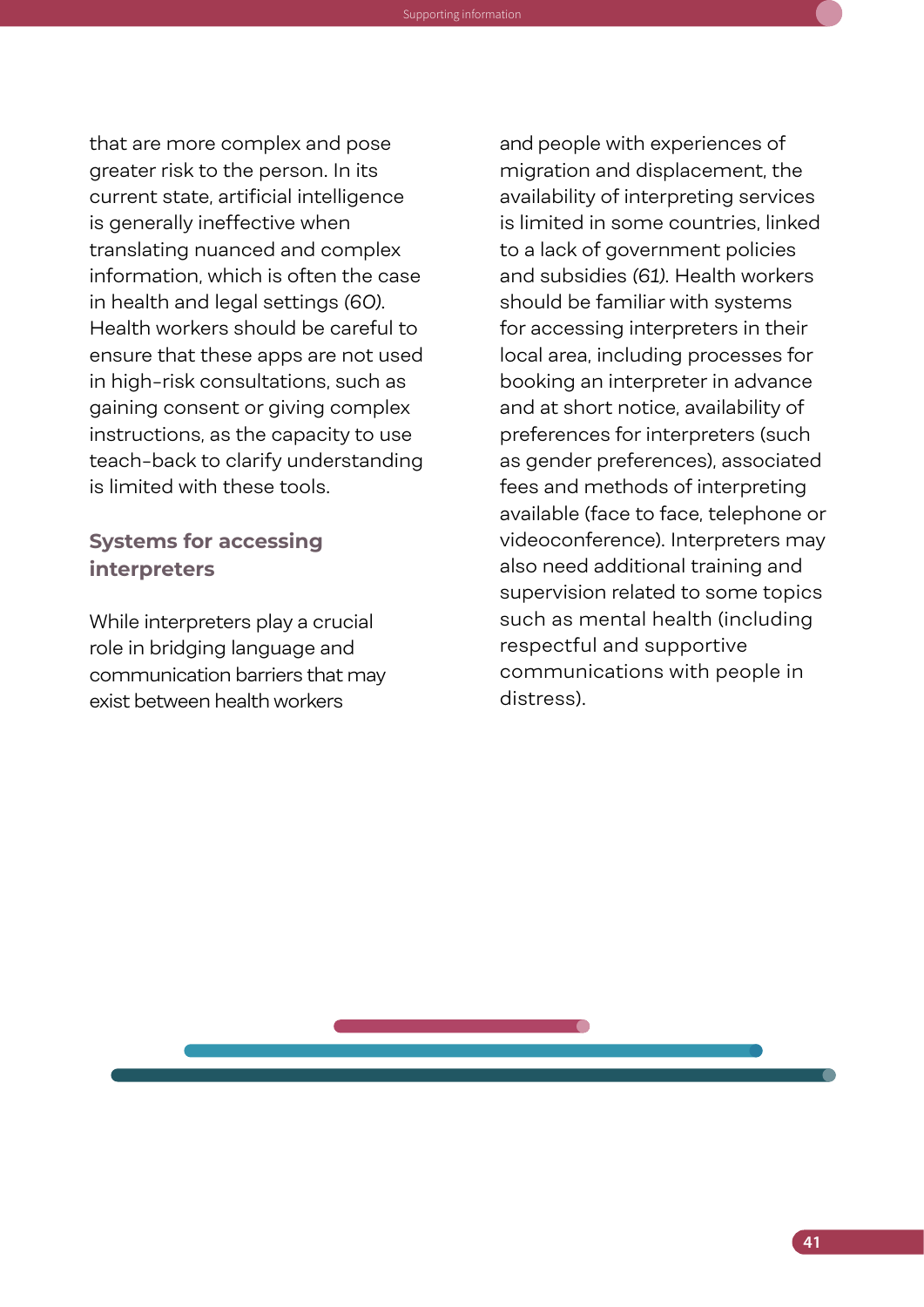<span id="page-52-0"></span>that are more complex and pose greater risk to the person. In its current state, artificial intelligence is generally ineffective when translating nuanced and complex information, which is often the case in health and legal settings *(60)*. Health workers should be careful to ensure that these apps are not used in high-risk consultations, such as gaining consent or giving complex instructions, as the capacity to use teach-back to clarify understanding is limited with these tools.

#### **Systems for accessing interpreters**

Knowledge Guide to support the operationalization of the Refugee and Migrant Health: Global Competency Standards for Health Workers Supporting information

While interpreters play a crucial role in bridging language and communication barriers that may exist between health workers

and people with experiences of migration and displacement, the availability of interpreting services is limited in some countries, linked to a lack of government policies and subsidies *(61)*. Health workers should be familiar with systems for accessing interpreters in their local area, including processes for booking an interpreter in advance and at short notice, availability of preferences for interpreters (such as gender preferences), associated fees and methods of interpreting available (face to face, telephone or videoconference). Interpreters may also need additional training and supervision related to some topics such as mental health (including respectful and supportive communications with people in distress).

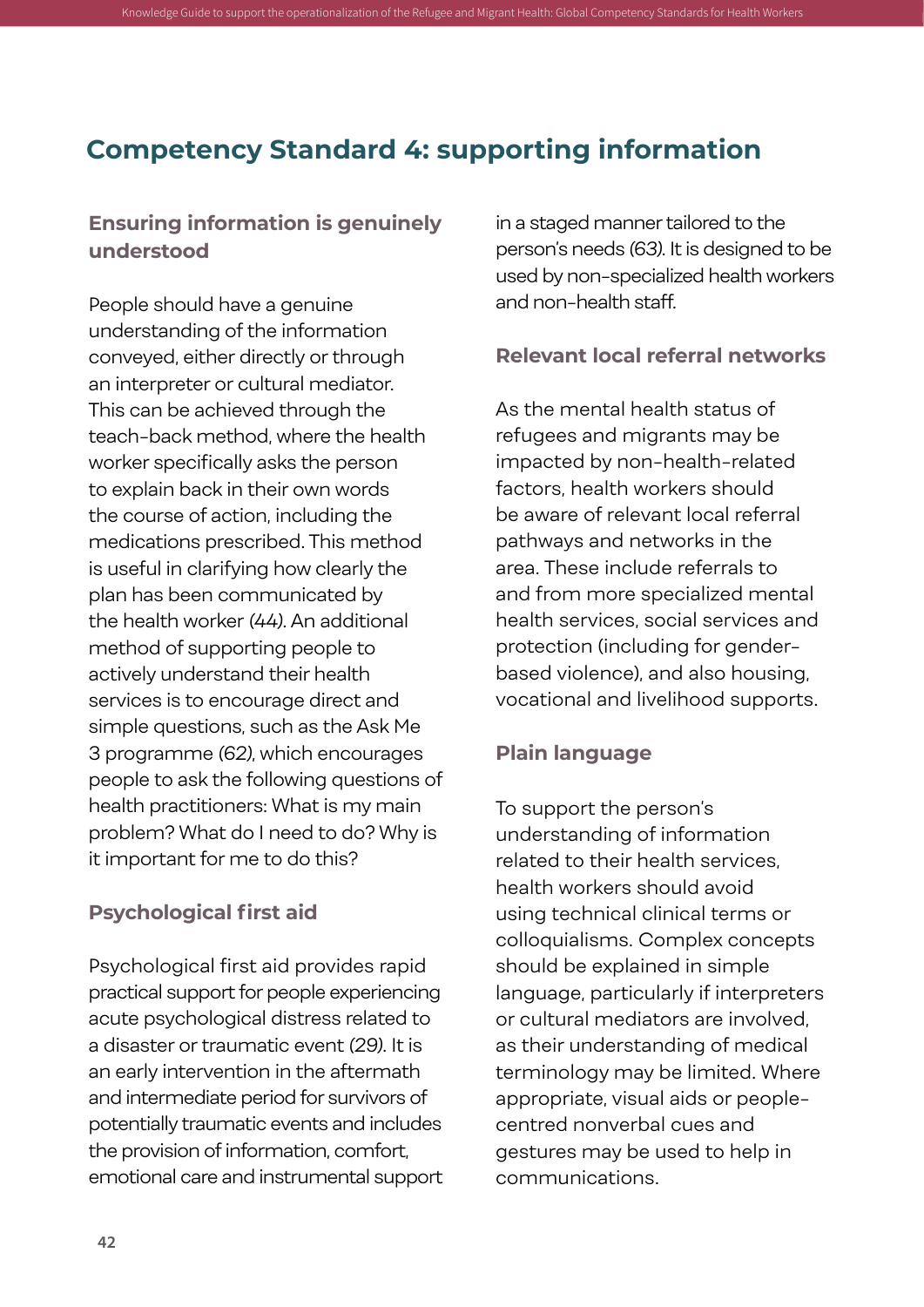### **Competency Standard 4: supporting information**

<span id="page-53-0"></span>Knowledge Guide to support the operationalization of the Refugee and Migrant Health: Global Competenc

#### **Ensuring information is genuinely understood**

People should have a genuine understanding of the information conveyed, either directly or through an interpreter or cultural mediator. This can be achieved through the teach-back method, where the health worker specifically asks the person to explain back in their own words the course of action, including the medications prescribed. This method is useful in clarifying how clearly the plan has been communicated by the health worker *(44)*. An additional method of supporting people to actively understand their health services is to encourage direct and simple questions, such as the Ask Me 3 programme *(62)*, which encourages people to ask the following questions of health practitioners: What is my main problem? What do I need to do? Why is it important for me to do this?

#### **Psychological first aid**

Psychological first aid provides rapid practical support for people experiencing acute psychological distress related to a disaster or traumatic event *(29)*. It is an early intervention in the aftermath and intermediate period for survivors of potentially traumatic events and includes the provision of information, comfort, emotional care and instrumental support in a staged manner tailored to the person's needs *(63)*. It is designed to be used by non-specialized health workers and non-health staff.

#### **Relevant local referral networks**

As the mental health status of refugees and migrants may be impacted by non-health-related factors, health workers should be aware of relevant local referral pathways and networks in the area. These include referrals to and from more specialized mental health services, social services and protection (including for genderbased violence), and also housing, vocational and livelihood supports.

#### **Plain language**

To support the person's understanding of information related to their health services, health workers should avoid using technical clinical terms or colloquialisms. Complex concepts should be explained in simple language, particularly if interpreters or cultural mediators are involved, as their understanding of medical terminology may be limited. Where appropriate, visual aids or peoplecentred nonverbal cues and gestures may be used to help in communications.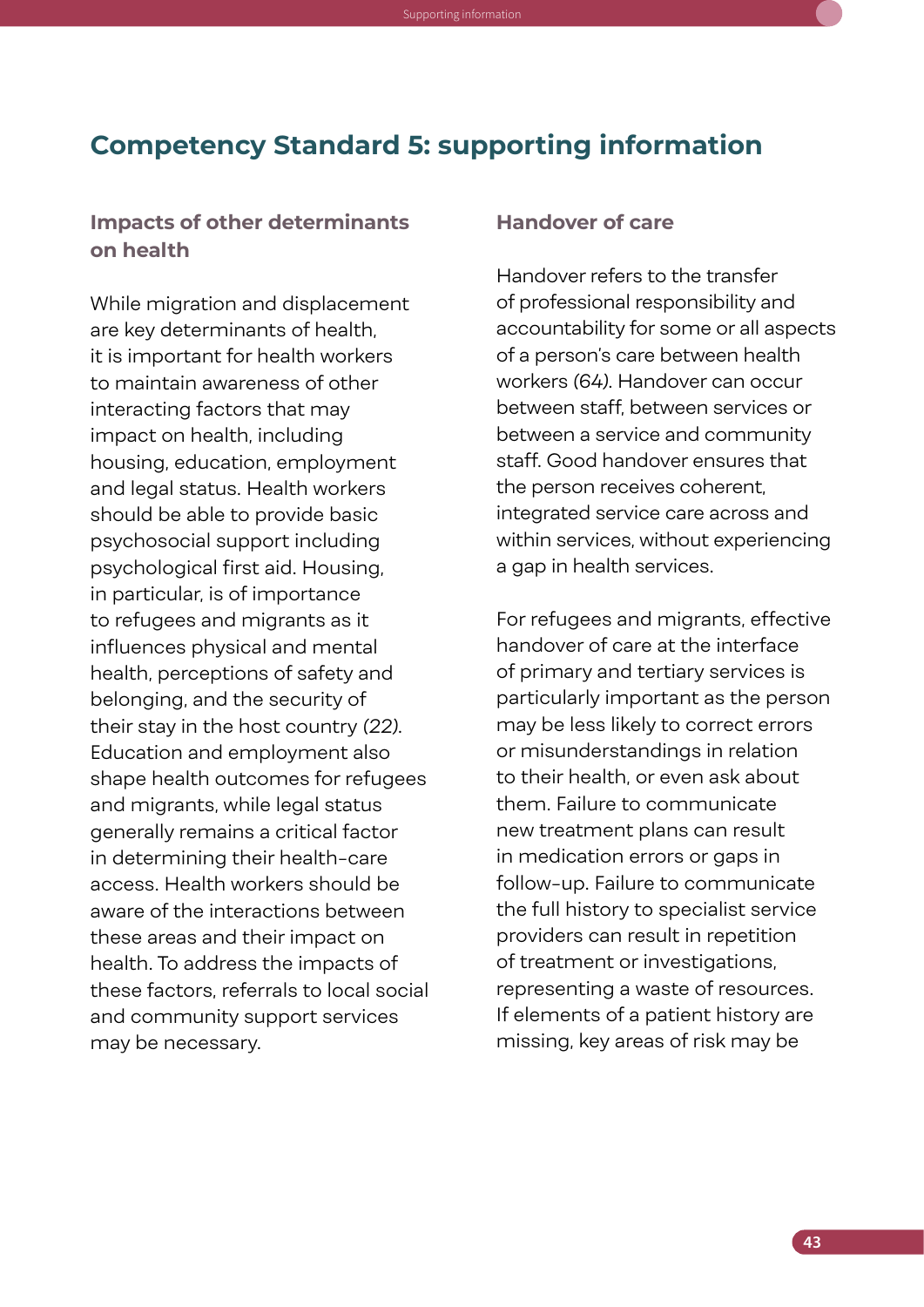#### <span id="page-54-0"></span>**Competency Standard 5: supporting information**

#### **Impacts of other determinants on health**

While migration and displacement are key determinants of health, it is important for health workers to maintain awareness of other interacting factors that may impact on health, including housing, education, employment and legal status. Health workers should be able to provide basic psychosocial support including psychological first aid. Housing, in particular, is of importance to refugees and migrants as it influences physical and mental health, perceptions of safety and belonging, and the security of their stay in the host country *(22)*. Education and employment also shape health outcomes for refugees and migrants, while legal status generally remains a critical factor in determining their health-care access. Health workers should be aware of the interactions between these areas and their impact on health. To address the impacts of these factors, referrals to local social and community support services may be necessary.

#### **Handover of care**

Handover refers to the transfer of professional responsibility and accountability for some or all aspects of a person's care between health workers *(64)*. Handover can occur between staff, between services or between a service and community staff. Good handover ensures that the person receives coherent, integrated service care across and within services, without experiencing a gap in health services.

For refugees and migrants, effective handover of care at the interface of primary and tertiary services is particularly important as the person may be less likely to correct errors or misunderstandings in relation to their health, or even ask about them. Failure to communicate new treatment plans can result in medication errors or gaps in follow-up. Failure to communicate the full history to specialist service providers can result in repetition of treatment or investigations, representing a waste of resources. If elements of a patient history are missing, key areas of risk may be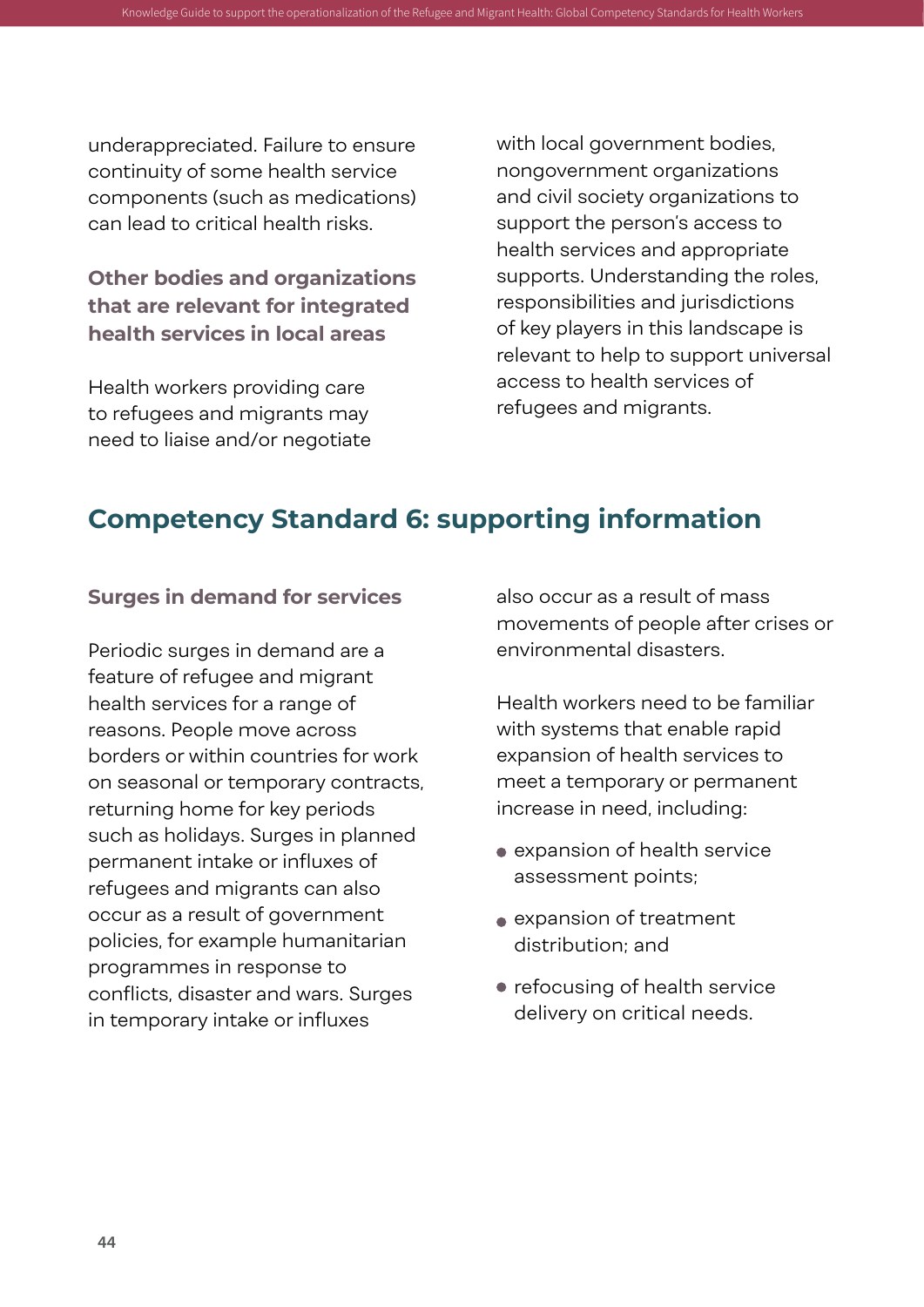underappreciated. Failure to ensure continuity of some health service components (such as medications) can lead to critical health risks.

#### **Other bodies and organizations that are relevant for integrated health services in local areas**

Health workers providing care to refugees and migrants may need to liaise and/or negotiate with local government bodies, nongovernment organizations and civil society organizations to support the person's access to health services and appropriate supports. Understanding the roles, responsibilities and jurisdictions of key players in this landscape is relevant to help to support universal access to health services of refugees and migrants.

### **Competency Standard 6: supporting information**

<span id="page-55-0"></span>Knowledge Guide to support the operationalization of the Refugee and Migrant Health: Global Compet

#### **Surges in demand for services**

Periodic surges in demand are a feature of refugee and migrant health services for a range of reasons. People move across borders or within countries for work on seasonal or temporary contracts, returning home for key periods such as holidays. Surges in planned permanent intake or influxes of refugees and migrants can also occur as a result of government policies, for example humanitarian programmes in response to conflicts, disaster and wars. Surges in temporary intake or influxes

also occur as a result of mass movements of people after crises or environmental disasters.

Health workers need to be familiar with systems that enable rapid expansion of health services to meet a temporary or permanent increase in need, including:

- expansion of health service assessment points;
- expansion of treatment distribution; and
- refocusing of health service delivery on critical needs.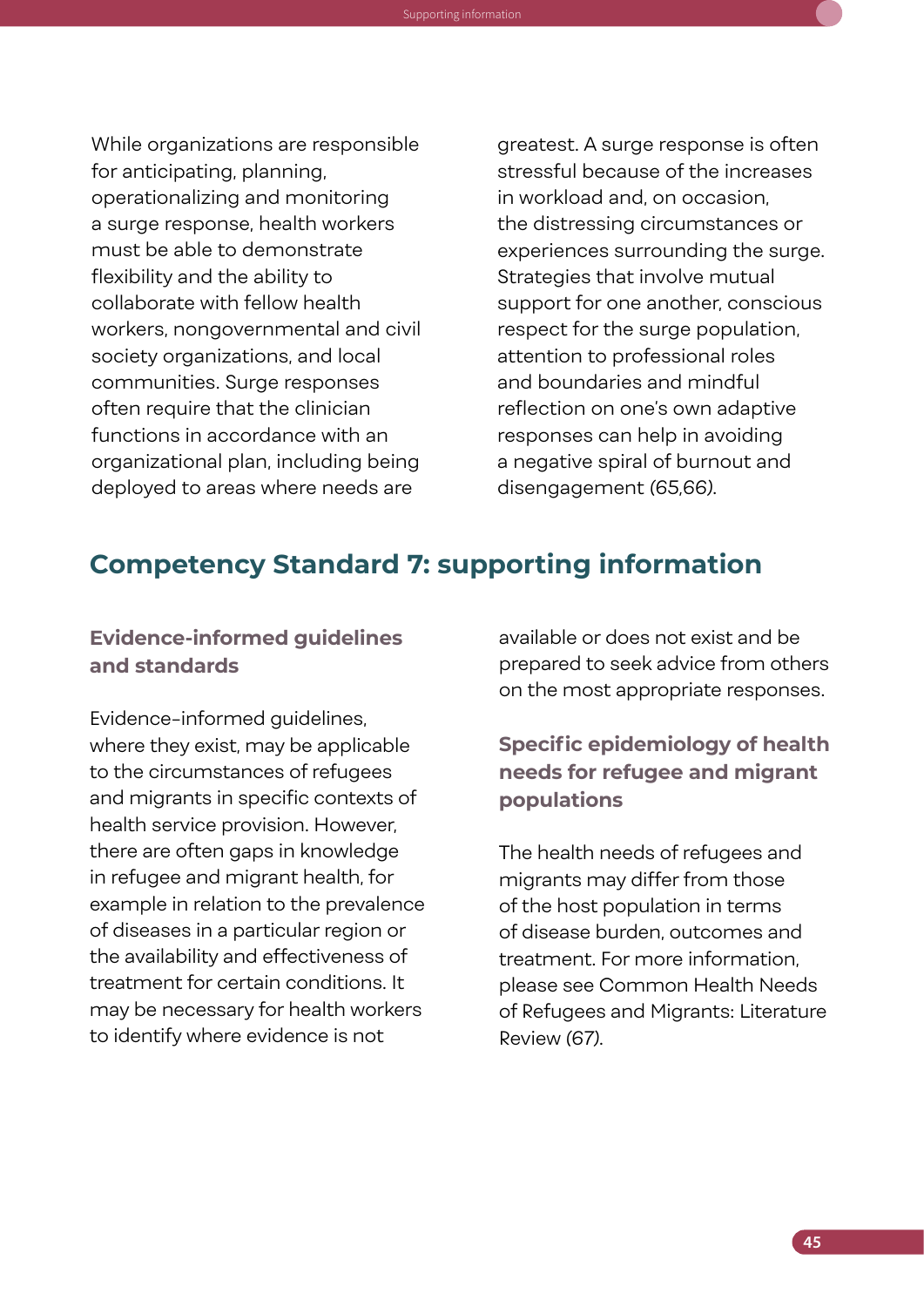While organizations are responsible for anticipating, planning, operationalizing and monitoring a surge response, health workers must be able to demonstrate flexibility and the ability to collaborate with fellow health workers, nongovernmental and civil society organizations, and local communities. Surge responses often require that the clinician functions in accordance with an organizational plan, including being deployed to areas where needs are

Knowledge Guide to support the operationalization of the Refugee and Migrant Health: Global Competency Standards for Health Workers Supporting information

greatest. A surge response is often stressful because of the increases in workload and, on occasion, the distressing circumstances or experiences surrounding the surge. Strategies that involve mutual support for one another, conscious respect for the surge population, attention to professional roles and boundaries and mindful reflection on one's own adaptive responses can help in avoiding a negative spiral of burnout and disengagement *(65,66)*.

#### **Competency Standard 7: supporting information**

#### **Evidence-informed guidelines and standards**

Evidence-informed guidelines, where they exist, may be applicable to the circumstances of refugees and migrants in specific contexts of health service provision. However, there are often gaps in knowledge in refugee and migrant health, for example in relation to the prevalence of diseases in a particular region or the availability and effectiveness of treatment for certain conditions. It may be necessary for health workers to identify where evidence is not

available or does not exist and be prepared to seek advice from others on the most appropriate responses.

#### **Specific epidemiology of health needs for refugee and migrant populations**

The health needs of refugees and migrants may differ from those of the host population in terms of disease burden, outcomes and treatment. For more information, please see Common Health Needs of Refugees and Migrants: Literature Review *(67)*.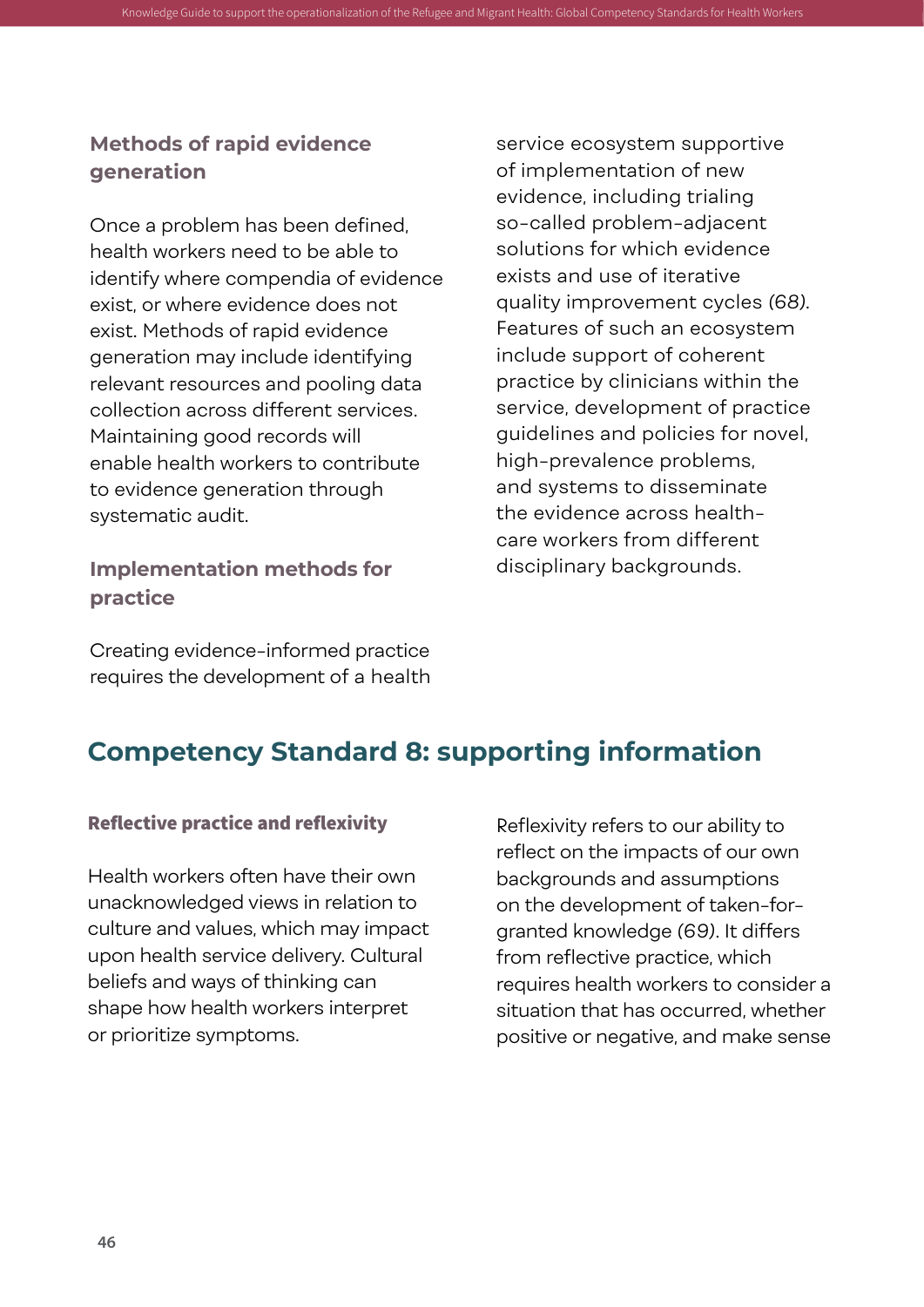#### **Methods of rapid evidence generation**

<span id="page-57-0"></span>Knowledge Guide to support the operationalization of the Refugee and Migrant Health: Global Competen

Once a problem has been defined, health workers need to be able to identify where compendia of evidence exist, or where evidence does not exist. Methods of rapid evidence generation may include identifying relevant resources and pooling data collection across different services. Maintaining good records will enable health workers to contribute to evidence generation through systematic audit.

#### **Implementation methods for practice**

service ecosystem supportive of implementation of new evidence, including trialing so-called problem-adjacent solutions for which evidence exists and use of iterative quality improvement cycles *(68)*. Features of such an ecosystem include support of coherent practice by clinicians within the service, development of practice guidelines and policies for novel, high-prevalence problems, and systems to disseminate the evidence across healthcare workers from different disciplinary backgrounds.

Creating evidence-informed practice requires the development of a health

### **Competency Standard 8: supporting information**

#### Reflective practice and reflexivity

Health workers often have their own unacknowledged views in relation to culture and values, which may impact upon health service delivery. Cultural beliefs and ways of thinking can shape how health workers interpret or prioritize symptoms.

Reflexivity refers to our ability to reflect on the impacts of our own backgrounds and assumptions on the development of taken-forgranted knowledge *(69)*. It differs from reflective practice, which requires health workers to consider a situation that has occurred, whether positive or negative, and make sense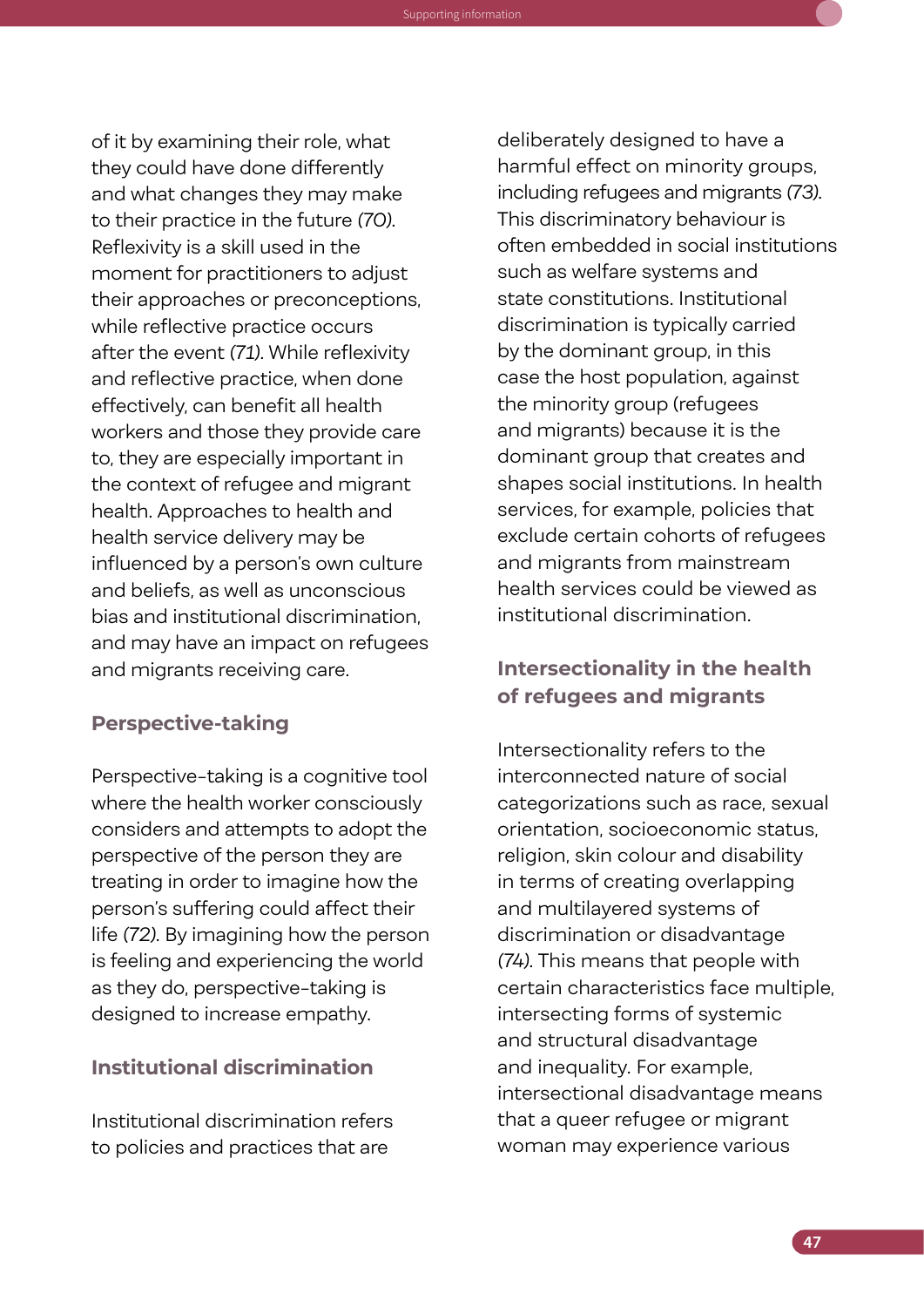of it by examining their role, what they could have done differently and what changes they may make to their practice in the future *(70)*. Reflexivity is a skill used in the moment for practitioners to adjust their approaches or preconceptions, while reflective practice occurs after the event *(71)*. While reflexivity and reflective practice, when done effectively, can benefit all health workers and those they provide care to, they are especially important in the context of refugee and migrant health. Approaches to health and health service delivery may be influenced by a person's own culture and beliefs, as well as unconscious bias and institutional discrimination, and may have an impact on refugees and migrants receiving care.

#### **Perspective-taking**

Knowledge Guide to support the operationalization of the Refugee and Migrant Health: Global Competency Standards for Health Workers Supporting information

Perspective-taking is a cognitive tool where the health worker consciously considers and attempts to adopt the perspective of the person they are treating in order to imagine how the person's suffering could affect their life *(72)*. By imagining how the person is feeling and experiencing the world as they do, perspective-taking is designed to increase empathy.

#### **Institutional discrimination**

Institutional discrimination refers to policies and practices that are

deliberately designed to have a harmful effect on minority groups, including refugees and migrants *(73)*. This discriminatory behaviour is often embedded in social institutions such as welfare systems and state constitutions. Institutional discrimination is typically carried by the dominant group, in this case the host population, against the minority group (refugees and migrants) because it is the dominant group that creates and shapes social institutions. In health services, for example, policies that exclude certain cohorts of refugees and migrants from mainstream health services could be viewed as institutional discrimination.

#### **Intersectionality in the health of refugees and migrants**

Intersectionality refers to the interconnected nature of social categorizations such as race, sexual orientation, socioeconomic status, religion, skin colour and disability in terms of creating overlapping and multilayered systems of discrimination or disadvantage *(74)*. This means that people with certain characteristics face multiple, intersecting forms of systemic and structural disadvantage and inequality. For example, intersectional disadvantage means that a queer refugee or migrant woman may experience various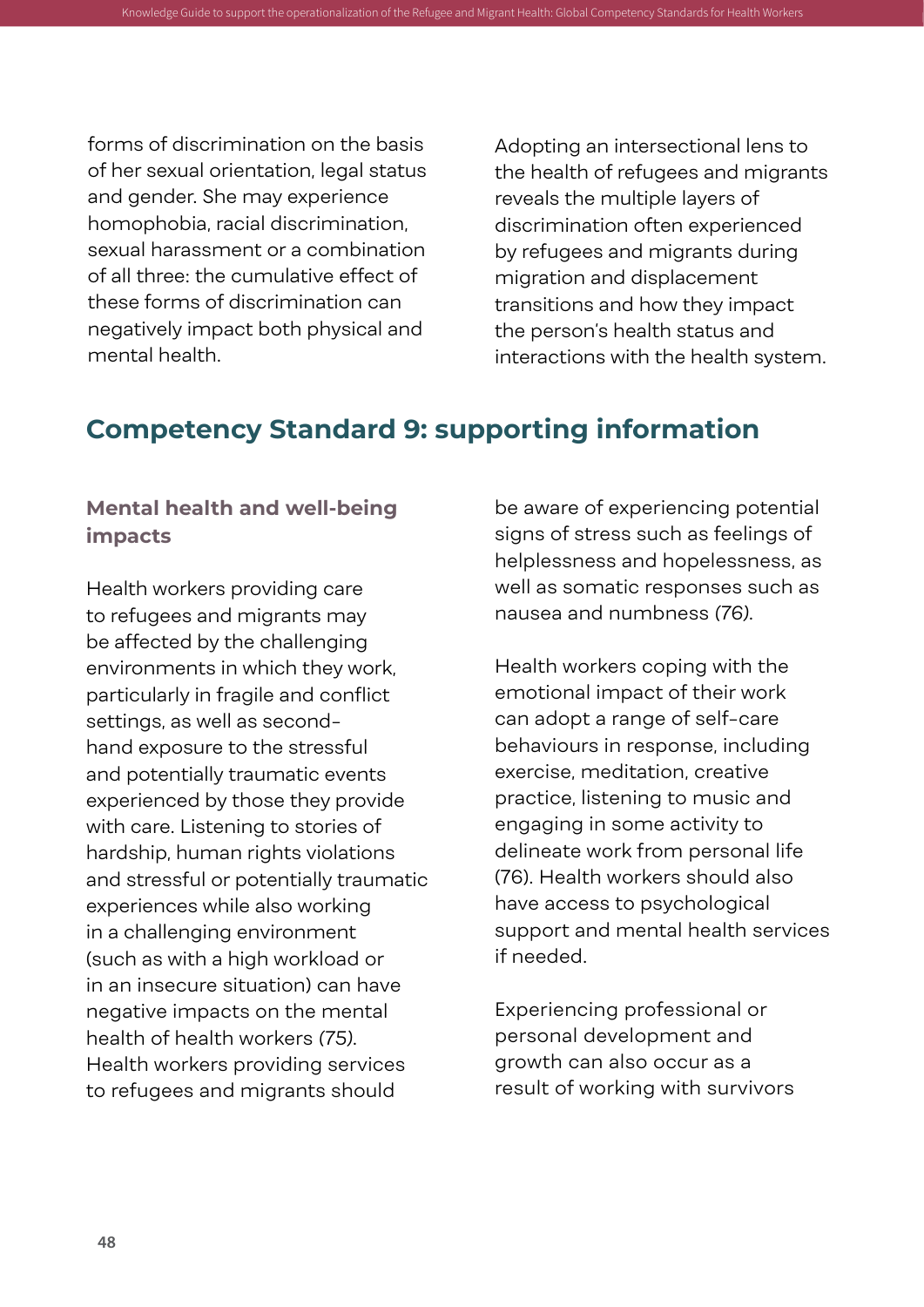forms of discrimination on the basis of her sexual orientation, legal status and gender. She may experience homophobia, racial discrimination, sexual harassment or a combination of all three: the cumulative effect of these forms of discrimination can negatively impact both physical and mental health.

Adopting an intersectional lens to the health of refugees and migrants reveals the multiple layers of discrimination often experienced by refugees and migrants during migration and displacement transitions and how they impact the person's health status and interactions with the health system.

### **Competency Standard 9: supporting information**

Knowledge Guide to support the operationalization of the Refugee and Migrant Health: Global Competer

#### **Mental health and well-being impacts**

Health workers providing care to refugees and migrants may be affected by the challenging environments in which they work, particularly in fragile and conflict settings, as well as secondhand exposure to the stressful and potentially traumatic events experienced by those they provide with care. Listening to stories of hardship, human rights violations and stressful or potentially traumatic experiences while also working in a challenging environment (such as with a high workload or in an insecure situation) can have negative impacts on the mental health of health workers *(75)*. Health workers providing services to refugees and migrants should

be aware of experiencing potential signs of stress such as feelings of helplessness and hopelessness, as well as somatic responses such as nausea and numbness *(76)*.

Health workers coping with the emotional impact of their work can adopt a range of self-care behaviours in response, including exercise, meditation, creative practice, listening to music and engaging in some activity to delineate work from personal life (76). Health workers should also have access to psychological support and mental health services if needed.

Experiencing professional or personal development and growth can also occur as a result of working with survivors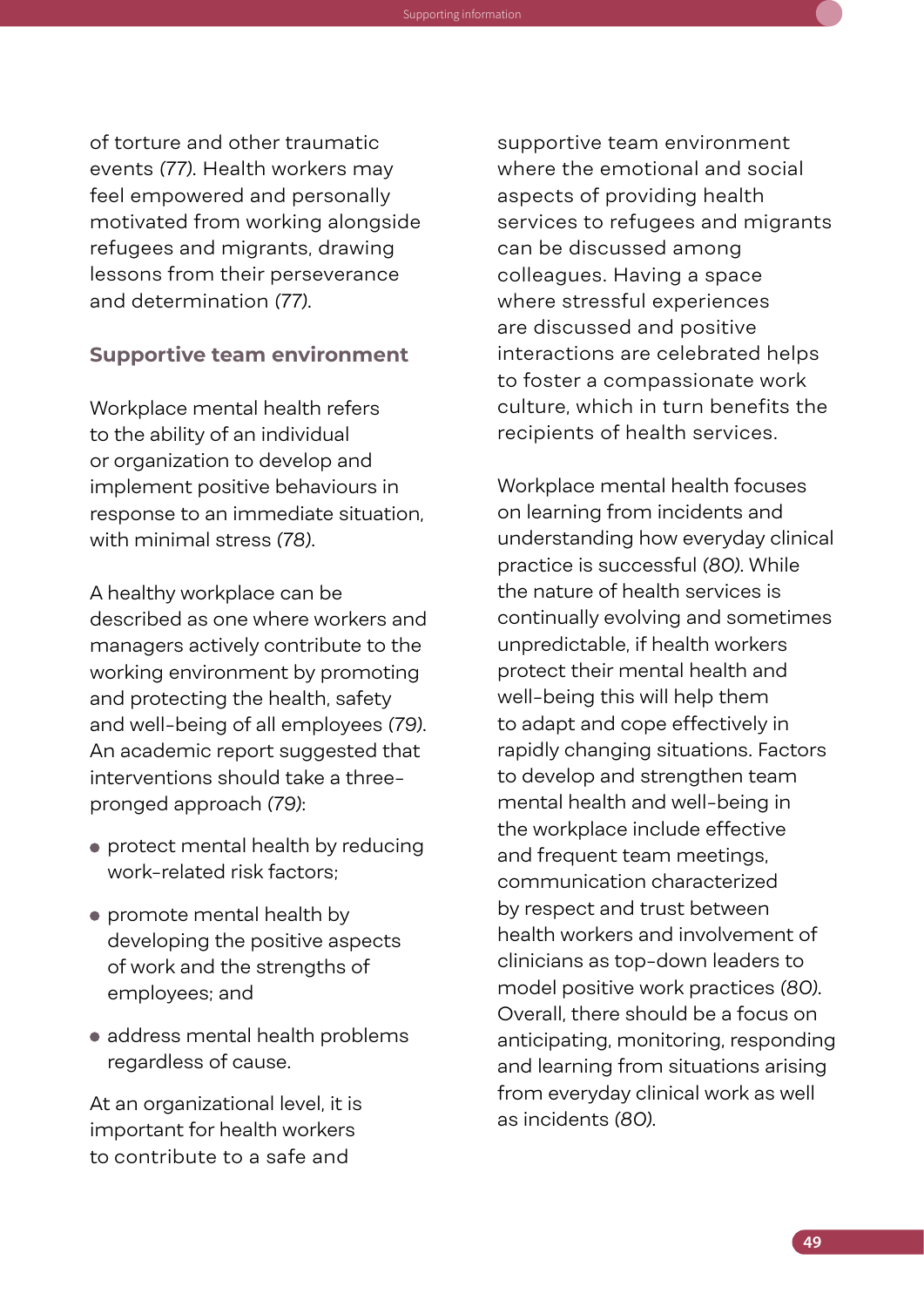of torture and other traumatic events *(77)*. Health workers may feel empowered and personally motivated from working alongside refugees and migrants, drawing lessons from their perseverance and determination *(77)*.

Knowledge Guide to support the operationalization of the Refugee and Migrant Health: Global Competency Standards for Health Workers Supporting information

#### **Supportive team environment**

Workplace mental health refers to the ability of an individual or organization to develop and implement positive behaviours in response to an immediate situation, with minimal stress *(78)*.

A healthy workplace can be described as one where workers and managers actively contribute to the working environment by promoting and protecting the health, safety and well-being of all employees *(79)*. An academic report suggested that interventions should take a threepronged approach *(79)*:

- protect mental health by reducing work-related risk factors;
- promote mental health by developing the positive aspects of work and the strengths of employees; and
- address mental health problems regardless of cause.

At an organizational level, it is important for health workers to contribute to a safe and

supportive team environment where the emotional and social aspects of providing health services to refugees and migrants can be discussed among colleagues. Having a space where stressful experiences are discussed and positive interactions are celebrated helps to foster a compassionate work culture, which in turn benefits the recipients of health services.

Workplace mental health focuses on learning from incidents and understanding how everyday clinical practice is successful *(80)*. While the nature of health services is continually evolving and sometimes unpredictable, if health workers protect their mental health and well-being this will help them to adapt and cope effectively in rapidly changing situations. Factors to develop and strengthen team mental health and well-being in the workplace include effective and frequent team meetings, communication characterized by respect and trust between health workers and involvement of clinicians as top-down leaders to model positive work practices *(80)*. Overall, there should be a focus on anticipating, monitoring, responding and learning from situations arising from everyday clinical work as well as incidents *(80)*.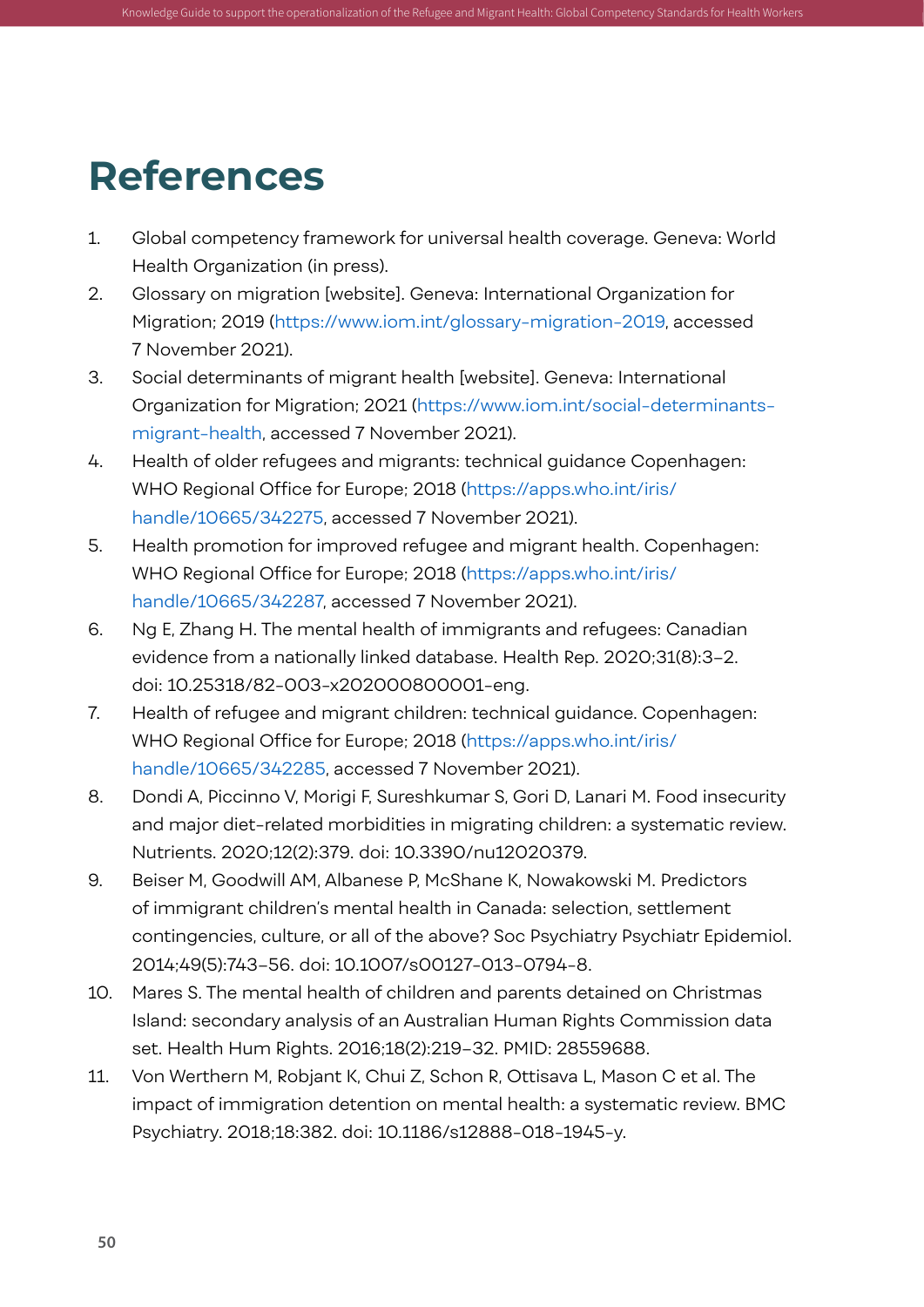### **References**

1. Global competency framework for universal health coverage. Geneva: World Health Organization (in press).

<span id="page-61-0"></span>Knowledge Guide to support the operationalization of the Refugee and Migrant Health: Global Competency Standards for Health Workers

- 2. Glossary on migration [website]. Geneva: International Organization for Migration; 2019 ([https://www.iom.int/glossary-migration-2019,](https://www.iom.int/glossary-migration-2019) accessed 7 November 2021).
- 3. Social determinants of migrant health [website]. Geneva: International Organization for Migration; 2021 ([https://www.iom.int/social-determinants](https://www.iom.int/social-determinants-migrant-health)[migrant-health](https://www.iom.int/social-determinants-migrant-health), accessed 7 November 2021).
- 4. Health of older refugees and migrants: technical guidance Copenhagen: WHO Regional Office for Europe; 2018 ([https://apps.who.int/iris/](https://apps.who.int/iris/handle/10665/342275) [handle/10665/342275,](https://apps.who.int/iris/handle/10665/342275) accessed 7 November 2021).
- 5. Health promotion for improved refugee and migrant health. Copenhagen: WHO Regional Office for Europe; 2018 ([https://apps.who.int/iris/](https://apps.who.int/iris/handle/10665/342287) [handle/10665/342287](https://apps.who.int/iris/handle/10665/342287), accessed 7 November 2021).
- 6. Ng E, Zhang H. The mental health of immigrants and refugees: Canadian evidence from a nationally linked database. Health Rep. 2020;31(8):3–2. doi: 10.25318/82-003-x202000800001-eng.
- 7. Health of refugee and migrant children: technical guidance. Copenhagen: WHO Regional Office for Europe; 2018 ([https://apps.who.int/iris/](https://apps.who.int/iris/handle/10665/342285) [handle/10665/342285,](https://apps.who.int/iris/handle/10665/342285) accessed 7 November 2021).
- 8. Dondi A, Piccinno V, Morigi F, Sureshkumar S, Gori D, Lanari M. Food insecurity and major diet-related morbidities in migrating children: a systematic review. Nutrients. 2020;12(2):379. doi: 10.3390/nu12020379.
- 9. Beiser M, Goodwill AM, Albanese P, McShane K, Nowakowski M. Predictors of immigrant children's mental health in Canada: selection, settlement contingencies, culture, or all of the above? Soc Psychiatry Psychiatr Epidemiol. 2014;49(5):743–56. doi: 10.1007/s00127-013-0794-8.
- 10. Mares S. The mental health of children and parents detained on Christmas Island: secondary analysis of an Australian Human Rights Commission data set. Health Hum Rights. 2016;18(2):219–32. PMID: 28559688.
- 11. Von Werthern M, Robjant K, Chui Z, Schon R, Ottisava L, Mason C et al. The impact of immigration detention on mental health: a systematic review. BMC Psychiatry. 2018;18:382. doi: 10.1186/s12888-018-1945-y.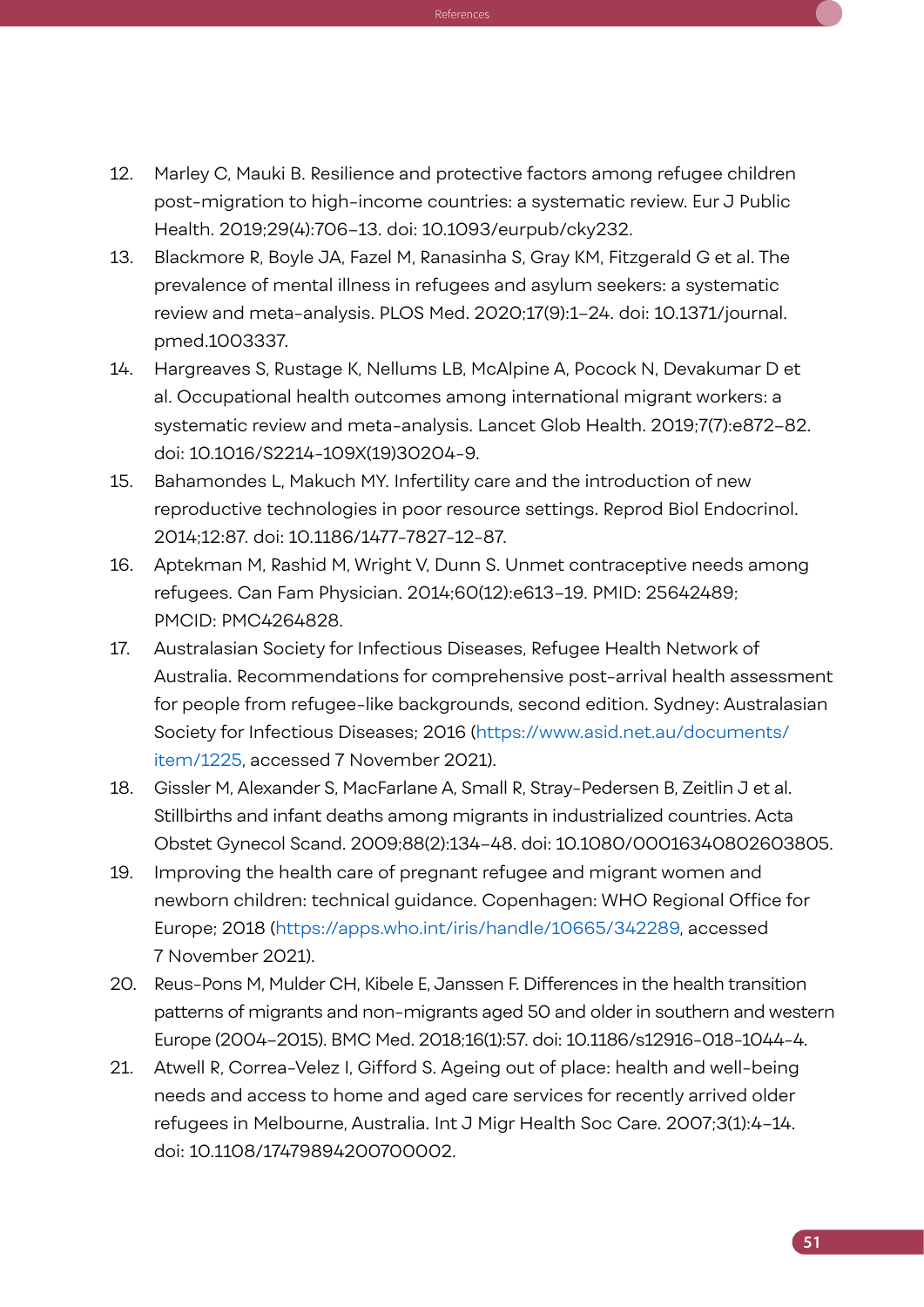12. Marley C, Mauki B. Resilience and protective factors among refugee children post-migration to high-income countries: a systematic review. Eur J Public Health. 2019;29(4):706–13. doi: 10.1093/eurpub/cky232.

 $K_{\rm eff}$  , and  $K_{\rm eff}$  is support the operation of the operation of the operation of the  $\rm{Re}$  ferences

- 13. Blackmore R, Boyle JA, Fazel M, Ranasinha S, Gray KM, Fitzgerald G et al. The prevalence of mental illness in refugees and asylum seekers: a systematic review and meta-analysis. PLOS Med. 2020;17(9):1–24. doi: 10.1371/journal. pmed.1003337.
- 14. Hargreaves S, Rustage K, Nellums LB, McAlpine A, Pocock N, Devakumar D et al. Occupational health outcomes among international migrant workers: a systematic review and meta-analysis. Lancet Glob Health. 2019;7(7):e872–82. doi: 10.1016/S2214-109X(19)30204-9.
- 15. Bahamondes L, Makuch MY. Infertility care and the introduction of new reproductive technologies in poor resource settings. Reprod Biol Endocrinol. 2014;12:87. doi: 10.1186/1477-7827-12-87.
- 16. Aptekman M, Rashid M, Wright V, Dunn S. Unmet contraceptive needs among refugees. Can Fam Physician. 2014;60(12):e613–19. PMID: 25642489; PMCID: PMC4264828.
- 17. Australasian Society for Infectious Diseases, Refugee Health Network of Australia. Recommendations for comprehensive post-arrival health assessment for people from refugee-like backgrounds, second edition. Sydney: Australasian Society for Infectious Diseases; 2016 ([https://www.asid.net.au/documents/](https://www.asid.net.au/documents/item/1225) [item/1225](https://www.asid.net.au/documents/item/1225), accessed 7 November 2021).
- 18. Gissler M, Alexander S, MacFarlane A, Small R, Stray-Pedersen B, Zeitlin J et al. Stillbirths and infant deaths among migrants in industrialized countries. Acta Obstet Gynecol Scand. 2009;88(2):134–48. doi: 10.1080/00016340802603805.
- 19. Improving the health care of pregnant refugee and migrant women and newborn children: technical guidance. Copenhagen: WHO Regional Office for Europe; 2018 (<https://apps.who.int/iris/handle/10665/342289>, accessed 7 November 2021).
- 20. Reus-Pons M, Mulder CH, Kibele E, Janssen F. Differences in the health transition patterns of migrants and non-migrants aged 50 and older in southern and western Europe (2004–2015). BMC Med. 2018;16(1):57. doi: 10.1186/s12916-018-1044-4.
- 21. Atwell R, Correa-Velez I, Gifford S. Ageing out of place: health and well-being needs and access to home and aged care services for recently arrived older refugees in Melbourne, Australia. Int J Migr Health Soc Care. 2007;3(1):4–14. doi: 10.1108/17479894200700002.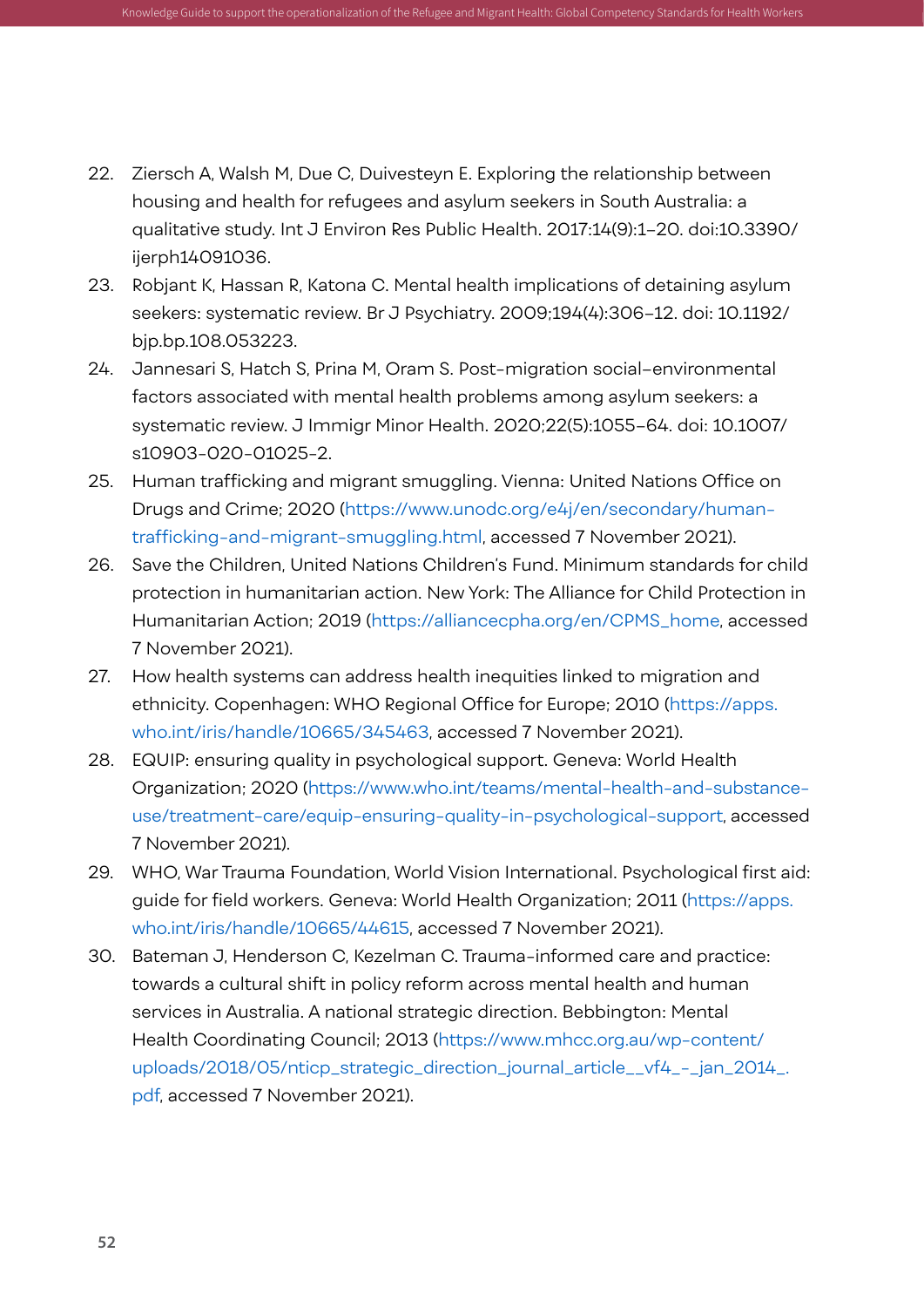22. Ziersch A, Walsh M, Due C, Duivesteyn E. Exploring the relationship between housing and health for refugees and asylum seekers in South Australia: a qualitative study. Int J Environ Res Public Health. 2017:14(9):1–20. doi:10.3390/ ijerph14091036.

Knowledge Guide to support the operationalization of the Refugee and Migrant Health: Global Competency Standards for Health Workers

- 23. Robjant K, Hassan R, Katona C. Mental health implications of detaining asylum seekers: systematic review. Br J Psychiatry. 2009;194(4):306–12. doi: 10.1192/ bjp.bp.108.053223.
- 24. Jannesari S, Hatch S, Prina M, Oram S. Post-migration social–environmental factors associated with mental health problems among asylum seekers: a systematic review. J Immigr Minor Health. 2020;22(5):1055–64. doi: 10.1007/ s10903-020-01025-2.
- 25. Human trafficking and migrant smuggling. Vienna: United Nations Office on Drugs and Crime; 2020 [\(https://www.unodc.org/e4j/en/secondary/human](https://www.unodc.org/e4j/en/secondary/human-trafficking-and-migrant-smuggling.html)[trafficking-and-migrant-smuggling.html,](https://www.unodc.org/e4j/en/secondary/human-trafficking-and-migrant-smuggling.html) accessed 7 November 2021).
- 26. Save the Children, United Nations Children's Fund. Minimum standards for child protection in humanitarian action. New York: The Alliance for Child Protection in Humanitarian Action; 2019 [\(https://alliancecpha.org/en/CPMS\\_home,](https://alliancecpha.org/en/CPMS_home) accessed 7 November 2021).
- 27. How health systems can address health inequities linked to migration and ethnicity. Copenhagen: WHO Regional Office for Europe; 2010 ([https://apps.](https://apps.who.int/iris/handle/10665/345463) [who.int/iris/handle/10665/345463,](https://apps.who.int/iris/handle/10665/345463) accessed 7 November 2021).
- 28. EQUIP: ensuring quality in psychological support. Geneva: World Health Organization; 2020 ([https://www.who.int/teams/mental-health-and-substance](https://www.who.int/teams/mental-health-and-substance-use/treatment-care/equip-ensuring-quality-in-psychological-support)[use/treatment-care/equip-ensuring-quality-in-psychological-support,](https://www.who.int/teams/mental-health-and-substance-use/treatment-care/equip-ensuring-quality-in-psychological-support) accessed 7 November 2021).
- 29. WHO, War Trauma Foundation, World Vision International. Psychological first aid: guide for field workers. Geneva: World Health Organization; 2011 ([https://apps.](https://apps.who.int/iris/handle/10665/44615) [who.int/iris/handle/10665/44615,](https://apps.who.int/iris/handle/10665/44615) accessed 7 November 2021).
- 30. Bateman J, Henderson C, Kezelman C. Trauma-informed care and practice: towards a cultural shift in policy reform across mental health and human services in Australia. A national strategic direction. Bebbington: Mental Health Coordinating Council; 2013 ([https://www.mhcc.org.au/wp-content/](https://www.mhcc.org.au/wp-content/uploads/2018/05/nticp_strategic_direction_journal_article__vf4_-_jan_2014_.pdf) [uploads/2018/05/nticp\\_strategic\\_direction\\_journal\\_article\\_\\_vf4\\_-\\_jan\\_2014\\_.](https://www.mhcc.org.au/wp-content/uploads/2018/05/nticp_strategic_direction_journal_article__vf4_-_jan_2014_.pdf) [pdf,](https://www.mhcc.org.au/wp-content/uploads/2018/05/nticp_strategic_direction_journal_article__vf4_-_jan_2014_.pdf) accessed 7 November 2021).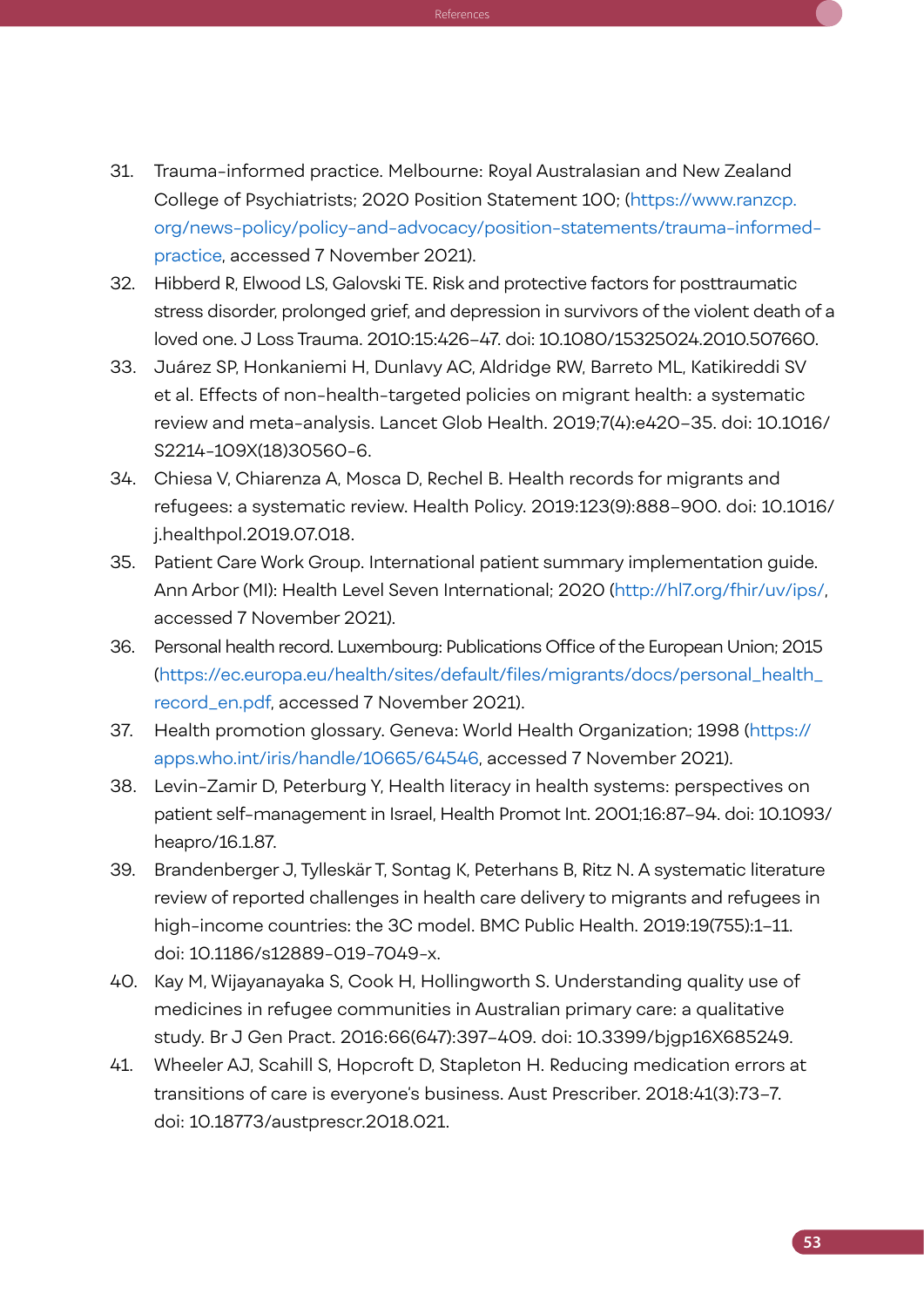31. Trauma-informed practice. Melbourne: Royal Australasian and New Zealand College of Psychiatrists; 2020 Position Statement 100; [\(https://www.ranzcp.](https://www.ranzcp.org/news-policy/policy-and-advocacy/position-statements/trauma-informed-practice) [org/news-policy/policy-and-advocacy/position-statements/trauma-informed](https://www.ranzcp.org/news-policy/policy-and-advocacy/position-statements/trauma-informed-practice)[practice](https://www.ranzcp.org/news-policy/policy-and-advocacy/position-statements/trauma-informed-practice), accessed 7 November 2021).

 $K_{\rm eff}$  , and  $K_{\rm eff}$  is support the operation of the operation of the operation of the  $\rm{Re}$  ferences

- 32. Hibberd R, Elwood LS, Galovski TE. Risk and protective factors for posttraumatic stress disorder, prolonged grief, and depression in survivors of the violent death of a loved one. J Loss Trauma. 2010:15:426–47. doi: 10.1080/15325024.2010.507660.
- 33. Juárez SP, Honkaniemi H, Dunlavy AC, Aldridge RW, Barreto ML, Katikireddi SV et al. Effects of non-health-targeted policies on migrant health: a systematic review and meta-analysis. Lancet Glob Health. 2019;7(4):e420–35. doi: 10.1016/ S2214-109X(18)30560-6.
- 34. Chiesa V, Chiarenza A, Mosca D, Rechel B. Health records for migrants and refugees: a systematic review. Health Policy. 2019:123(9):888–900. doi: 10.1016/ j.healthpol.2019.07.018.
- 35. Patient Care Work Group. International patient summary implementation guide. Ann Arbor (MI): Health Level Seven International; 2020 [\(http://hl7.org/fhir/uv/ips/](http://hl7.org/fhir/uv/ips/), accessed 7 November 2021).
- 36. Personal health record. Luxembourg: Publications Office of the European Union; 2015 ([https://ec.europa.eu/health/sites/default/files/migrants/docs/personal\\_health\\_](https://ec.europa.eu/health/sites/default/files/migrants/docs/personal_health_record_en.pdf) [record\\_en.pdf](https://ec.europa.eu/health/sites/default/files/migrants/docs/personal_health_record_en.pdf), accessed 7 November 2021).
- 37. Health promotion glossary. Geneva: World Health Organization; 1998 [\(https://](https://apps.who.int/iris/handle/10665/64546) [apps.who.int/iris/handle/10665/64546,](https://apps.who.int/iris/handle/10665/64546) accessed 7 November 2021).
- 38. Levin-Zamir D, Peterburg Y, Health literacy in health systems: perspectives on patient self-management in Israel, Health Promot Int. 2001;16:87–94. doi: 10.1093/ heapro/16.1.87.
- 39. Brandenberger J, Tylleskär T, Sontag K, Peterhans B, Ritz N. A systematic literature review of reported challenges in health care delivery to migrants and refugees in high-income countries: the 3C model. BMC Public Health. 2019:19(755):1–11. doi: 10.1186/s12889-019-7049-x.
- 40. Kay M, Wijayanayaka S, Cook H, Hollingworth S. Understanding quality use of medicines in refugee communities in Australian primary care: a qualitative study. Br J Gen Pract. 2016:66(647):397–409. doi: 10.3399/bjgp16X685249.
- 41. Wheeler AJ, Scahill S, Hopcroft D, Stapleton H. Reducing medication errors at transitions of care is everyone's business. Aust Prescriber. 2018:41(3):73–7. doi: 10.18773/austprescr.2018.021.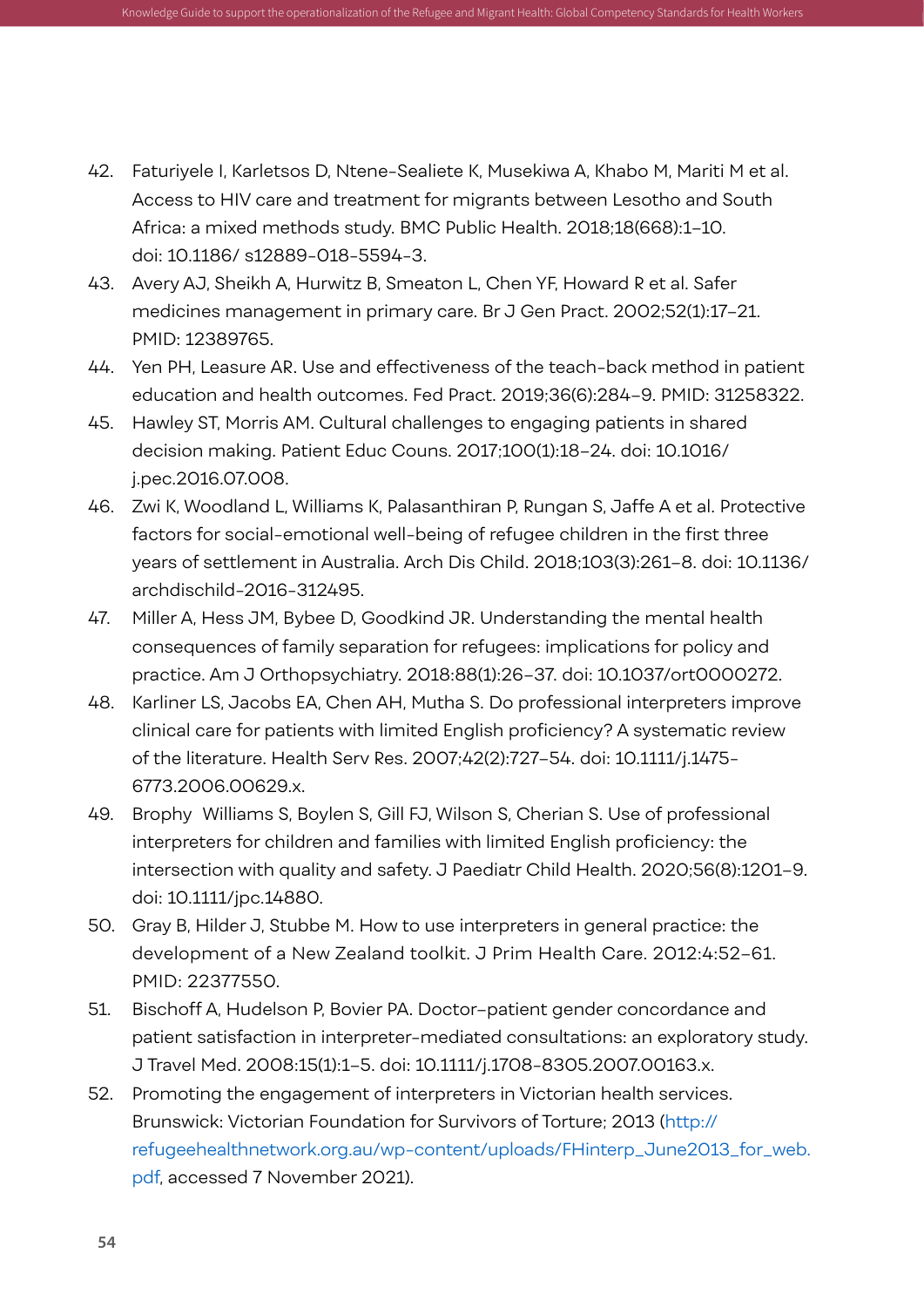42. Faturiyele I, Karletsos D, Ntene-Sealiete K, Musekiwa A, Khabo M, Mariti M et al. Access to HIV care and treatment for migrants between Lesotho and South Africa: a mixed methods study. BMC Public Health. 2018;18(668):1–10. doi: 10.1186/ s12889-018-5594-3.

Knowledge Guide to support the operationalization of the Refugee and Migrant Health: Global Competency Standards for Health Workers

- 43. Avery AJ, Sheikh A, Hurwitz B, Smeaton L, Chen YF, Howard R et al. Safer medicines management in primary care. Br J Gen Pract. 2002;52(1):17–21. PMID: 12389765.
- 44. Yen PH, Leasure AR. Use and effectiveness of the teach-back method in patient education and health outcomes. Fed Pract. 2019;36(6):284–9. PMID: 31258322.
- 45. Hawley ST, Morris AM. Cultural challenges to engaging patients in shared decision making. Patient Educ Couns. 2017;100(1):18–24. doi: 10.1016/ j.pec.2016.07.008.
- 46. Zwi K, Woodland L, Williams K, Palasanthiran P, Rungan S, Jaffe A et al. Protective factors for social-emotional well-being of refugee children in the first three years of settlement in Australia. Arch Dis Child. 2018;103(3):261–8. doi: 10.1136/ archdischild-2016-312495.
- 47. Miller A, Hess JM, Bybee D, Goodkind JR. Understanding the mental health consequences of family separation for refugees: implications for policy and practice. Am J Orthopsychiatry. 2018:88(1):26–37. doi: 10.1037/ort0000272.
- 48. Karliner LS, Jacobs EA, Chen AH, Mutha S. Do professional interpreters improve clinical care for patients with limited English proficiency? A systematic review of the literature. Health Serv Res. 2007;42(2):727–54. doi: 10.1111/j.1475- 6773.2006.00629.x.
- 49. Brophy‐Williams S, Boylen S, Gill FJ, Wilson S, Cherian S. Use of professional interpreters for children and families with limited English proficiency: the intersection with quality and safety. J Paediatr Child Health. 2020;56(8):1201–9. doi: 10.1111/jpc.14880.
- 50. Gray B, Hilder J, Stubbe M. How to use interpreters in general practice: the development of a New Zealand toolkit. J Prim Health Care. 2012:4:52–61. PMID: 22377550.
- 51. Bischoff A, Hudelson P, Bovier PA. Doctor–patient gender concordance and patient satisfaction in interpreter-mediated consultations: an exploratory study. J Travel Med. 2008:15(1):1–5. doi: 10.1111/j.1708-8305.2007.00163.x.
- 52. Promoting the engagement of interpreters in Victorian health services. Brunswick: Victorian Foundation for Survivors of Torture; 2013 ([http://](http://refugeehealthnetwork.org.au/wp-content/uploads/FHinterp_June2013_for_web.pdf) [refugeehealthnetwork.org.au/wp-content/uploads/FHinterp\\_June2013\\_for\\_web.](http://refugeehealthnetwork.org.au/wp-content/uploads/FHinterp_June2013_for_web.pdf) [pdf,](http://refugeehealthnetwork.org.au/wp-content/uploads/FHinterp_June2013_for_web.pdf) accessed 7 November 2021).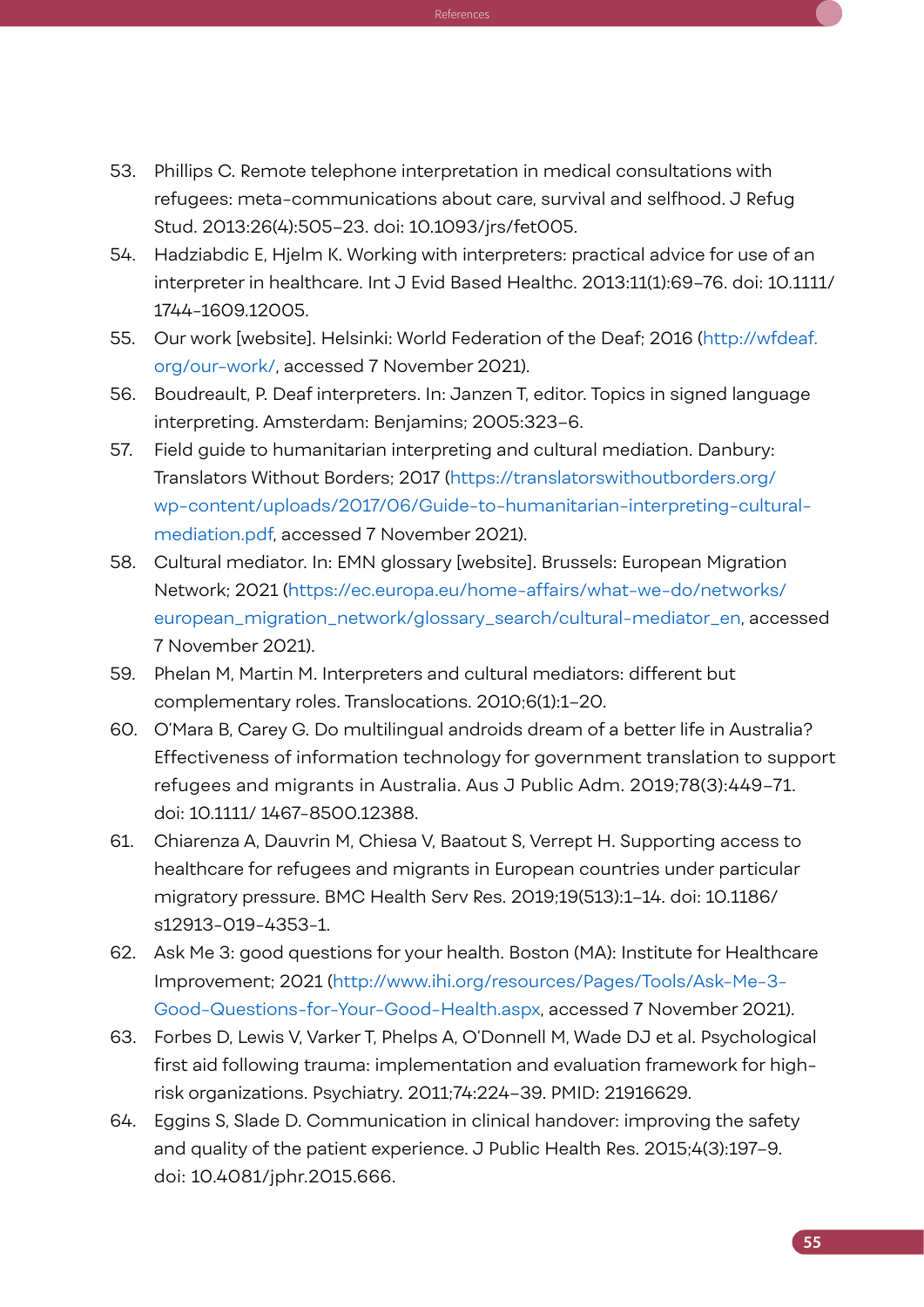53. Phillips C. Remote telephone interpretation in medical consultations with refugees: meta-communications about care, survival and selfhood. J Refug Stud. 2013:26(4):505–23. doi: 10.1093/jrs/fet005.

 $K_{\rm eff}$  , and  $K_{\rm eff}$  is support the operation of the operation of the operation of the  $\rm{Re}$  ferences

- 54. Hadziabdic E, Hjelm K. Working with interpreters: practical advice for use of an interpreter in healthcare. Int J Evid Based Healthc. 2013:11(1):69–76. doi: 10.1111/ 1744-1609.12005.
- 55. Our work [website]. Helsinki: World Federation of the Deaf; 2016 ([http://wfdeaf.](http://wfdeaf.org/our-work/) [org/our-work/,](http://wfdeaf.org/our-work/) accessed 7 November 2021).
- 56. Boudreault, P. Deaf interpreters. In: Janzen T, editor. Topics in signed language interpreting. Amsterdam: Benjamins; 2005:323–6.
- 57. Field guide to humanitarian interpreting and cultural mediation. Danbury: Translators Without Borders; 2017 [\(https://translatorswithoutborders.org/](https://translatorswithoutborders.org/wp-content/uploads/2017/06/Guide-to-humanitarian-interpreting-cultural-mediation.pdf) [wp-content/uploads/2017/06/Guide-to-humanitarian-interpreting-cultural](https://translatorswithoutborders.org/wp-content/uploads/2017/06/Guide-to-humanitarian-interpreting-cultural-mediation.pdf)[mediation.pdf](https://translatorswithoutborders.org/wp-content/uploads/2017/06/Guide-to-humanitarian-interpreting-cultural-mediation.pdf), accessed 7 November 2021).
- 58. Cultural mediator. In: EMN glossary [website]. Brussels: European Migration Network; 2021 ([https://ec.europa.eu/home-affairs/what-we-do/networks/](https://ec.europa.eu/home-affairs/what-we-do/networks/european_migration_network/glossary_search/cultural-mediator_en) [european\\_migration\\_network/glossary\\_search/cultural-mediator\\_en,](https://ec.europa.eu/home-affairs/what-we-do/networks/european_migration_network/glossary_search/cultural-mediator_en) accessed 7 November 2021).
- 59. Phelan M, Martin M. Interpreters and cultural mediators: different but complementary roles. Translocations. 2010;6(1):1–20.
- 60. O'Mara B, Carey G. Do multilingual androids dream of a better life in Australia? Effectiveness of information technology for government translation to support refugees and migrants in Australia. Aus J Public Adm. 2019;78(3):449–71. doi: 10.1111/ 1467-8500.12388.
- 61. Chiarenza A, Dauvrin M, Chiesa V, Baatout S, Verrept H. Supporting access to healthcare for refugees and migrants in European countries under particular migratory pressure. BMC Health Serv Res. 2019;19(513):1–14. doi: 10.1186/ s12913-019-4353-1.
- 62. Ask Me 3: good questions for your health. Boston (MA): Institute for Healthcare Improvement; 2021 ([http://www.ihi.org/resources/Pages/Tools/Ask-Me-3-](http://www.ihi.org/resources/Pages/Tools/Ask-Me-3-Good-Questions-for-Your-Good-Health.aspx) [Good-Questions-for-Your-Good-Health.aspx](http://www.ihi.org/resources/Pages/Tools/Ask-Me-3-Good-Questions-for-Your-Good-Health.aspx), accessed 7 November 2021).
- 63. Forbes D, Lewis V, Varker T, Phelps A, O'Donnell M, Wade DJ et al. Psychological first aid following trauma: implementation and evaluation framework for highrisk organizations. Psychiatry. 2011;74:224–39. PMID: 21916629.
- 64. Eggins S, Slade D. Communication in clinical handover: improving the safety and quality of the patient experience. J Public Health Res. 2015;4(3):197–9. doi: 10.4081/jphr.2015.666.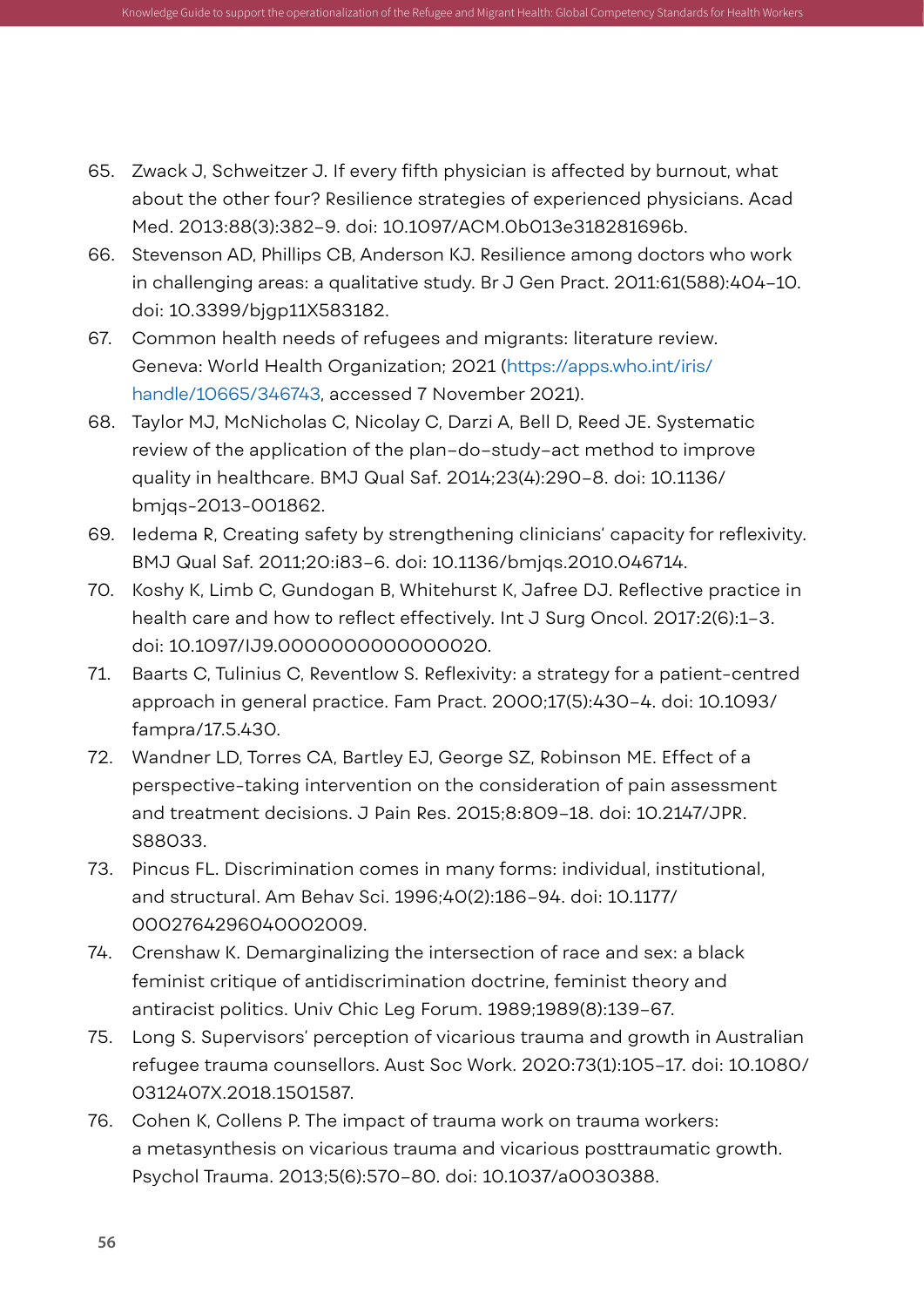65. Zwack J, Schweitzer J. If every fifth physician is affected by burnout, what about the other four? Resilience strategies of experienced physicians. Acad Med. 2013:88(3):382–9. doi: 10.1097/ACM.0b013e318281696b.

Knowledge Guide to support the operationalization of the Refugee and Migrant Health: Global Competency Standards for Health Workers

- 66. Stevenson AD, Phillips CB, Anderson KJ. Resilience among doctors who work in challenging areas: a qualitative study. Br J Gen Pract. 2011:61(588):404–10. doi: 10.3399/bjgp11X583182.
- 67. Common health needs of refugees and migrants: literature review. Geneva: World Health Organization; 2021 ([https://apps.who.int/iris/](https://apps.who.int/iris/handle/10665/346743) [handle/10665/346743,](https://apps.who.int/iris/handle/10665/346743) accessed 7 November 2021).
- 68. Taylor MJ, McNicholas C, Nicolay C, Darzi A, Bell D, Reed JE. Systematic review of the application of the plan–do–study–act method to improve quality in healthcare. BMJ Qual Saf. 2014;23(4):290–8. doi: 10.1136/ bmjqs-2013-001862.
- 69. Iedema R, Creating safety by strengthening clinicians' capacity for reflexivity. BMJ Qual Saf. 2011;20:i83–6. doi: 10.1136/bmjqs.2010.046714.
- 70. Koshy K, Limb C, Gundogan B, Whitehurst K, Jafree DJ. Reflective practice in health care and how to reflect effectively. Int J Surg Oncol. 2017:2(6):1–3. doi: 10.1097/IJ9.0000000000000020.
- 71. Baarts C, Tulinius C, Reventlow S. Reflexivity: a strategy for a patient-centred approach in general practice. Fam Pract. 2000;17(5):430–4. doi: 10.1093/ fampra/17.5.430.
- 72. Wandner LD, Torres CA, Bartley EJ, George SZ, Robinson ME. Effect of a perspective-taking intervention on the consideration of pain assessment and treatment decisions. J Pain Res. 2015;8:809–18. doi: 10.2147/JPR. S88033.
- 73. Pincus FL. Discrimination comes in many forms: individual, institutional, and structural. Am Behav Sci. 1996;40(2):186–94. doi: 10.1177/ 0002764296040002009.
- 74. Crenshaw K. Demarginalizing the intersection of race and sex: a black feminist critique of antidiscrimination doctrine, feminist theory and antiracist politics. Univ Chic Leg Forum. 1989;1989(8):139–67.
- 75. Long S. Supervisors' perception of vicarious trauma and growth in Australian refugee trauma counsellors. Aust Soc Work. 2020:73(1):105–17. doi: 10.1080/ 0312407X.2018.1501587.
- 76. Cohen K, Collens P. The impact of trauma work on trauma workers: a metasynthesis on vicarious trauma and vicarious posttraumatic growth. Psychol Trauma. 2013;5(6):570–80. doi: 10.1037/a0030388.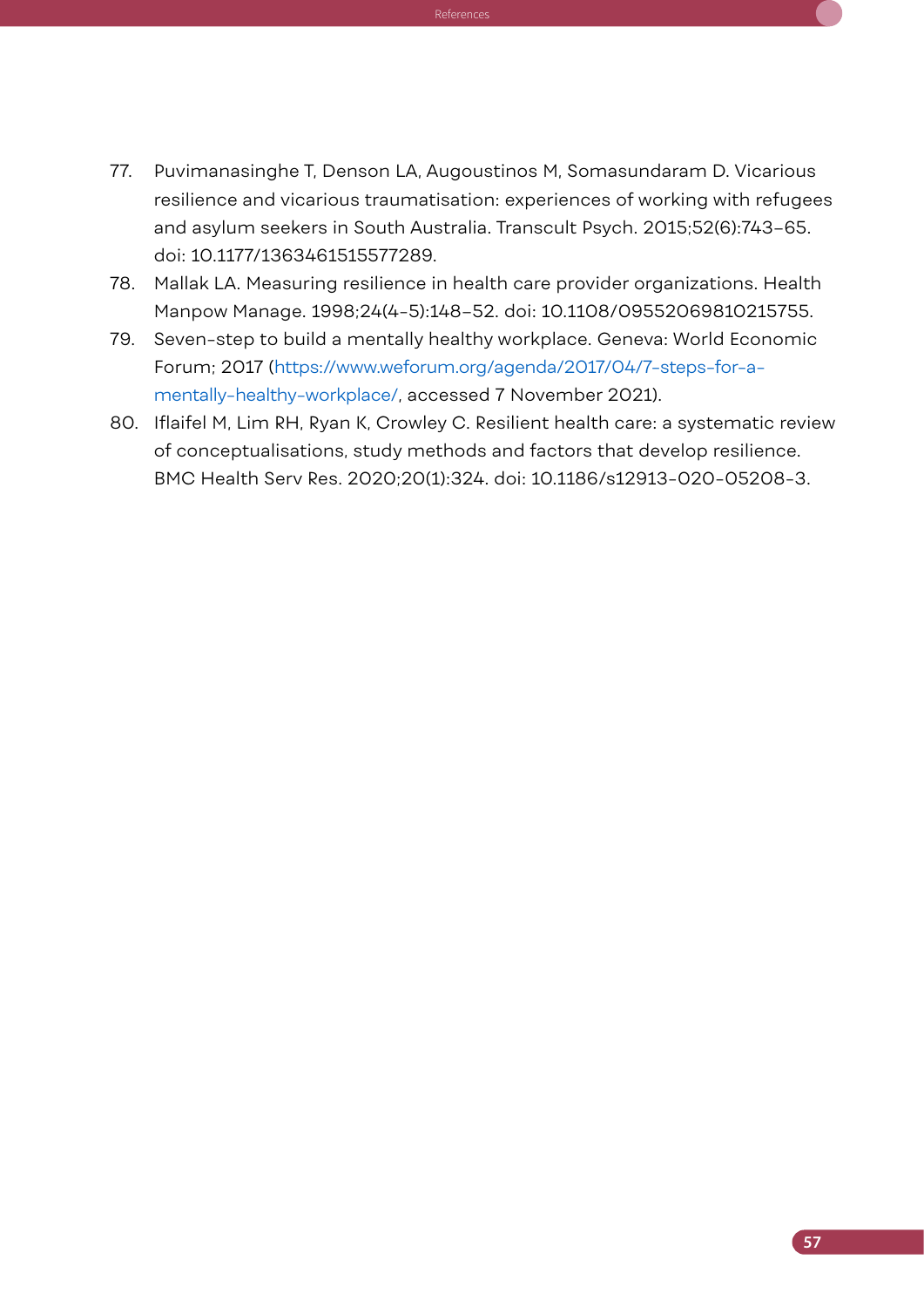77. Puvimanasinghe T, Denson LA, Augoustinos M, Somasundaram D. Vicarious resilience and vicarious traumatisation: experiences of working with refugees and asylum seekers in South Australia. Transcult Psych. 2015;52(6):743–65. doi: 10.1177/1363461515577289.

 $K_{\rm eff}$  , and  $K_{\rm eff}$  is support the operation of the operation of the operation of the  $\rm{Re}$  ferences

- 78. Mallak LA. Measuring resilience in health care provider organizations. Health Manpow Manage. 1998;24(4-5):148–52. doi: 10.1108/09552069810215755.
- 79. Seven-step to build a mentally healthy workplace. Geneva: World Economic Forum; 2017 ([https://www.weforum.org/agenda/2017/04/7-steps-for-a](https://www.weforum.org/agenda/2017/04/7-steps-for-a-mentally-healthy-workplace/)[mentally-healthy-workplace/,](https://www.weforum.org/agenda/2017/04/7-steps-for-a-mentally-healthy-workplace/) accessed 7 November 2021).
- 80. Iflaifel M, Lim RH, Ryan K, Crowley C. Resilient health care: a systematic review of conceptualisations, study methods and factors that develop resilience. BMC Health Serv Res. 2020;20(1):324. doi: 10.1186/s12913-020-05208-3.